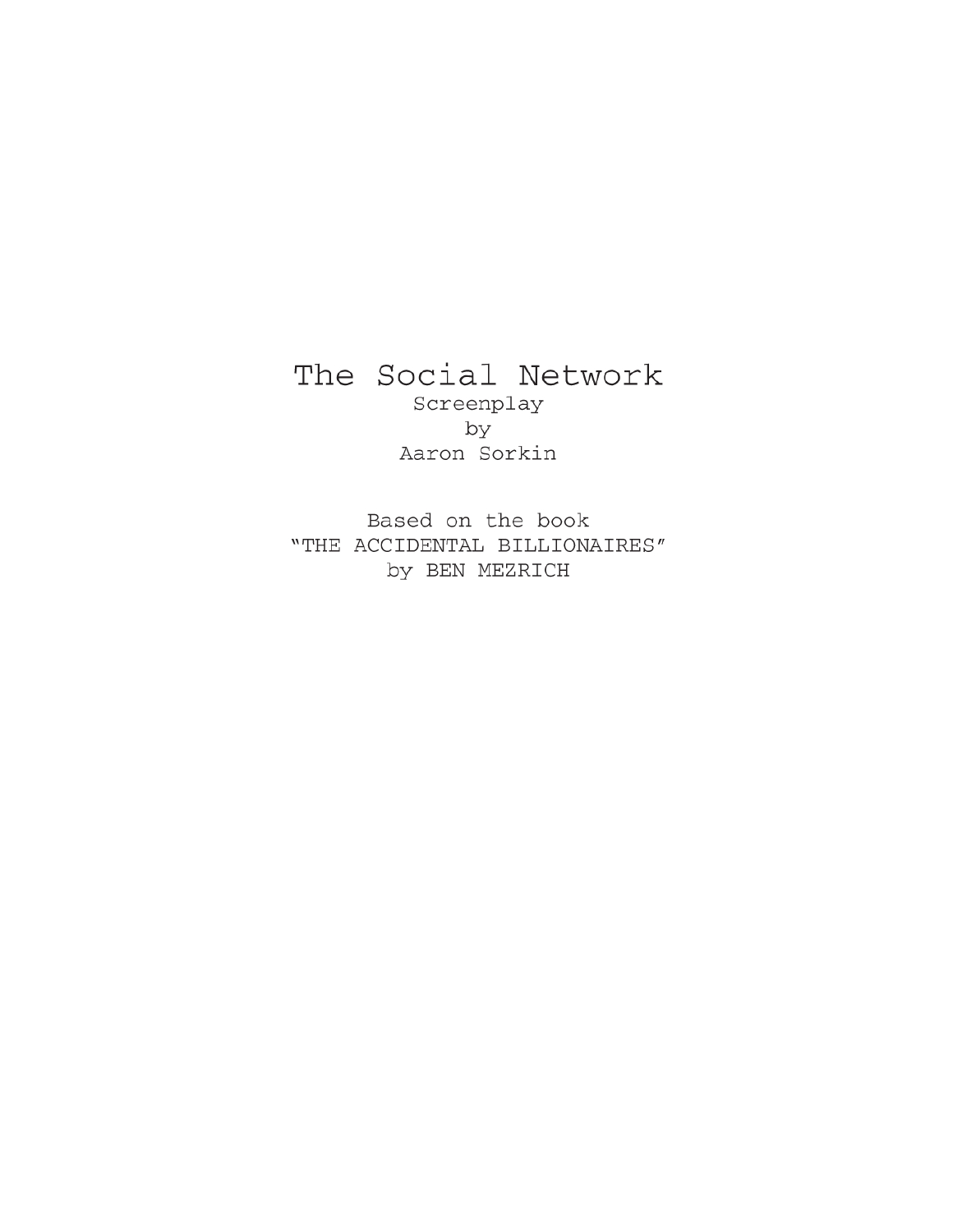# The Social Network Screenplay

by Aaron Sorkin

Based on the book "THE ACCIDENTAL BILLIONAIRES" by BEN MEZRICH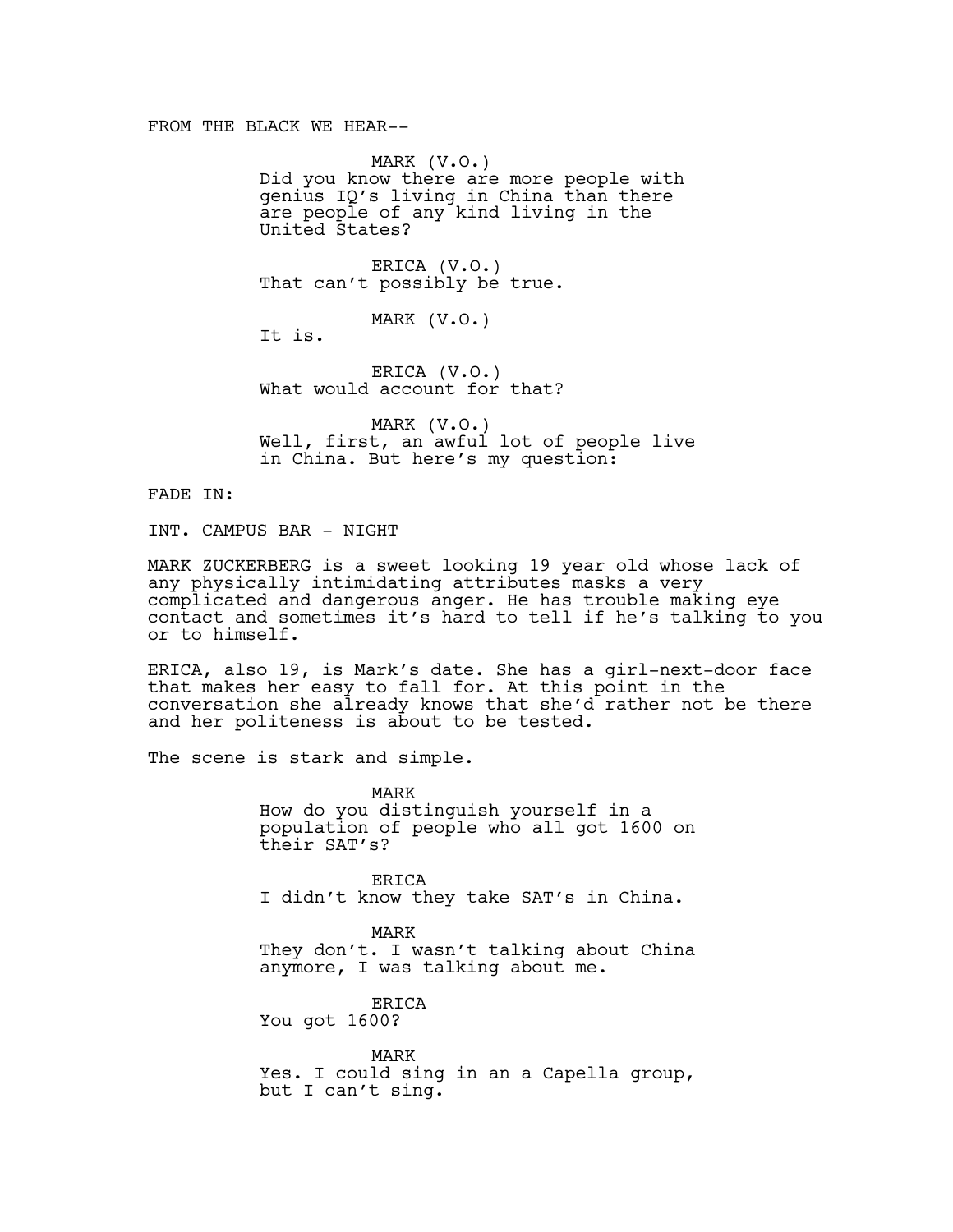### FROM THE BLACK WE HEAR--

MARK (V.O.) Did you know there are more people with genius IQ's living in China than there are people of any kind living in the United States?

ERICA (V.O.) That can't possibly be true.

MARK (V.O.)

It is.

ERICA (V.O.) What would account for that?

MARK (V.O.) Well, first, an awful lot of people live in China. But here's my question:

FADE IN:

INT. CAMPUS BAR - NIGHT

MARK ZUCKERBERG is a sweet looking 19 year old whose lack of any physically intimidating attributes masks a very complicated and dangerous anger. He has trouble making eye contact and sometimes it's hard to tell if he's talking to you or to himself.

ERICA, also 19, is Mark's date. She has a girl-next-door face that makes her easy to fall for. At this point in the conversation she already knows that she'd rather not be there and her politeness is about to be tested.

The scene is stark and simple.

MARK How do you distinguish yourself in a population of people who all got 1600 on their SAT's?

ERICA I didn't know they take SAT's in China.

MARK They don't. I wasn't talking about China anymore, I was talking about me.

ERICA You got 1600?

MARK Yes. I could sing in an a Capella group, but I can't sing.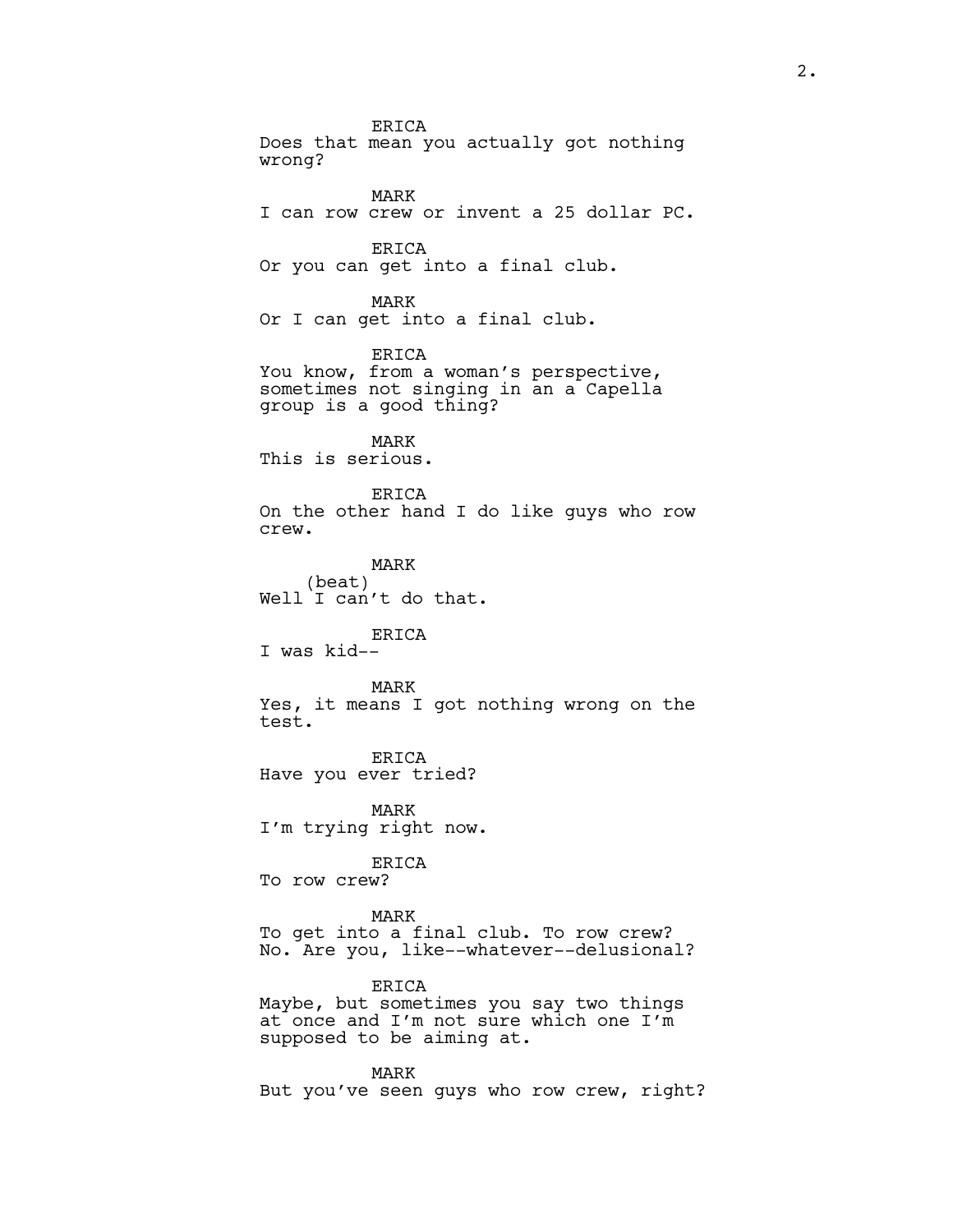ERICA Does that mean you actually got nothing wrong? MARK I can row crew or invent a 25 dollar PC. ERICA Or you can get into a final club. MARK Or I can get into a final club. ERICA You know, from a woman's perspective, sometimes not singing in an a Capella group is a good thing? MARK This is serious. ERICA On the other hand I do like guys who row crew. MARK (beat) Well I can't do that. ERICA I was kid-- MARK Yes, it means I got nothing wrong on the test. ERICA Have you ever tried? MARK I'm trying right now. ERICA To row crew? MARK To get into a final club. To row crew? No. Are you, like--whatever--delusional? ERICA Maybe, but sometimes you say two things at once and I'm not sure which one I'm supposed to be aiming at. MARK But you've seen guys who row crew, right?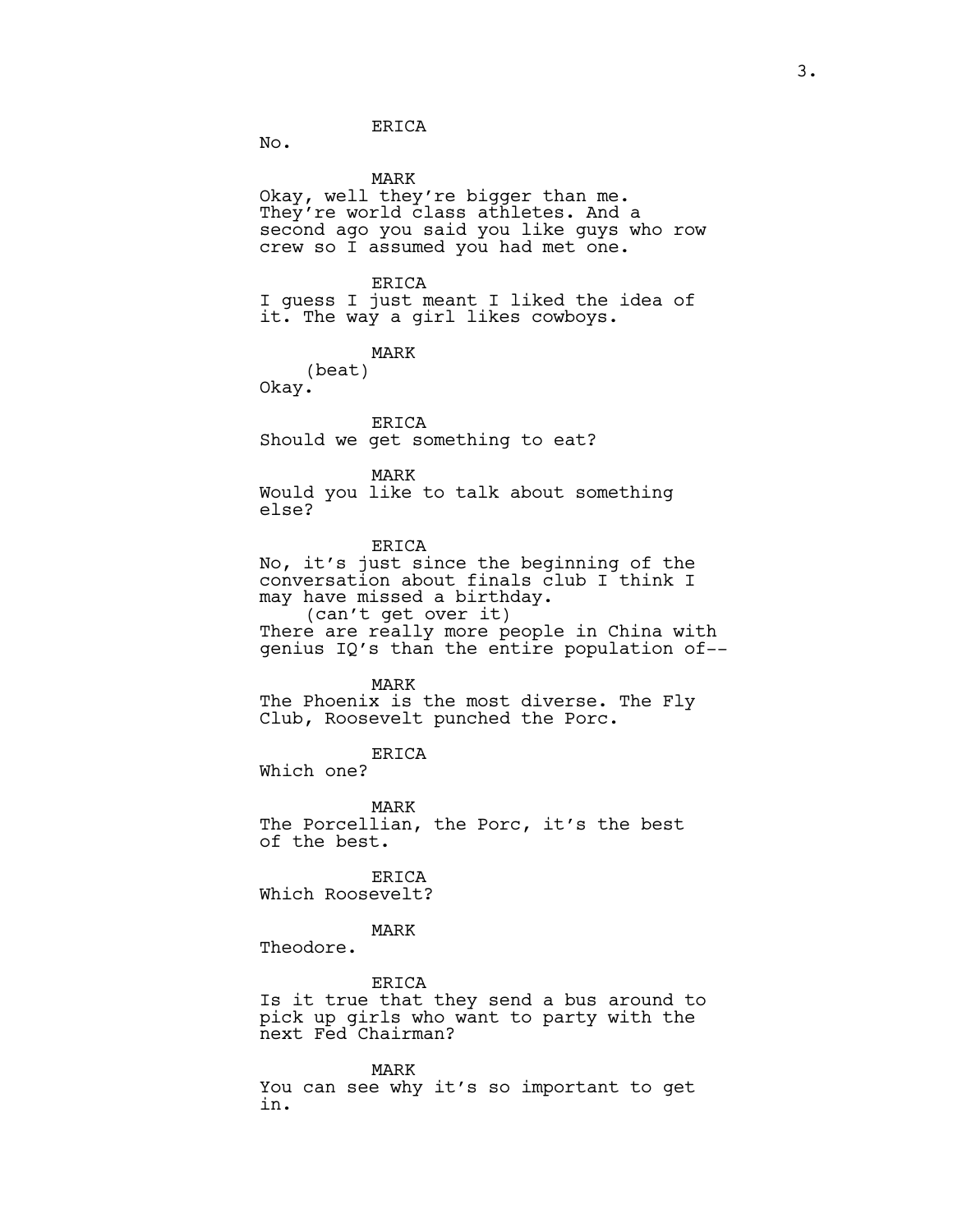No.

MARK Okay, well they're bigger than me. They're world class athletes. And a second ago you said you like guys who row crew so I assumed you had met one. ERICA I guess I just meant I liked the idea of it. The way a girl likes cowboys. MARK (beat) Okay. ERICA Should we get something to eat? MARK Would you like to talk about something else? ERICA No, it's just since the beginning of the conversation about finals club I think I may have missed a birthday. (can't get over it) There are really more people in China with genius IQ's than the entire population of-- MARK The Phoenix is the most diverse. The Fly Club, Roosevelt punched the Porc. ERICA Which one? MARK

The Porcellian, the Porc, it's the best of the best.

**ERICA** Which Roosevelt?

MARK

Theodore.

ERICA Is it true that they send a bus around to pick up girls who want to party with the next Fed Chairman?

MARK You can see why it's so important to get in.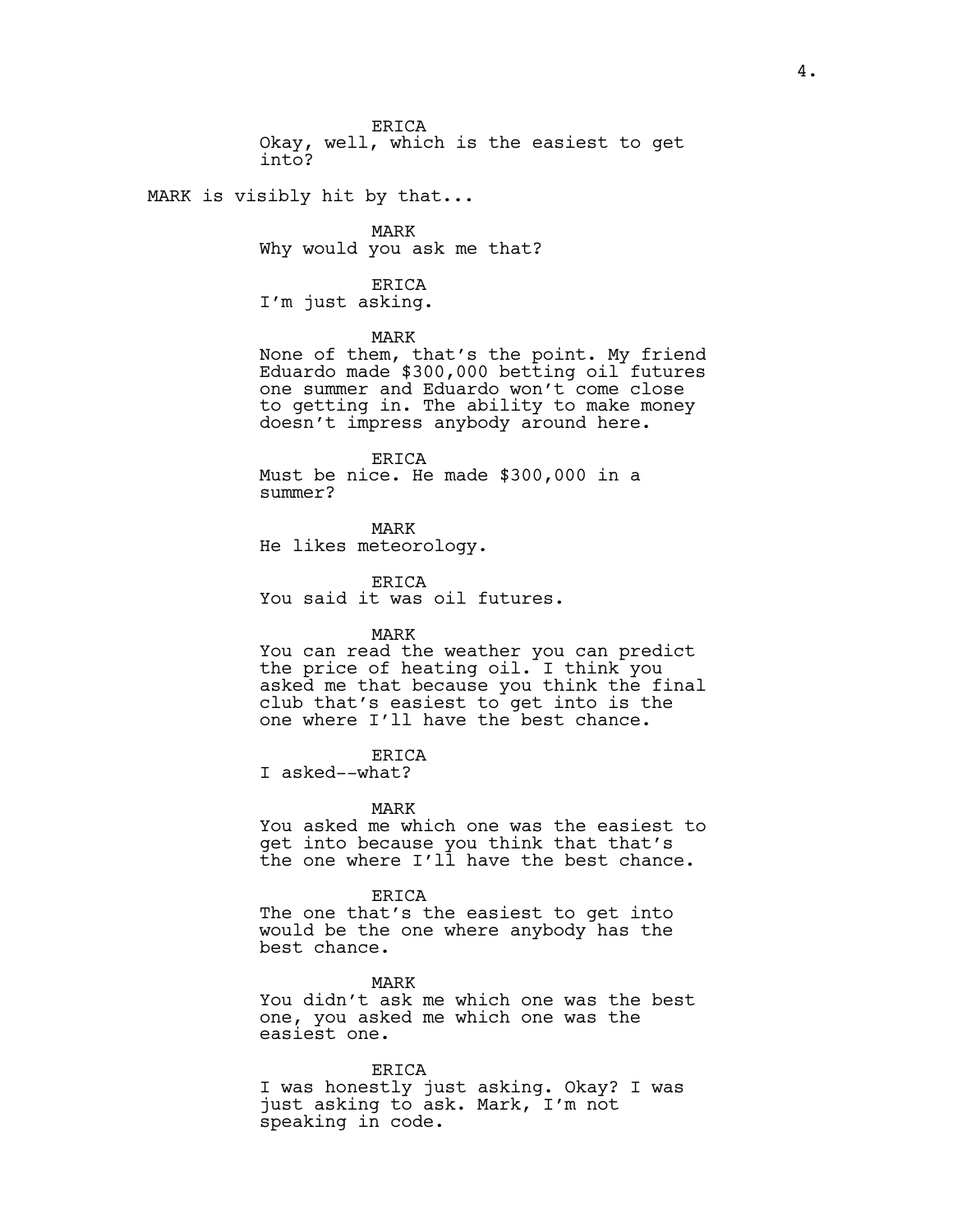ERICA Okay, well, which is the easiest to get into?

MARK is visibly hit by that...

MARK Why would you ask me that?

ERICA I'm just asking.

#### MARK

None of them, that's the point. My friend Eduardo made \$300,000 betting oil futures one summer and Eduardo won't come close to getting in. The ability to make money doesn't impress anybody around here.

ERICA Must be nice. He made \$300,000 in a summer?

MARK He likes meteorology.

ERICA

You said it was oil futures.

MARK

You can read the weather you can predict the price of heating oil. I think you asked me that because you think the final club that's easiest to get into is the one where I'll have the best chance.

### ERICA

I asked--what?

MARK

You asked me which one was the easiest to get into because you think that that's the one where I'll have the best chance.

#### ERICA

The one that's the easiest to get into would be the one where anybody has the best chance.

MARK You didn't ask me which one was the best one, you asked me which one was the easiest one.

ERICA I was honestly just asking. Okay? I was just asking to ask. Mark, I'm not speaking in code.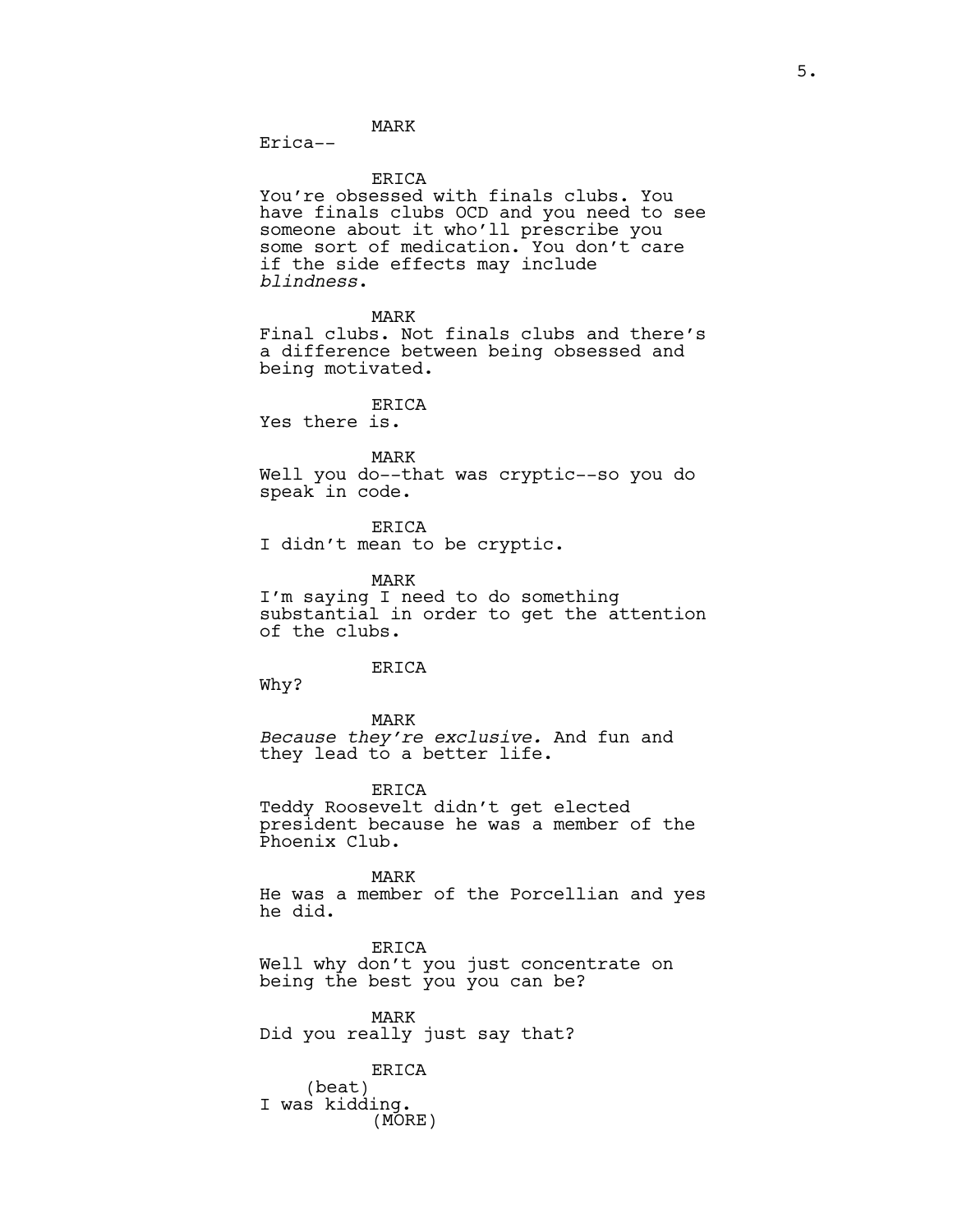MARK Erica--

ERICA

You're obsessed with finals clubs. You have finals clubs OCD and you need to see someone about it who'll prescribe you some sort of medication. You don't care if the side effects may include *blindness*.

MARK

Final clubs. Not finals clubs and there's a difference between being obsessed and being motivated.

ERICA

Yes there is.

MARK

Well you do--that was cryptic--so you do speak in code.

ERICA I didn't mean to be cryptic.

MARK I'm saying I need to do something substantial in order to get the attention of the clubs.

ERICA

Why?

MARK *Because they're exclusive.* And fun and they lead to a better life.

ERICA Teddy Roosevelt didn't get elected

president because he was a member of the Phoenix Club.

MARK He was a member of the Porcellian and yes he did.

ERICA Well why don't you just concentrate on being the best you you can be?

MARK Did you really just say that?

ERICA (beat) I was kidding. (MORE)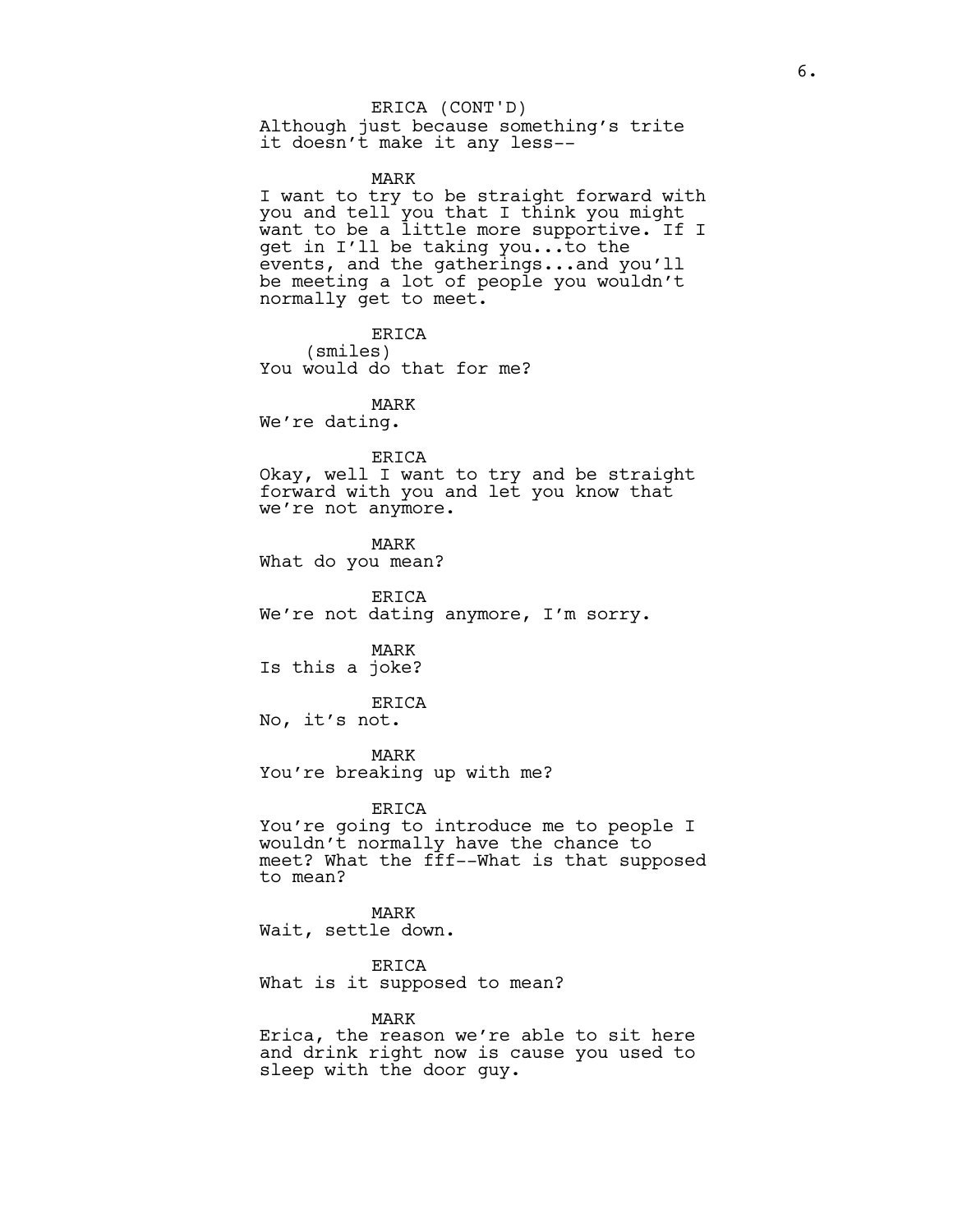### ERICA (CONT'D)

Although just because something's trite it doesn't make it any less--

### MARK

I want to try to be straight forward with you and tell you that I think you might want to be a little more supportive. If I get in I'll be taking you...to the events, and the gatherings...and you'll be meeting a lot of people you wouldn't normally get to meet.

ERICA (smiles) You would do that for me?

MARK

We're dating.

#### ERICA

Okay, well I want to try and be straight forward with you and let you know that we're not anymore.

MARK

What do you mean?

ERICA We're not dating anymore, I'm sorry.

MARK Is this a joke?

### ERICA

No, it's not.

MARK

You're breaking up with me?

ERICA

You're going to introduce me to people I wouldn't normally have the chance to meet? What the fff--What is that supposed to mean?

MARK Wait, settle down.

ERICA What is it supposed to mean?

MARK

Erica, the reason we're able to sit here and drink right now is cause you used to sleep with the door guy.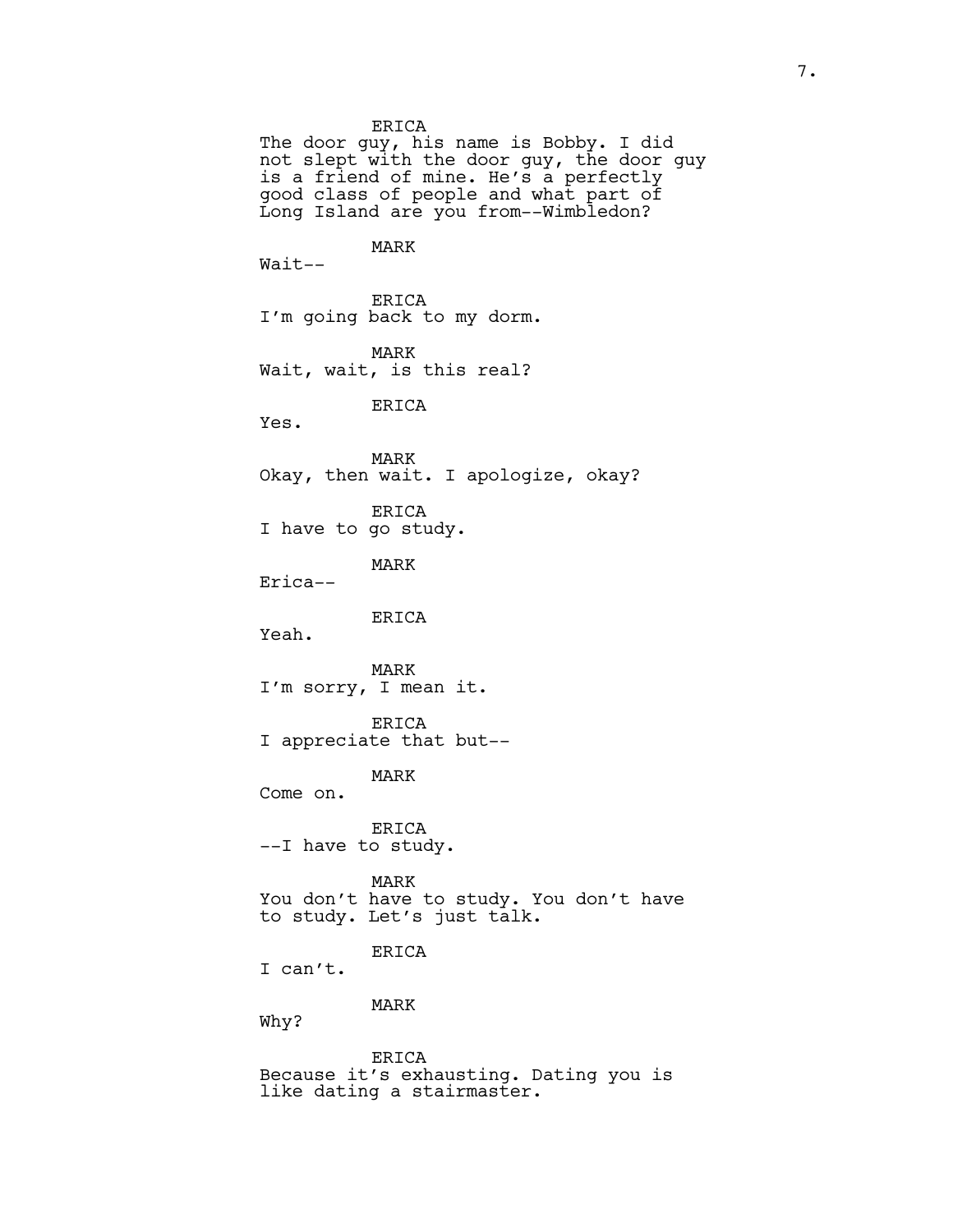ERICA

The door guy, his name is Bobby. I did not slept with the door guy, the door guy is a friend of mine. He's a perfectly good class of people and what part of Long Island are you from--Wimbledon?

MARK

Wait--

ERICA I'm going back to my dorm.

MARK Wait, wait, is this real?

ERICA

Yes.

MARK Okay, then wait. I apologize, okay?

ERICA I have to go study.

MARK Erica--

ERICA

Yeah.

MARK I'm sorry, I mean it.

ERICA I appreciate that but--

MARK

Come on.

ERICA --I have to study.

MARK You don't have to study. You don't have to study. Let's just talk.

ERICA

I can't.

MARK

Why?

ERICA Because it's exhausting. Dating you is like dating a stairmaster.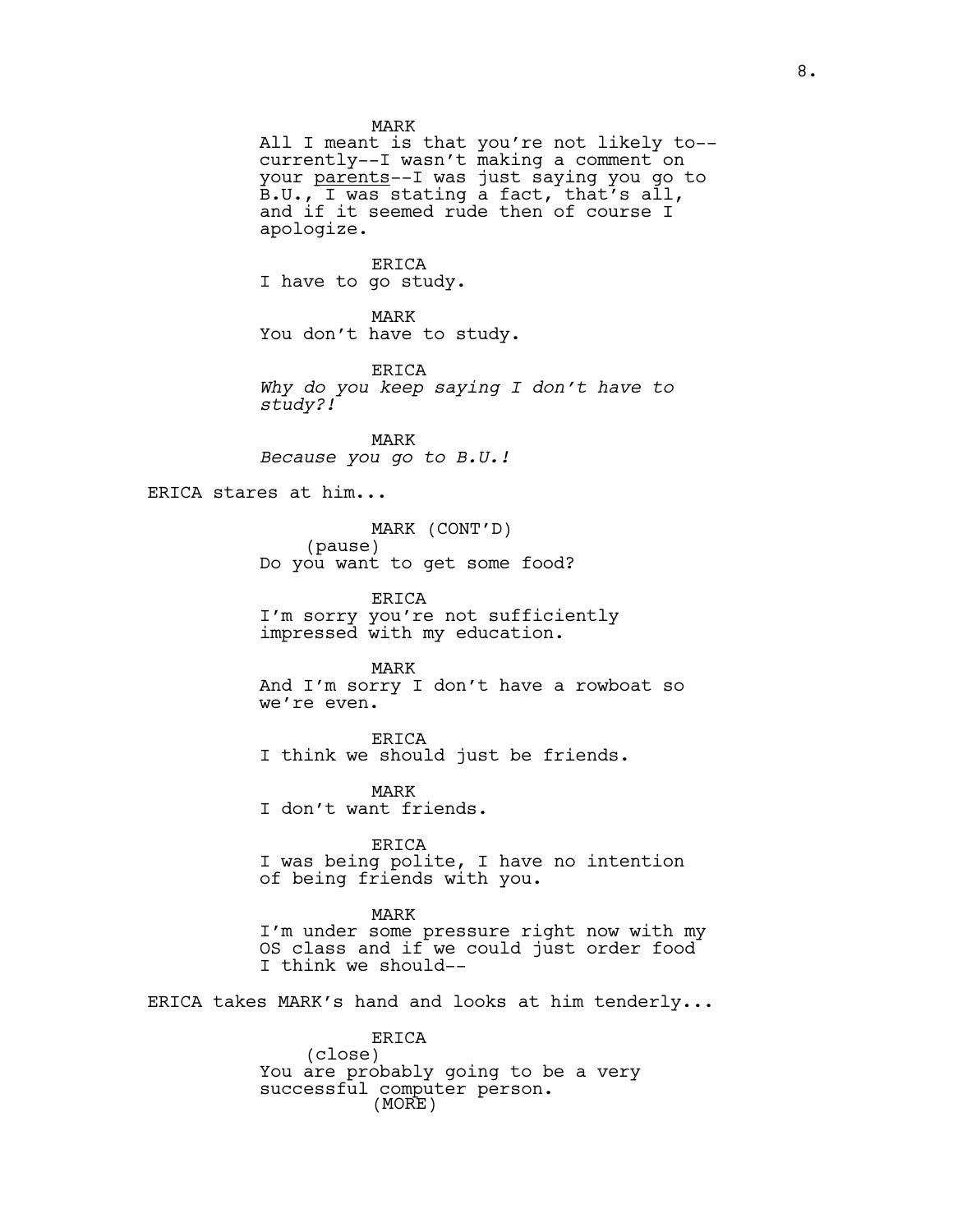MARK

All I meant is that you're not likely to- currently--I wasn't making a comment on your parents--I was just saying you go to B.U., I was stating a fact, that's all, and if it seemed rude then of course I apologize.

ERICA I have to go study.

MARK You don't have to study.

ERICA *Why do you keep saying I don't have to study?!*

MARK *Because you go to B.U.!*

ERICA stares at him...

MARK (CONT'D) (pause) Do you want to get some food?

ERICA I'm sorry you're not sufficiently impressed with my education.

MARK And I'm sorry I don't have a rowboat so we're even.

ERICA I think we should just be friends.

MARK I don't want friends.

ERICA I was being polite, I have no intention of being friends with you.

MARK I'm under some pressure right now with my OS class and if we could just order food I think we should--

ERICA takes MARK's hand and looks at him tenderly...

ERICA (close) You are probably going to be a very successful computer person. (MORE)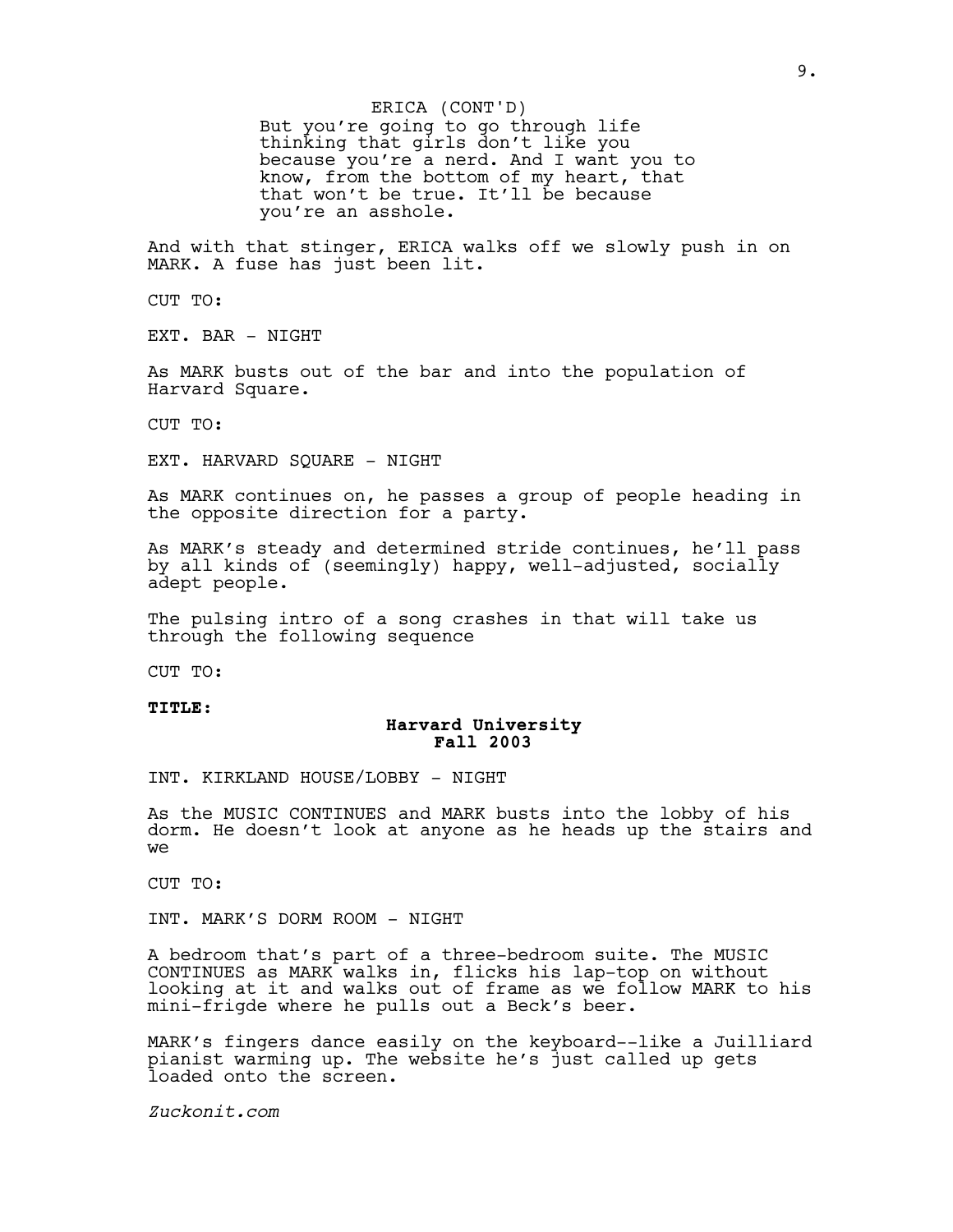But you're going to go through life thinking that girls don't like you because you're a nerd. And I want you to know, from the bottom of my heart, that that won't be true. It'll be because you're an asshole. ERICA (CONT'D)

And with that stinger, ERICA walks off we slowly push in on MARK. A fuse has just been lit.

CUT TO:

EXT. BAR - NIGHT

As MARK busts out of the bar and into the population of Harvard Square.

CUT TO:

EXT. HARVARD SQUARE - NIGHT

As MARK continues on, he passes a group of people heading in the opposite direction for a party.

As MARK's steady and determined stride continues, he'll pass by all kinds of (seemingly) happy, well-adjusted, socially adept people.

The pulsing intro of a song crashes in that will take us through the following sequence

CUT TO:

#### **TITLE:**

# **Harvard University Fall 2003**

INT. KIRKLAND HOUSE/LOBBY - NIGHT

As the MUSIC CONTINUES and MARK busts into the lobby of his dorm. He doesn't look at anyone as he heads up the stairs and we

CUT TO:

INT. MARK'S DORM ROOM - NIGHT

A bedroom that's part of a three-bedroom suite. The MUSIC CONTINUES as MARK walks in, flicks his lap-top on without looking at it and walks out of frame as we follow MARK to his mini-frigde where he pulls out a Beck's beer.

MARK's fingers dance easily on the keyboard--like a Juilliard pianist warming up. The website he's just called up gets loaded onto the screen.

*Zuckonit.com*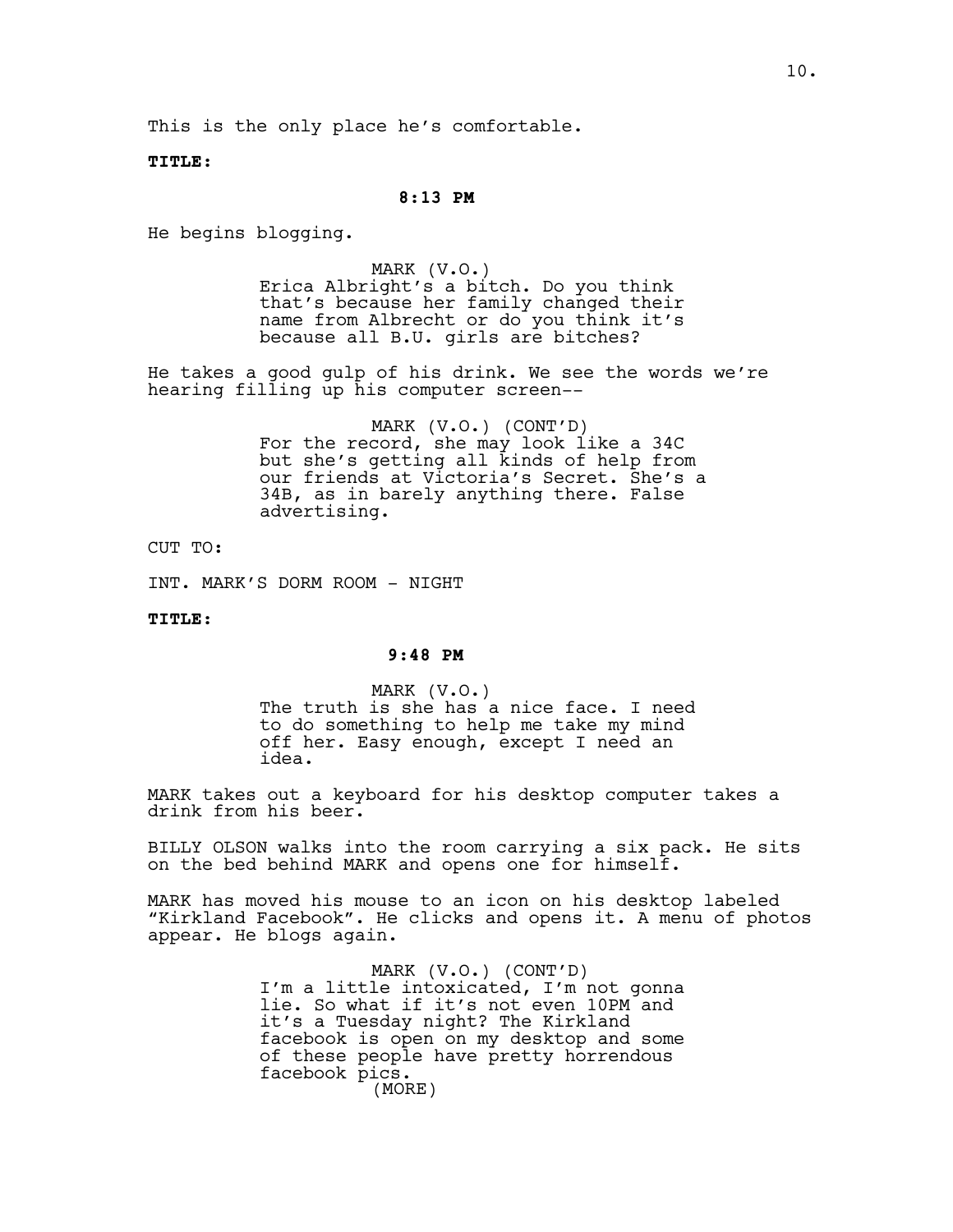This is the only place he's comfortable.

**TITLE:**

### **8:13 PM**

He begins blogging.

MARK (V.O.) Erica Albright's a bitch. Do you think that's because her family changed their name from Albrecht or do you think it's because all B.U. girls are bitches?

He takes a good gulp of his drink. We see the words we're hearing filling up his computer screen--

> MARK (V.O.) (CONT'D) For the record, she may look like a 34C but she's getting all kinds of help from our friends at Victoria's Secret. She's a 34B, as in barely anything there. False advertising.

CUT TO:

INT. MARK'S DORM ROOM - NIGHT

**TITLE:**

### **9:48 PM**

MARK (V.O.) The truth is she has a nice face. I need to do something to help me take my mind off her. Easy enough, except I need an idea.

MARK takes out a keyboard for his desktop computer takes a drink from his beer.

BILLY OLSON walks into the room carrying a six pack. He sits on the bed behind MARK and opens one for himself.

MARK has moved his mouse to an icon on his desktop labeled "Kirkland Facebook". He clicks and opens it. A menu of photos appear. He blogs again.

> MARK (V.O.) (CONT'D) I'm a little intoxicated, I'm not gonna lie. So what if it's not even 10PM and it's a Tuesday night? The Kirkland facebook is open on my desktop and some of these people have pretty horrendous facebook pics. (MORE)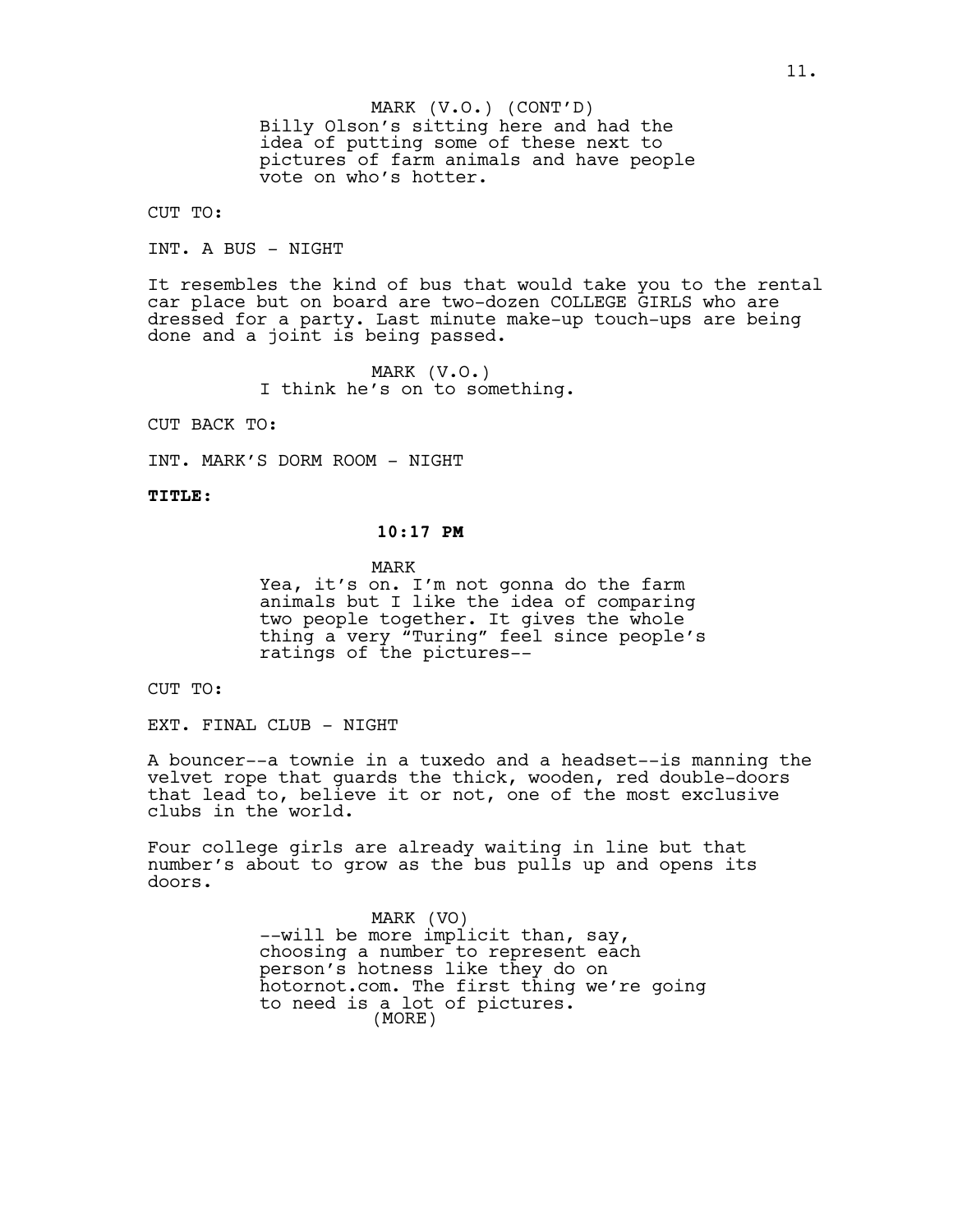Billy Olson's sitting here and had the idea of putting some of these next to pictures of farm animals and have people vote on who's hotter. MARK (V.O.) (CONT'D)

CUT TO:

INT. A BUS - NIGHT

It resembles the kind of bus that would take you to the rental car place but on board are two-dozen COLLEGE GIRLS who are dressed for a party. Last minute make-up touch-ups are being done and a joint is being passed.

> MARK (V.O.) I think he's on to something.

CUT BACK TO:

INT. MARK'S DORM ROOM - NIGHT

**TITLE:**

# **10:17 PM**

MARK

Yea, it's on. I'm not gonna do the farm animals but I like the idea of comparing two people together. It gives the whole thing a very "Turing" feel since people's ratings of the pictures--

CUT TO:

EXT. FINAL CLUB - NIGHT

A bouncer--a townie in a tuxedo and a headset--is manning the velvet rope that guards the thick, wooden, red double-doors that lead to, believe it or not, one of the most exclusive clubs in the world.

Four college girls are already waiting in line but that number's about to grow as the bus pulls up and opens its doors.

> MARK (VO) --will be more implicit than, say, choosing a number to represent each person's hotness like they do on hotornot.com. The first thing we're going to need is a lot of pictures. (MORE)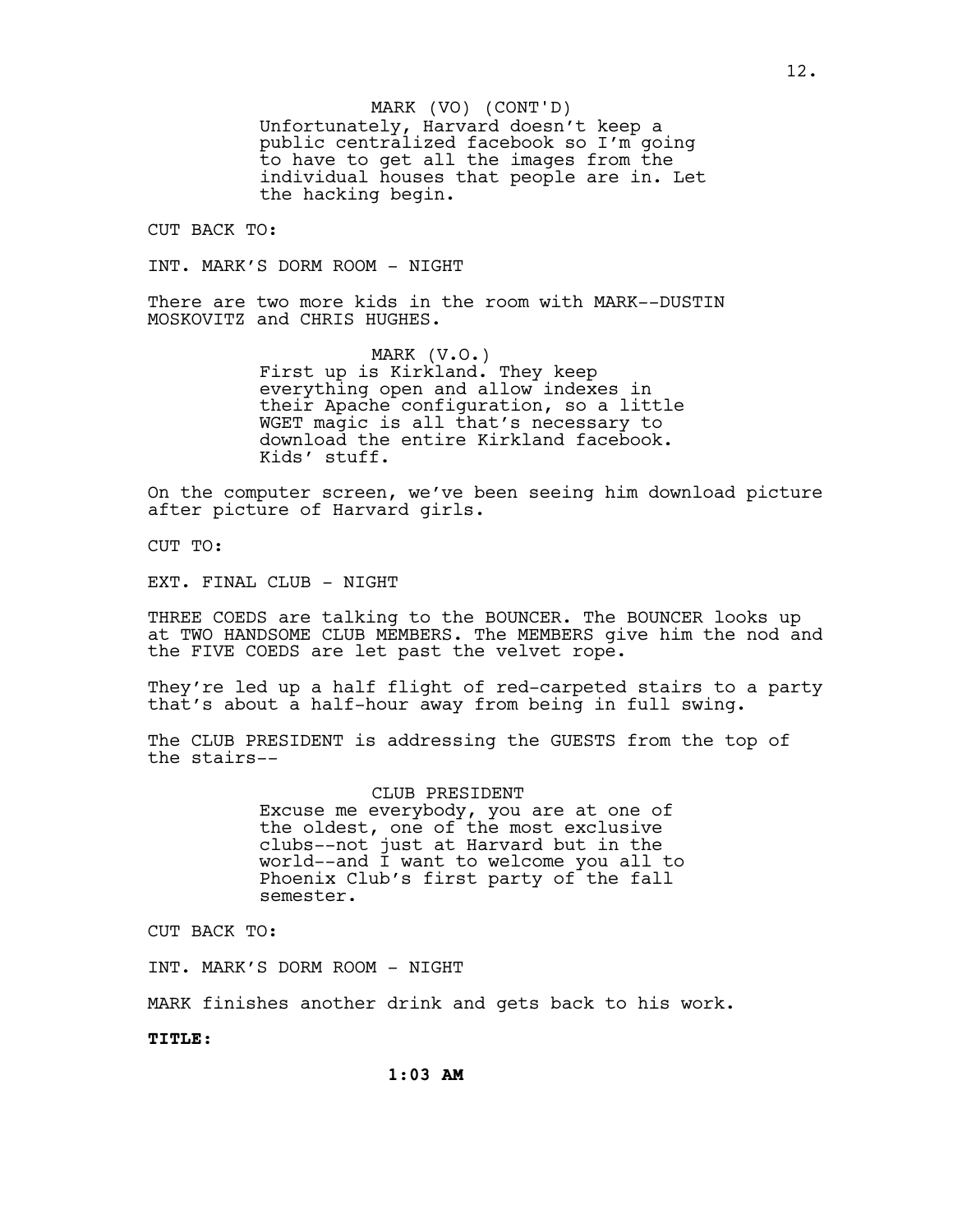Unfortunately, Harvard doesn't keep a public centralized facebook so I'm going to have to get all the images from the individual houses that people are in. Let the hacking begin. MARK (VO) (CONT'D)

CUT BACK TO:

INT. MARK'S DORM ROOM - NIGHT

There are two more kids in the room with MARK--DUSTIN MOSKOVITZ and CHRIS HUGHES.

> MARK (V.O.) First up is Kirkland. They keep everything open and allow indexes in their Apache configuration, so a little WGET magic is all that's necessary to download the entire Kirkland facebook. Kids' stuff.

On the computer screen, we've been seeing him download picture after picture of Harvard girls.

CUT TO:

EXT. FINAL CLUB - NIGHT

THREE COEDS are talking to the BOUNCER. The BOUNCER looks up at TWO HANDSOME CLUB MEMBERS. The MEMBERS give him the nod and the FIVE COEDS are let past the velvet rope.

They're led up a half flight of red-carpeted stairs to a party that's about a half-hour away from being in full swing.

The CLUB PRESIDENT is addressing the GUESTS from the top of the stairs--

> CLUB PRESIDENT Excuse me everybody, you are at one of the oldest, one of the most exclusive clubs--not just at Harvard but in the world--and I want to welcome you all to Phoenix Club's first party of the fall semester.

CUT BACK TO:

INT. MARK'S DORM ROOM - NIGHT

MARK finishes another drink and gets back to his work.

**TITLE:**

**1:03 AM**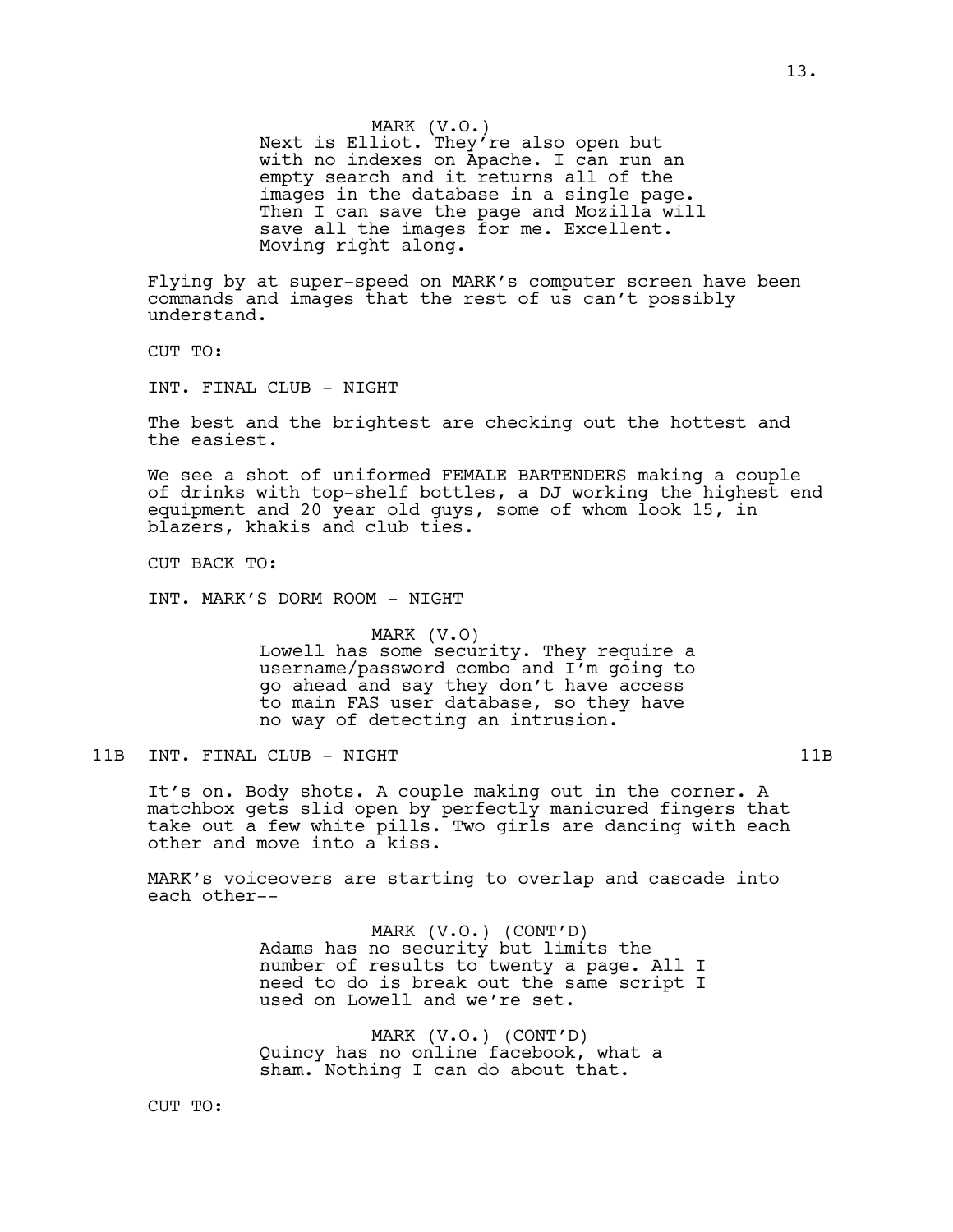MARK (V.O.) Next is Elliot. They're also open but with no indexes on Apache. I can run an empty search and it returns all of the images in the database in a single page. Then I can save the page and Mozilla will save all the images for me. Excellent. Moving right along.

Flying by at super-speed on MARK's computer screen have been commands and images that the rest of us can't possibly understand.

CUT TO:

INT. FINAL CLUB - NIGHT

The best and the brightest are checking out the hottest and the easiest.

We see a shot of uniformed FEMALE BARTENDERS making a couple of drinks with top-shelf bottles, a DJ working the highest end equipment and 20 year old guys, some of whom look 15, in blazers, khakis and club ties.

CUT BACK TO:

INT. MARK'S DORM ROOM - NIGHT

MARK (V.O) Lowell has some security. They require a username/password combo and I'm going to go ahead and say they don't have access to main FAS user database, so they have no way of detecting an intrusion.

11B INT. FINAL CLUB - NIGHT 11B

It's on. Body shots. A couple making out in the corner. A matchbox gets slid open by perfectly manicured fingers that take out a few white pills. Two girls are dancing with each other and move into a kiss.

MARK's voiceovers are starting to overlap and cascade into each other--

> MARK (V.O.) (CONT'D) Adams has no security but limits the number of results to twenty a page. All I need to do is break out the same script I used on Lowell and we're set.

MARK (V.O.) (CONT'D) Quincy has no online facebook, what a sham. Nothing I can do about that.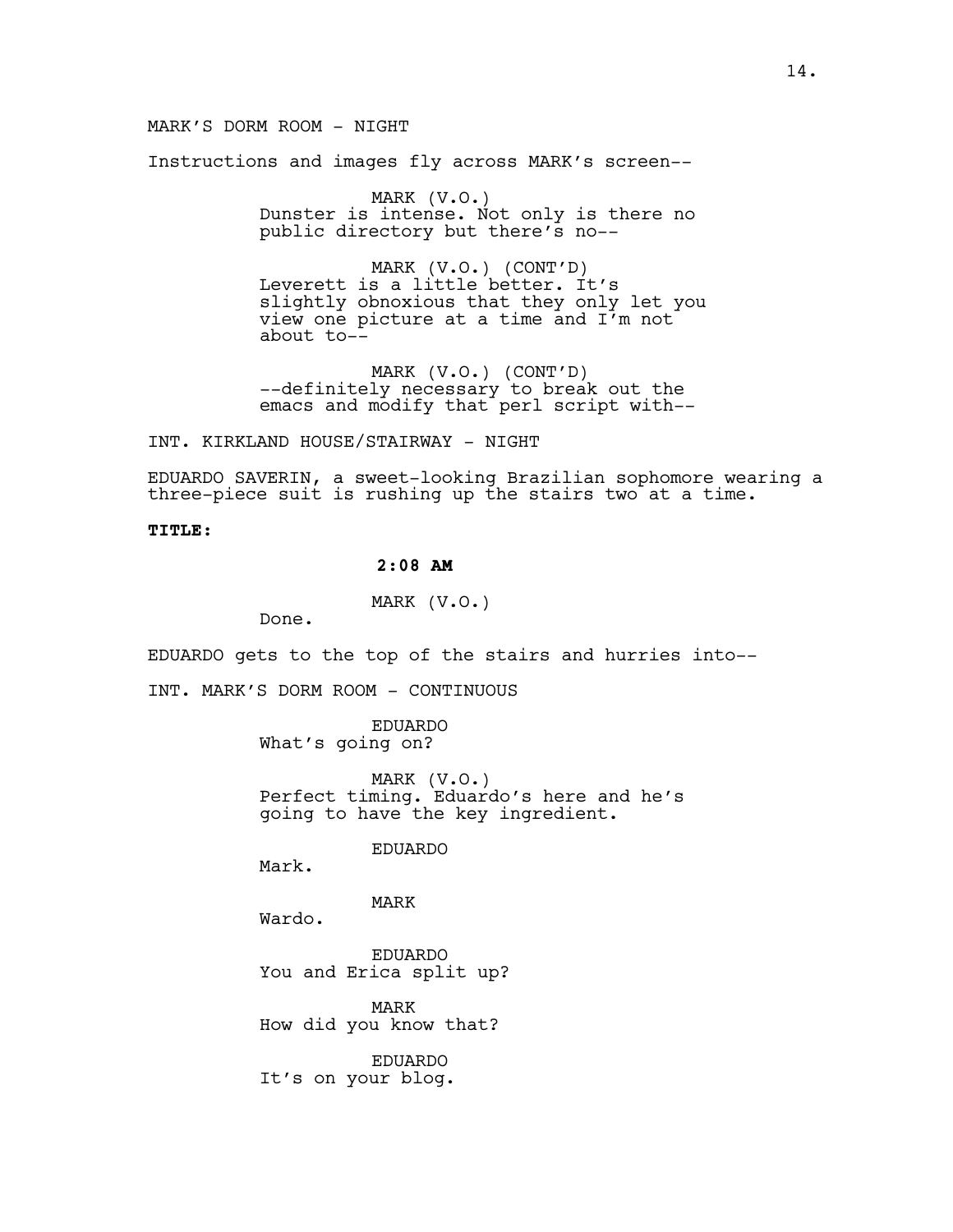### MARK'S DORM ROOM - NIGHT

Instructions and images fly across MARK's screen--

MARK (V.O.) Dunster is intense. Not only is there no public directory but there's no--

MARK (V.O.) (CONT'D) Leverett is a little better. It's slightly obnoxious that they only let you view one picture at a time and I'm not about to--

MARK (V.O.) (CONT'D) --definitely necessary to break out the emacs and modify that perl script with--

INT. KIRKLAND HOUSE/STAIRWAY - NIGHT

EDUARDO SAVERIN, a sweet-looking Brazilian sophomore wearing a three-piece suit is rushing up the stairs two at a time.

### **TITLE:**

# **2:08 AM**

MARK (V.O.)

Done.

EDUARDO gets to the top of the stairs and hurries into--

INT. MARK'S DORM ROOM - CONTINUOUS

EDUARDO What's going on?

MARK (V.O.) Perfect timing. Eduardo's here and he's going to have the key ingredient.

EDUARDO

Mark.

MARK

Wardo.

EDUARDO You and Erica split up?

MARK How did you know that?

EDUARDO It's on your blog.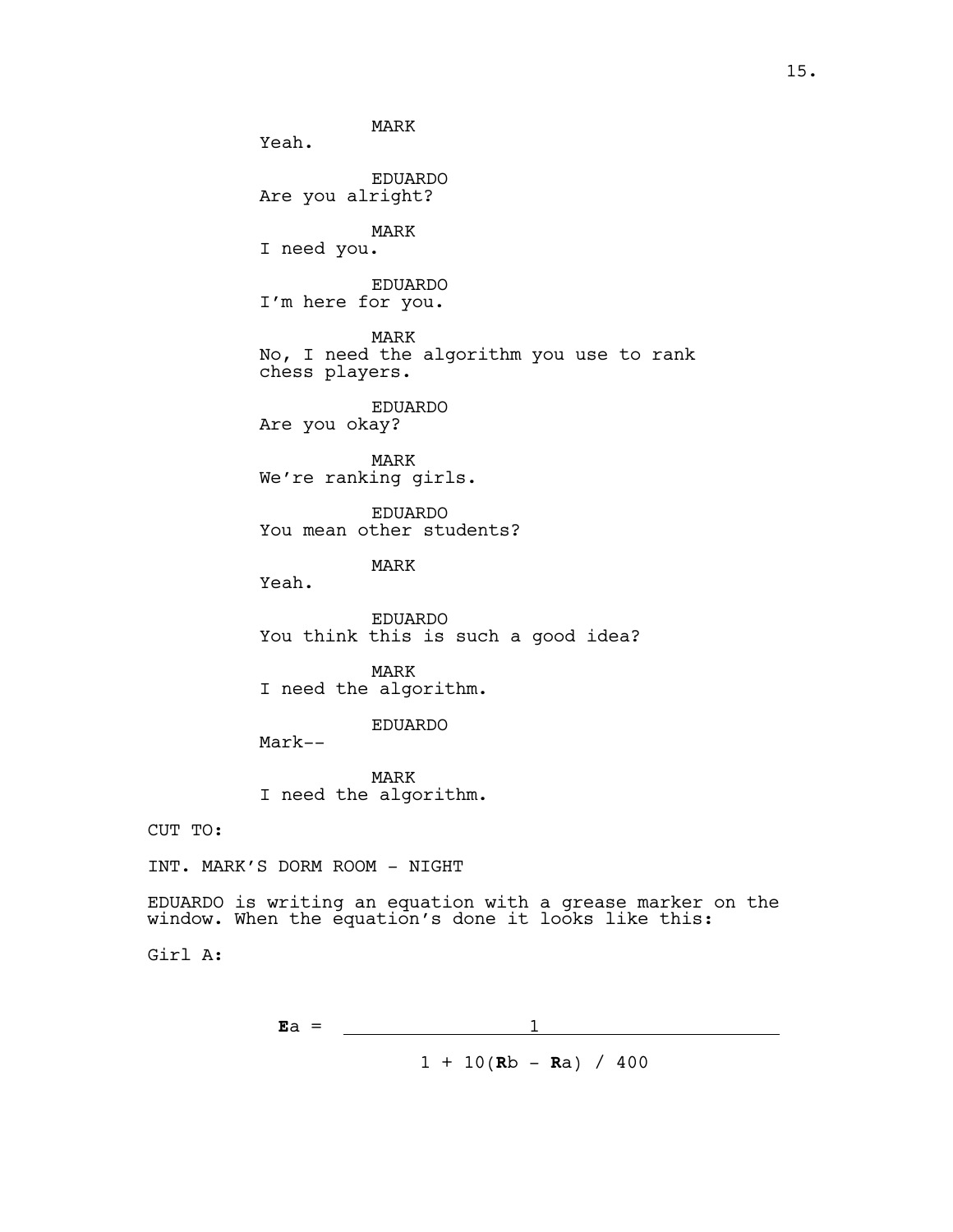MARK Yeah. EDUARDO Are you alright? MARK I need you. EDUARDO I'm here for you. MARK No, I need the algorithm you use to rank chess players. EDUARDO Are you okay? MARK We're ranking girls. EDUARDO You mean other students? MARK Yeah. EDUARDO You think this is such a good idea? MARK

I need the algorithm.

# EDUARDO

Mark--

MARK I need the algorithm.

CUT TO:

INT. MARK'S DORM ROOM - NIGHT

EDUARDO is writing an equation with a grease marker on the window. When the equation's done it looks like this:

Girl A:

$$
\mathbf{Ea} = \frac{1}{1 + 10(\mathbf{Rb} - \mathbf{Ra}) / 400}
$$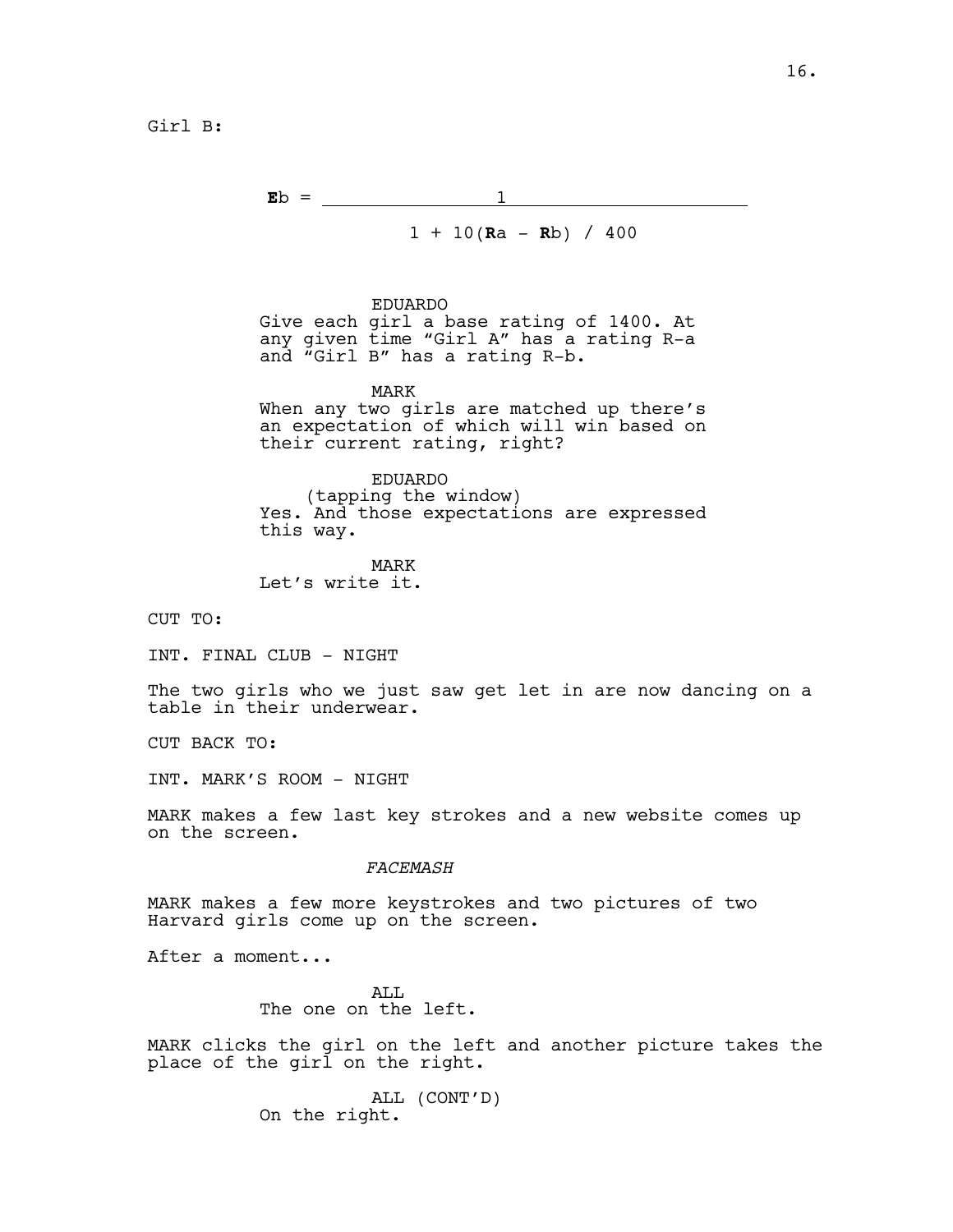Girl B:

 $\mathbf{E} \mathbf{b} = \begin{bmatrix} 1 \\ -1 \end{bmatrix}$ 

 $1 + 10(Ra - Rb) / 400$ 

# EDUARDO

Give each girl a base rating of 1400. At any given time "Girl A" has a rating R-a and "Girl B" has a rating R-b.

MARK When any two girls are matched up there's

an expectation of which will win based on their current rating, right?

EDUARDO (tapping the window) Yes. And those expectations are expressed this way.

MARK Let's write it.

CUT TO:

INT. FINAL CLUB - NIGHT

The two girls who we just saw get let in are now dancing on a table in their underwear.

CUT BACK TO:

INT. MARK'S ROOM - NIGHT

MARK makes a few last key strokes and a new website comes up on the screen.

### *FACEMASH*

MARK makes a few more keystrokes and two pictures of two Harvard girls come up on the screen.

After a moment...

ALL. The one on the left.

MARK clicks the girl on the left and another picture takes the place of the girl on the right.

> ALL (CONT'D) On the right.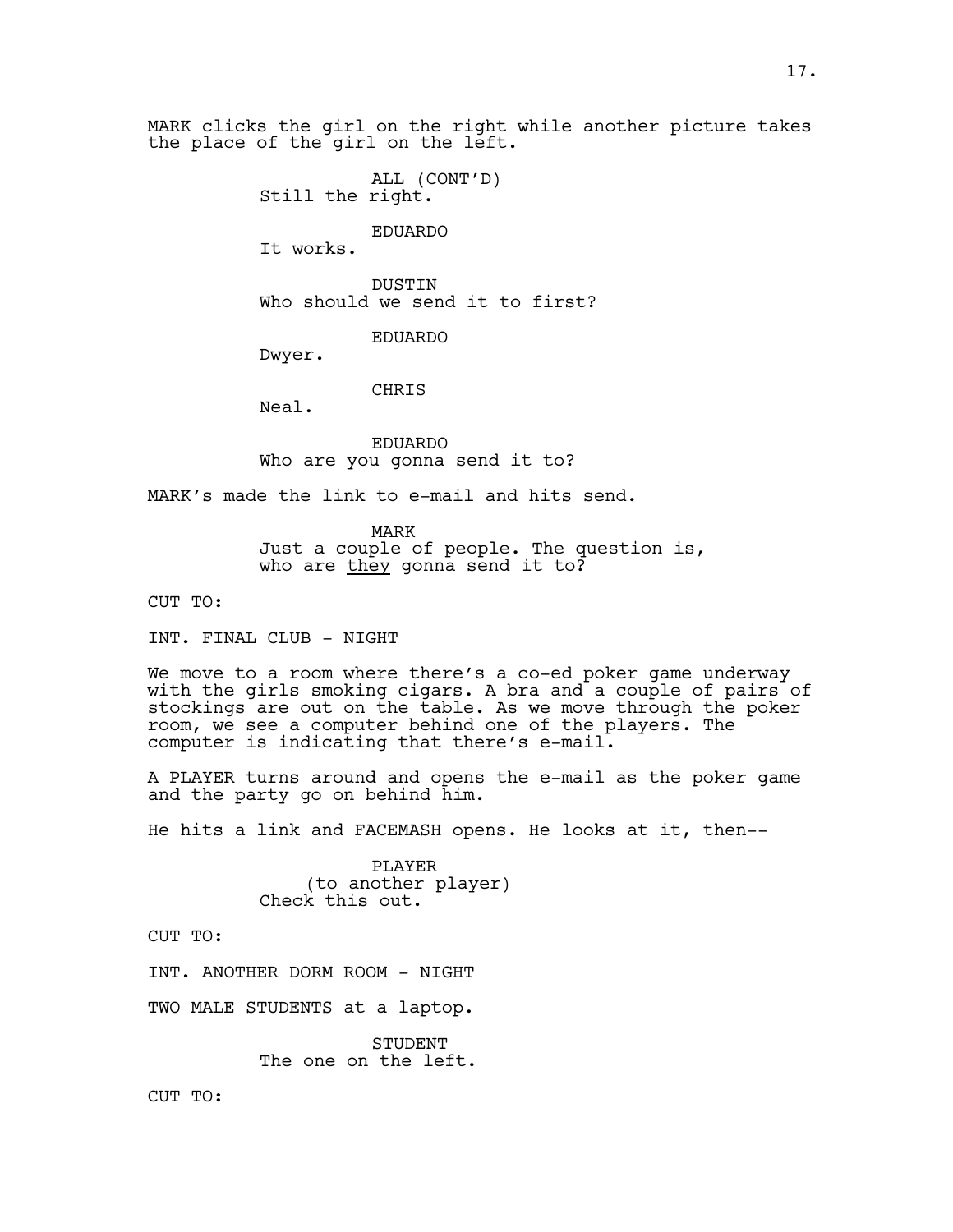MARK clicks the girl on the right while another picture takes the place of the girl on the left.

> ALL (CONT'D) Still the right.

> > EDUARDO

It works.

DUSTIN Who should we send it to first?

EDUARDO

Dwyer.

CHRIS

Neal.

EDUARDO Who are you gonna send it to?

MARK's made the link to e-mail and hits send.

MARK Just a couple of people. The question is, who are they gonna send it to?

CUT TO:

INT. FINAL CLUB - NIGHT

We move to a room where there's a co-ed poker game underway with the girls smoking cigars. A bra and a couple of pairs of stockings are out on the table. As we move through the poker room, we see a computer behind one of the players. The computer is indicating that there's e-mail.

A PLAYER turns around and opens the e-mail as the poker game and the party go on behind him.

He hits a link and FACEMASH opens. He looks at it, then--

PLAYER (to another player) Check this out.

CUT TO:

INT. ANOTHER DORM ROOM - NIGHT

TWO MALE STUDENTS at a laptop.

STUDENT The one on the left.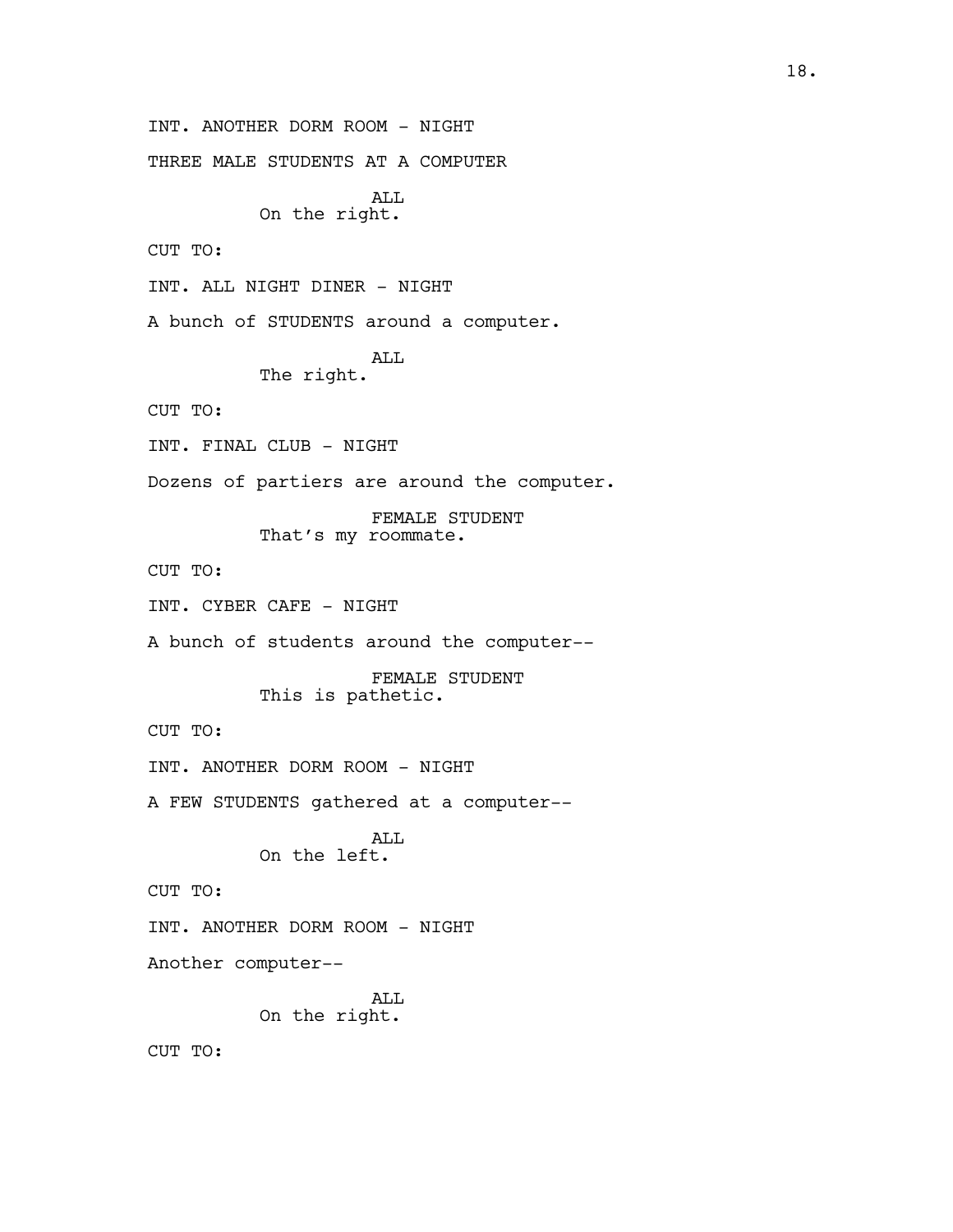INT. ANOTHER DORM ROOM - NIGHT THREE MALE STUDENTS AT A COMPUTER ALL On the right. CUT TO: INT. ALL NIGHT DINER - NIGHT A bunch of STUDENTS around a computer. ALL The right. CUT TO: INT. FINAL CLUB - NIGHT Dozens of partiers are around the computer. FEMALE STUDENT That's my roommate. CUT TO: INT. CYBER CAFE - NIGHT A bunch of students around the computer-- FEMALE STUDENT This is pathetic. CUT TO: INT. ANOTHER DORM ROOM - NIGHT A FEW STUDENTS gathered at a computer-- ALL On the left. CUT TO: INT. ANOTHER DORM ROOM - NIGHT Another computer-- ALL On the right.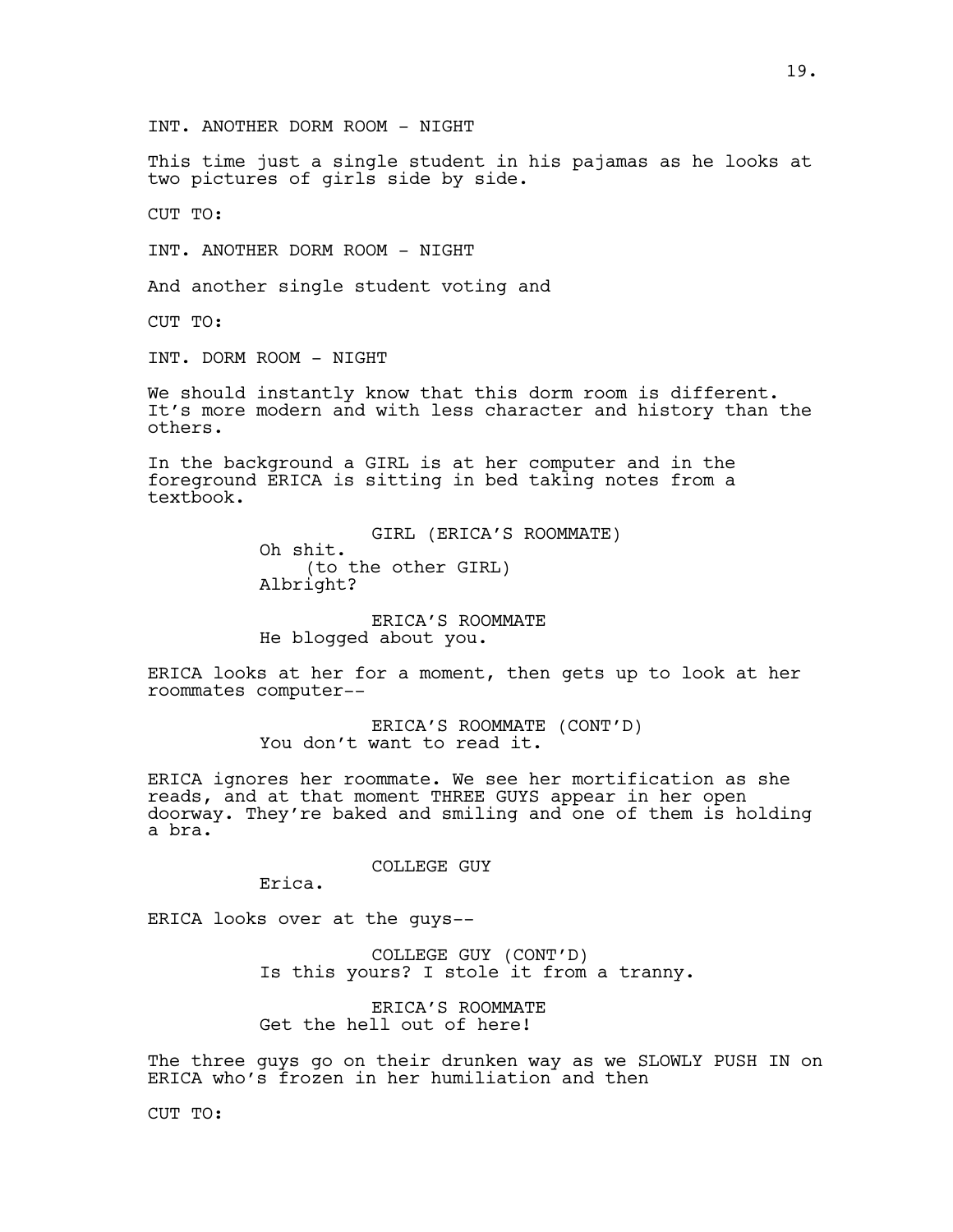INT. ANOTHER DORM ROOM - NIGHT

This time just a single student in his pajamas as he looks at two pictures of girls side by side.

CUT TO:

INT. ANOTHER DORM ROOM - NIGHT

And another single student voting and

CUT TO:

INT. DORM ROOM - NIGHT

We should instantly know that this dorm room is different. It's more modern and with less character and history than the others.

In the background a GIRL is at her computer and in the foreground ERICA is sitting in bed taking notes from a textbook.

> GIRL (ERICA'S ROOMMATE) Oh shit. (to the other GIRL) Albright?

ERICA'S ROOMMATE He blogged about you.

ERICA looks at her for a moment, then gets up to look at her roommates computer--

> ERICA'S ROOMMATE (CONT'D) You don't want to read it.

ERICA ignores her roommate. We see her mortification as she reads, and at that moment THREE GUYS appear in her open doorway. They're baked and smiling and one of them is holding a bra.

COLLEGE GUY

Erica.

ERICA looks over at the guys--

COLLEGE GUY (CONT'D) Is this yours? I stole it from a tranny.

ERICA'S ROOMMATE Get the hell out of here!

The three guys go on their drunken way as we SLOWLY PUSH IN on ERICA who's frozen in her humiliation and then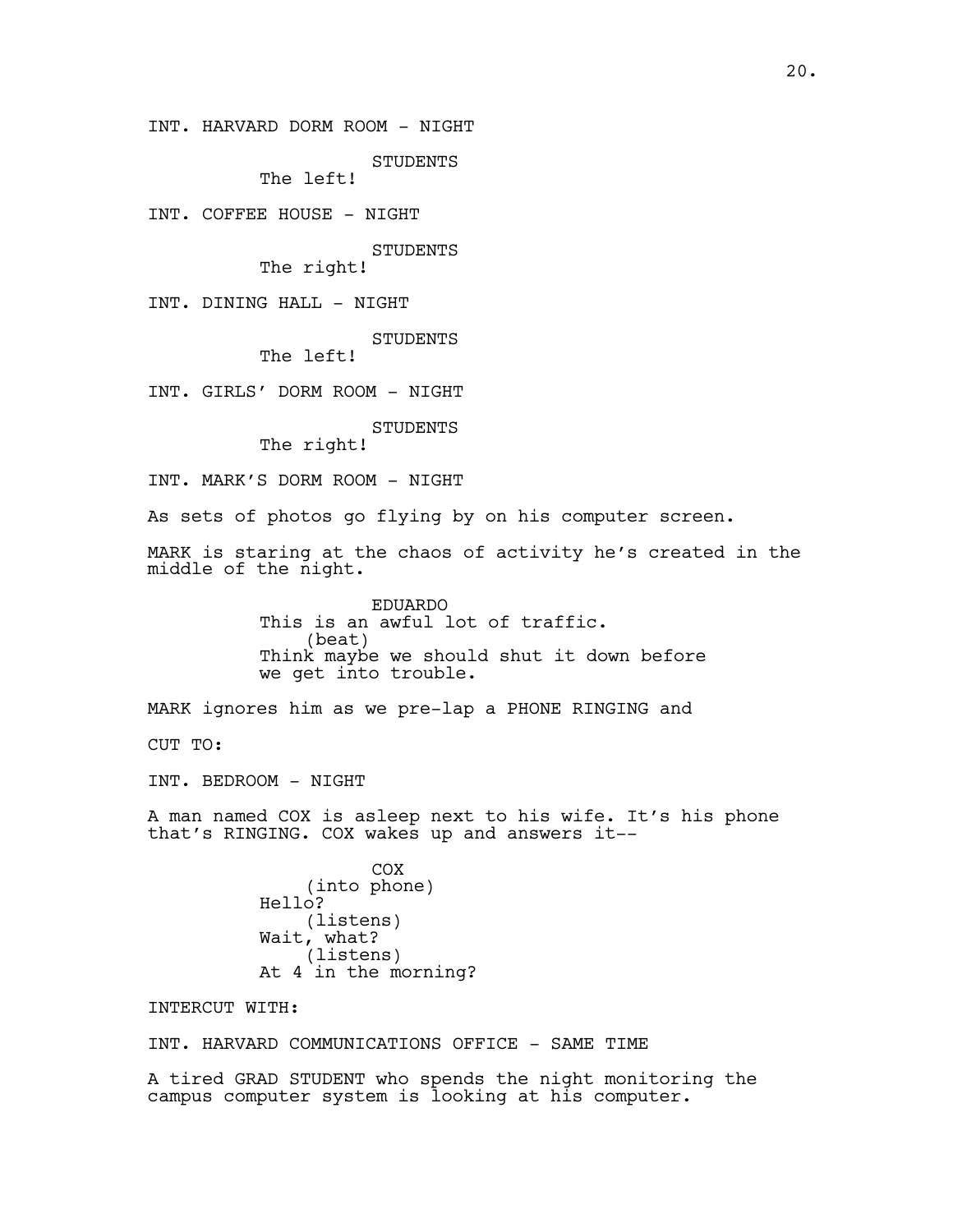INT. HARVARD DORM ROOM - NIGHT

STUDENTS

The left!

INT. COFFEE HOUSE - NIGHT

STUDENTS

The right!

INT. DINING HALL - NIGHT

STUDENTS

The left!

INT. GIRLS' DORM ROOM - NIGHT

STUDENTS

The right!

INT. MARK'S DORM ROOM - NIGHT

As sets of photos go flying by on his computer screen.

MARK is staring at the chaos of activity he's created in the middle of the night.

> EDUARDO This is an awful lot of traffic. (beat) Think maybe we should shut it down before we get into trouble.

MARK ignores him as we pre-lap a PHONE RINGING and

CUT TO:

INT. BEDROOM - NIGHT

A man named COX is asleep next to his wife. It's his phone that's RINGING. COX wakes up and answers it--

> COX (into phone) Hello? (listens) Wait, what? (listens) At 4 in the morning?

INTERCUT WITH:

INT. HARVARD COMMUNICATIONS OFFICE - SAME TIME

A tired GRAD STUDENT who spends the night monitoring the campus computer system is looking at his computer.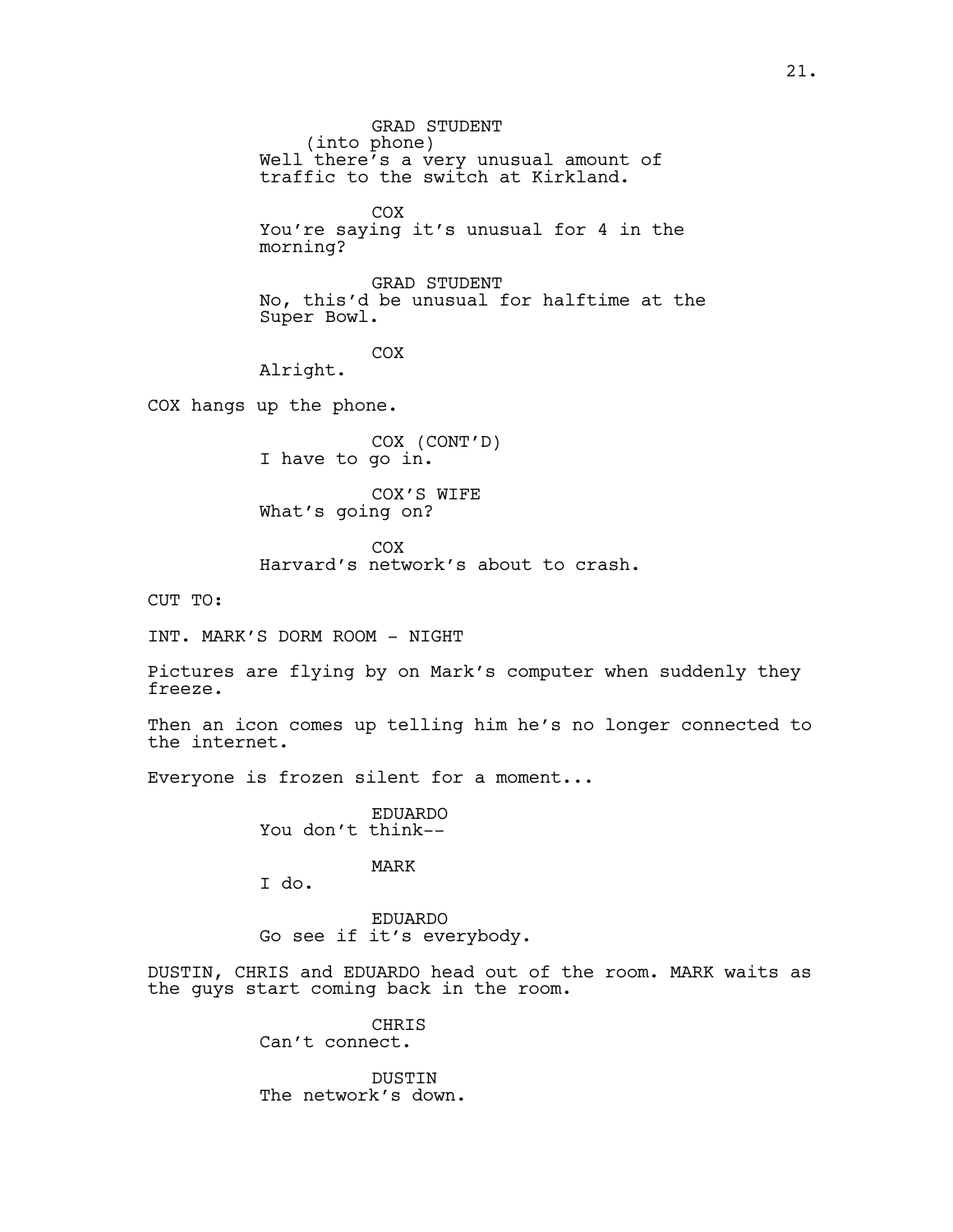GRAD STUDENT (into phone) Well there's a very unusual amount of traffic to the switch at Kirkland. COX You're saying it's unusual for 4 in the morning? GRAD STUDENT No, this'd be unusual for halftime at the Super Bowl. COX Alright. COX hangs up the phone. COX (CONT'D) I have to go in. COX'S WIFE What's going on?

> COX Harvard's network's about to crash.

CUT TO:

INT. MARK'S DORM ROOM - NIGHT

Pictures are flying by on Mark's computer when suddenly they freeze.

Then an icon comes up telling him he's no longer connected to the internet.

Everyone is frozen silent for a moment...

EDUARDO You don't think--

MARK

I do.

EDUARDO Go see if it's everybody.

DUSTIN, CHRIS and EDUARDO head out of the room. MARK waits as the guys start coming back in the room.

> CHRIS Can't connect.

DUSTIN The network's down.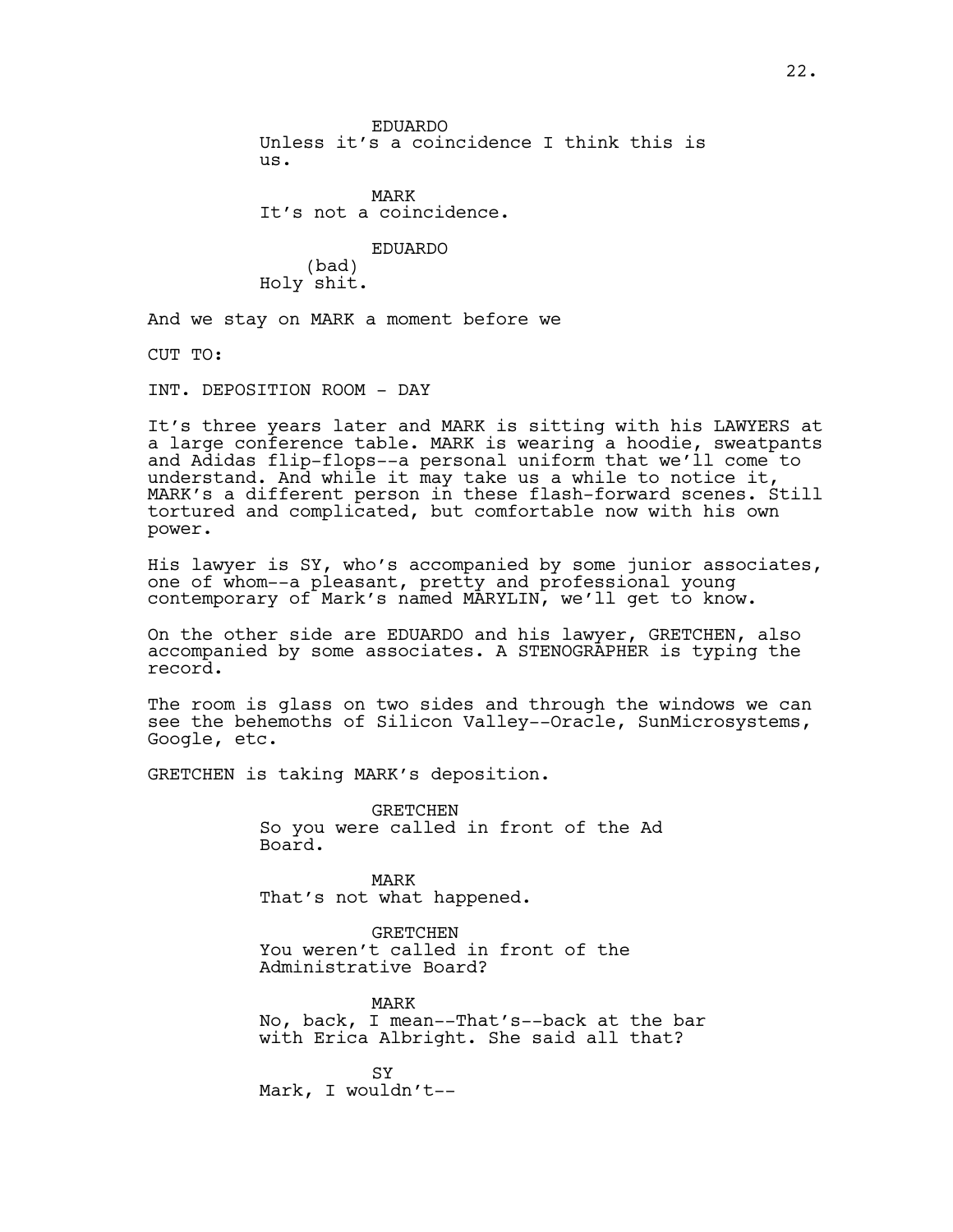EDUARDO Unless it's a coincidence I think this is us.

MARK It's not a coincidence.

EDUARDO (bad) Holy shit.

And we stay on MARK a moment before we

CUT TO:

INT. DEPOSITION ROOM - DAY

It's three years later and MARK is sitting with his LAWYERS at a large conference table. MARK is wearing a hoodie, sweatpants and Adidas flip-flops--a personal uniform that we'll come to understand. And while it may take us a while to notice it, MARK's a different person in these flash-forward scenes. Still tortured and complicated, but comfortable now with his own power.

His lawyer is  $SY$ , who's accompanied by some junior associates, one of whom--a pleasant, pretty and professional young contemporary of Mark's named MARYLIN, we'll get to know.

On the other side are EDUARDO and his lawyer, GRETCHEN, also accompanied by some associates. A STENOGRAPHER is typing the record.

The room is glass on two sides and through the windows we can see the behemoths of Silicon Valley--Oracle, SunMicrosystems, Google, etc.

GRETCHEN is taking MARK's deposition.

GRETCHEN So you were called in front of the Ad Board.

MARK That's not what happened.

GRETCHEN You weren't called in front of the Administrative Board?

MARK No, back, I mean--That's--back at the bar with Erica Albright. She said all that?

SY Mark, I wouldn't--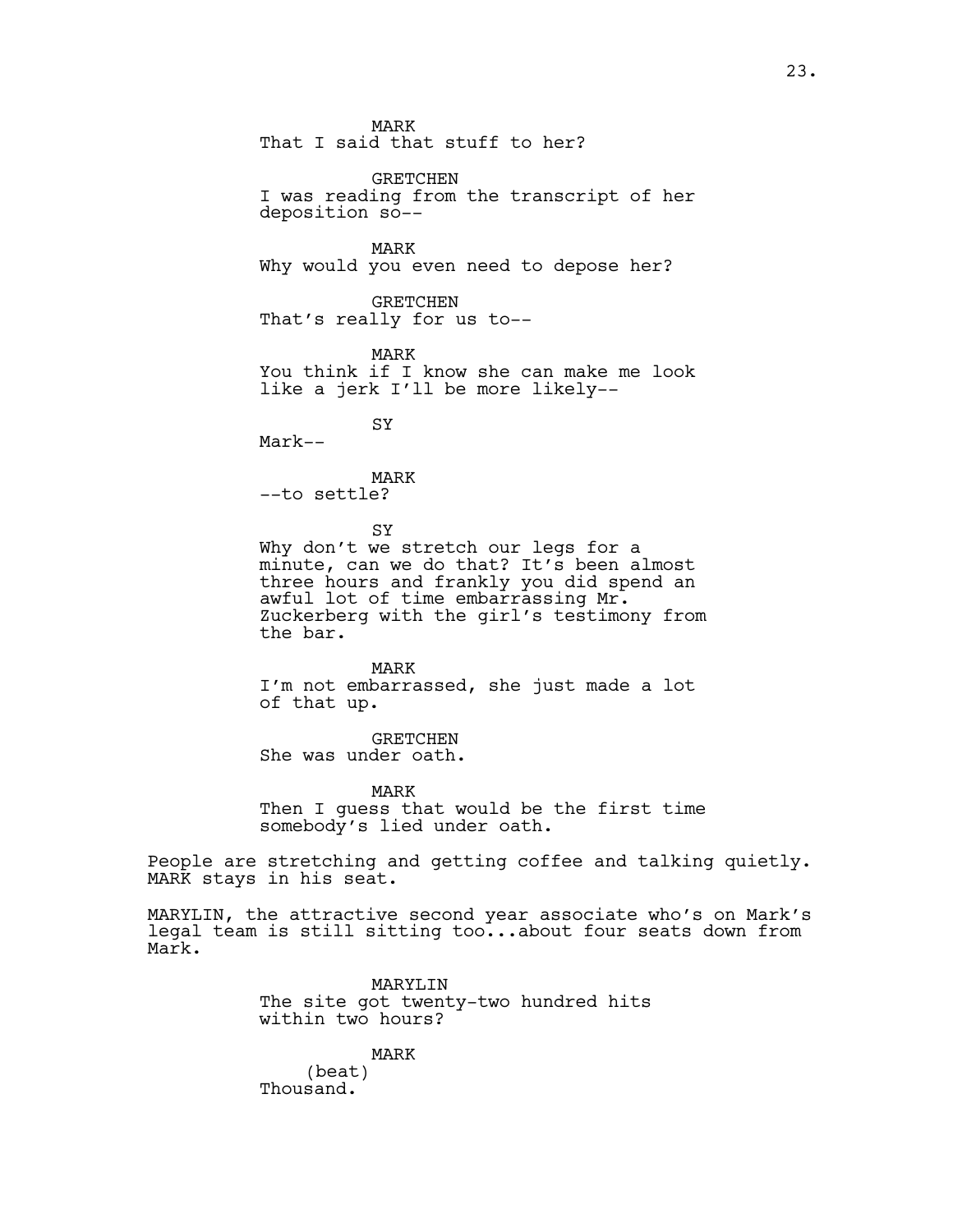MARK That I said that stuff to her?

GRETCHEN I was reading from the transcript of her deposition so--

MARK Why would you even need to depose her?

GRETCHEN That's really for us to--

MARK You think if I know she can make me look like a jerk I'll be more likely--

SY

Mark--

MARK --to settle?

SY

Why don't we stretch our legs for a minute, can we do that? It's been almost three hours and frankly you did spend an awful lot of time embarrassing Mr. Zuckerberg with the girl's testimony from the bar.

MARK I'm not embarrassed, she just made a lot of that up.

GRETCHEN She was under oath.

MARK Then I guess that would be the first time somebody's lied under oath.

People are stretching and getting coffee and talking quietly. MARK stays in his seat.

MARYLIN, the attractive second year associate who's on Mark's legal team is still sitting too...about four seats down from Mark.

> MARYLIN The site got twenty-two hundred hits within two hours?

MARK (beat) Thousand.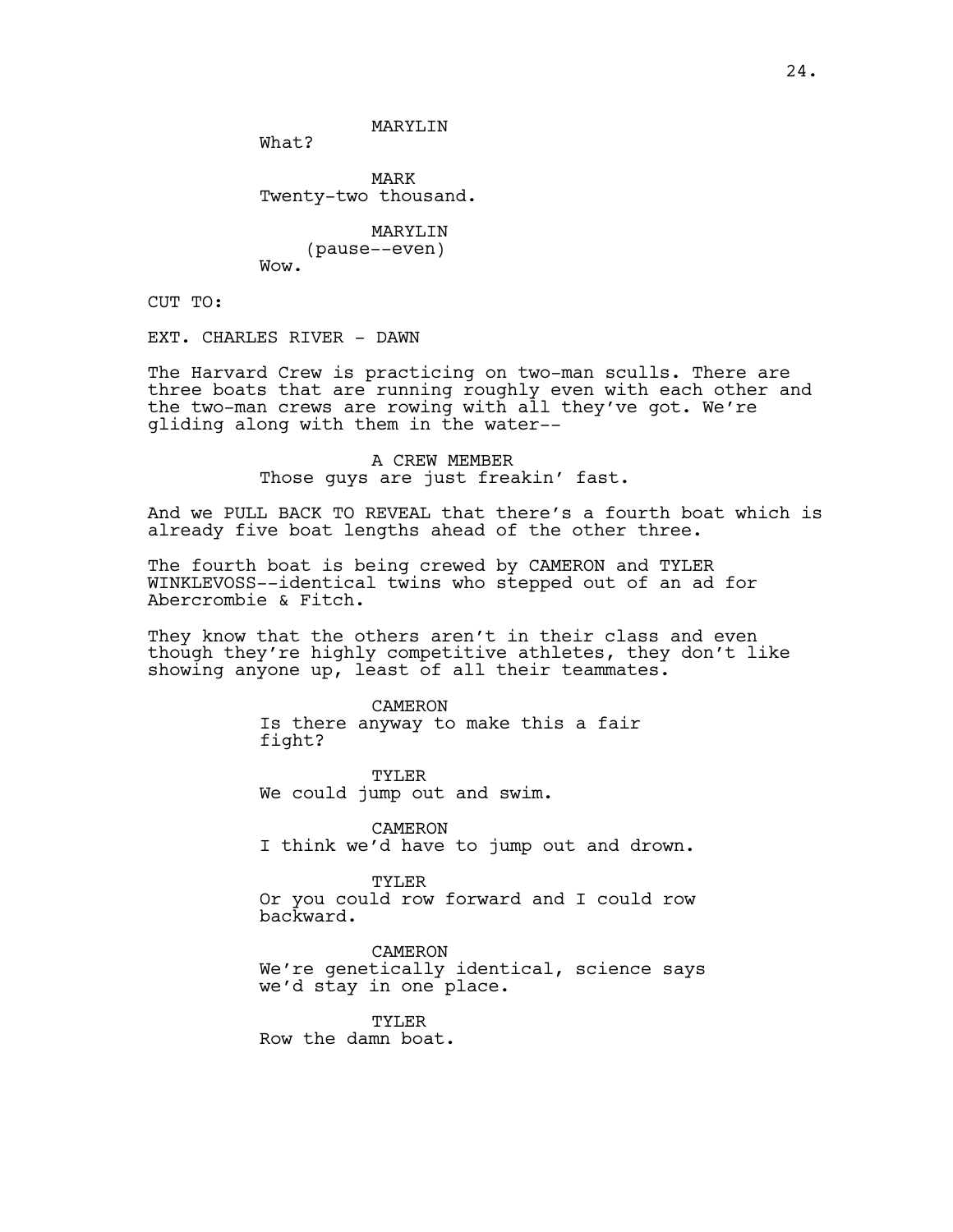What?

MARK Twenty-two thousand.

MARYLIN (pause--even) Wow.

CUT TO:

EXT. CHARLES RIVER - DAWN

The Harvard Crew is practicing on two-man sculls. There are three boats that are running roughly even with each other and the two-man crews are rowing with all they've got. We're gliding along with them in the water--

> A CREW MEMBER Those guys are just freakin' fast.

And we PULL BACK TO REVEAL that there's a fourth boat which is already five boat lengths ahead of the other three.

The fourth boat is being crewed by CAMERON and TYLER WINKLEVOSS--identical twins who stepped out of an ad for Abercrombie & Fitch.

They know that the others aren't in their class and even though they're highly competitive athletes, they don't like showing anyone up, least of all their teammates.

> CAMERON Is there anyway to make this a fair fight?

TYLER We could jump out and swim.

CAMERON I think we'd have to jump out and drown.

TYLER Or you could row forward and I could row backward.

CAMERON We're genetically identical, science says we'd stay in one place.

TYLER Row the damn boat.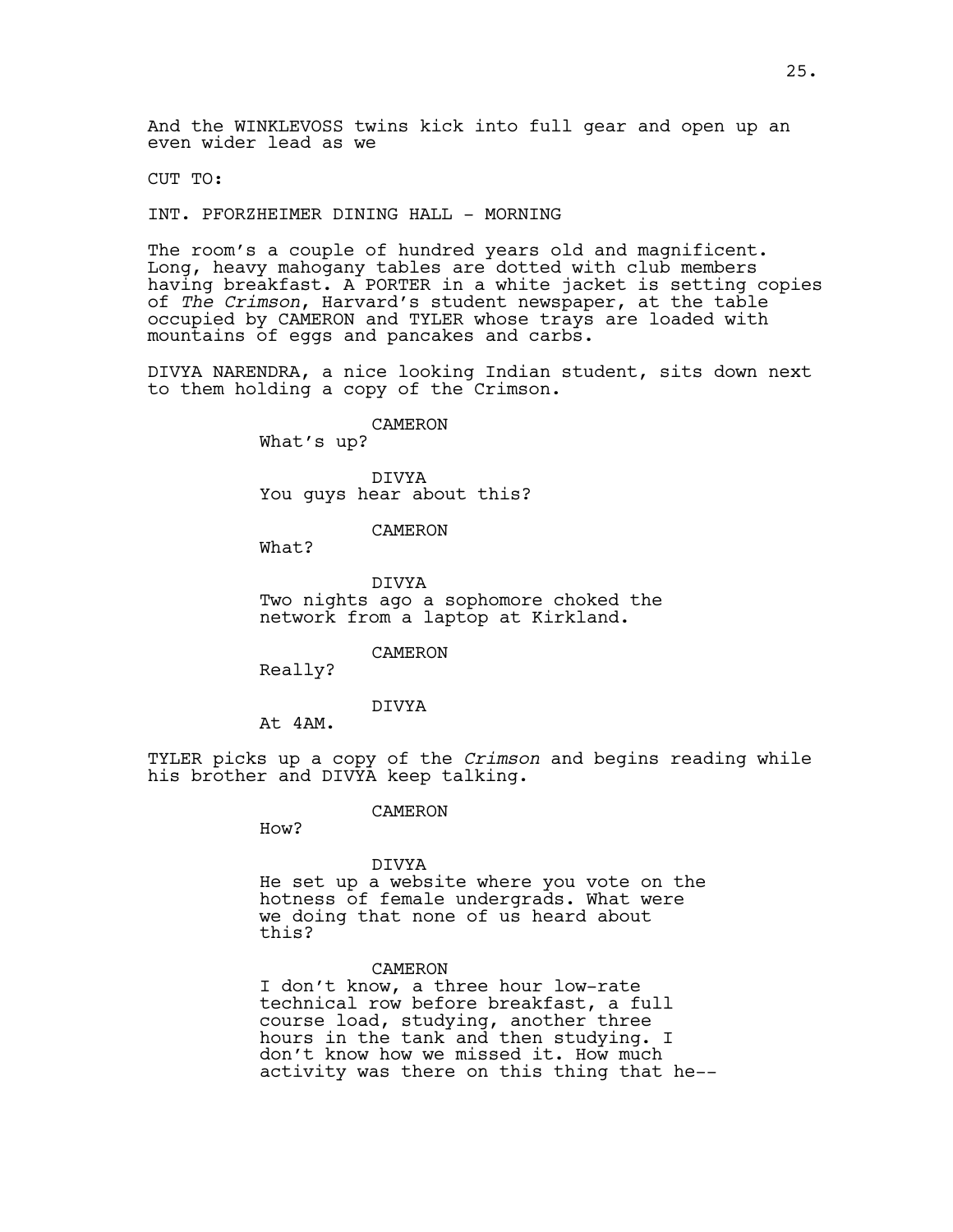And the WINKLEVOSS twins kick into full gear and open up an even wider lead as we

CUT TO:

INT. PFORZHEIMER DINING HALL - MORNING

The room's a couple of hundred years old and magnificent. Long, heavy mahogany tables are dotted with club members having breakfast. A PORTER in a white jacket is setting copies of *The Crimson*, Harvard's student newspaper, at the table occupied by CAMERON and TYLER whose trays are loaded with mountains of eggs and pancakes and carbs.

DIVYA NARENDRA, a nice looking Indian student, sits down next to them holding a copy of the Crimson.

CAMERON

What's up?

DIVYA You guys hear about this?

## CAMERON

What?

DIVYA Two nights ago a sophomore choked the network from a laptop at Kirkland.

CAMERON

Really?

### DIVYA

At 4AM.

TYLER picks up a copy of the *Crimson* and begins reading while his brother and DIVYA keep talking.

#### CAMERON

How?

### DIVYA

He set up a website where you vote on the hotness of female undergrads. What were we doing that none of us heard about this?

#### CAMERON

I don't know, a three hour low-rate technical row before breakfast, a full course load, studying, another three hours in the tank and then studying. I don't know how we missed it. How much activity was there on this thing that he--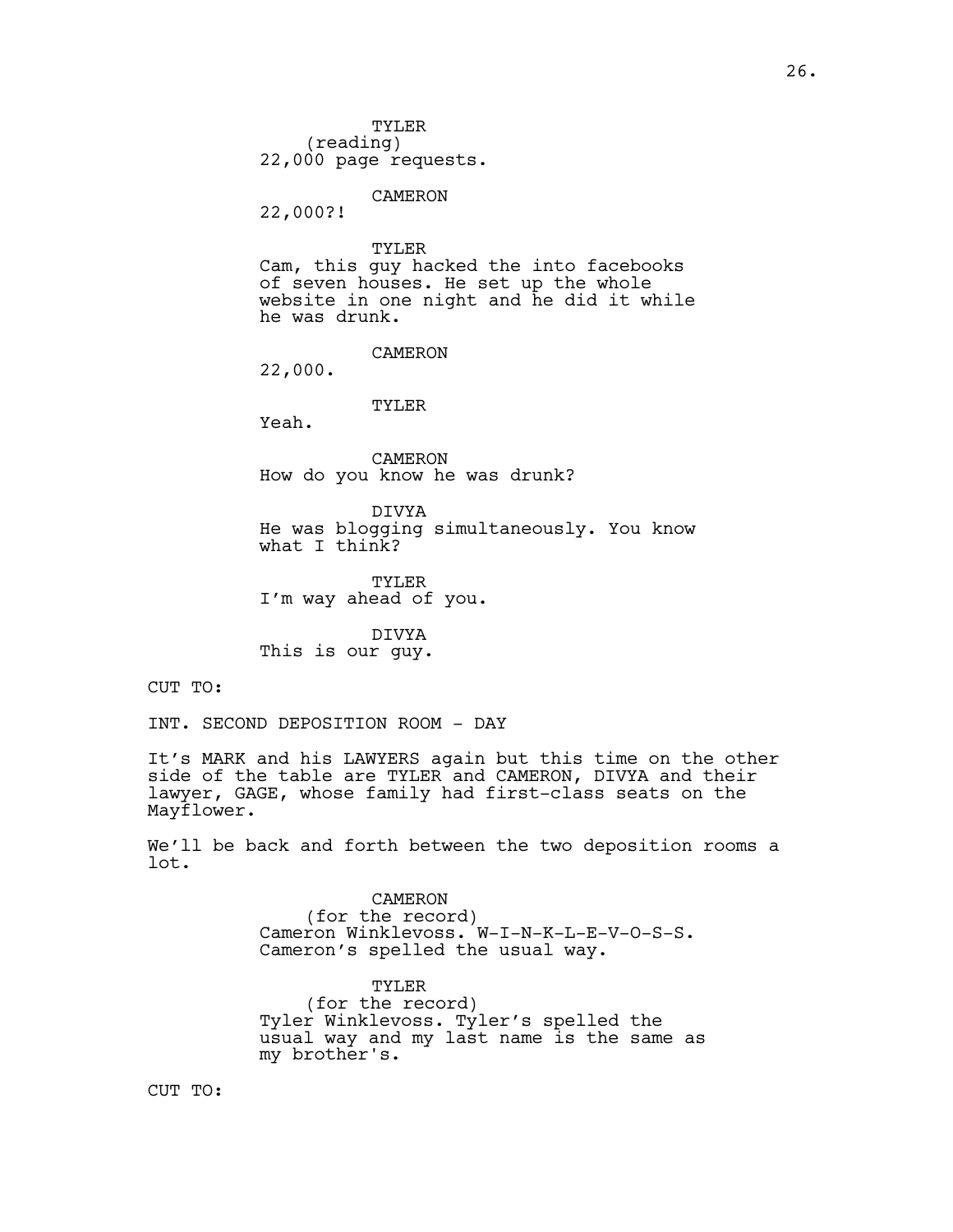TYLER (reading) 22,000 page requests.

CAMERON

22,000?!

TYLER Cam, this guy hacked the into facebooks of seven houses. He set up the whole website in one night and he did it while he was drunk.

CAMERON

22,000.

TYLER

Yeah.

CAMERON How do you know he was drunk?

DIVYA He was blogging simultaneously. You know what I think?

TYLER I'm way ahead of you.

DIVYA This is our guy.

CUT TO:

INT. SECOND DEPOSITION ROOM - DAY

It's MARK and his LAWYERS again but this time on the other side of the table are TYLER and CAMERON, DIVYA and their lawyer, GAGE, whose family had first-class seats on the Mayflower.

We'll be back and forth between the two deposition rooms a lot.

> CAMERON (for the record) Cameron Winklevoss. W-I-N-K-L-E-V-O-S-S. Cameron's spelled the usual way.

TYLER (for the record) Tyler Winklevoss. Tyler's spelled the usual way and my last name is the same as my brother's.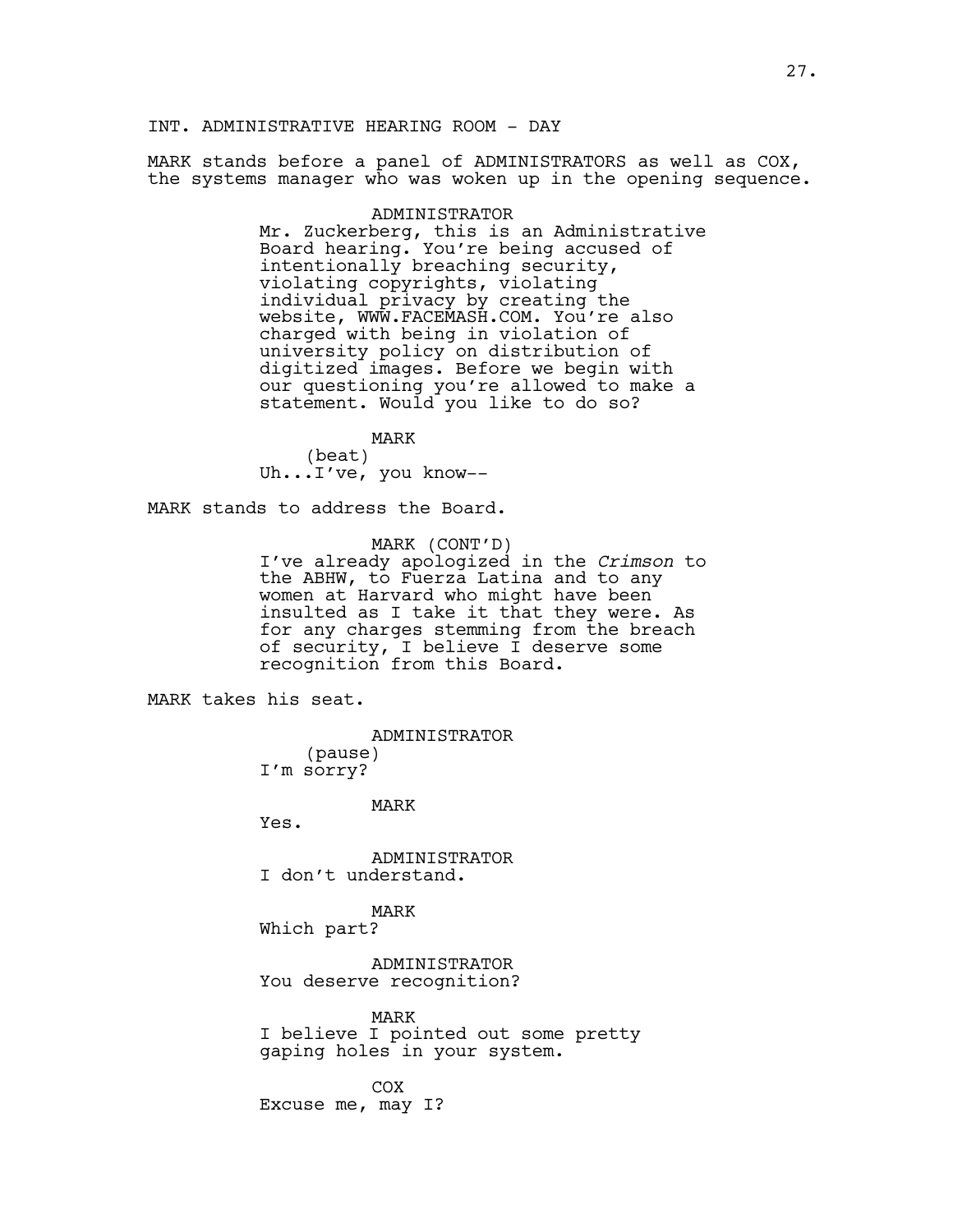INT. ADMINISTRATIVE HEARING ROOM - DAY

MARK stands before a panel of ADMINISTRATORS as well as COX, the systems manager who was woken up in the opening sequence.

### ADMINISTRATOR

Mr. Zuckerberg, this is an Administrative Board hearing. You're being accused of intentionally breaching security, violating copyrights, violating individual privacy by creating the website, WWW.FACEMASH.COM. You're also charged with being in violation of university policy on distribution of digitized images. Before we begin with our questioning you're allowed to make a statement. Would you like to do so?

MARK (beat) Uh...I've, you know--

MARK stands to address the Board.

MARK (CONT'D) I've already apologized in the *Crimson* to the ABHW, to Fuerza Latina and to any women at Harvard who might have been insulted as I take it that they were. As for any charges stemming from the breach of security, I believe I deserve some recognition from this Board.

MARK takes his seat.

#### ADMINISTRATOR

(pause) I'm sorry?

### MARK

Yes.

ADMINISTRATOR I don't understand.

# MARK

Which part?

ADMINISTRATOR You deserve recognition?

MARK I believe I pointed out some pretty gaping holes in your system.

COX Excuse me, may I?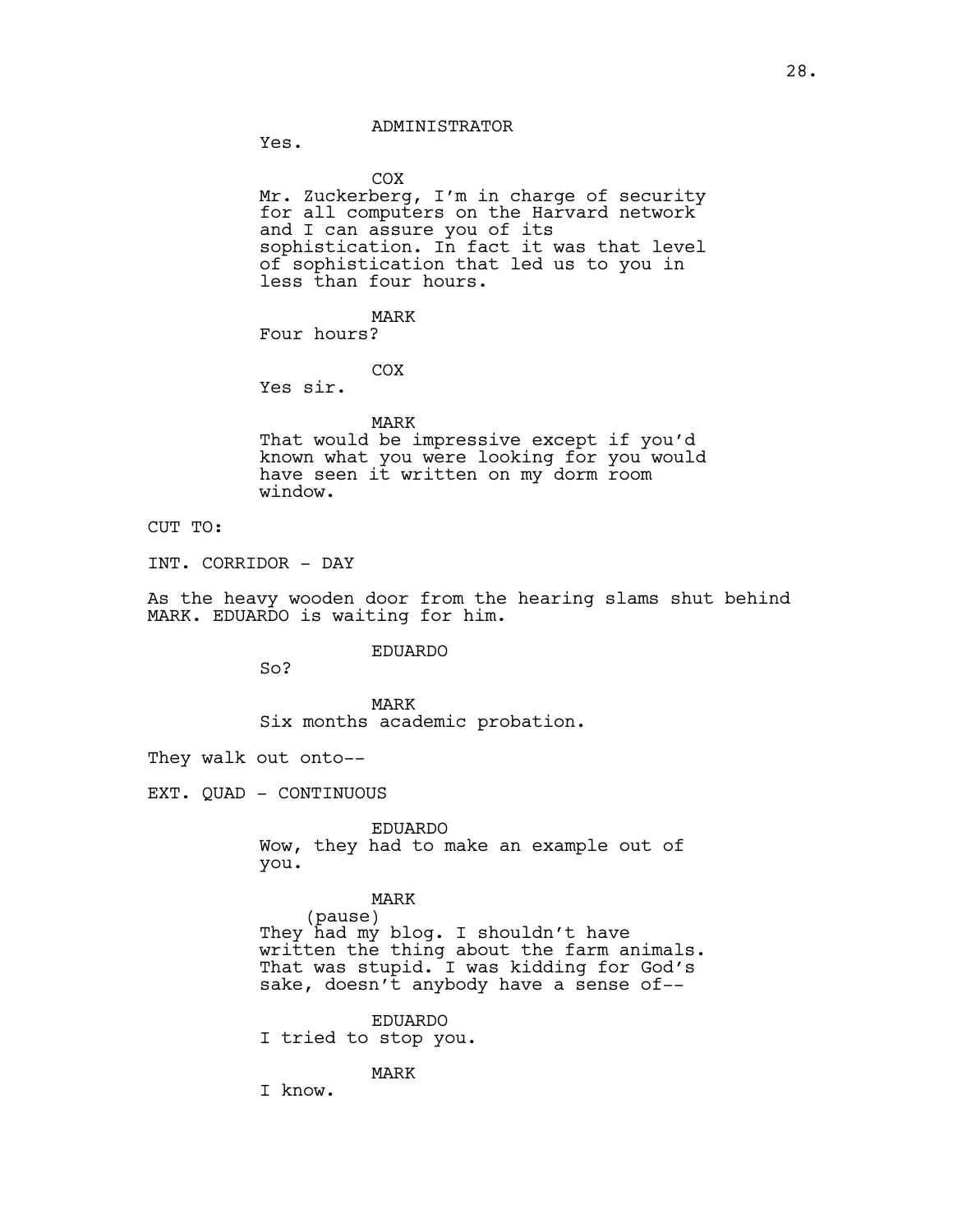ADMINISTRATOR

Yes.

COX

Mr. Zuckerberg, I'm in charge of security for all computers on the Harvard network and I can assure you of its sophistication. In fact it was that level of sophistication that led us to you in less than four hours.

MARK

Four hours?

COX

Yes sir.

### MARK

That would be impressive except if you'd known what you were looking for you would have seen it written on my dorm room window.

# CUT TO:

INT. CORRIDOR - DAY

As the heavy wooden door from the hearing slams shut behind MARK. EDUARDO is waiting for him.

#### EDUARDO

So?

MARK Six months academic probation.

They walk out onto--

EXT. QUAD - CONTINUOUS

EDUARDO Wow, they had to make an example out of you.

# MARK

(pause) They had my blog. I shouldn't have written the thing about the farm animals. That was stupid. I was kidding for God's sake, doesn't anybody have a sense of--

EDUARDO

I tried to stop you.

# MARK

I know.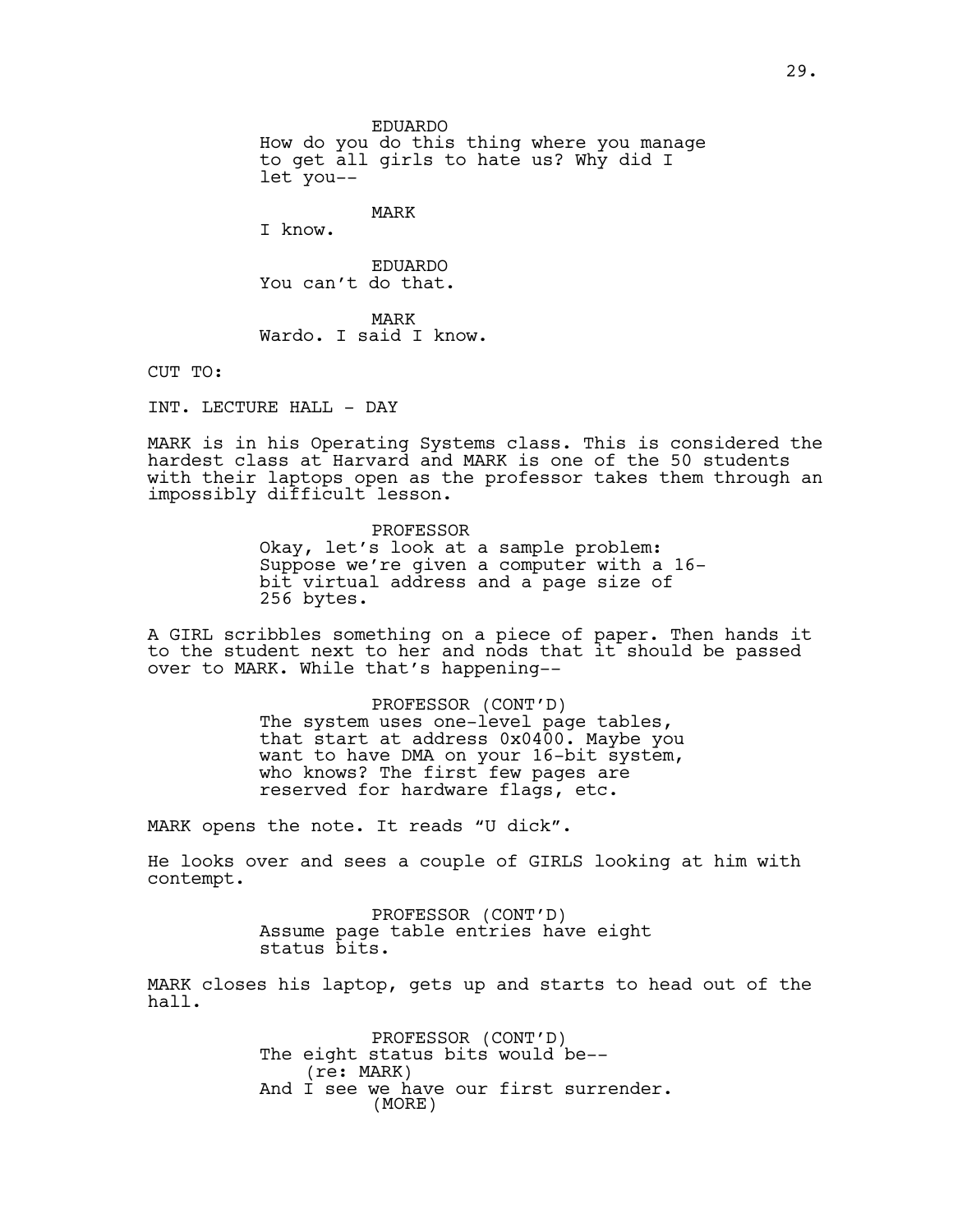EDUARDO How do you do this thing where you manage to get all girls to hate us? Why did I let you--

MARK

I know.

EDUARDO You can't do that.

MARK Wardo. I said I know.

CUT TO:

INT. LECTURE HALL - DAY

MARK is in his Operating Systems class. This is considered the hardest class at Harvard and MARK is one of the 50 students with their laptops open as the professor takes them through an impossibly difficult lesson.

> PROFESSOR Okay, let's look at a sample problem: Suppose we're given a computer with a 16 bit virtual address and a page size of 256 bytes.

A GIRL scribbles something on a piece of paper. Then hands it to the student next to her and nods that it should be passed over to MARK. While that's happening--

> PROFESSOR (CONT'D) The system uses one-level page tables, that start at address 0x0400. Maybe you want to have DMA on your 16-bit system, who knows? The first few pages are reserved for hardware flags, etc.

MARK opens the note. It reads "U dick".

He looks over and sees a couple of GIRLS looking at him with contempt.

> PROFESSOR (CONT'D) Assume page table entries have eight status bits.

MARK closes his laptop, gets up and starts to head out of the hall.

> PROFESSOR (CONT'D) The eight status bits would be--(re: MARK) And I see we have our first surrender. (MORE)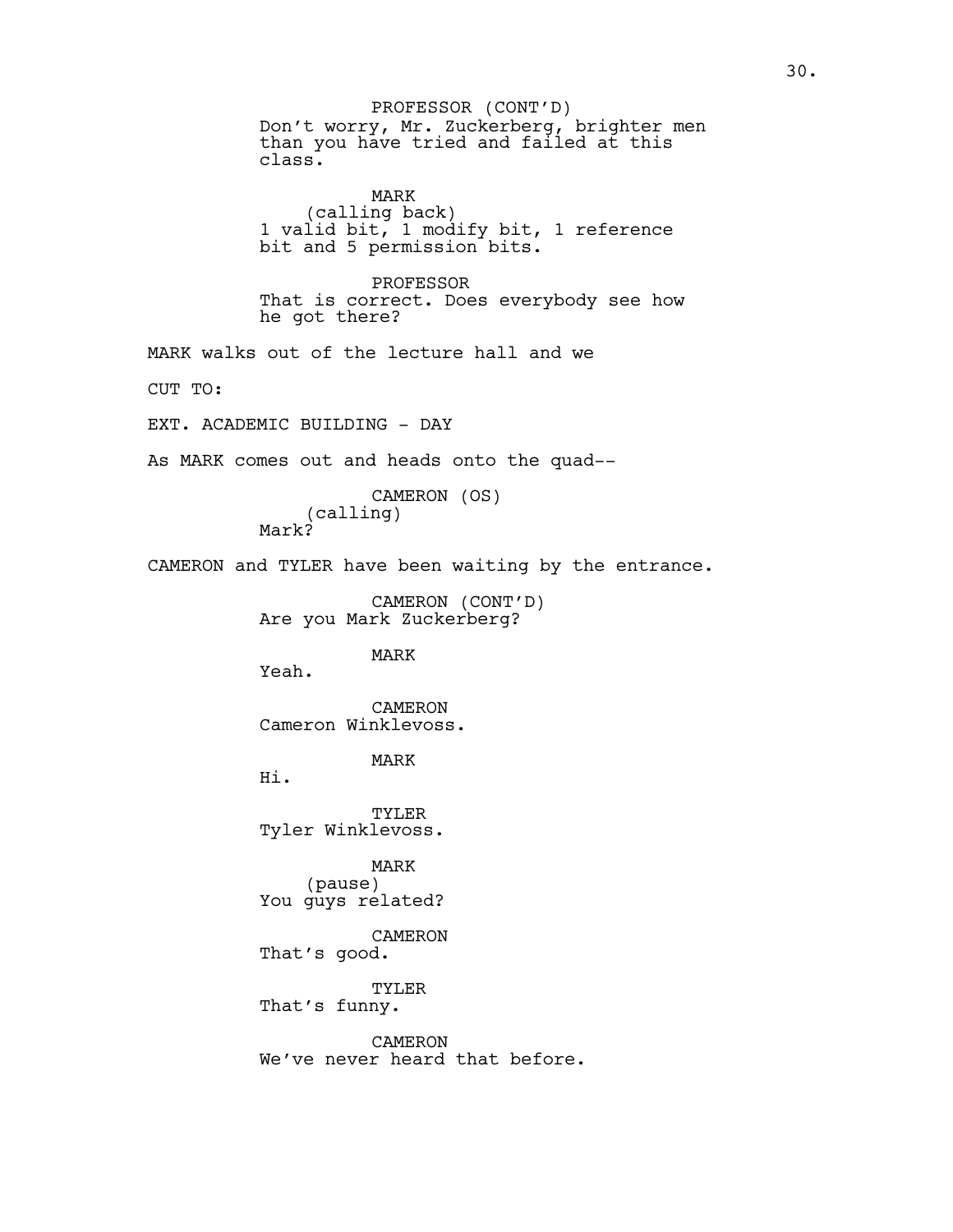Don't worry, Mr. Zuckerberg, brighter men than you have tried and failed at this class. PROFESSOR (CONT'D)

MARK (calling back) 1 valid bit, 1 modify bit, 1 reference bit and 5 permission bits.

PROFESSOR That is correct. Does everybody see how he got there?

MARK walks out of the lecture hall and we

CUT TO:

EXT. ACADEMIC BUILDING - DAY

As MARK comes out and heads onto the quad--

CAMERON (OS) (calling) Mark?

CAMERON and TYLER have been waiting by the entrance.

CAMERON (CONT'D) Are you Mark Zuckerberg?

MARK

Yeah.

CAMERON Cameron Winklevoss.

MARK

Hi.

TYLER Tyler Winklevoss.

MARK (pause) You guys related?

CAMERON That's good.

TYLER That's funny.

CAMERON We've never heard that before.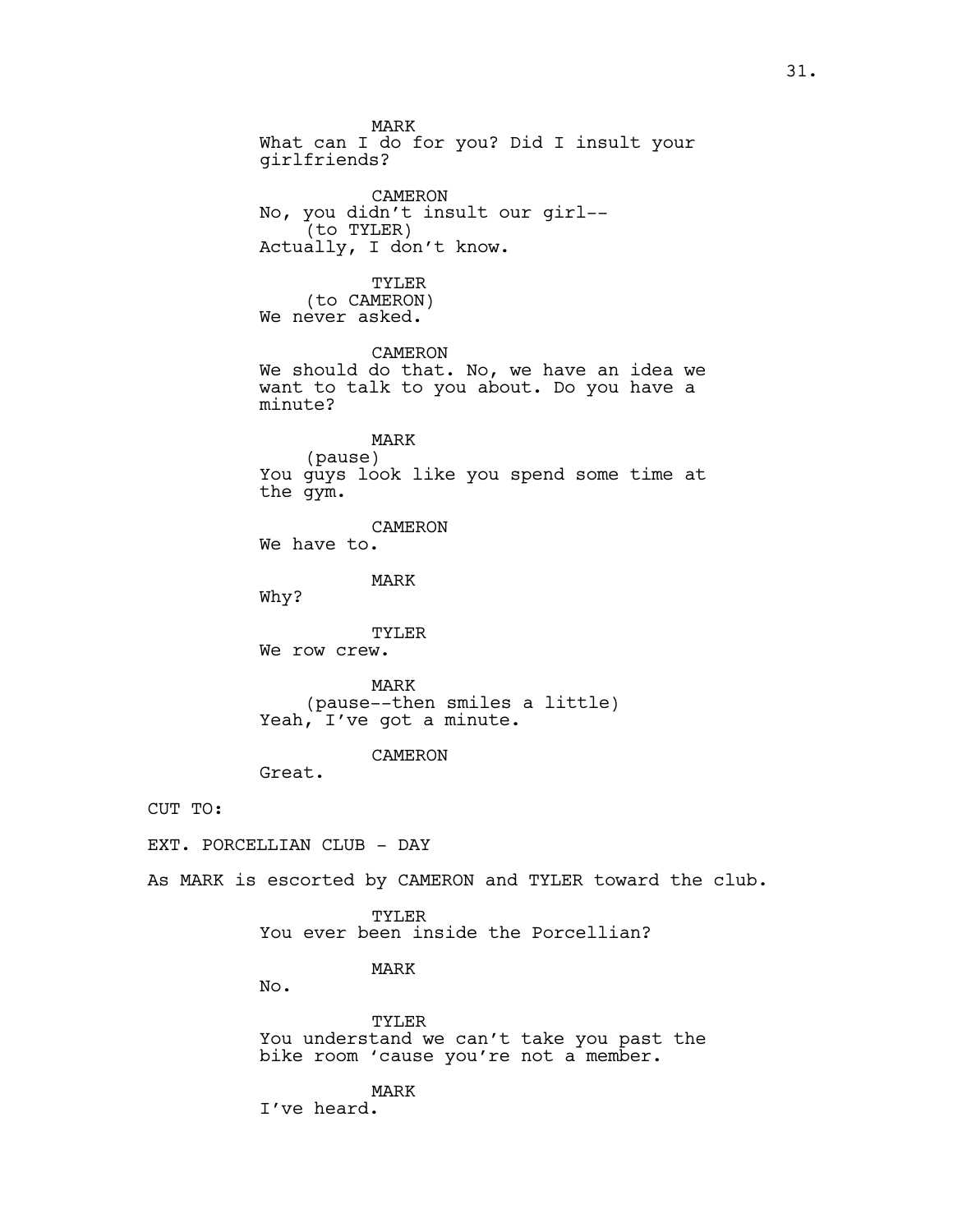MARK What can I do for you? Did I insult your girlfriends? CAMERON No, you didn't insult our girl-- (to TYLER) Actually, I don't know. TYLER (to CAMERON) We never asked. CAMERON We should do that. No, we have an idea we want to talk to you about. Do you have a minute? MARK (pause) You guys look like you spend some time at the gym. CAMERON We have to. MARK Why? TYLER We row crew. MARK (pause--then smiles a little) Yeah, I've got a minute. CAMERON Great. TYLER You ever been inside the Porcellian? MARK No. TYLER You understand we can't take you past the

bike room 'cause you're not a member.

MARK I've heard.

CUT TO:

EXT. PORCELLIAN CLUB - DAY

As MARK is escorted by CAMERON and TYLER toward the club.

31.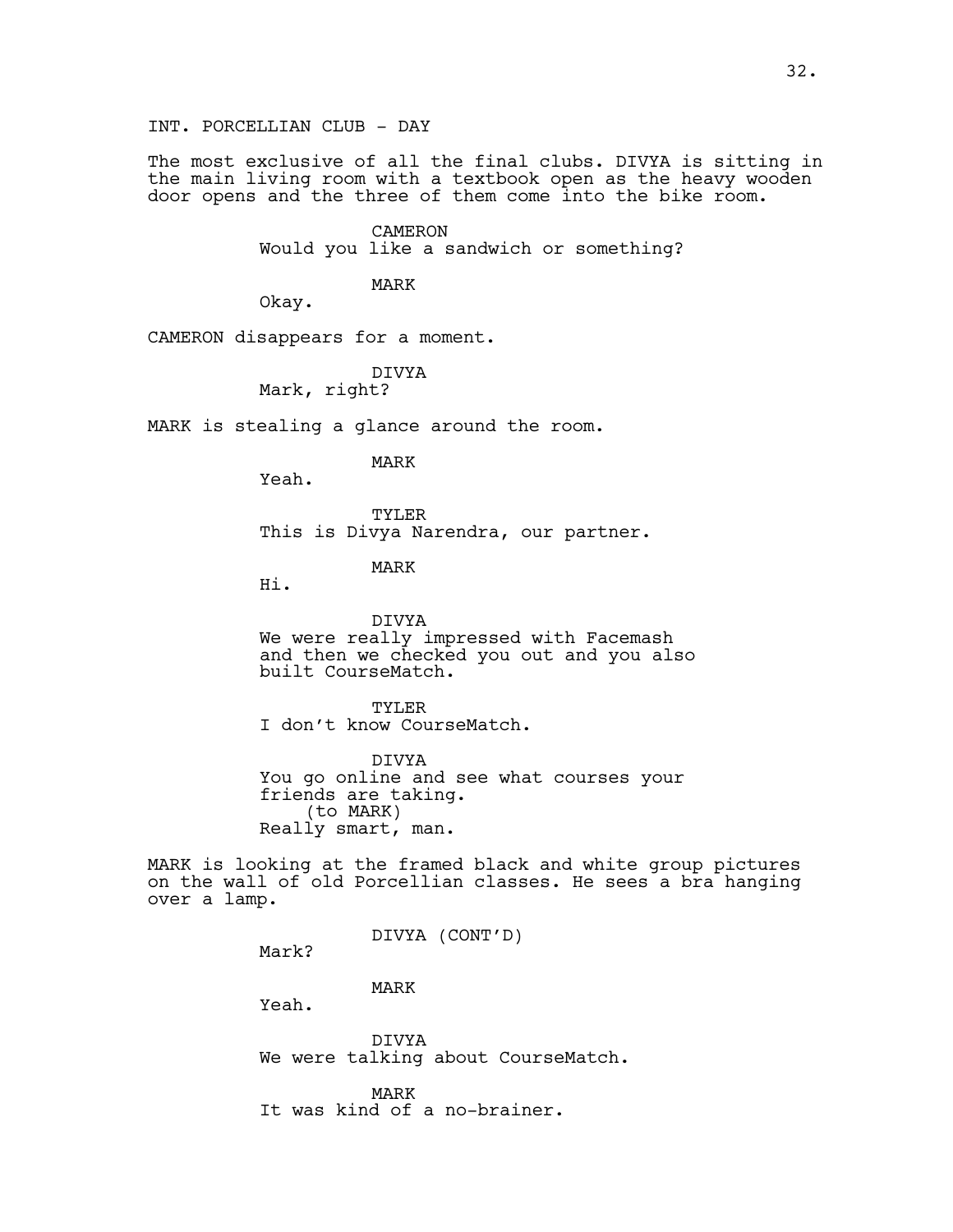INT. PORCELLIAN CLUB - DAY

The most exclusive of all the final clubs. DIVYA is sitting in the main living room with a textbook open as the heavy wooden door opens and the three of them come into the bike room.

> CAMERON Would you like a sandwich or something?

> > MARK

Okay.

CAMERON disappears for a moment.

DIVYA

Mark, right?

MARK is stealing a glance around the room.

MARK

TYLER This is Divya Narendra, our partner.

MARK

Hi.

Yeah.

DIVYA We were really impressed with Facemash and then we checked you out and you also built CourseMatch.

TYLER I don't know CourseMatch.

DIVYA You go online and see what courses your friends are taking. (to MARK) Really smart, man.

MARK is looking at the framed black and white group pictures on the wall of old Porcellian classes. He sees a bra hanging over a lamp.

DIVYA (CONT'D)

Mark?

MARK

Yeah.

DIVYA We were talking about CourseMatch.

MARK It was kind of a no-brainer.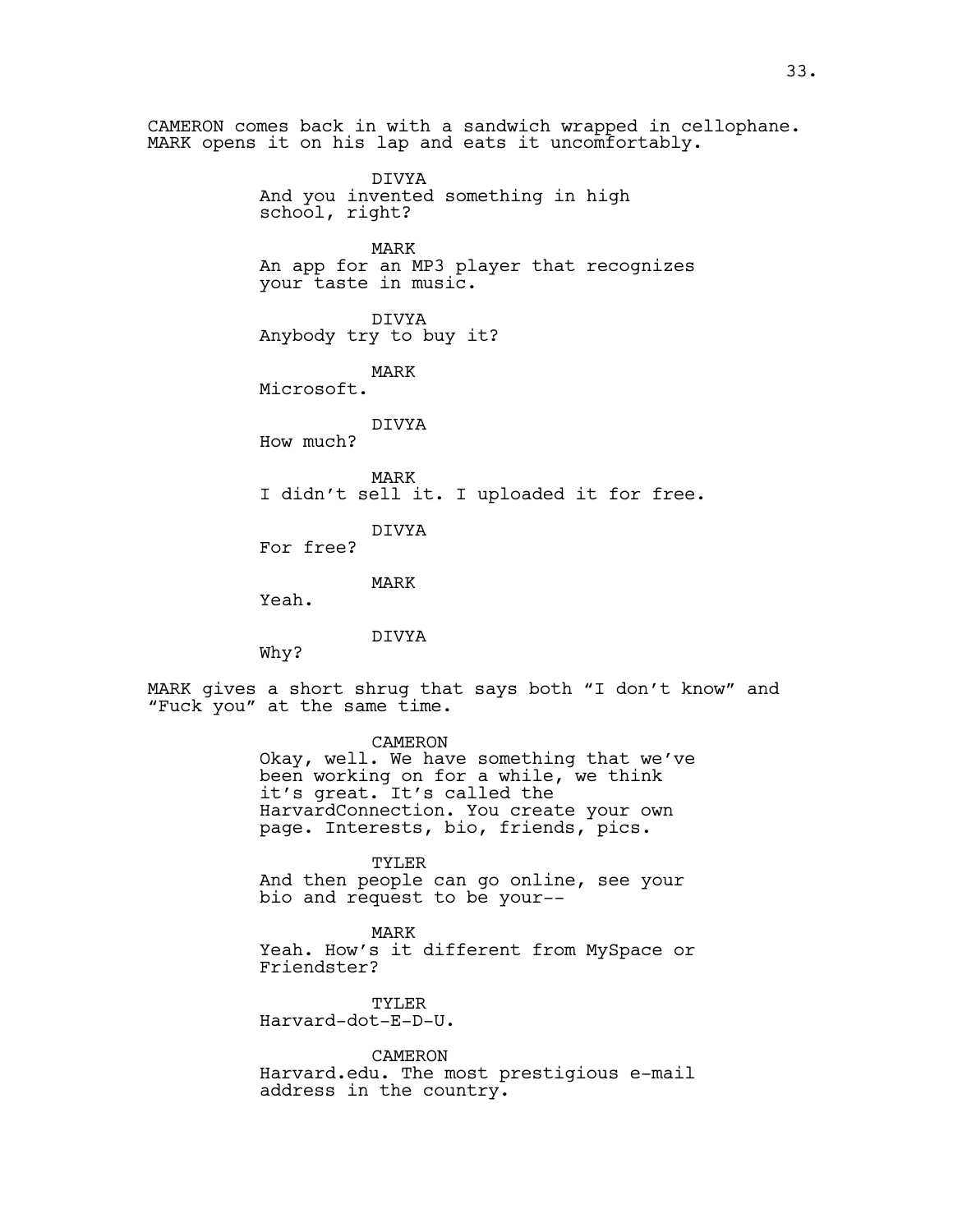CAMERON comes back in with a sandwich wrapped in cellophane. MARK opens it on his lap and eats it uncomfortably. DIVYA And you invented something in high school, right? MARK An app for an MP3 player that recognizes your taste in music. DIVYA Anybody try to buy it? MARK Microsoft. DIVYA How much? MARK I didn't sell it. I uploaded it for free. DIVYA For free? MARK Yeah. DIVYA Why? MARK gives a short shrug that says both "I don't know" and "Fuck you" at the same time. CAMERON Okay, well. We have something that we've been working on for a while, we think it's great. It's called the HarvardConnection. You create your own page. Interests, bio, friends, pics. TYLER And then people can go online, see your bio and request to be your-- MARK Yeah. How's it different from MySpace or Friendster? TYLER Harvard-dot-E-D-U. CAMERON

Harvard.edu. The most prestigious e-mail address in the country.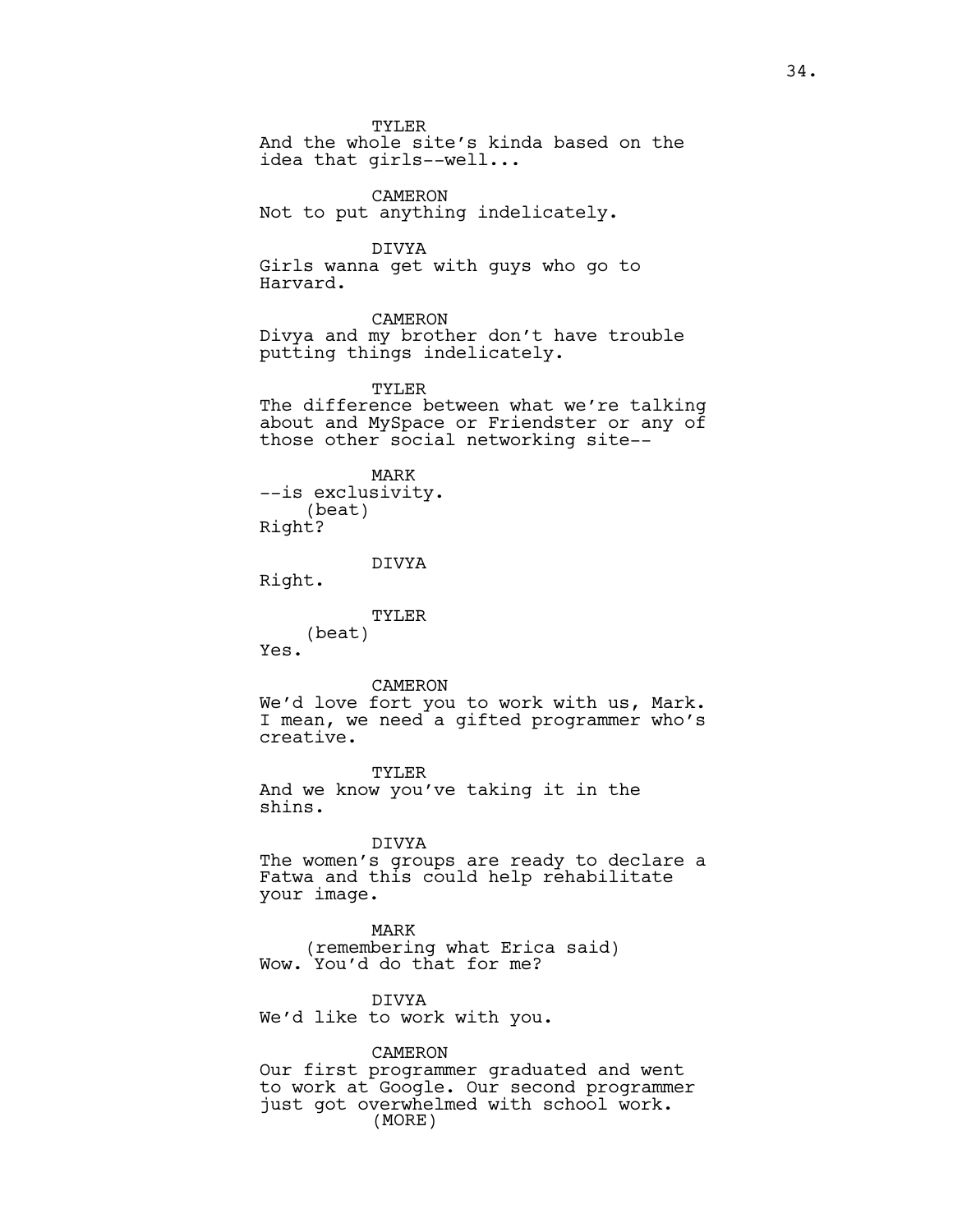TYLER And the whole site's kinda based on the idea that girls--well... CAMERON Not to put anything indelicately. DIVYA Girls wanna get with guys who go to Harvard. CAMERON Divya and my brother don't have trouble putting things indelicately. TYLER The difference between what we're talking about and MySpace or Friendster or any of those other social networking site-- MARK --is exclusivity. (beat) Right? DIVYA Right. TYLER (beat) Yes. CAMERON We'd love fort you to work with us, Mark. I mean, we need a gifted programmer who's creative. TYLER And we know you've taking it in the shins. DIVYA The women's groups are ready to declare a Fatwa and this could help rehabilitate your image. MARK (remembering what Erica said) Wow. You'd do that for me?

DIVYA We'd like to work with you.

CAMERON

Our first programmer graduated and went to work at Google. Our second programmer just got overwhelmed with school work. (MORE)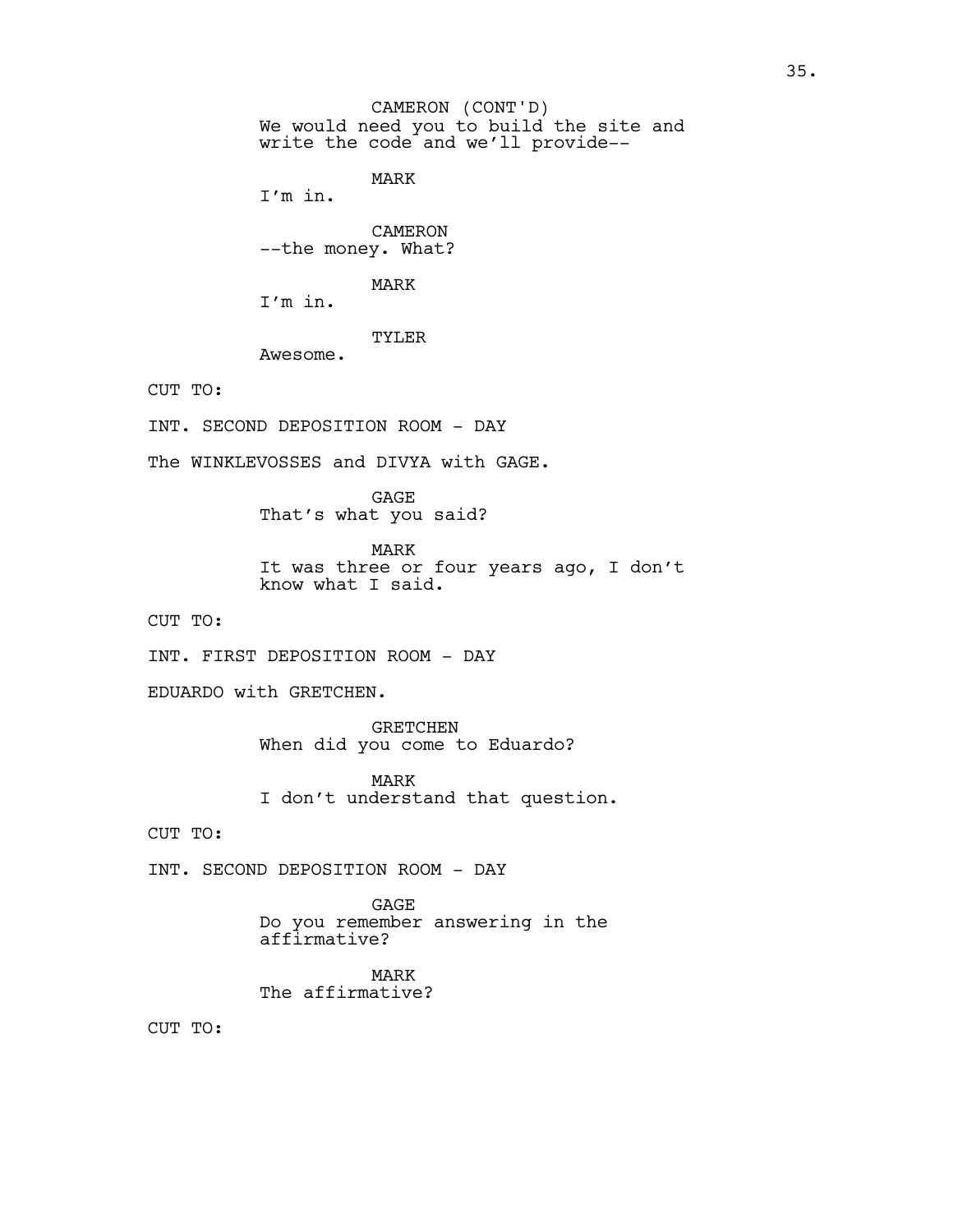We would need you to build the site and write the code and we'll provide--CAMERON (CONT'D)

MARK

I'm in.

CAMERON --the money. What?

MARK

I'm in.

TYLER

Awesome.

CUT TO:

INT. SECOND DEPOSITION ROOM - DAY

The WINKLEVOSSES and DIVYA with GAGE.

GAGE That's what you said?

MARK It was three or four years ago, I don't know what I said.

CUT TO:

INT. FIRST DEPOSITION ROOM - DAY

EDUARDO with GRETCHEN.

GRETCHEN When did you come to Eduardo?

MARK I don't understand that question.

CUT TO:

INT. SECOND DEPOSITION ROOM - DAY

GAGE Do you remember answering in the affirmative?

MARK The affirmative?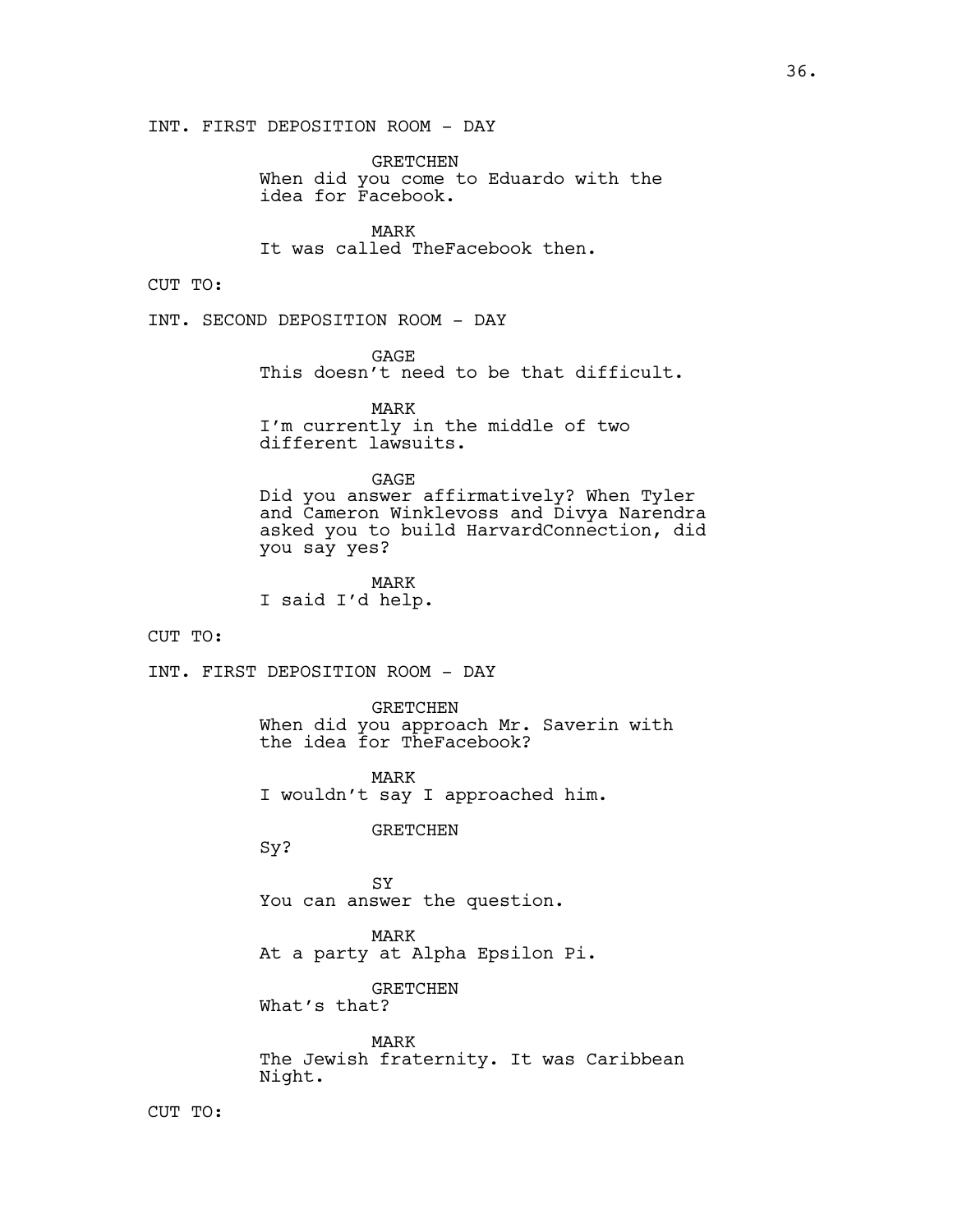GRETCHEN When did you come to Eduardo with the idea for Facebook.

MARK It was called TheFacebook then.

CUT TO:

INT. SECOND DEPOSITION ROOM - DAY

GAGE

This doesn't need to be that difficult.

MARK

I'm currently in the middle of two different lawsuits.

GAGE

Did you answer affirmatively? When Tyler and Cameron Winklevoss and Divya Narendra asked you to build HarvardConnection, did you say yes?

MARK I said I'd help.

CUT TO:

INT. FIRST DEPOSITION ROOM - DAY

GRETCHEN When did you approach Mr. Saverin with the idea for TheFacebook?

MARK I wouldn't say I approached him.

GRETCHEN

Sy?

SY You can answer the question.

MARK At a party at Alpha Epsilon Pi.

GRETCHEN What's that?

MARK The Jewish fraternity. It was Caribbean Night.

CUT TO: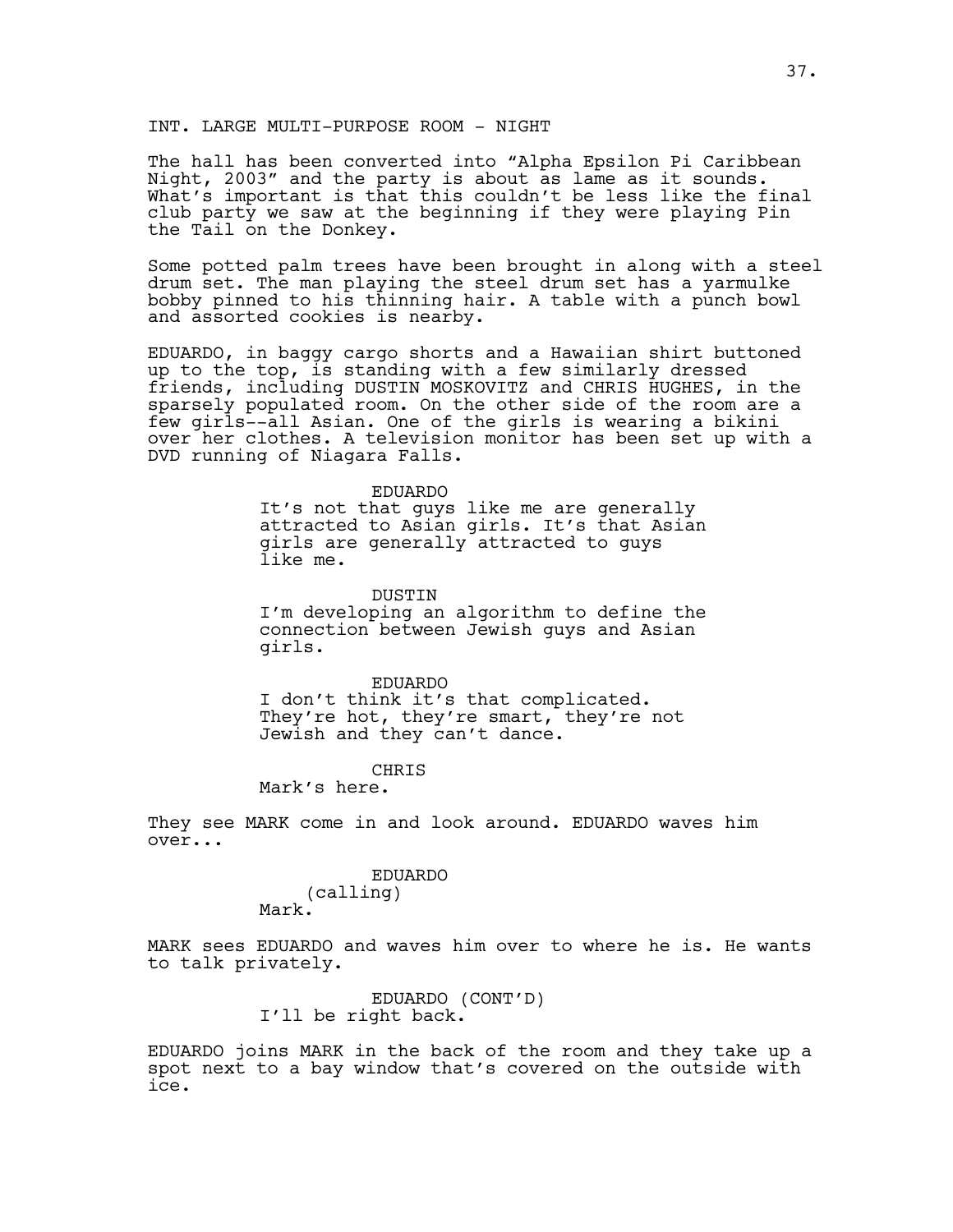#### INT. LARGE MULTI-PURPOSE ROOM - NIGHT

The hall has been converted into "Alpha Epsilon Pi Caribbean Night, 2003" and the party is about as lame as it sounds. What's important is that this couldn't be less like the final club party we saw at the beginning if they were playing Pin the Tail on the Donkey.

Some potted palm trees have been brought in along with a steel drum set. The man playing the steel drum set has a yarmulke bobby pinned to his thinning hair. A table with a punch bowl and assorted cookies is nearby.

EDUARDO, in baggy cargo shorts and a Hawaiian shirt buttoned up to the top, is standing with a few similarly dressed friends, including DUSTIN MOSKOVITZ and CHRIS HUGHES, in the sparsely populated room. On the other side of the room are a few girls--all Asian. One of the girls is wearing a bikini over her clothes. A television monitor has been set up with a DVD running of Niagara Falls.

#### EDUARDO

It's not that guys like me are generally attracted to Asian girls. It's that Asian girls are generally attracted to guys like me.

DUSTIN

I'm developing an algorithm to define the connection between Jewish guys and Asian girls.

EDUARDO I don't think it's that complicated. They're hot, they're smart, they're not Jewish and they can't dance.

#### CHRIS

Mark's here.

They see MARK come in and look around. EDUARDO waves him over...

#### EDUARDO (calling) Mark.

MARK sees EDUARDO and waves him over to where he is. He wants to talk privately.

> EDUARDO (CONT'D) I'll be right back.

EDUARDO joins MARK in the back of the room and they take up a spot next to a bay window that's covered on the outside with ice.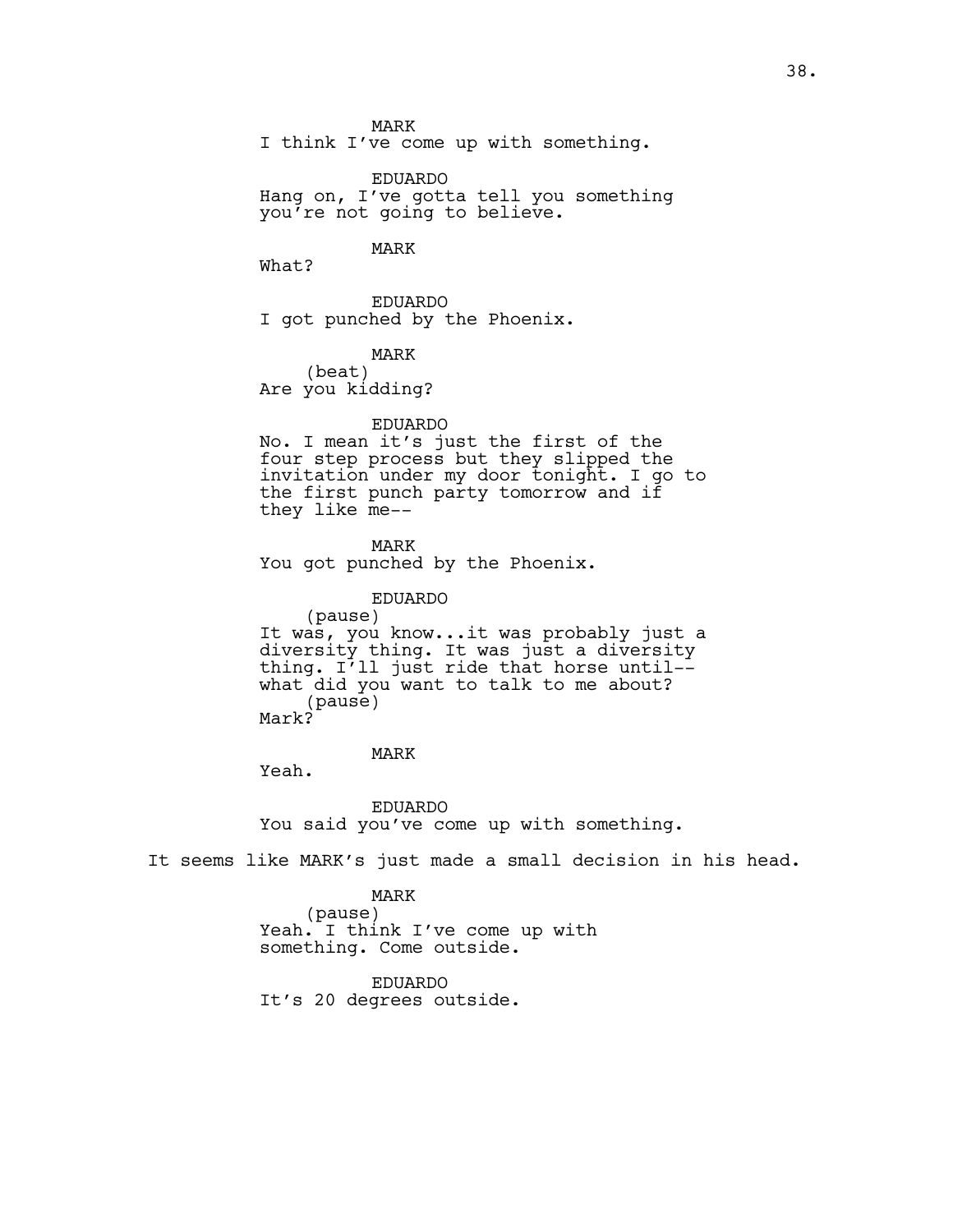MARK

I think I've come up with something.

EDUARDO Hang on, I've gotta tell you something you're not going to believe.

## MARK

What?

EDUARDO I got punched by the Phoenix.

#### MARK

(beat) Are you kidding?

#### EDUARDO

No. I mean it's just the first of the four step process but they slipped the invitation under my door tonight. I go to the first punch party tomorrow and if they like me--

MARK You got punched by the Phoenix.

## EDUARDO

(pause) It was, you know...it was probably just a diversity thing. It was just a diversity thing. I'll just ride that horse until- what did you want to talk to me about? (pause) Mark?

## MARK

Yeah.

EDUARDO You said you've come up with something.

It seems like MARK's just made a small decision in his head.

## MARK

(pause) Yeah. I think I've come up with something. Come outside.

# EDUARDO

It's 20 degrees outside.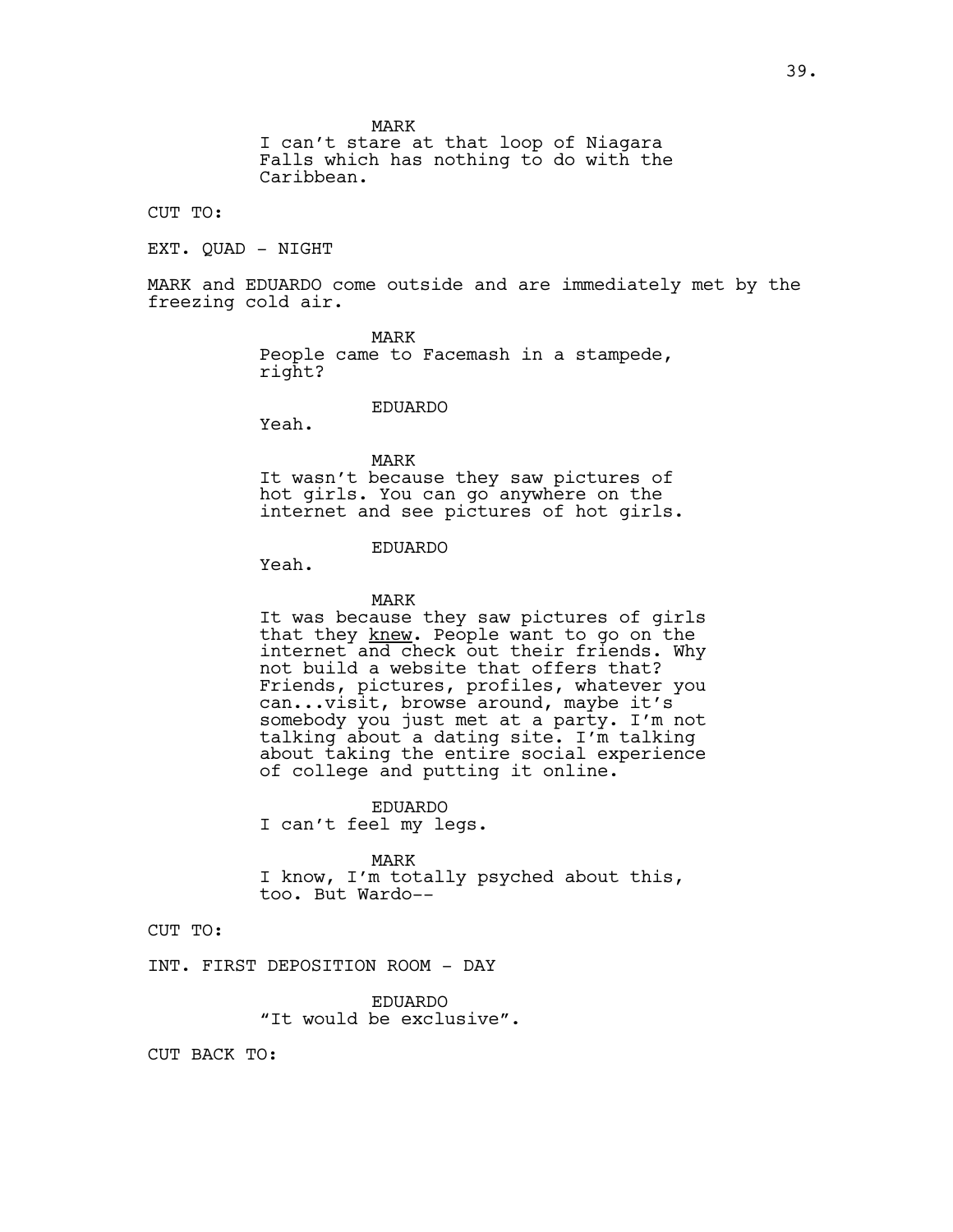MARK

I can't stare at that loop of Niagara Falls which has nothing to do with the Caribbean.

CUT TO:

EXT. QUAD - NIGHT

MARK and EDUARDO come outside and are immediately met by the freezing cold air.

> MARK People came to Facemash in a stampede, right?

> > EDUARDO

Yeah.

MARK It wasn't because they saw pictures of hot girls. You can go anywhere on the internet and see pictures of hot girls.

# EDUARDO

Yeah.

#### MARK

It was because they saw pictures of girls that they knew. People want to go on the internet and check out their friends. Why not build a website that offers that? Friends, pictures, profiles, whatever you can...visit, browse around, maybe it's somebody you just met at a party. I'm not talking about a dating site. I'm talking about taking the entire social experience of college and putting it online.

EDUARDO I can't feel my legs.

MARK I know, I'm totally psyched about this, too. But Wardo--

CUT TO:

INT. FIRST DEPOSITION ROOM - DAY

EDUARDO "It would be exclusive".

CUT BACK TO: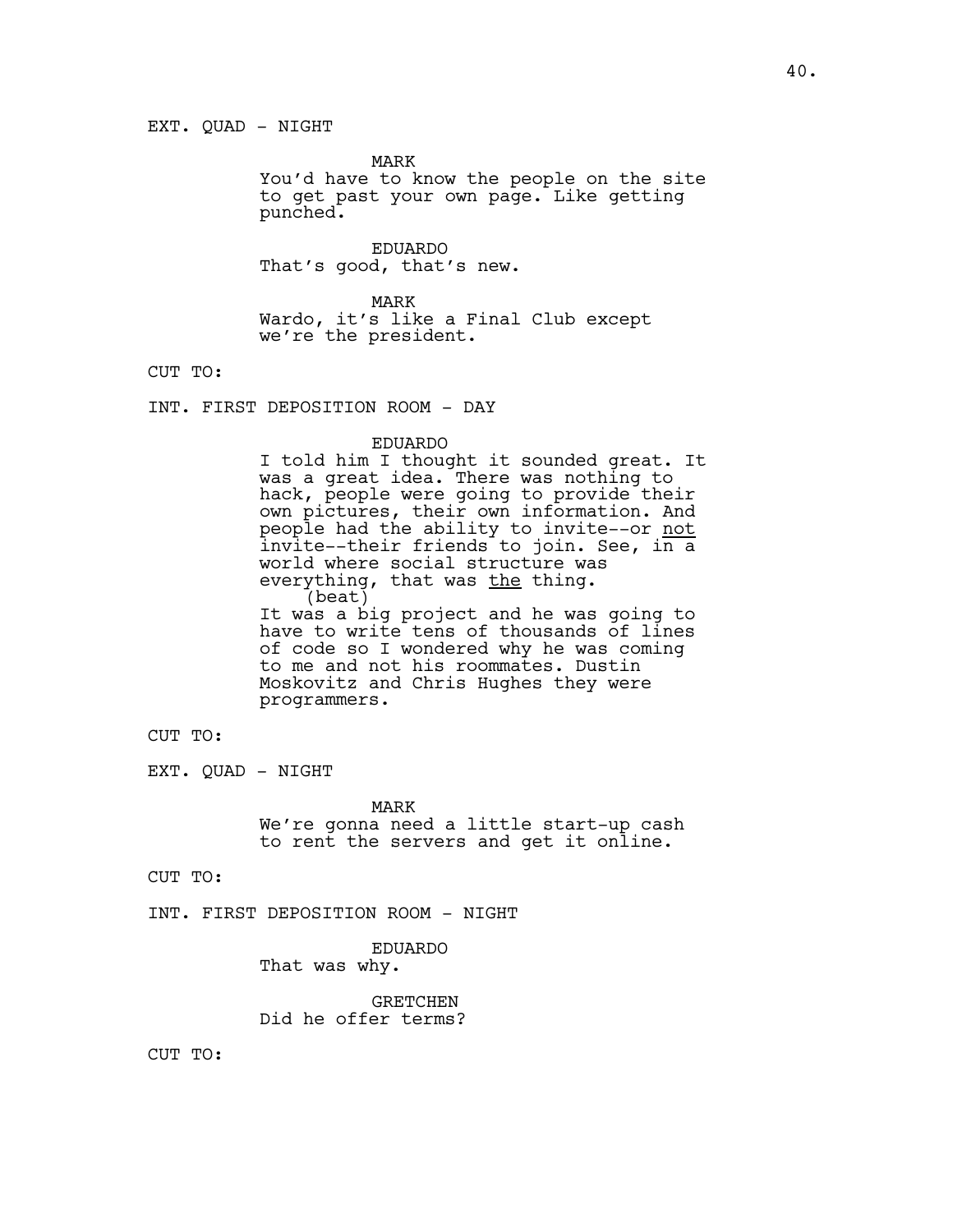MARK

You'd have to know the people on the site to get past your own page. Like getting punched.

EDUARDO That's good, that's new.

MARK Wardo, it's like a Final Club except we're the president.

CUT TO:

INT. FIRST DEPOSITION ROOM - DAY

#### EDUARDO

I told him I thought it sounded great. It was a great idea. There was nothing to hack, people were going to provide their own pictures, their own information. And people had the ability to invite--or not invite--their friends to join. See, in a world where social structure was everything, that was the thing. (beat) It was a big project and he was going to have to write tens of thousands of lines of code so I wondered why he was coming to me and not his roommates. Dustin Moskovitz and Chris Hughes they were programmers.

CUT TO:

EXT. QUAD - NIGHT

MARK We're gonna need a little start-up cash to rent the servers and get it online.

CUT TO:

INT. FIRST DEPOSITION ROOM - NIGHT

EDUARDO That was why.

GRETCHEN Did he offer terms?

CUT TO: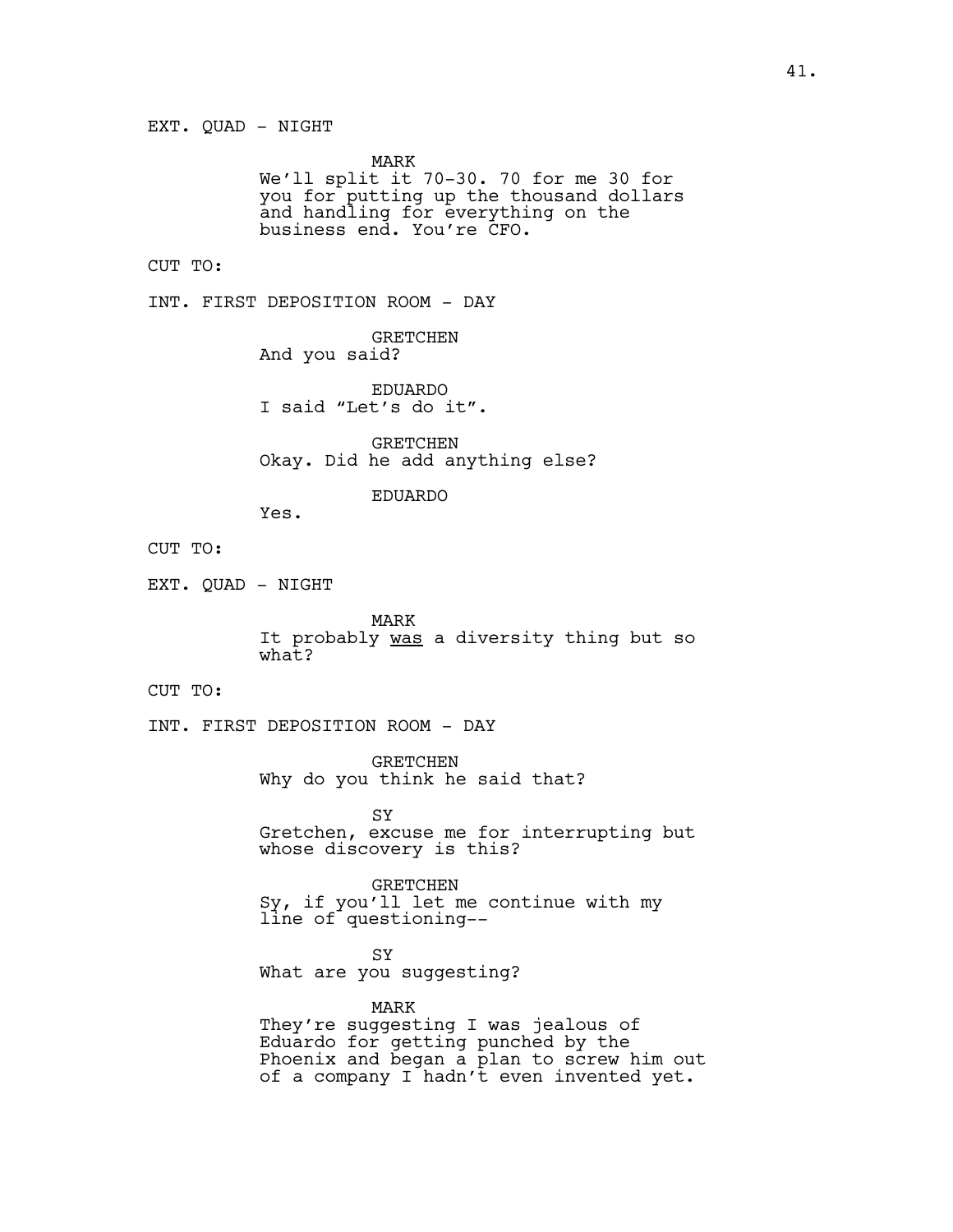MARK We'll split it 70-30. 70 for me 30 for you for putting up the thousand dollars and handling for everything on the business end. You're CFO.

## CUT TO:

INT. FIRST DEPOSITION ROOM - DAY

GRETCHEN And you said?

EDUARDO I said "Let's do it".

GRETCHEN Okay. Did he add anything else?

# EDUARDO

Yes.

# CUT TO:

EXT. QUAD - NIGHT

MARK It probably was a diversity thing but so  $what2$ 

## CUT TO:

INT. FIRST DEPOSITION ROOM - DAY

GRETCHEN Why do you think he said that?

SY Gretchen, excuse me for interrupting but whose discovery is this?

GRETCHEN Sy, if you'll let me continue with my line of questioning--

SY What are you suggesting?

# MARK

They're suggesting I was jealous of Eduardo for getting punched by the Phoenix and began a plan to screw him out of a company I hadn't even invented yet.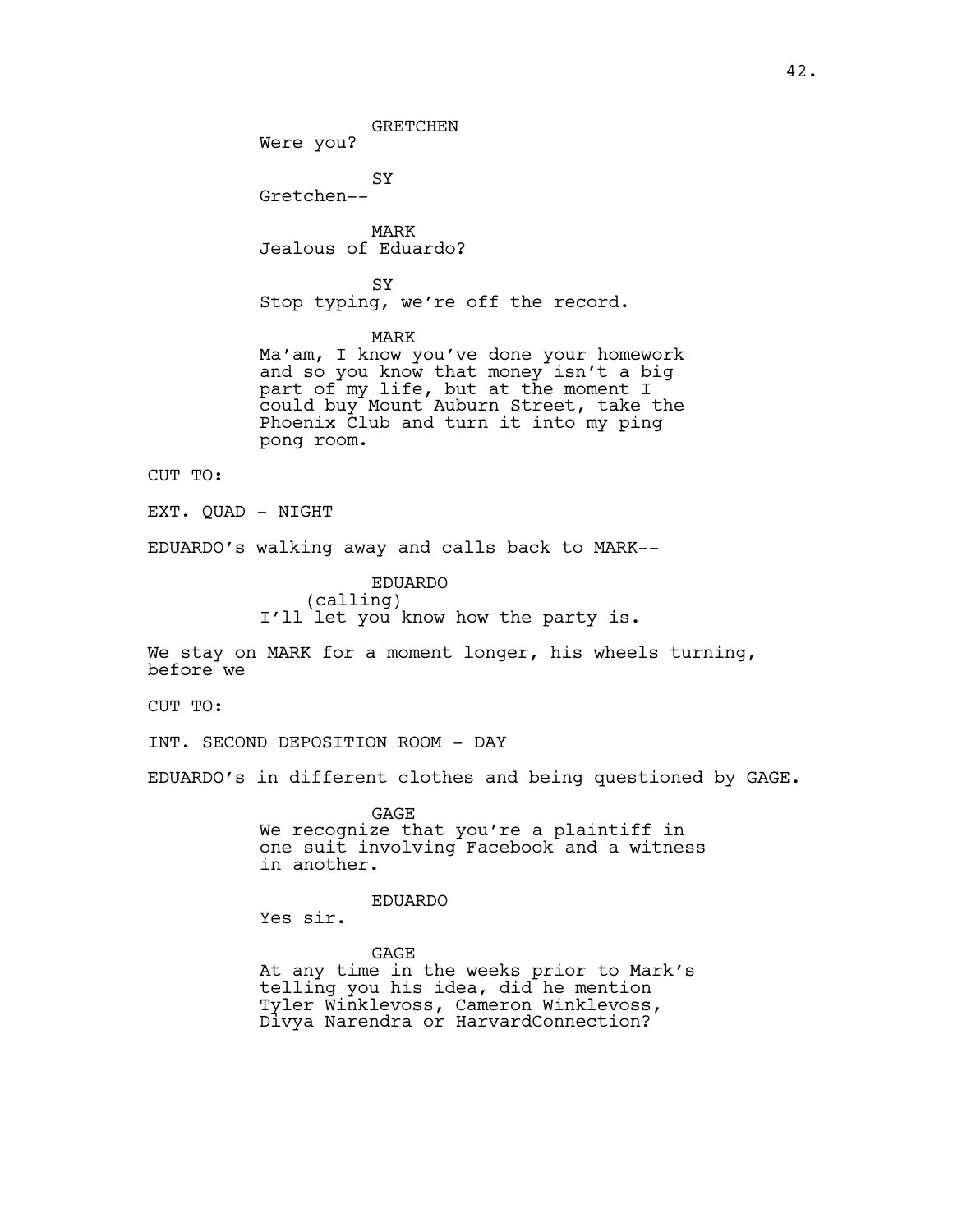GRETCHEN

Were you?

SY Gretchen--

MARK Jealous of Eduardo?

SY Stop typing, we're off the record.

MARK

Ma'am, I know you've done your homework and so you know that money isn't a big part of my life, but at the moment I could buy Mount Auburn Street, take the Phoenix Club and turn it into my ping pong room.

CUT TO:

EXT. QUAD - NIGHT

EDUARDO's walking away and calls back to MARK--

EDUARDO (calling) I'll let you know how the party is.

We stay on MARK for a moment longer, his wheels turning, before we

CUT TO:

INT. SECOND DEPOSITION ROOM - DAY

EDUARDO's in different clothes and being questioned by GAGE.

GAGE We recognize that you're a plaintiff in one suit involving Facebook and a witness in another.

EDUARDO

Yes sir.

GAGE At any time in the weeks prior to Mark's telling you his idea, did he mention Tyler Winklevoss, Cameron Winklevoss, Divya Narendra or HarvardConnection?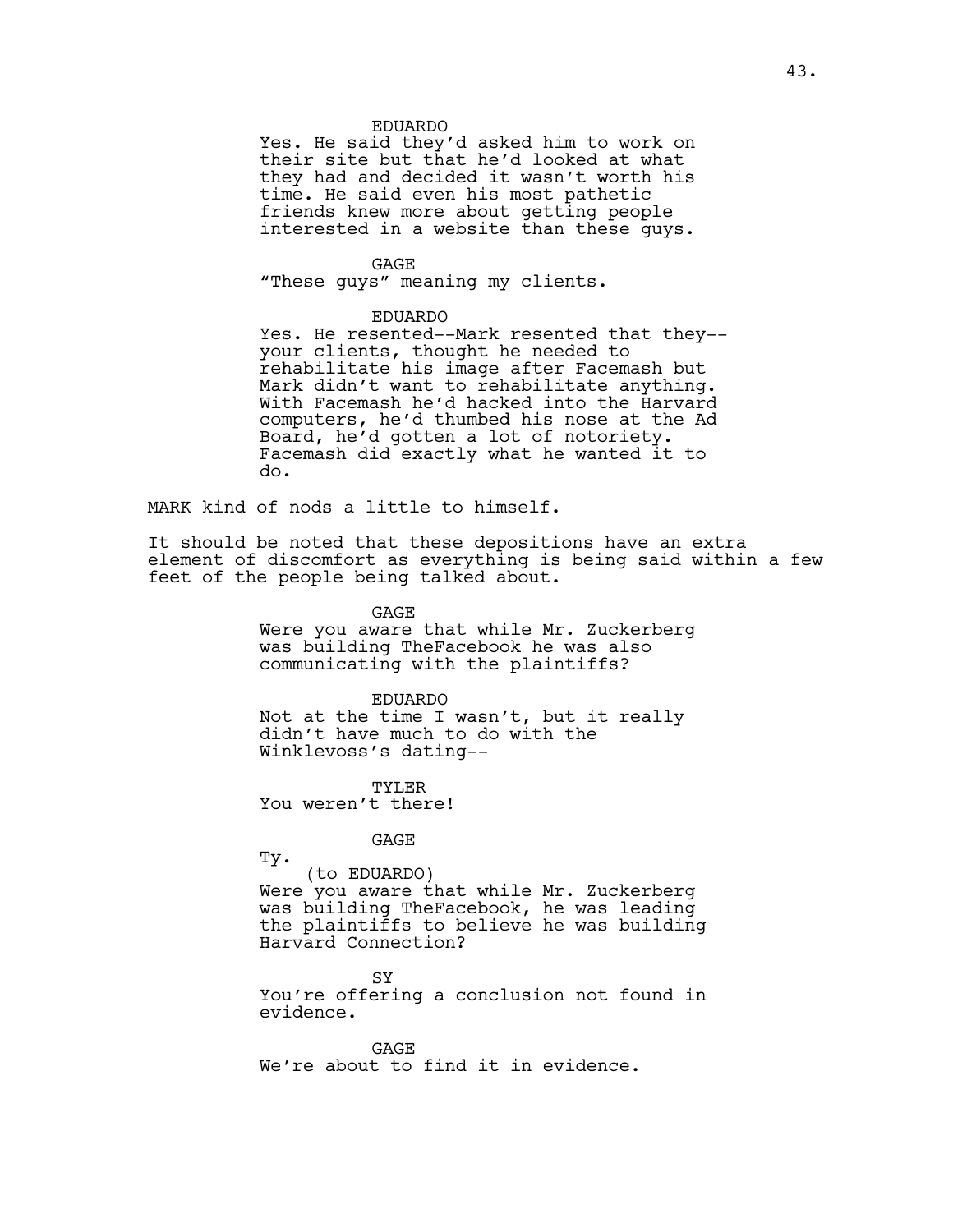#### EDUARDO

Yes. He said they'd asked him to work on their site but that he'd looked at what they had and decided it wasn't worth his time. He said even his most pathetic friends knew more about getting people interested in a website than these guys.

GAGE

"These guys" meaning my clients.

#### EDUARDO

Yes. He resented--Mark resented that they- your clients, thought he needed to rehabilitate his image after Facemash but Mark didn't want to rehabilitate anything. With Facemash he'd hacked into the Harvard computers, he'd thumbed his nose at the Ad Board, he'd gotten a lot of notoriety. Facemash did exactly what he wanted it to do.

MARK kind of nods a little to himself.

It should be noted that these depositions have an extra element of discomfort as everything is being said within a few feet of the people being talked about.

GAGE

Were you aware that while Mr. Zuckerberg was building TheFacebook he was also communicating with the plaintiffs?

EDUARDO Not at the time I wasn't, but it really didn't have much to do with the Winklevoss's dating--

TYLER You weren't there!

GAGE

Ty.

(to EDUARDO) Were you aware that while Mr. Zuckerberg was building TheFacebook, he was leading the plaintiffs to believe he was building Harvard Connection?

SY

You're offering a conclusion not found in evidence.

GAGE We're about to find it in evidence.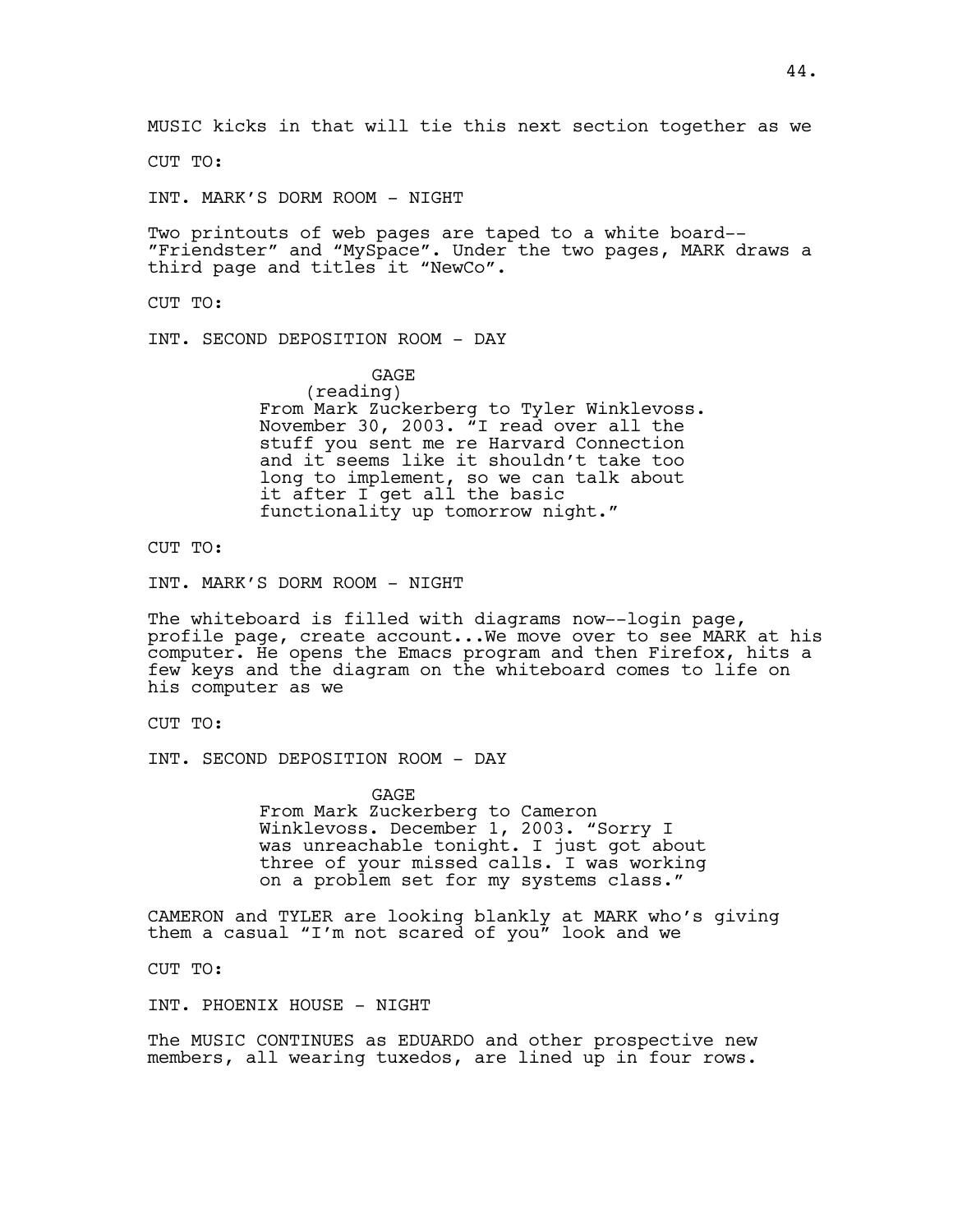MUSIC kicks in that will tie this next section together as we

CUT TO:

INT. MARK'S DORM ROOM - NIGHT

Two printouts of web pages are taped to a white board-- "Friendster" and "MySpace". Under the two pages, MARK draws a third page and titles it "NewCo".

CUT TO:

INT. SECOND DEPOSITION ROOM - DAY

**GAGE** (reading) From Mark Zuckerberg to Tyler Winklevoss. November 30, 2003. "I read over all the stuff you sent me re Harvard Connection and it seems like it shouldn't take too long to implement, so we can talk about it after I get all the basic functionality up tomorrow night."

CUT TO:

INT. MARK'S DORM ROOM - NIGHT

The whiteboard is filled with diagrams now--login page, profile page, create account...We move over to see MARK at his computer. He opens the Emacs program and then Firefox, hits a few keys and the diagram on the whiteboard comes to life on his computer as we

CUT TO:

INT. SECOND DEPOSITION ROOM - DAY

GAGE From Mark Zuckerberg to Cameron Winklevoss. December 1, 2003. "Sorry I was unreachable tonight. I just got about three of your missed calls. I was working on a problem set for my systems class."

CAMERON and TYLER are looking blankly at MARK who's giving them a casual "I'm not scared of you" look and we

CUT TO:

INT. PHOENIX HOUSE - NIGHT

The MUSIC CONTINUES as EDUARDO and other prospective new members, all wearing tuxedos, are lined up in four rows.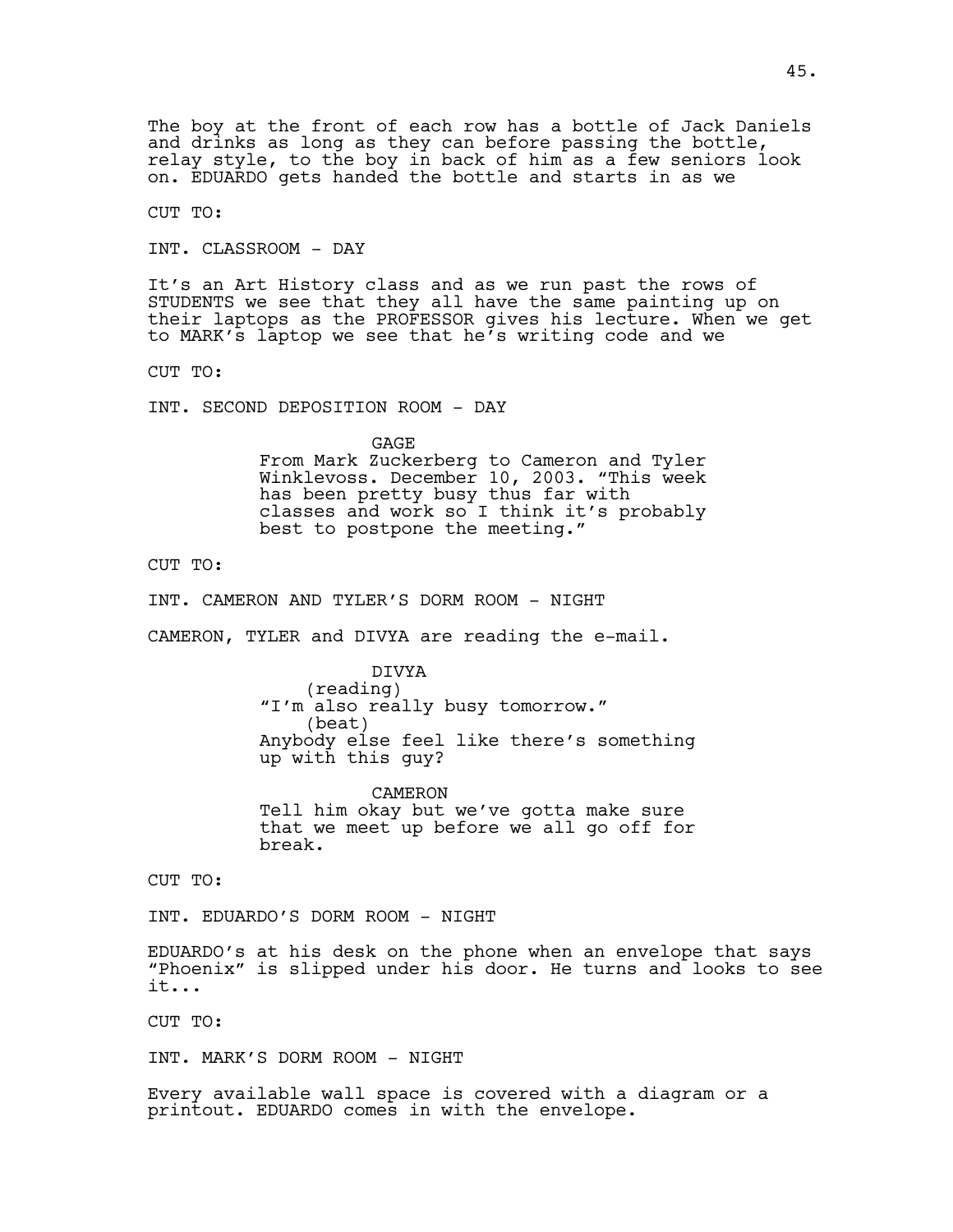CUT TO:

INT. CLASSROOM - DAY

It's an Art History class and as we run past the rows of STUDENTS we see that they all have the same painting up on their laptops as the PROFESSOR gives his lecture. When we get to MARK's laptop we see that he's writing code and we

CUT TO:

INT. SECOND DEPOSITION ROOM - DAY

GAGE From Mark Zuckerberg to Cameron and Tyler Winklevoss. December 10, 2003. "This week has been pretty busy thus far with classes and work so I think it's probably best to postpone the meeting."

CUT TO:

INT. CAMERON AND TYLER'S DORM ROOM - NIGHT

CAMERON, TYLER and DIVYA are reading the e-mail.

DIVYA (reading) "I'm also really busy tomorrow." (beat) Anybody else feel like there's something up with this guy?

CAMERON Tell him okay but we've gotta make sure that we meet up before we all go off for break.

CUT TO:

INT. EDUARDO'S DORM ROOM - NIGHT

EDUARDO's at his desk on the phone when an envelope that says "Phoenix" is slipped under his door. He turns and looks to see it...

CUT TO:

INT. MARK'S DORM ROOM - NIGHT

Every available wall space is covered with a diagram or a printout. EDUARDO comes in with the envelope.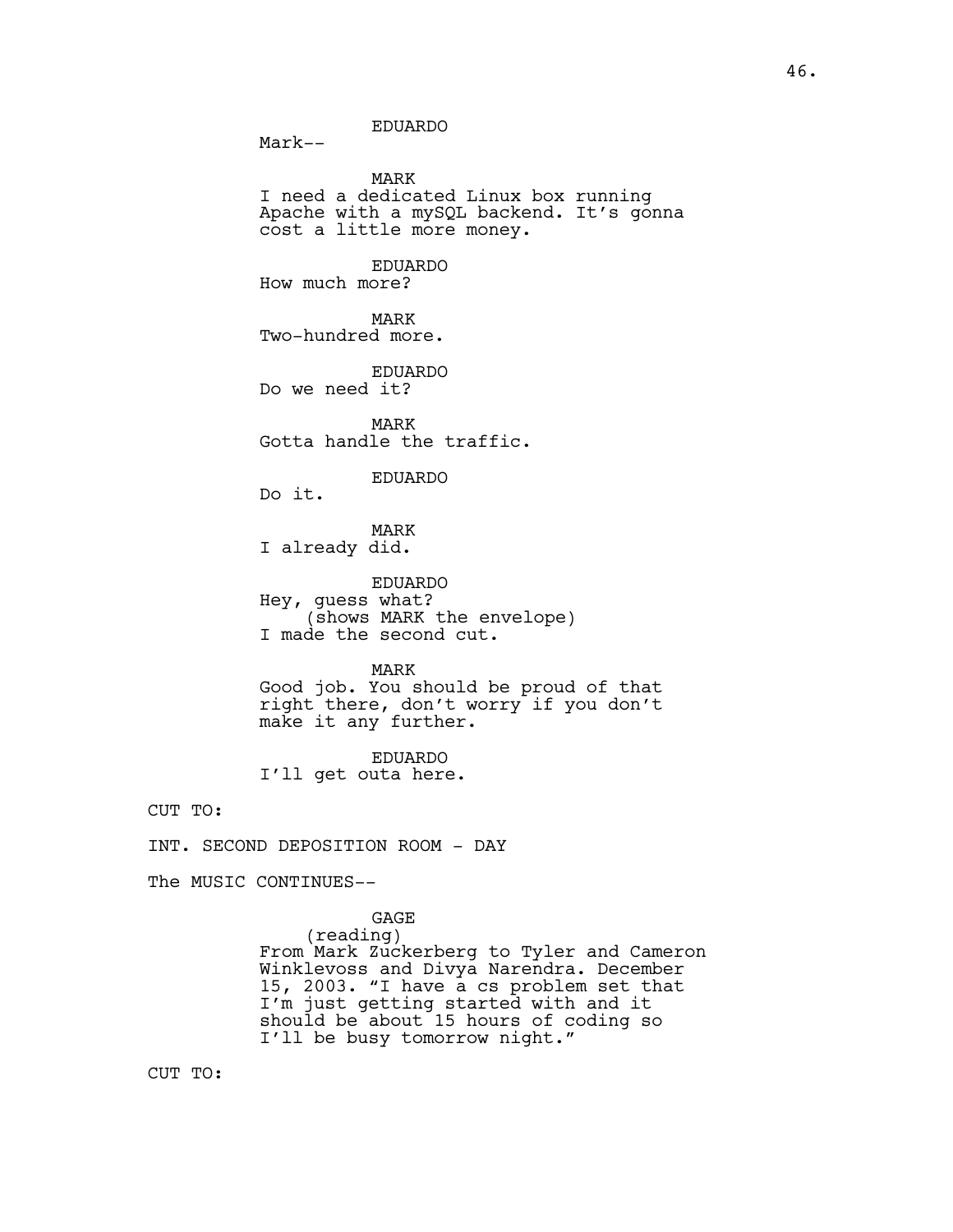EDUARDO

MARK I need a dedicated Linux box running Apache with a mySQL backend. It's gonna

cost a little more money.

EDUARDO How much more?

MARK Two-hundred more.

EDUARDO Do we need it?

MARK Gotta handle the traffic.

EDUARDO

Do it.

Mark--

MARK

I already did.

EDUARDO Hey, guess what? (shows MARK the envelope) I made the second cut.

MARK

Good job. You should be proud of that right there, don't worry if you don't make it any further.

EDUARDO I'll get outa here.

CUT TO:

INT. SECOND DEPOSITION ROOM - DAY

The MUSIC CONTINUES--

GAGE (reading) From Mark Zuckerberg to Tyler and Cameron Winklevoss and Divya Narendra. December 15, 2003. "I have a cs problem set that I'm just getting started with and it should be about 15 hours of coding so I'll be busy tomorrow night."

CUT TO: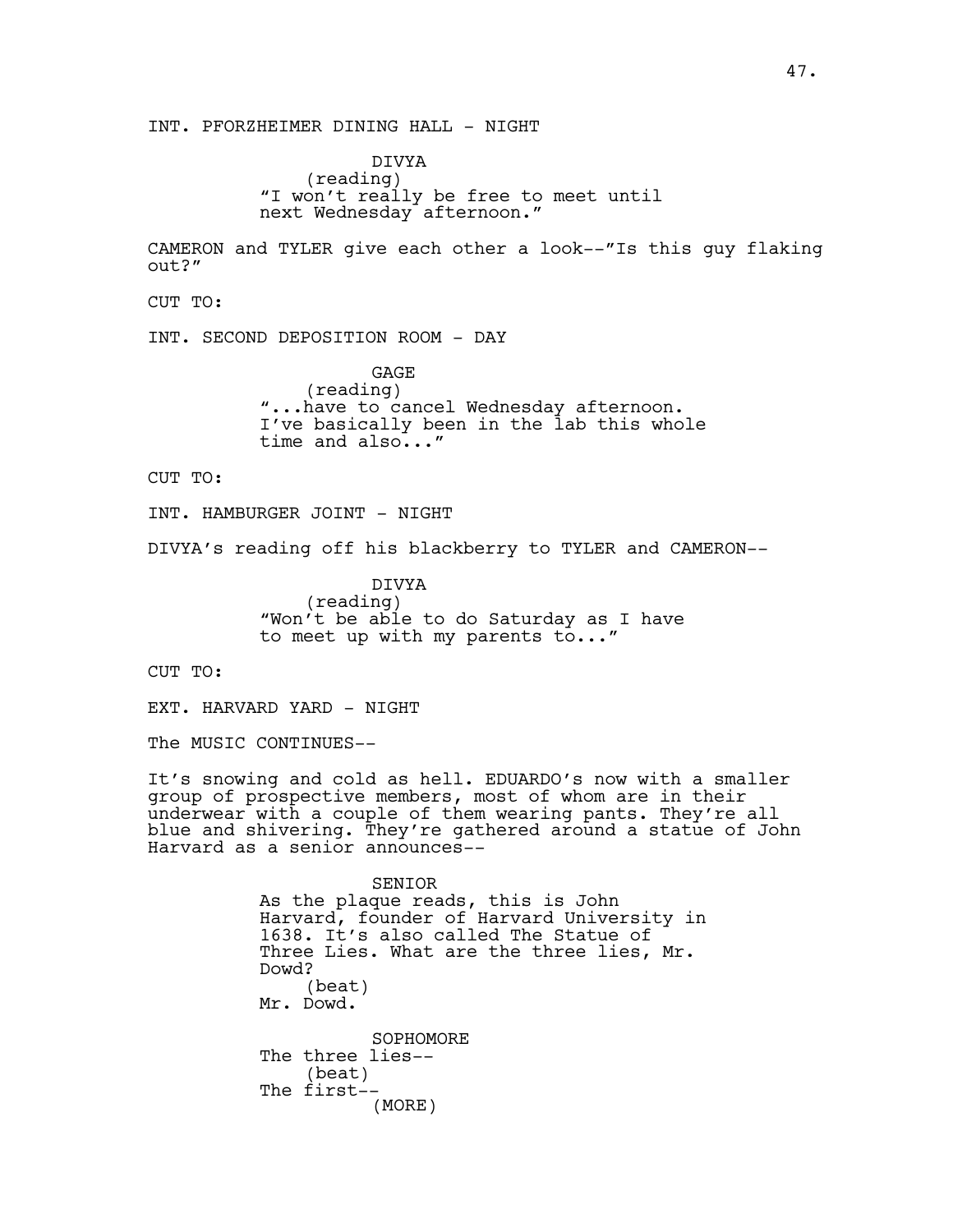INT. PFORZHEIMER DINING HALL - NIGHT

DIVYA (reading) "I won't really be free to meet until next Wednesday afternoon."

CAMERON and TYLER give each other a look--"Is this guy flaking out?"

CUT TO:

INT. SECOND DEPOSITION ROOM - DAY

GAGE (reading) "...have to cancel Wednesday afternoon. I've basically been in the lab this whole time and also..."

CUT TO:

INT. HAMBURGER JOINT - NIGHT

DIVYA's reading off his blackberry to TYLER and CAMERON--

DIVYA (reading) "Won't be able to do Saturday as I have to meet up with my parents to..."

CUT TO:

EXT. HARVARD YARD - NIGHT

The MUSIC CONTINUES--

It's snowing and cold as hell. EDUARDO's now with a smaller group of prospective members, most of whom are in their underwear with a couple of them wearing pants. They're all blue and shivering. They're gathered around a statue of John Harvard as a senior announces--

> SENIOR As the plaque reads, this is John Harvard, founder of Harvard University in 1638. It's also called The Statue of Three Lies. What are the three lies, Mr. Dowd? (beat) Mr. Dowd. SOPHOMORE The three lies-- (beat) The first-- (MORE)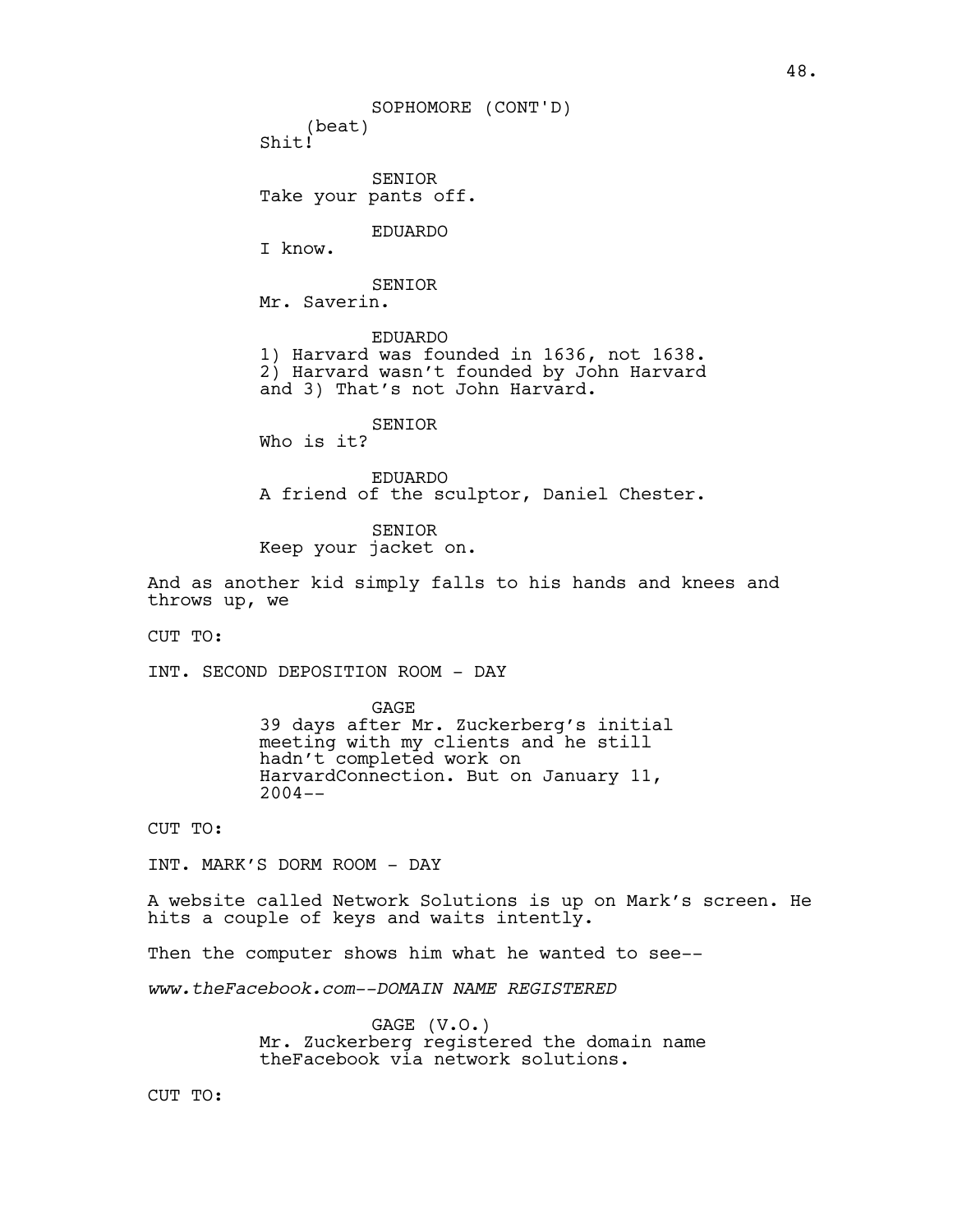(beat) Shit! SENIOR Take your pants off. EDUARDO I know. SENIOR Mr. Saverin. EDUARDO 1) Harvard was founded in 1636, not 1638. 2) Harvard wasn't founded by John Harvard and 3) That's not John Harvard. SENIOR Who is it? EDUARDO A friend of the sculptor, Daniel Chester. SENIOR SOPHOMORE (CONT'D)

Keep your jacket on.

And as another kid simply falls to his hands and knees and throws up, we

CUT TO:

INT. SECOND DEPOSITION ROOM - DAY

GAGE 39 days after Mr. Zuckerberg's initial meeting with my clients and he still hadn't completed work on HarvardConnection. But on January 11,  $2004--$ 

CUT TO:

INT. MARK'S DORM ROOM - DAY

A website called Network Solutions is up on Mark's screen. He hits a couple of keys and waits intently.

Then the computer shows him what he wanted to see--

*www.theFacebook.com--DOMAIN NAME REGISTERED*

GAGE (V.O.) Mr. Zuckerberg registered the domain name theFacebook via network solutions.

CUT TO: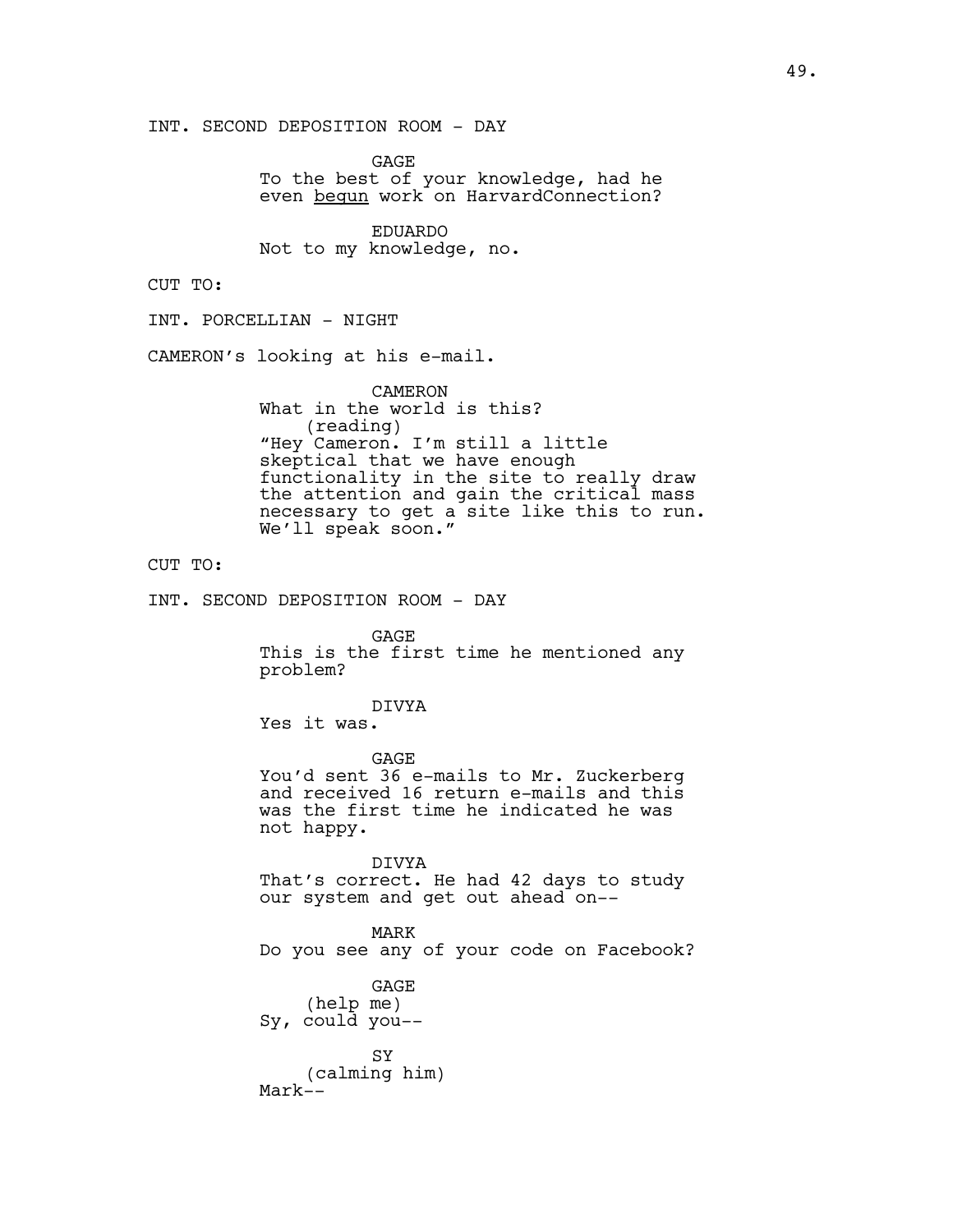INT. SECOND DEPOSITION ROOM - DAY

GAGE To the best of your knowledge, had he even begun work on HarvardConnection?

EDUARDO Not to my knowledge, no.

CUT TO:

INT. PORCELLIAN - NIGHT

CAMERON's looking at his e-mail.

CAMERON What in the world is this? (reading) "Hey Cameron. I'm still a little skeptical that we have enough functionality in the site to really draw the attention and gain the critical mass necessary to get a site like this to run. We'll speak soon."

## CUT TO:

INT. SECOND DEPOSITION ROOM - DAY

GAGE This is the first time he mentioned any problem?

#### DIVYA

Yes it was.

GAGE You'd sent 36 e-mails to Mr. Zuckerberg and received 16 return e-mails and this was the first time he indicated he was not happy.

DIVYA That's correct. He had 42 days to study our system and get out ahead on--

MARK Do you see any of your code on Facebook?

GAGE (help me) Sy, could you--

SY (calming him) Mark--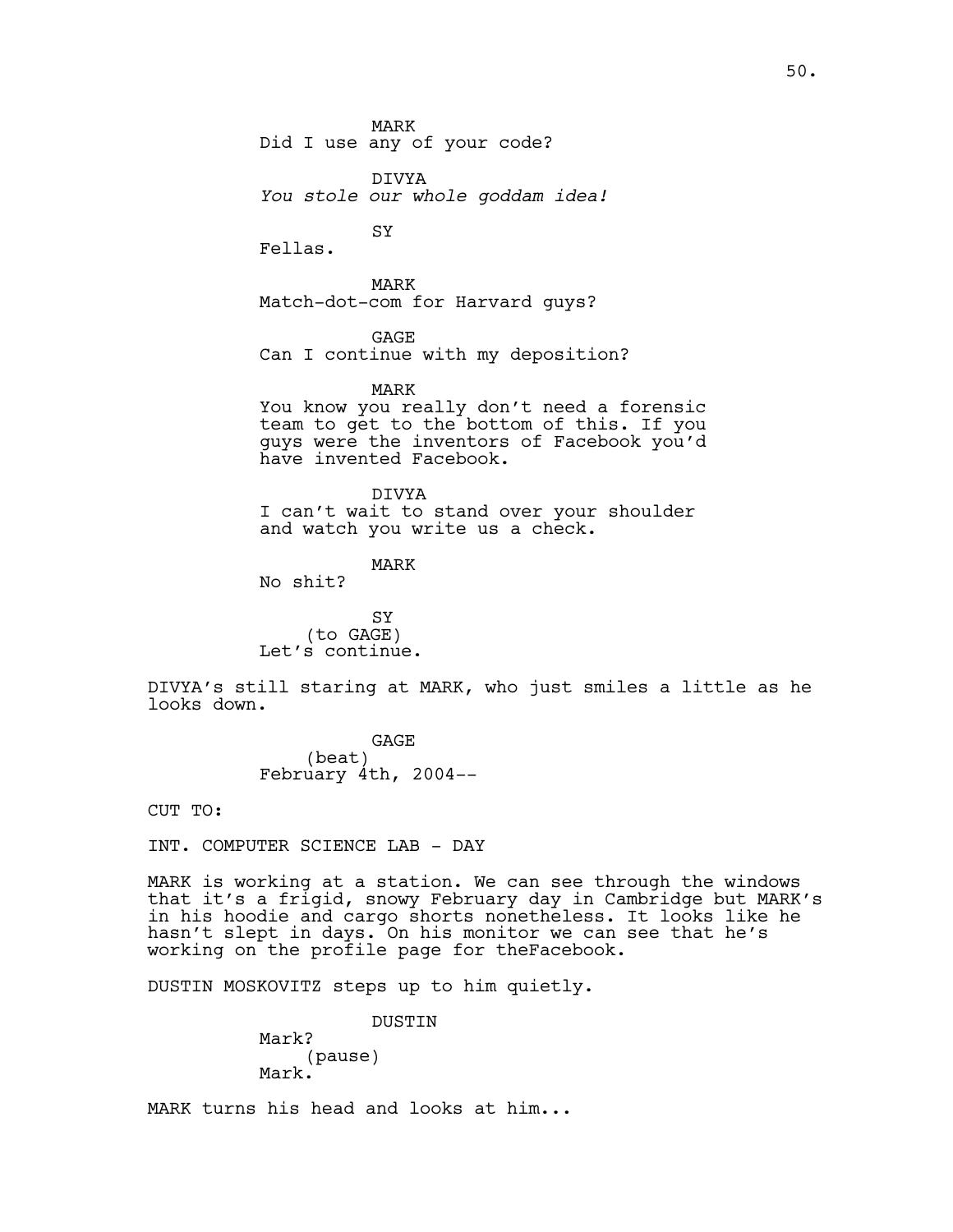MARK Did I use any of your code?

**SY** 

DIVYA *You stole our whole goddam idea!*

Fellas.

MARK Match-dot-com for Harvard guys?

**GAGE** Can I continue with my deposition?

MARK

You know you really don't need a forensic team to get to the bottom of this. If you guys were the inventors of Facebook you'd have invented Facebook.

DIVYA I can't wait to stand over your shoulder and watch you write us a check.

MARK

No shit?

SY (to GAGE) Let's continue.

DIVYA's still staring at MARK, who just smiles a little as he looks down.

> **GAGE** (beat) February 4th, 2004--

CUT TO:

INT. COMPUTER SCIENCE LAB - DAY

MARK is working at a station. We can see through the windows that it's a frigid, snowy February day in Cambridge but MARK's in his hoodie and cargo shorts nonetheless. It looks like he hasn't slept in days. On his monitor we can see that he's working on the profile page for theFacebook.

DUSTIN MOSKOVITZ steps up to him quietly.

DUSTIN Mark? (pause) Mark.

MARK turns his head and looks at him...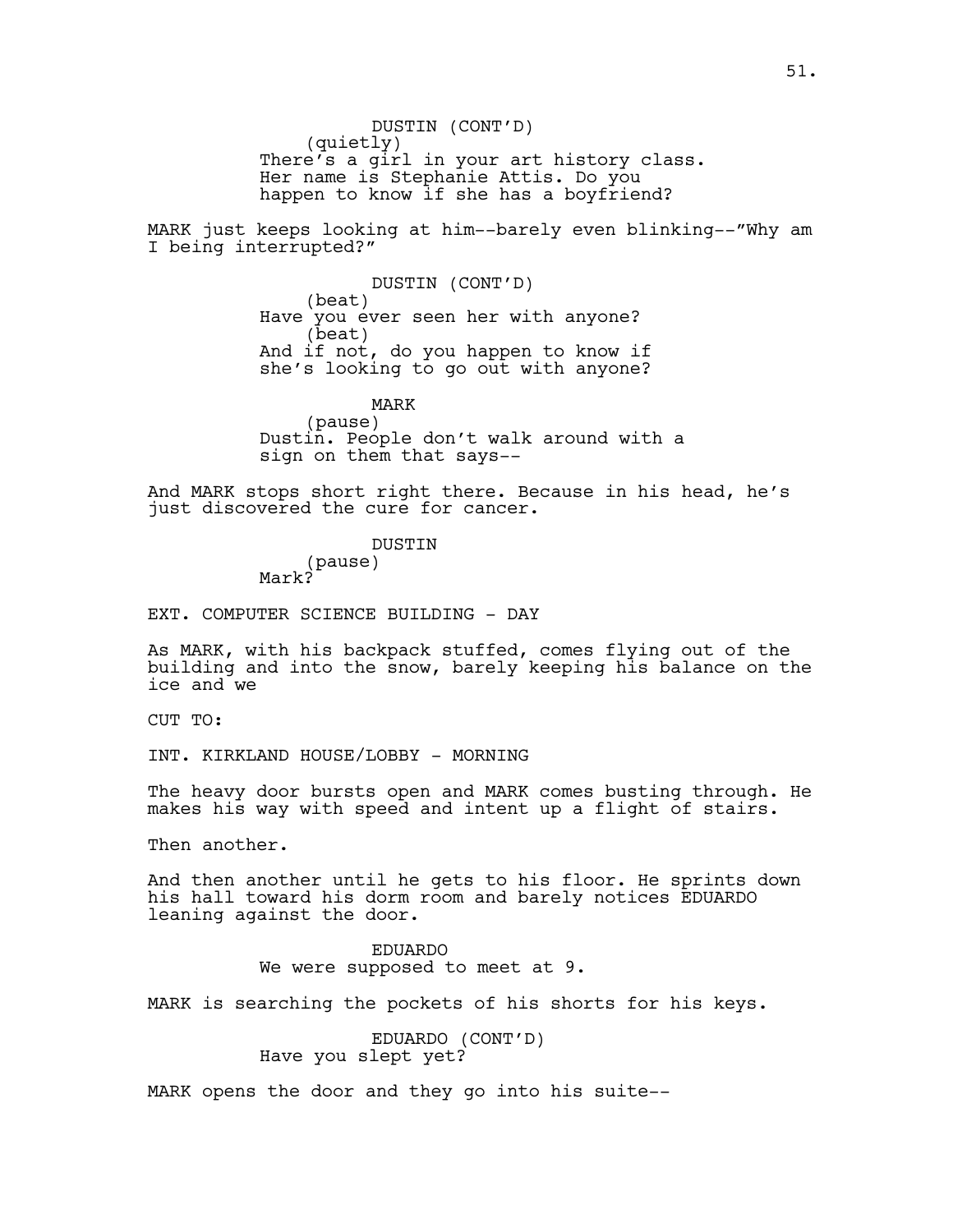DUSTIN (CONT'D) (quietly) There's a girl in your art history class. Her name is Stephanie Attis. Do you happen to know if she has a boyfriend?

MARK just keeps looking at him--barely even blinking--"Why am I being interrupted?"

> DUSTIN (CONT'D) (beat) Have you ever seen her with anyone? (beat) And if not, do you happen to know if she's looking to go out with anyone?

MARK (pause) Dustin. People don't walk around with a sign on them that says--

And MARK stops short right there. Because in his head, he's just discovered the cure for cancer.

> DUSTIN (pause) Mark?

EXT. COMPUTER SCIENCE BUILDING - DAY

As MARK, with his backpack stuffed, comes flying out of the building and into the snow, barely keeping his balance on the ice and we

CUT TO:

INT. KIRKLAND HOUSE/LOBBY - MORNING

The heavy door bursts open and MARK comes busting through. He makes his way with speed and intent up a flight of stairs.

Then another.

And then another until he gets to his floor. He sprints down his hall toward his dorm room and barely notices EDUARDO leaning against the door.

> EDUARDO We were supposed to meet at 9.

MARK is searching the pockets of his shorts for his keys.

EDUARDO (CONT'D) Have you slept yet?

MARK opens the door and they go into his suite--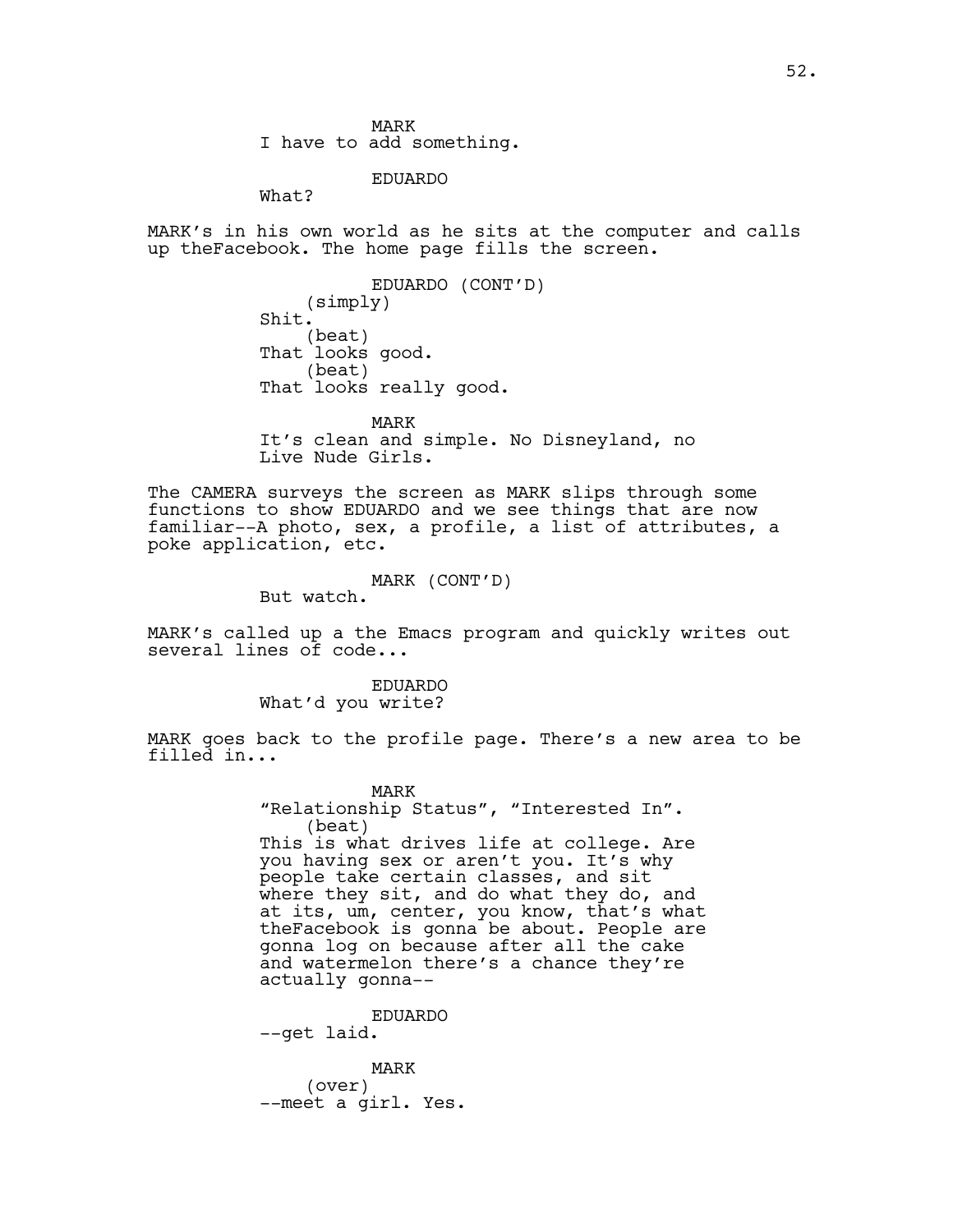MARK I have to add something.

EDUARDO What?

MARK's in his own world as he sits at the computer and calls up theFacebook. The home page fills the screen.

> EDUARDO (CONT'D) (simply) Shit. (beat) That looks good. (beat) That looks really good.

MARK It's clean and simple. No Disneyland, no Live Nude Girls.

The CAMERA surveys the screen as MARK slips through some functions to show EDUARDO and we see things that are now familiar--A photo, sex, a profile, a list of attributes, a poke application, etc.

MARK (CONT'D)

But watch.

MARK's called up a the Emacs program and quickly writes out several lines of code...

> EDUARDO What'd you write?

MARK goes back to the profile page. There's a new area to be filled in...

> MARK "Relationship Status", "Interested In". (beat) This is what drives life at college. Are you having sex or aren't you. It's why people take certain classes, and sit where they sit, and do what they do, and at its, um, center, you know, that's what theFacebook is gonna be about. People are gonna log on because after all the cake and watermelon there's a chance they're actually gonna--

EDUARDO --get laid.

MARK (over) --meet a girl. Yes.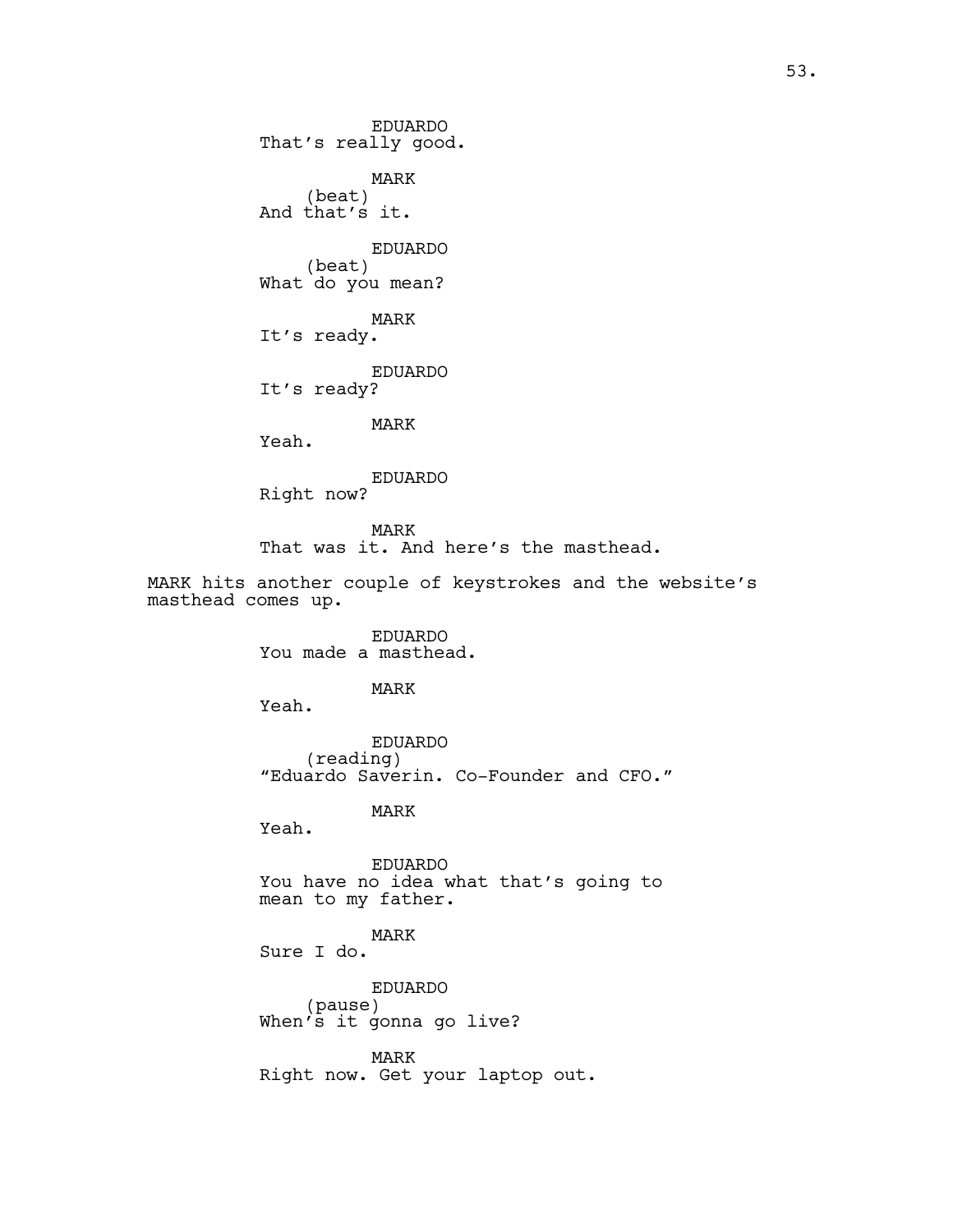EDUARDO That's really good. MARK (beat) And that's it. EDUARDO (beat) What do you mean? MARK It's ready. EDUARDO It's ready? MARK

Yeah.

EDUARDO Right now?

MARK That was it. And here's the masthead.

MARK hits another couple of keystrokes and the website's masthead comes up.

> EDUARDO You made a masthead.

> > MARK

Yeah.

EDUARDO (reading) "Eduardo Saverin. Co-Founder and CFO."

MARK

Yeah.

EDUARDO You have no idea what that's going to mean to my father.

MARK Sure I do.

EDUARDO (pause) When's it gonna go live?

MARK Right now. Get your laptop out.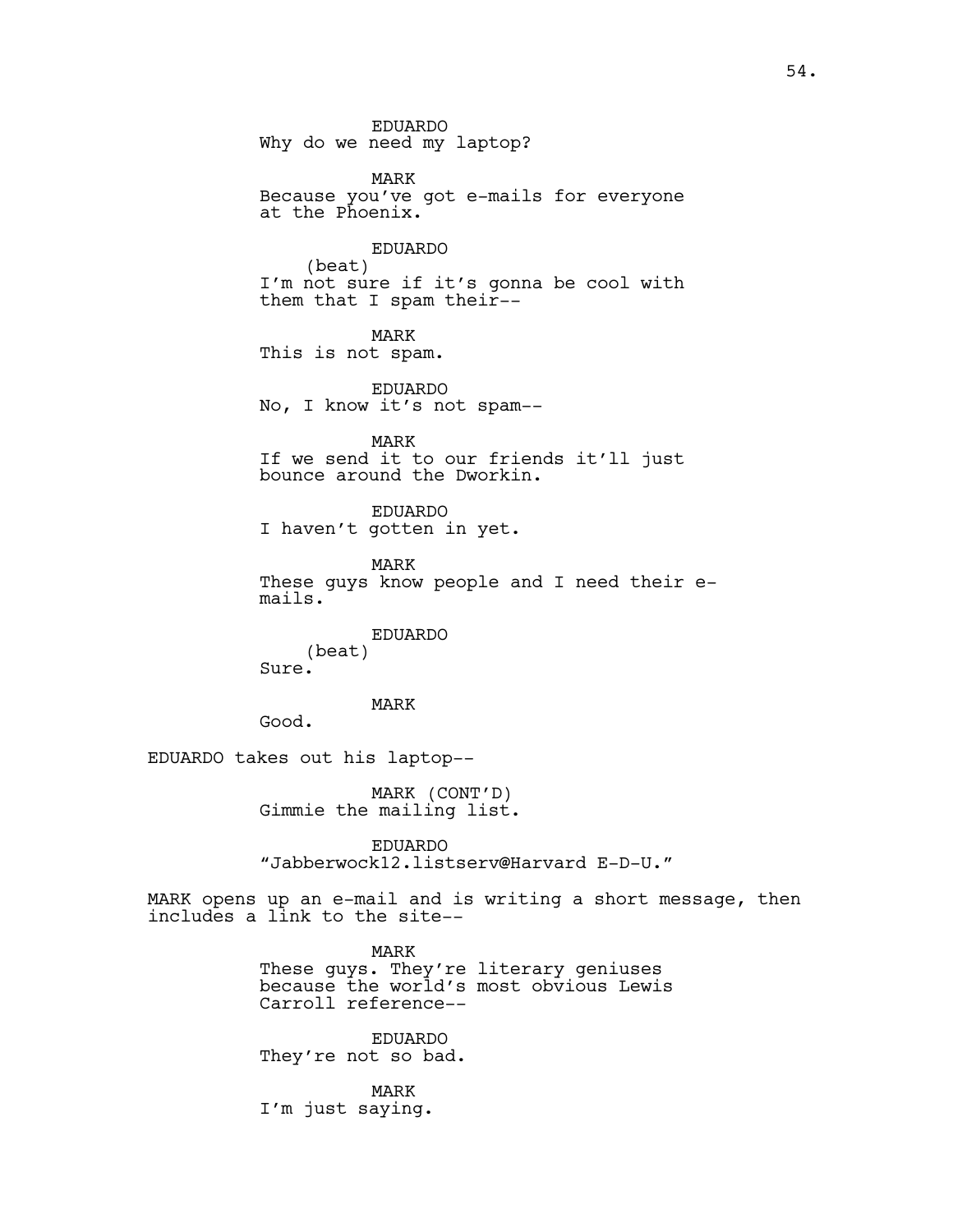EDUARDO Why do we need my laptop?

MARK Because you've got e-mails for everyone at the Phoenix.

EDUARDO (beat) I'm not sure if it's gonna be cool with them that I spam their--

MARK This is not spam.

EDUARDO No, I know it's not spam--

MARK If we send it to our friends it'll just bounce around the Dworkin.

EDUARDO I haven't gotten in yet.

MARK These guys know people and I need their emails.

EDUARDO (beat) Sure.

## MARK

Good.

EDUARDO takes out his laptop--

MARK (CONT'D) Gimmie the mailing list.

EDUARDO "Jabberwock12.listserv@Harvard E-D-U."

MARK opens up an e-mail and is writing a short message, then includes a link to the site--

> MARK These guys. They're literary geniuses because the world's most obvious Lewis Carroll reference--

EDUARDO They're not so bad.

MARK I'm just saying.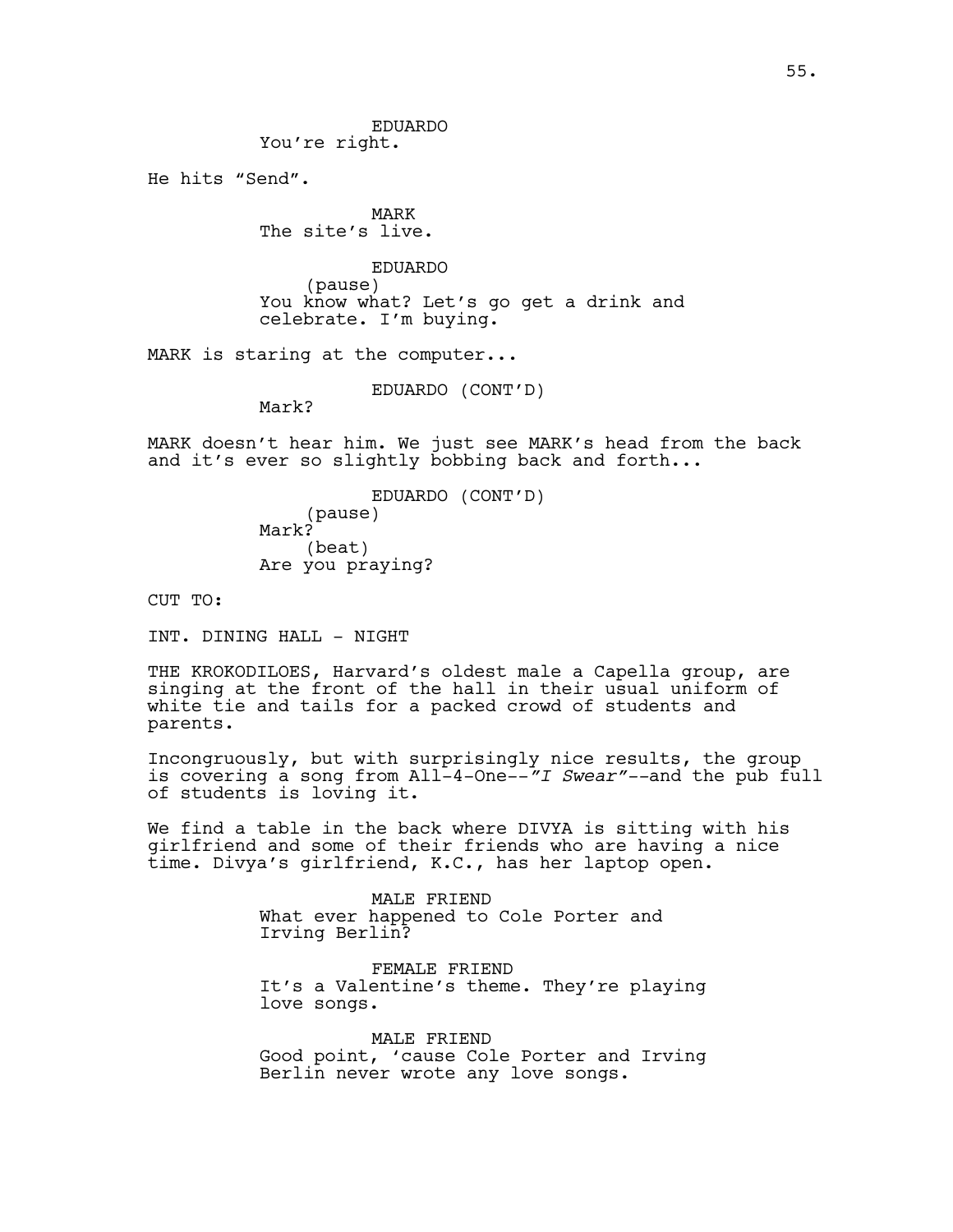EDUARDO You're right.

He hits "Send".

MARK The site's live.

EDUARDO (pause) You know what? Let's go get a drink and celebrate. I'm buying.

MARK is staring at the computer...

```
EDUARDO (CONT'D)
```
Mark?

MARK doesn't hear him. We just see MARK's head from the back and it's ever so slightly bobbing back and forth...

> EDUARDO (CONT'D) (pause) Mark? (beat) Are you praying?

CUT TO:

INT. DINING HALL - NIGHT

THE KROKODILOES, Harvard's oldest male a Capella group, are singing at the front of the hall in their usual uniform of white tie and tails for a packed crowd of students and parents.

Incongruously, but with surprisingly nice results, the group is covering a song from All-4-One--*"I Swear"--*and the pub full of students is loving it.

We find a table in the back where DIVYA is sitting with his girlfriend and some of their friends who are having a nice time. Divya's girlfriend, K.C., has her laptop open.

> MALE FRIEND What ever happened to Cole Porter and Irving Berlin?

FEMALE FRIEND It's a Valentine's theme. They're playing love songs.

MALE FRIEND Good point, 'cause Cole Porter and Irving Berlin never wrote any love songs.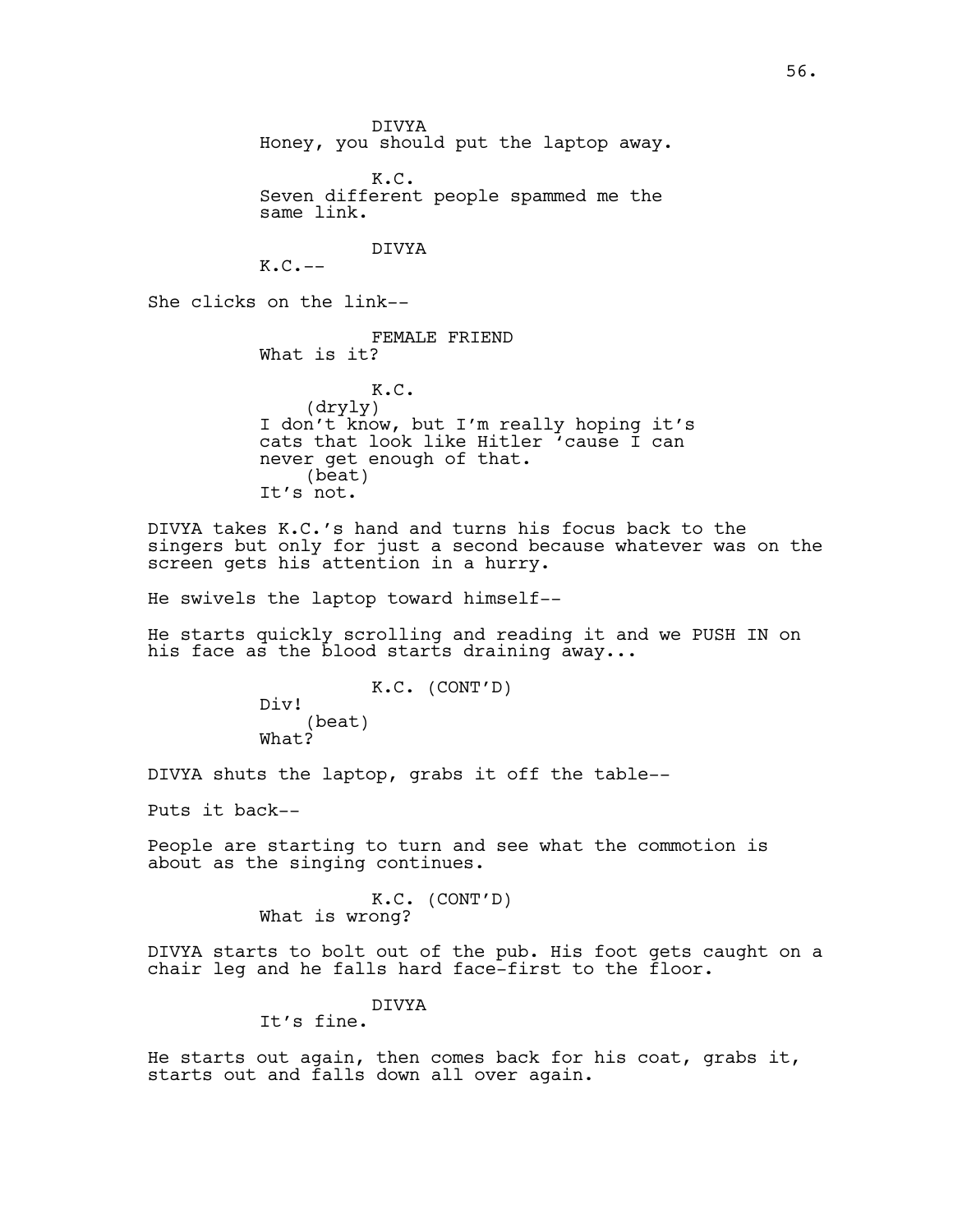DIVYA Honey, you should put the laptop away.

K.C. Seven different people spammed me the same link.

DIVYA

 $K.C. --$ 

She clicks on the link--

FEMALE FRIEND What is it?

K.C. (dryly) I don't know, but I'm really hoping it's cats that look like Hitler 'cause I can never get enough of that. (beat) It's not.

DIVYA takes K.C.'s hand and turns his focus back to the singers but only for just a second because whatever was on the screen gets his attention in a hurry.

He swivels the laptop toward himself--

He starts quickly scrolling and reading it and we PUSH IN on his face as the blood starts draining away...

> K.C. (CONT'D) Div! (beat) What?

DIVYA shuts the laptop, grabs it off the table--

Puts it back--

People are starting to turn and see what the commotion is about as the singing continues.

> K.C. (CONT'D) What is wrong?

DIVYA starts to bolt out of the pub. His foot gets caught on a chair leg and he falls hard face-first to the floor.

DIVYA

It's fine.

He starts out again, then comes back for his coat, grabs it, starts out and falls down all over again.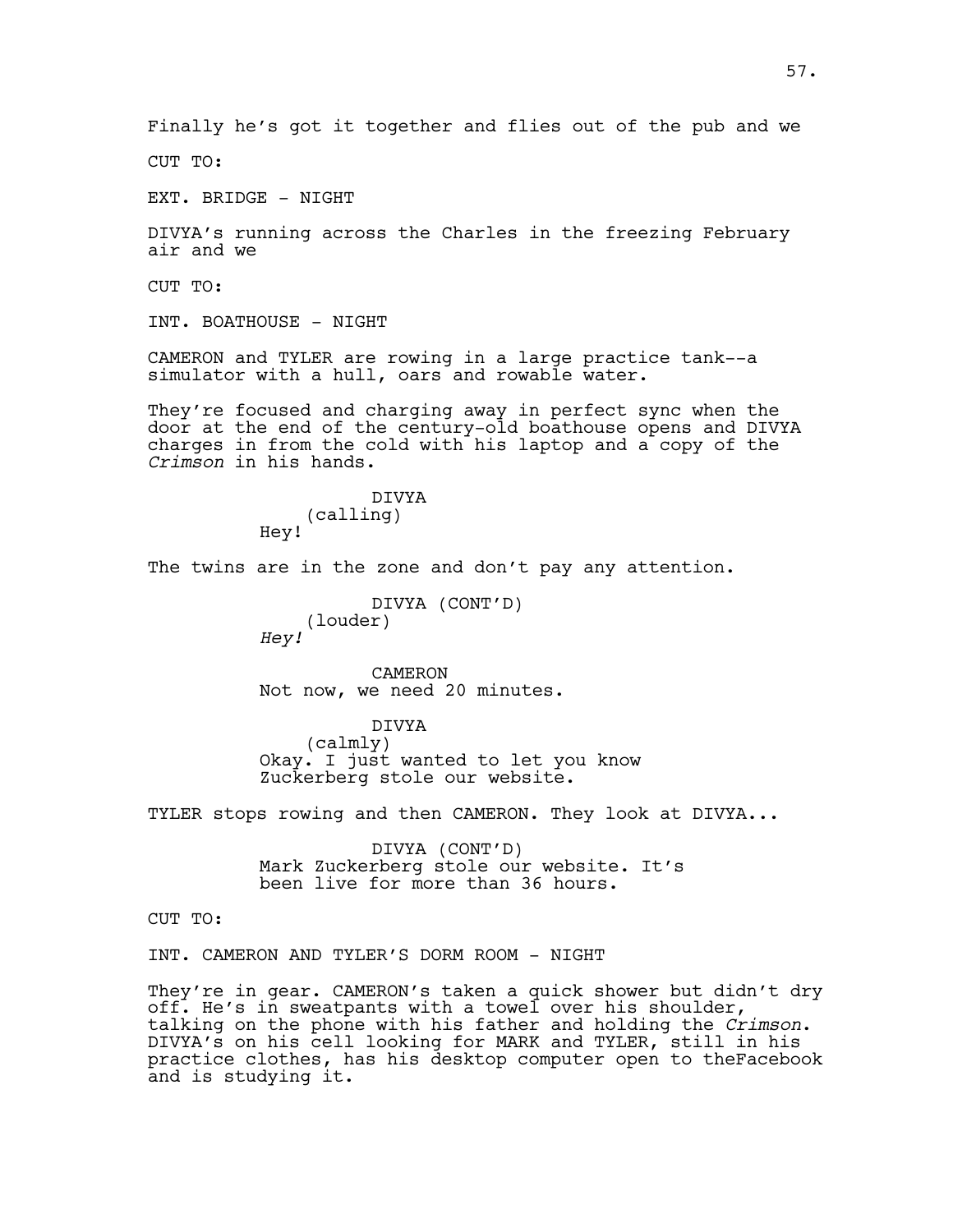Finally he's got it together and flies out of the pub and we

CUT TO:

EXT. BRIDGE - NIGHT

DIVYA's running across the Charles in the freezing February air and we

CUT TO:

INT. BOATHOUSE - NIGHT

CAMERON and TYLER are rowing in a large practice tank--a simulator with a hull, oars and rowable water.

They're focused and charging away in perfect sync when the door at the end of the century-old boathouse opens and DIVYA charges in from the cold with his laptop and a copy of the *Crimson* in his hands.

> DIVYA (calling) Hey!

The twins are in the zone and don't pay any attention.

DIVYA (CONT'D) (louder) *Hey!*

CAMERON Not now, we need 20 minutes.

DIVYA (calmly) Okay. I just wanted to let you know Zuckerberg stole our website.

TYLER stops rowing and then CAMERON. They look at DIVYA...

DIVYA (CONT'D) Mark Zuckerberg stole our website. It's been live for more than 36 hours.

CUT TO:

INT. CAMERON AND TYLER'S DORM ROOM - NIGHT

They're in gear. CAMERON's taken a quick shower but didn't dry off. He's in sweatpants with a towel over his shoulder, talking on the phone with his father and holding the *Crimson*. DIVYA's on his cell looking for MARK and TYLER, still in his practice clothes, has his desktop computer open to theFacebook and is studying it.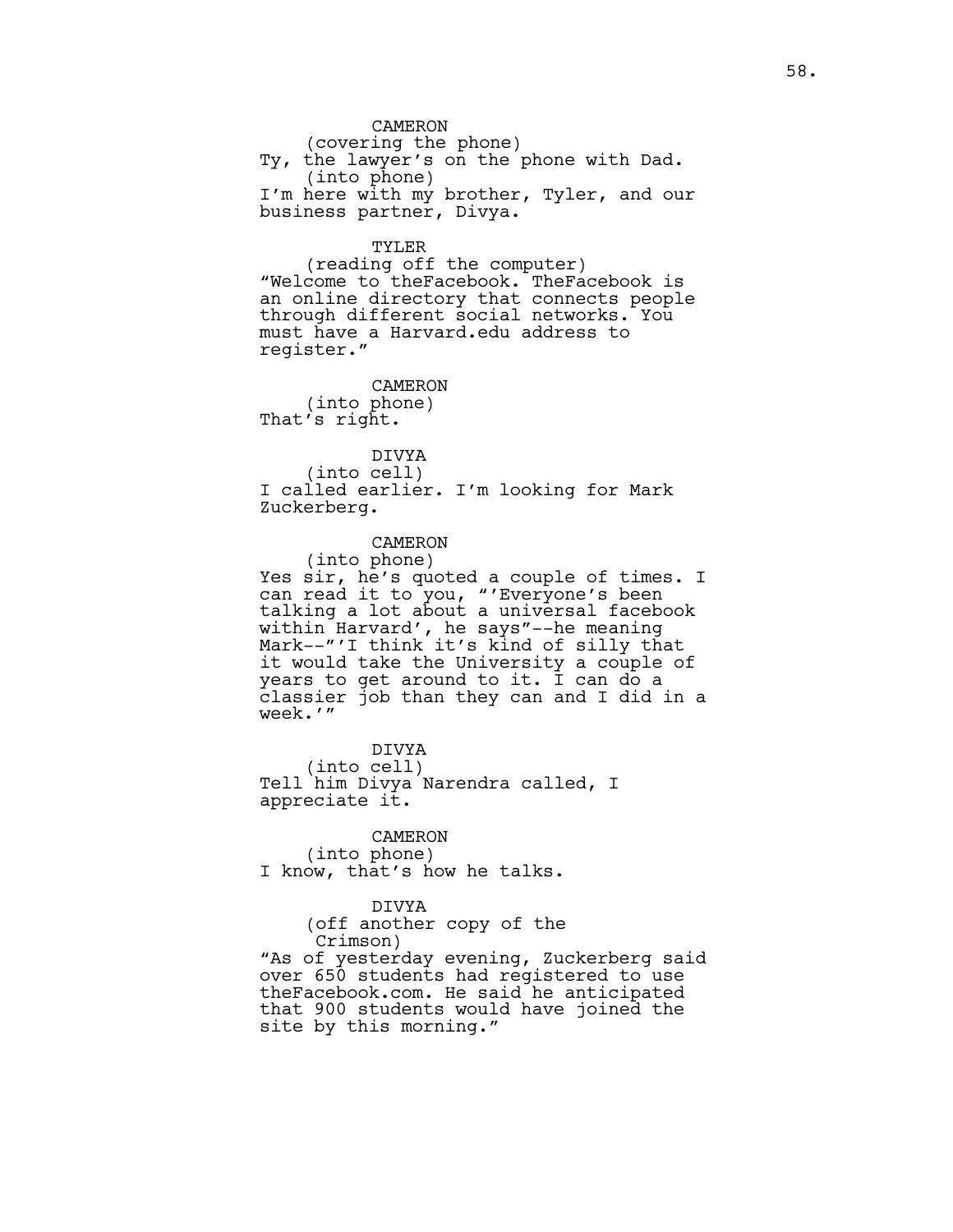CAMERON (covering the phone) Ty, the lawyer's on the phone with Dad. (into phone) I'm here with my brother, Tyler, and our business partner, Divya.

#### TYLER

(reading off the computer) "Welcome to theFacebook. TheFacebook is an online directory that connects people through different social networks. You must have a Harvard.edu address to register."

CAMERON (into phone) That's right.

DIVYA (into cell) I called earlier. I'm looking for Mark Zuckerberg.

## CAMERON

(into phone) Yes sir, he's quoted a couple of times. I can read it to you, "'Everyone's been talking a lot about a universal facebook within Harvard', he says"--he meaning Mark--"'I think it's kind of silly that it would take the University a couple of years to get around to it.  $\overline{1}$  can do a classier job than they can and I did in a week.'"

DIVYA (into cell) Tell him Divya Narendra called, I appreciate it.

CAMERON (into phone) I know, that's how he talks.

DIVYA (off another copy of the Crimson) "As of yesterday evening, Zuckerberg said over 650 students had registered to use theFacebook.com. He said he anticipated that 900 students would have joined the site by this morning."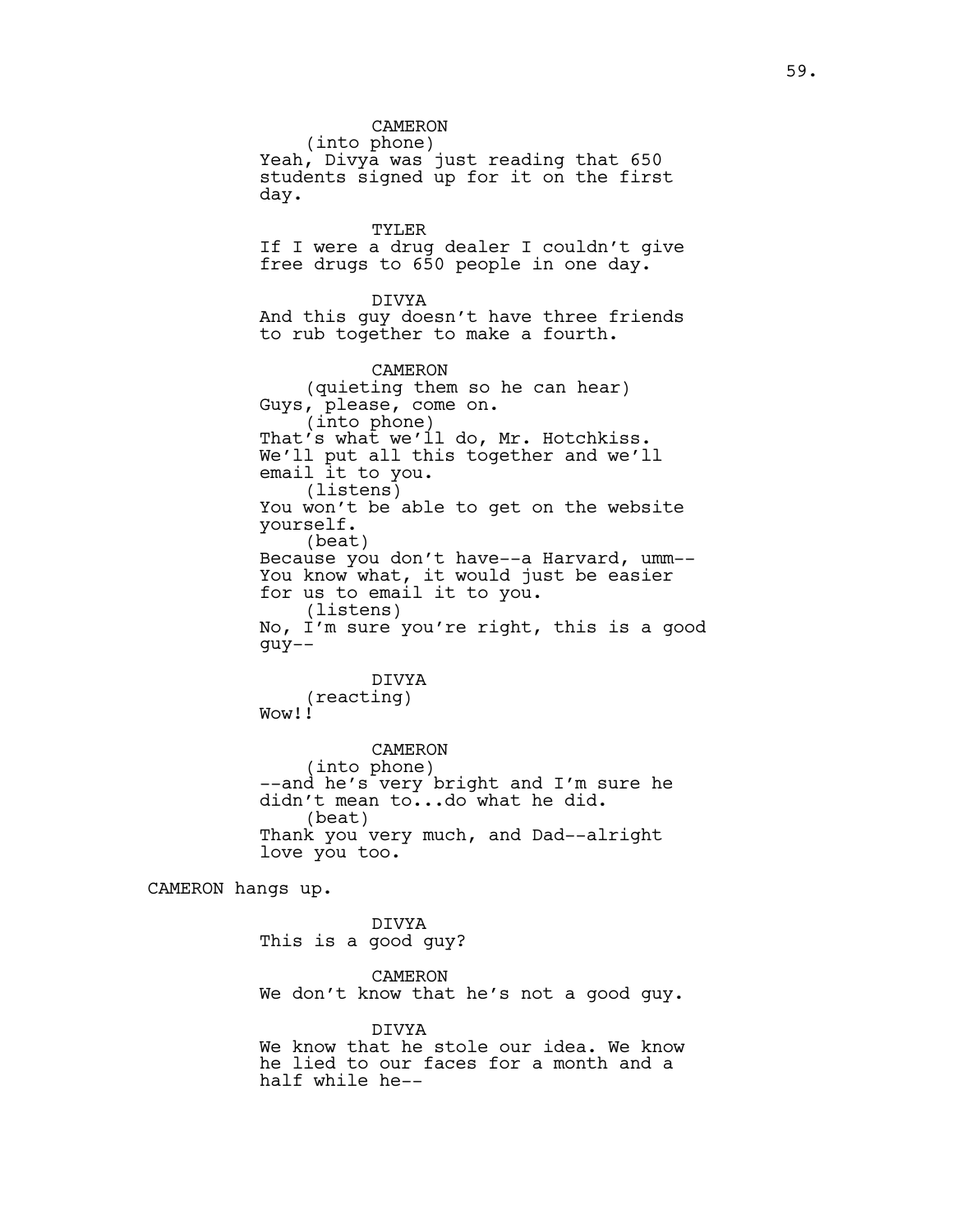CAMERON (into phone) Yeah, Divya was just reading that 650 students signed up for it on the first day. TYLER If I were a drug dealer I couldn't give free drugs to 650 people in one day. DIVYA And this guy doesn't have three friends to rub together to make a fourth. CAMERON (quieting them so he can hear) Guys, please, come on. (into phone) That's what we'll do, Mr. Hotchkiss. We'll put all this together and we'll email it to you. (listens) You won't be able to get on the website yourself. (beat) Because you don't have--a Harvard, umm-- You know what, it would just be easier for us to email it to you. (listens) No, I'm sure you're right, this is a good guy-- DIVYA (reacting) Wow!! CAMERON (into phone) --and he's very bright and I'm sure he didn't mean to...do what he did. (beat) Thank you very much, and Dad--alright love you too. CAMERON hangs up. DIVYA This is a good guy?

> CAMERON We don't know that he's not a good guy.

> DIVYA We know that he stole our idea. We know he lied to our faces for a month and a half while he--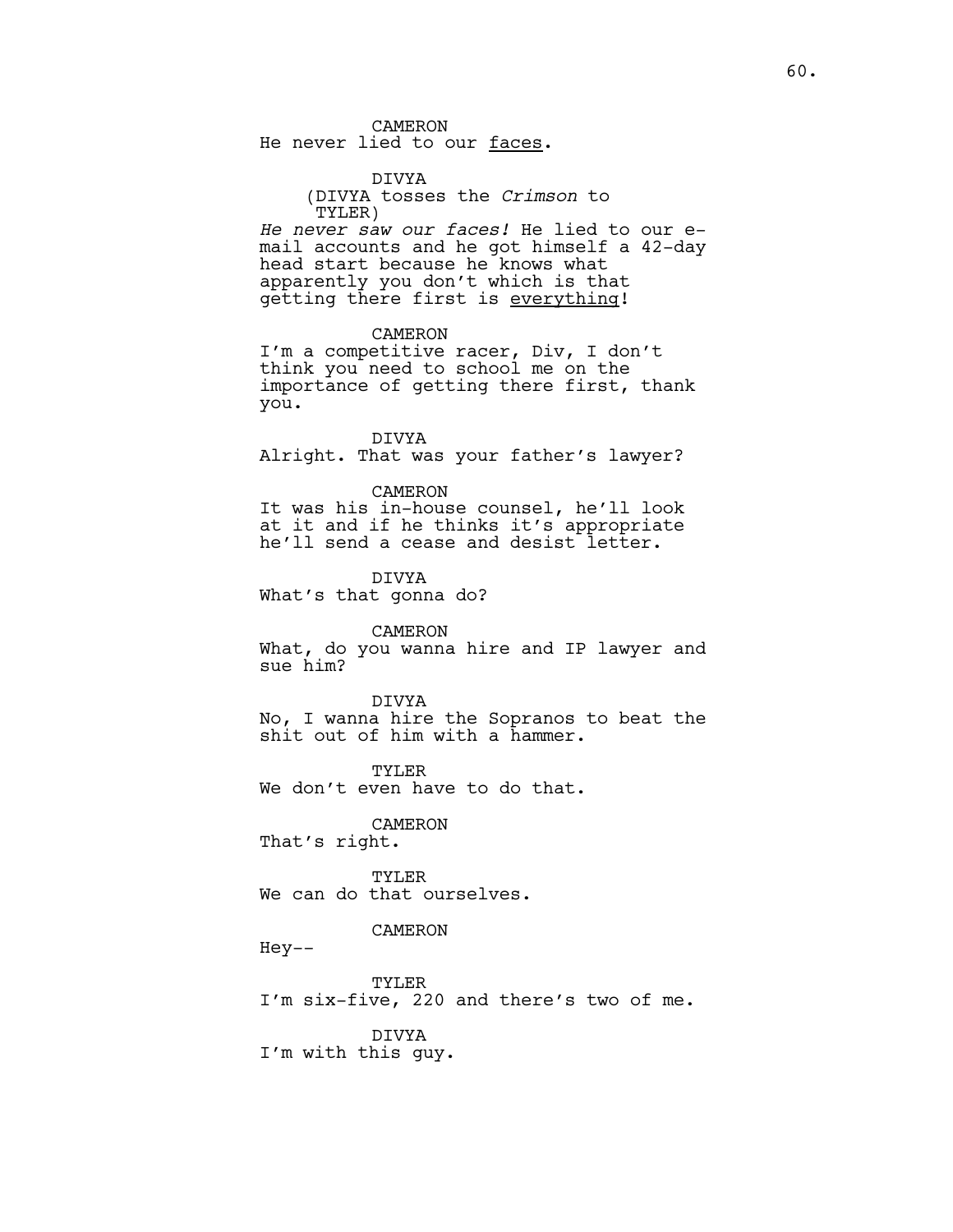CAMERON

He never lied to our faces.

DIVYA (DIVYA tosses the *Crimson* to TYLER)

*He never saw our faces!* He lied to our email accounts and he got himself a 42-day head start because he knows what apparently you don't which is that getting there first is everything!

CAMERON

I'm a competitive racer, Div, I don't think you need to school me on the importance of getting there first, thank you.

DIVYA Alright. That was your father's lawyer?

CAMERON

It was his in-house counsel, he'll look at it and if he thinks it's appropriate he'll send a cease and desist letter.

DIVYA What's that gonna do?

CAMERON

What, do you wanna hire and IP lawyer and sue him?

DIVYA No, I wanna hire the Sopranos to beat the shit out of him with a hammer.

TYLER We don't even have to do that.

CAMERON

That's right.

TYLER We can do that ourselves.

CAMERON

Hey--

TYLER I'm six-five, 220 and there's two of me.

DIVYA I'm with this guy.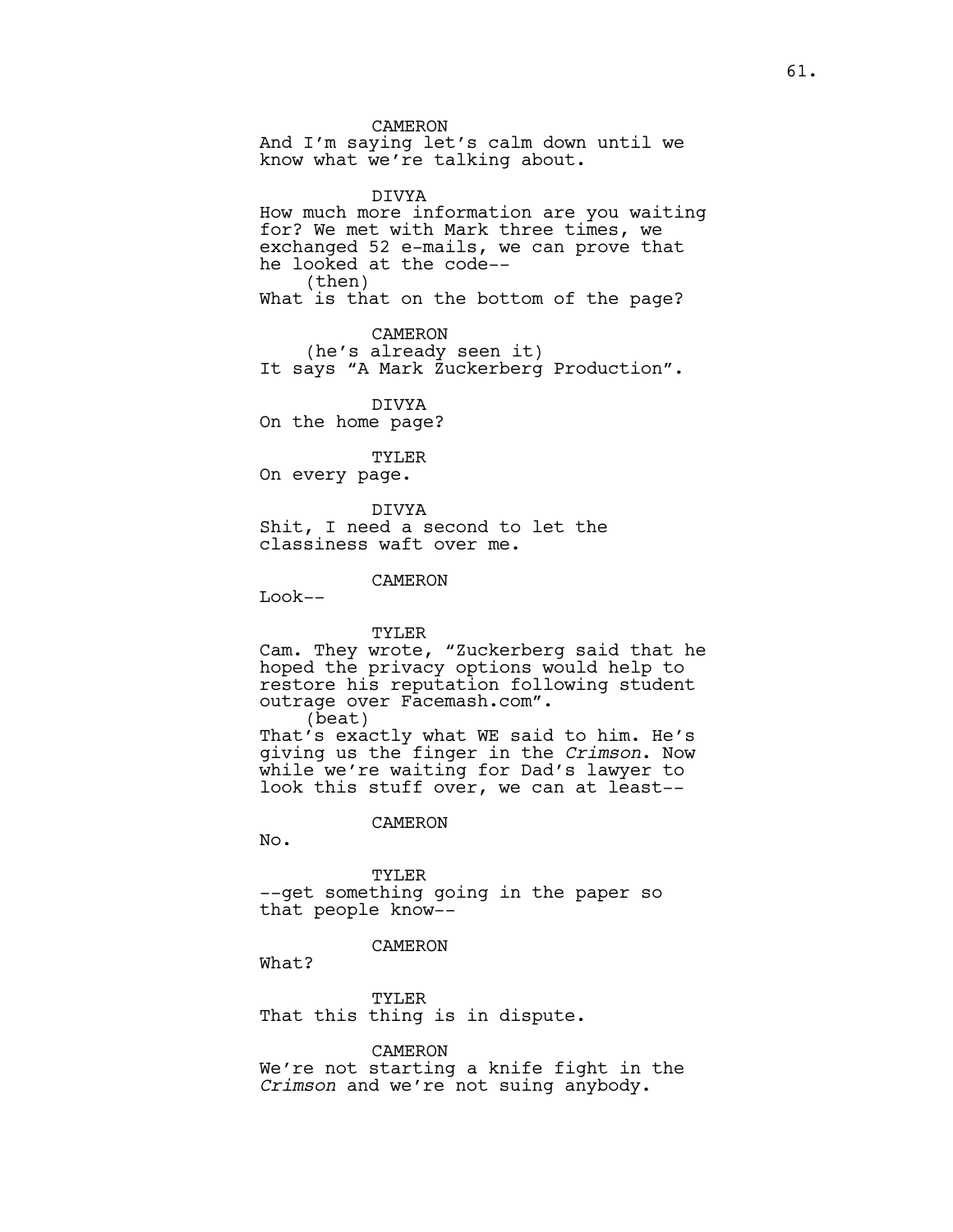CAMERON

And I'm saying let's calm down until we know what we're talking about.

DIVYA How much more information are you waiting for? We met with Mark three times, we exchanged 52 e-mails, we can prove that he looked at the code-- (then) What is that on the bottom of the page?

#### CAMERON

(he's already seen it) It says "A Mark Zuckerberg Production".

DIVYA

On the home page?

TYLER

On every page.

DIVYA Shit, I need a second to let the classiness waft over me.

CAMERON

Look--

#### TYLER

Cam. They wrote, "Zuckerberg said that he hoped the privacy options would help to restore his reputation following student outrage over Facemash.com". (beat)

That's exactly what WE said to him. He's giving us the finger in the *Crimson*. Now while we're waiting for Dad's lawyer to look this stuff over, we can at least--

CAMERON

No.

TYLER --get something going in the paper so that people know--

#### CAMERON

What?

TYLER That this thing is in dispute.

CAMERON

We're not starting a knife fight in the *Crimson* and we're not suing anybody.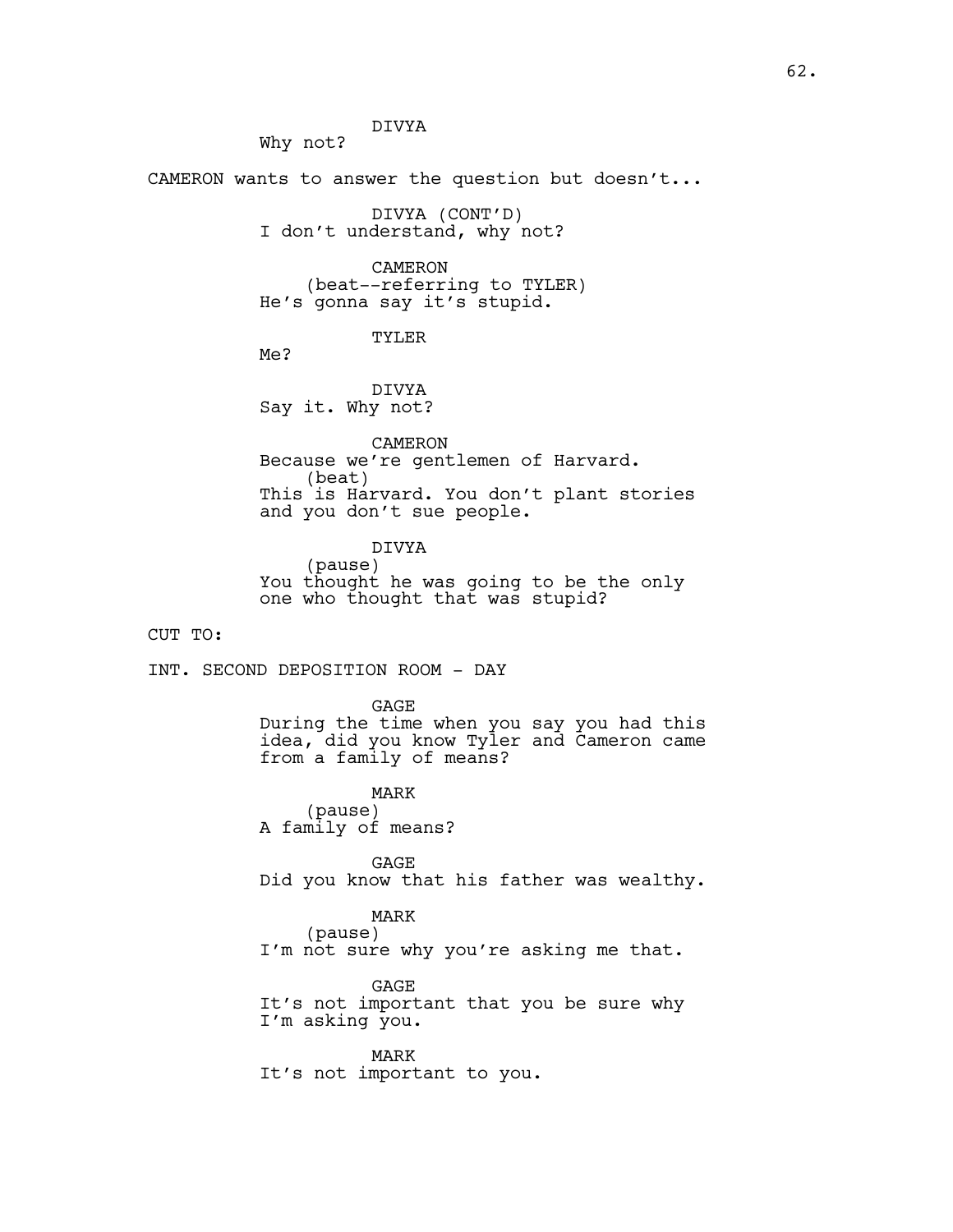Why not?

CAMERON wants to answer the question but doesn't...

DIVYA (CONT'D) I don't understand, why not?

CAMERON (beat--referring to TYLER) He's gonna say it's stupid.

# TYLER

Me?

DIVYA Say it. Why not?

CAMERON Because we're gentlemen of Harvard. (beat) This is Harvard. You don't plant stories and you don't sue people.

DIVYA (pause) You thought he was going to be the only one who thought that was stupid?

CUT TO:

INT. SECOND DEPOSITION ROOM - DAY

GAGE During the time when you say you had this idea, did you know Tyler and Cameron came from a family of means?

MARK (pause) A family of means?

GAGE Did you know that his father was wealthy.

MARK (pause) I'm not sure why you're asking me that.

GAGE It's not important that you be sure why I'm asking you.

MARK It's not important to you.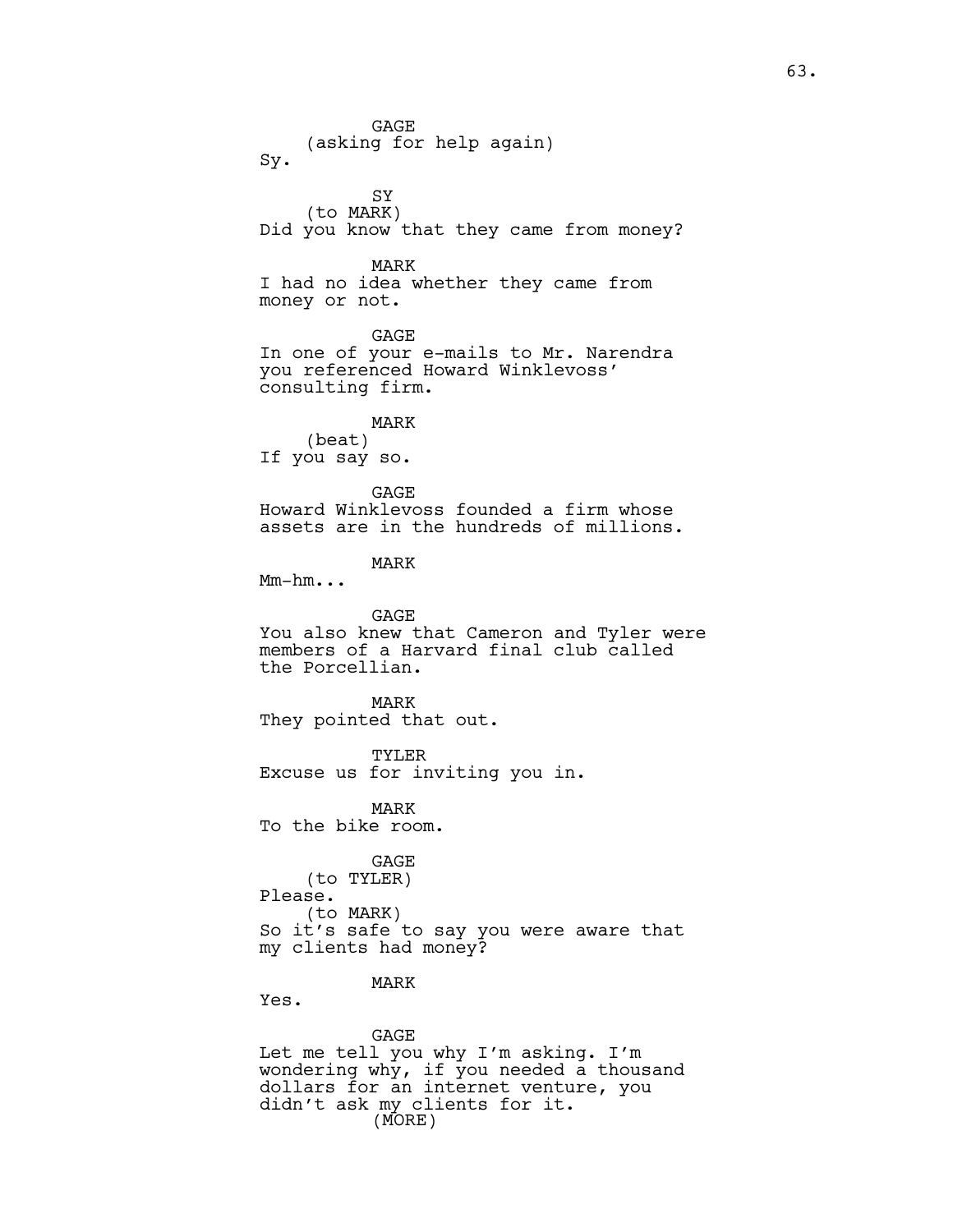GAGE (asking for help again) Sy. SY (to MARK) Did you know that they came from money? MARK I had no idea whether they came from money or not. GAGE In one of your e-mails to Mr. Narendra you referenced Howard Winklevoss' consulting firm. MARK (beat) If you say so. GAGE Howard Winklevoss founded a firm whose assets are in the hundreds of millions. MARK Mm-hm... GAGE You also knew that Cameron and Tyler were members of a Harvard final club called the Porcellian. MARK They pointed that out. TYLER Excuse us for inviting you in. MARK To the bike room. GAGE (to TYLER) Please. (to MARK) So it's safe to say you were aware that my clients had money? MARK Yes. GAGE

Let me tell you why I'm asking. I'm wondering why, if you needed a thousand dollars for an internet venture, you didn't ask my clients for it. (MORE)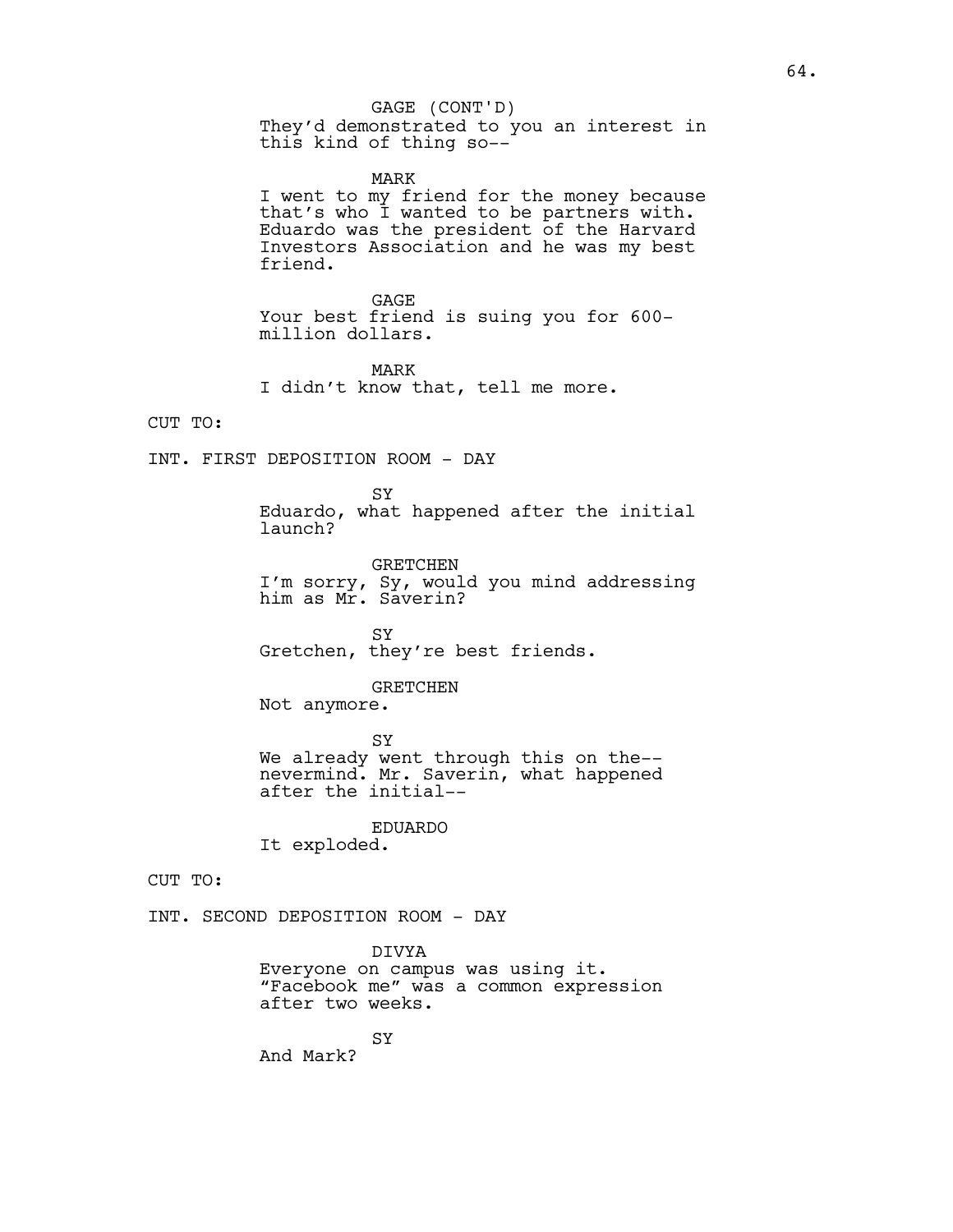# GAGE (CONT'D)

They'd demonstrated to you an interest in this kind of thing so--

MARK

I went to my friend for the money because that's who I wanted to be partners with. Eduardo was the president of the Harvard Investors Association and he was my best friend.

GAGE Your best friend is suing you for 600 million dollars.

MARK I didn't know that, tell me more.

CUT TO:

INT. FIRST DEPOSITION ROOM - DAY

SY Eduardo, what happened after the initial launch?

GRETCHEN I'm sorry, Sy, would you mind addressing him as Mr. Saverin?

SY Gretchen, they're best friends.

#### GRETCHEN

Not anymore.

**SY** We already went through this on the- nevermind. Mr. Saverin, what happened after the initial--

EDUARDO It exploded.

CUT TO:

INT. SECOND DEPOSITION ROOM - DAY

DIVYA Everyone on campus was using it. "Facebook me" was a common expression after two weeks.

**SY** And Mark?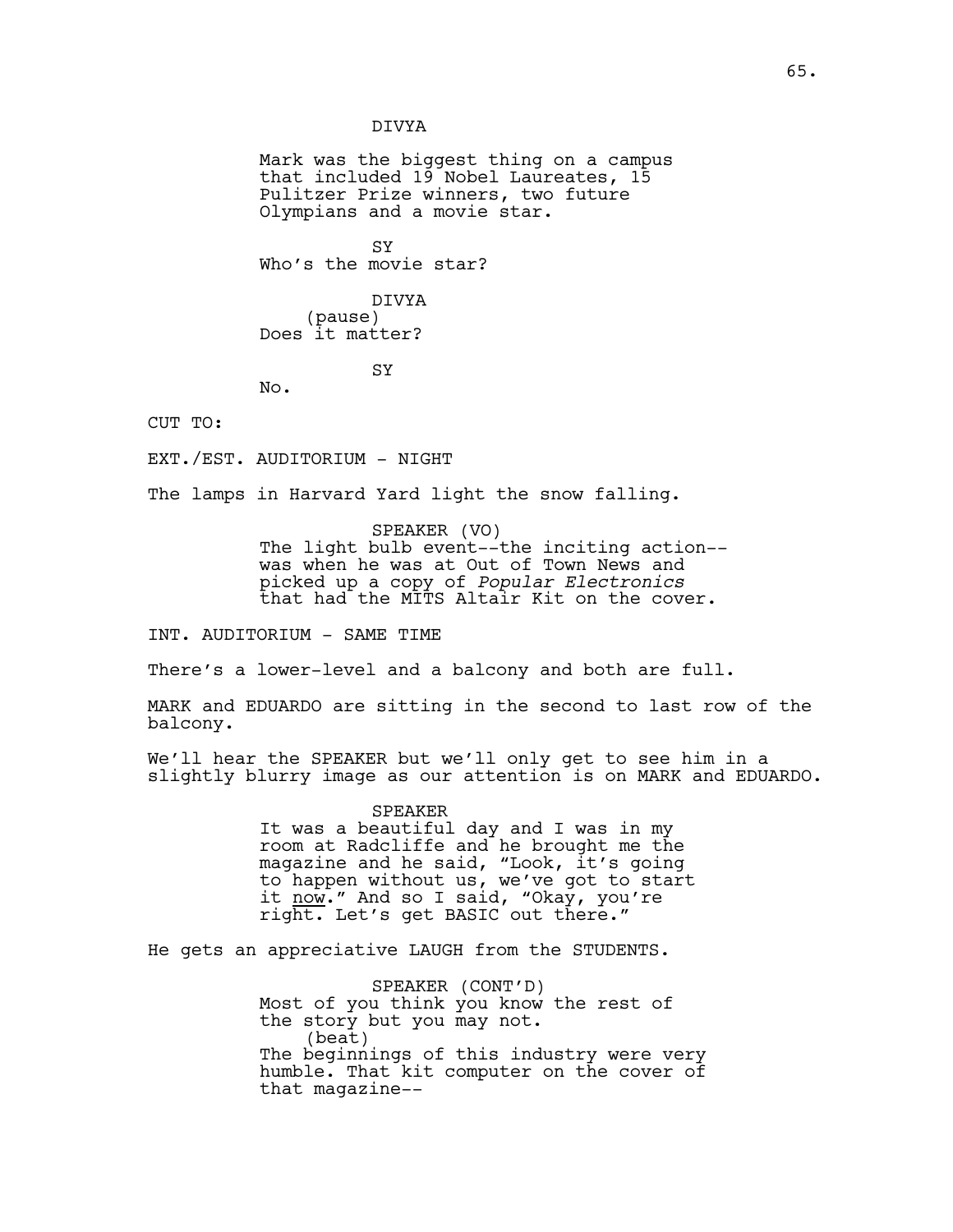DIVYA

Mark was the biggest thing on a campus that included 19 Nobel Laureates, 15 Pulitzer Prize winners, two future Olympians and a movie star.

SY Who's the movie star?

DIVYA (pause) Does it matter?

SY

CUT TO:

EXT./EST. AUDITORIUM - NIGHT

No.

The lamps in Harvard Yard light the snow falling.

SPEAKER (VO) The light bulb event--the inciting action- was when he was at Out of Town News and picked up a copy of *Popular Electronics* that had the MITS Altair Kit on the cover.

INT. AUDITORIUM - SAME TIME

There's a lower-level and a balcony and both are full.

MARK and EDUARDO are sitting in the second to last row of the balcony.

We'll hear the SPEAKER but we'll only get to see him in a slightly blurry image as our attention is on MARK and EDUARDO.

> SPEAKER It was a beautiful day and I was in my room at Radcliffe and he brought me the magazine and he said, "Look, it's going to happen without us, we've got to start it now." And so I said, "Okay, you're right. Let's get BASIC out there."

He gets an appreciative LAUGH from the STUDENTS.

SPEAKER (CONT'D) Most of you think you know the rest of the story but you may not. (beat) The beginnings of this industry were very humble. That kit computer on the cover of that magazine--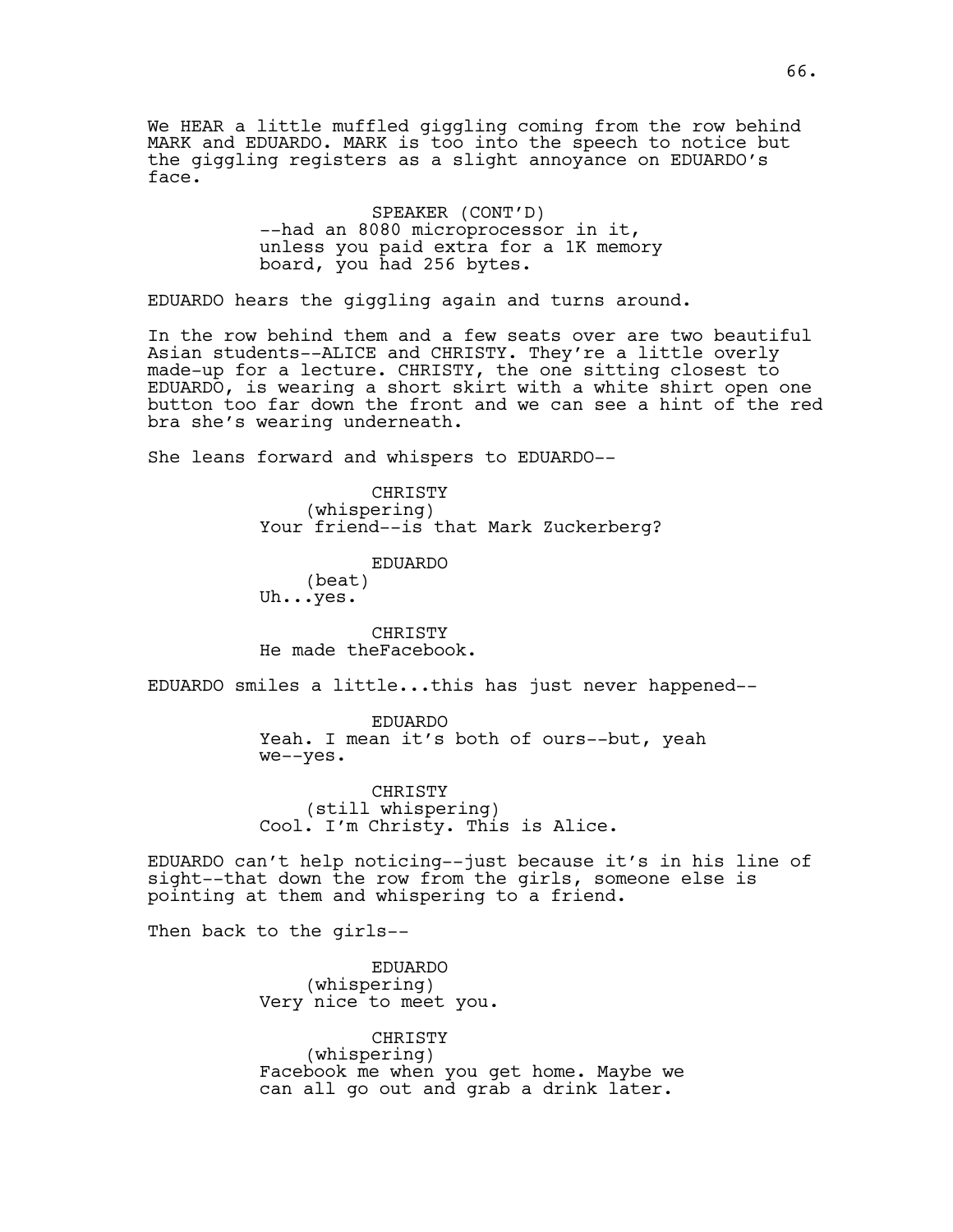We HEAR a little muffled giggling coming from the row behind MARK and EDUARDO. MARK is too into the speech to notice but the giggling registers as a slight annoyance on EDUARDO's face.

> SPEAKER (CONT'D) --had an 8080 microprocessor in it, unless you paid extra for a 1K memory board, you had 256 bytes.

EDUARDO hears the giggling again and turns around.

In the row behind them and a few seats over are two beautiful Asian students--ALICE and CHRISTY. They're a little overly made-up for a lecture. CHRISTY, the one sitting closest to EDUARDO, is wearing a short skirt with a white shirt open one button too far down the front and we can see a hint of the red bra she's wearing underneath.

She leans forward and whispers to EDUARDO--

CHRISTY (whispering) Your friend--is that Mark Zuckerberg?

EDUARDO (beat) Uh...yes.

CHRISTY He made theFacebook.

EDUARDO smiles a little...this has just never happened--

EDUARDO Yeah. I mean it's both of ours--but, yeah we--yes.

CHRISTY (still whispering) Cool. I'm Christy. This is Alice.

EDUARDO can't help noticing--just because it's in his line of sight--that down the row from the girls, someone else is pointing at them and whispering to a friend.

Then back to the girls--

EDUARDO (whispering) Very nice to meet you.

CHRISTY (whispering) Facebook me when you get home. Maybe we can all go out and grab a drink later.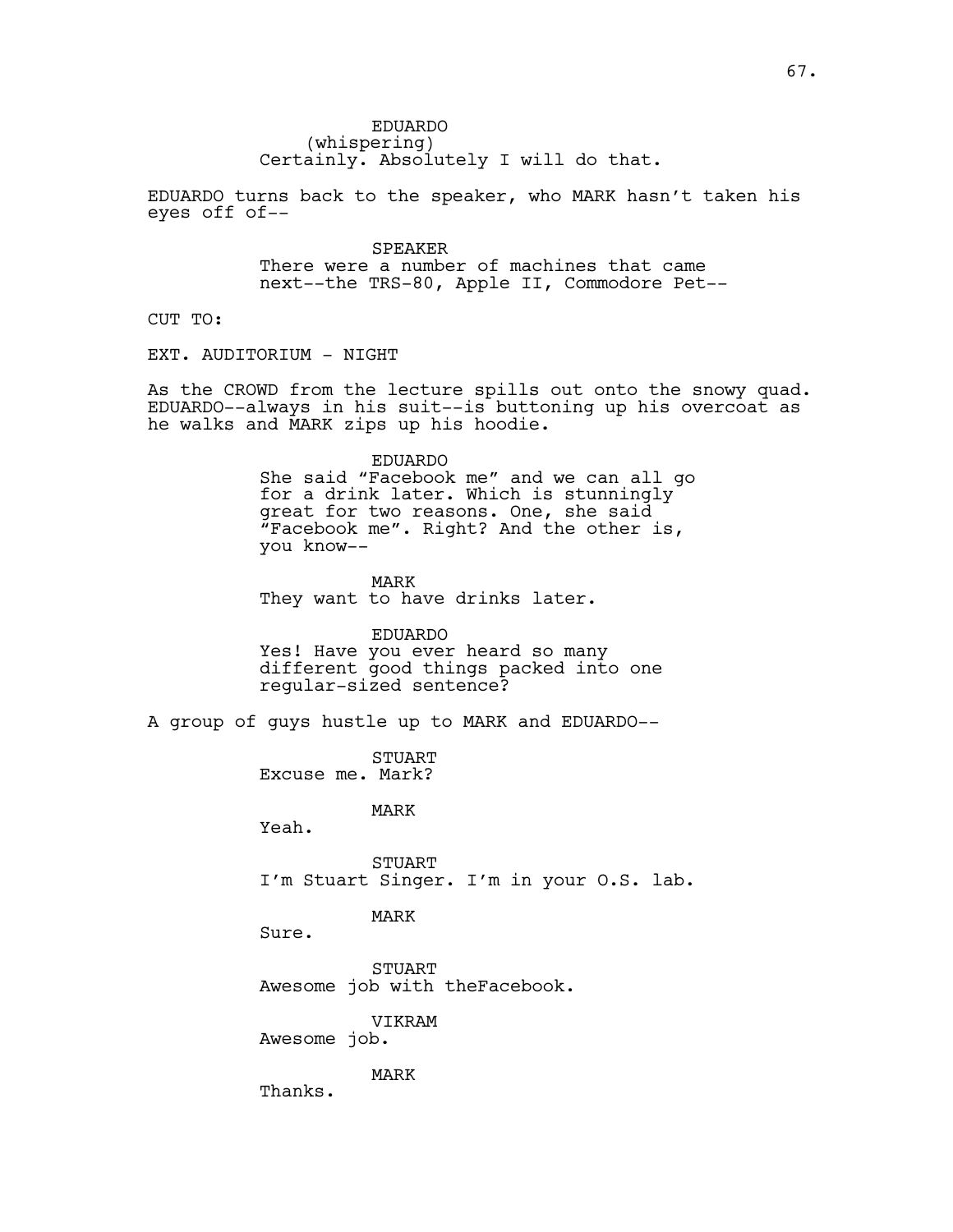EDUARDO (whispering) Certainly. Absolutely I will do that.

EDUARDO turns back to the speaker, who MARK hasn't taken his eyes off of--

> SPEAKER There were a number of machines that came next--the TRS-80, Apple II, Commodore Pet--

CUT TO:

EXT. AUDITORIUM - NIGHT

As the CROWD from the lecture spills out onto the snowy quad. EDUARDO--always in his suit--is buttoning up his overcoat as he walks and MARK zips up his hoodie.

EDUARDO

She said "Facebook me" and we can all go for a drink later. Which is stunningly great for two reasons. One, she said "Facebook me". Right? And the other is, you know--

MARK They want to have drinks later.

EDUARDO Yes! Have you ever heard so many different good things packed into one regular-sized sentence?

A group of guys hustle up to MARK and EDUARDO--

STUART Excuse me. Mark?

MARK

Yeah.

STUART I'm Stuart Singer. I'm in your O.S. lab.

## MARK

Sure.

STUART Awesome job with theFacebook.

VIKRAM

Awesome job.

MARK

Thanks.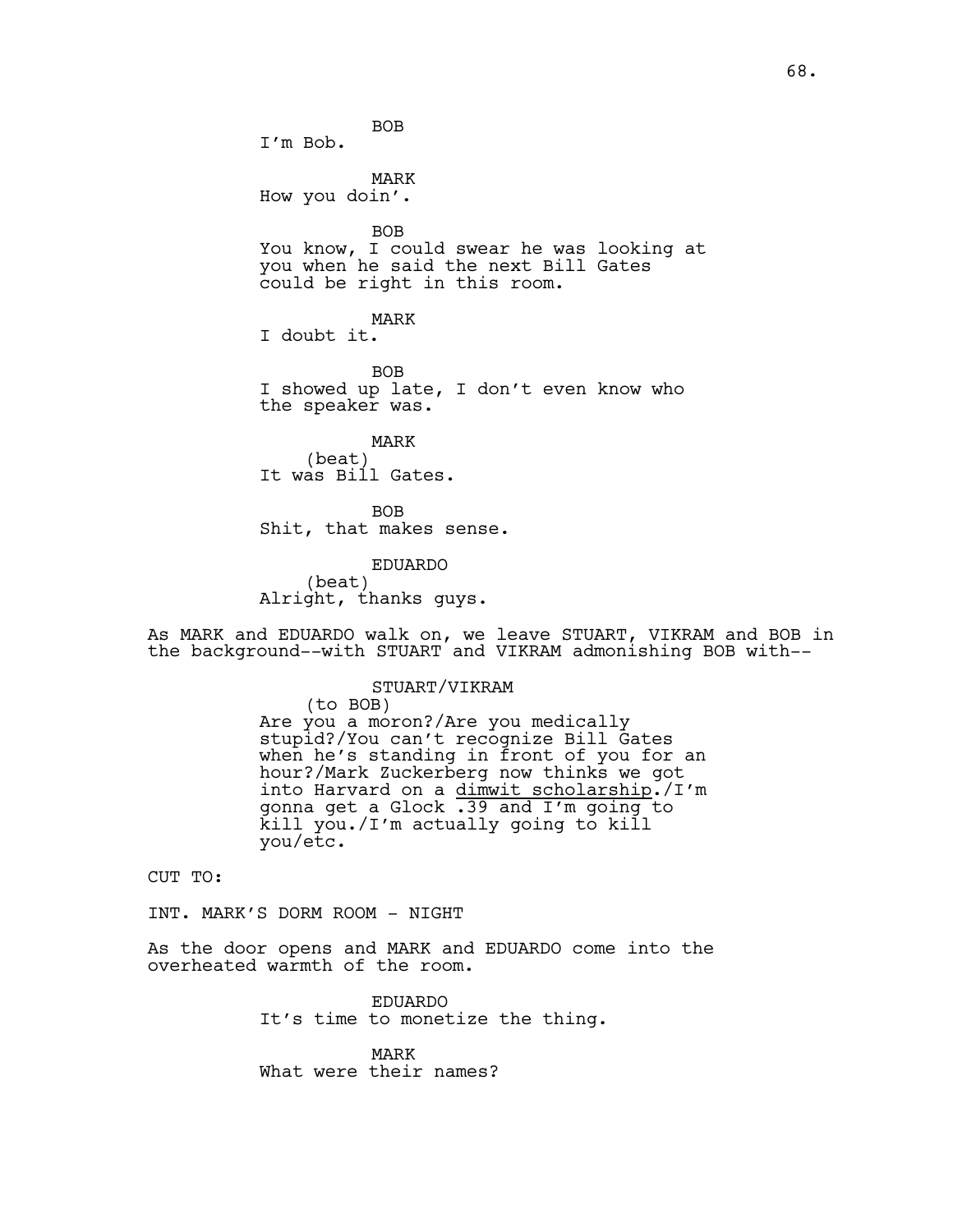BOB I'm Bob. MARK How you doin'. BOB You know, I could swear he was looking at you when he said the next Bill Gates could be right in this room. MARK I doubt it. **BOB** I showed up late, I don't even know who the speaker was. MARK (beat) It was Bill Gates.

BOB Shit, that makes sense.

EDUARDO (beat) Alright, thanks guys.

As MARK and EDUARDO walk on, we leave STUART, VIKRAM and BOB in the background--with STUART and VIKRAM admonishing BOB with--

#### STUART/VIKRAM

(to BOB) Are you a moron?/Are you medically stupid?/You can't recognize Bill Gates when he's standing in front of you for an hour?/Mark Zuckerberg now thinks we got into Harvard on a dimwit scholarship./I'm gonna get a Glock .39 and I'm going to kill you./I'm actually going to kill you/etc.

CUT TO:

INT. MARK'S DORM ROOM - NIGHT

As the door opens and MARK and EDUARDO come into the overheated warmth of the room.

> EDUARDO It's time to monetize the thing.

MARK What were their names?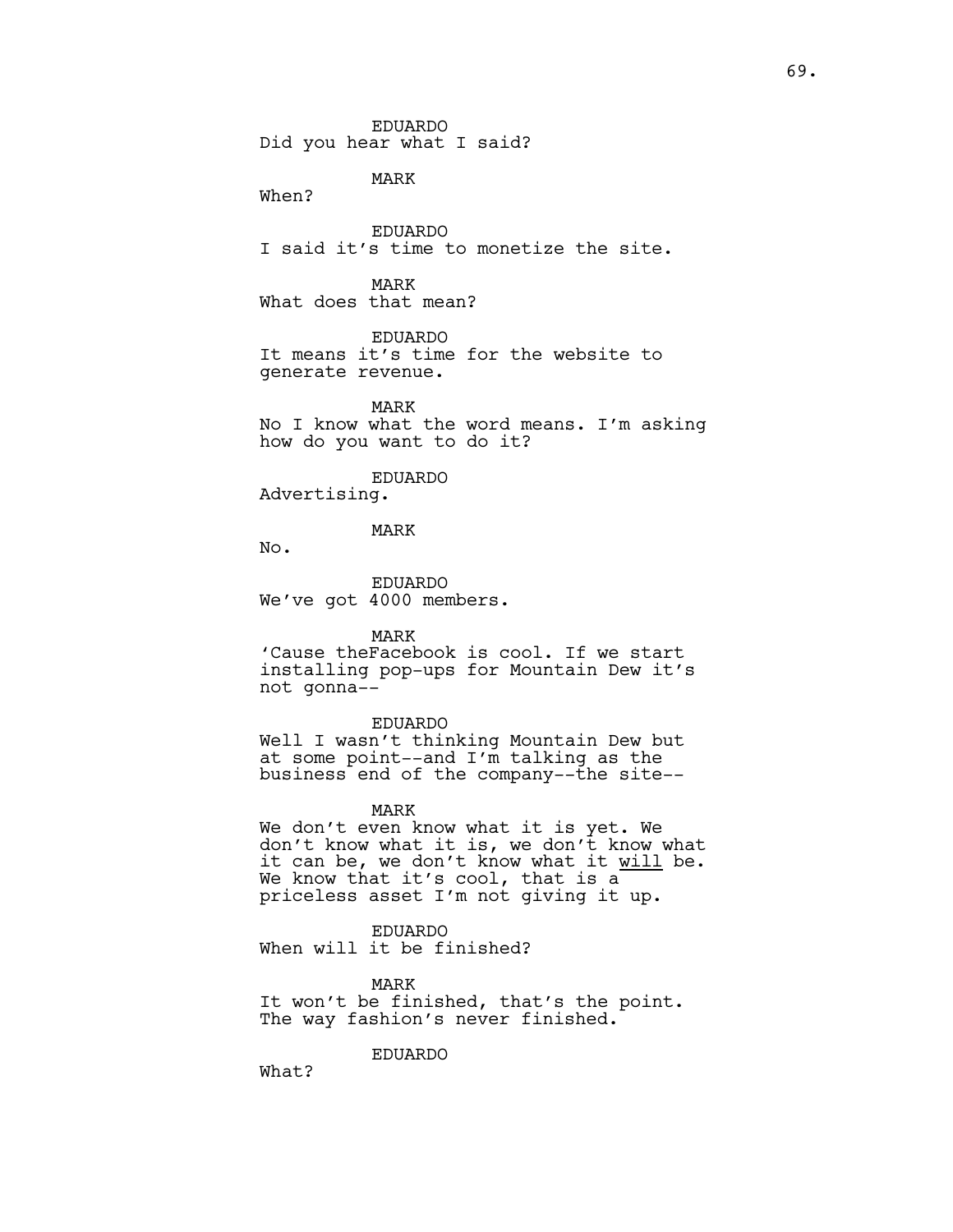EDUARDO Did you hear what I said?

MARK

When?

EDUARDO I said it's time to monetize the site.

MARK What does that mean?

EDUARDO It means it's time for the website to generate revenue.

MARK No I know what the word means. I'm asking how do you want to do it?

#### EDUARDO

Advertising.

## MARK

No.

EDUARDO We've got 4000 members.

MARK

'Cause theFacebook is cool. If we start installing pop-ups for Mountain Dew it's not gonna--

#### EDUARDO

Well I wasn't thinking Mountain Dew but at some point--and I'm talking as the business end of the company--the site--

MARK

We don't even know what it is yet. We don't know what it is, we don't know what it can be, we don't know what it will be. We know that it's cool, that is a priceless asset I'm not giving it up.

EDUARDO When will it be finished?

EDUARDO

MARK It won't be finished, that's the point. The way fashion's never finished.

What?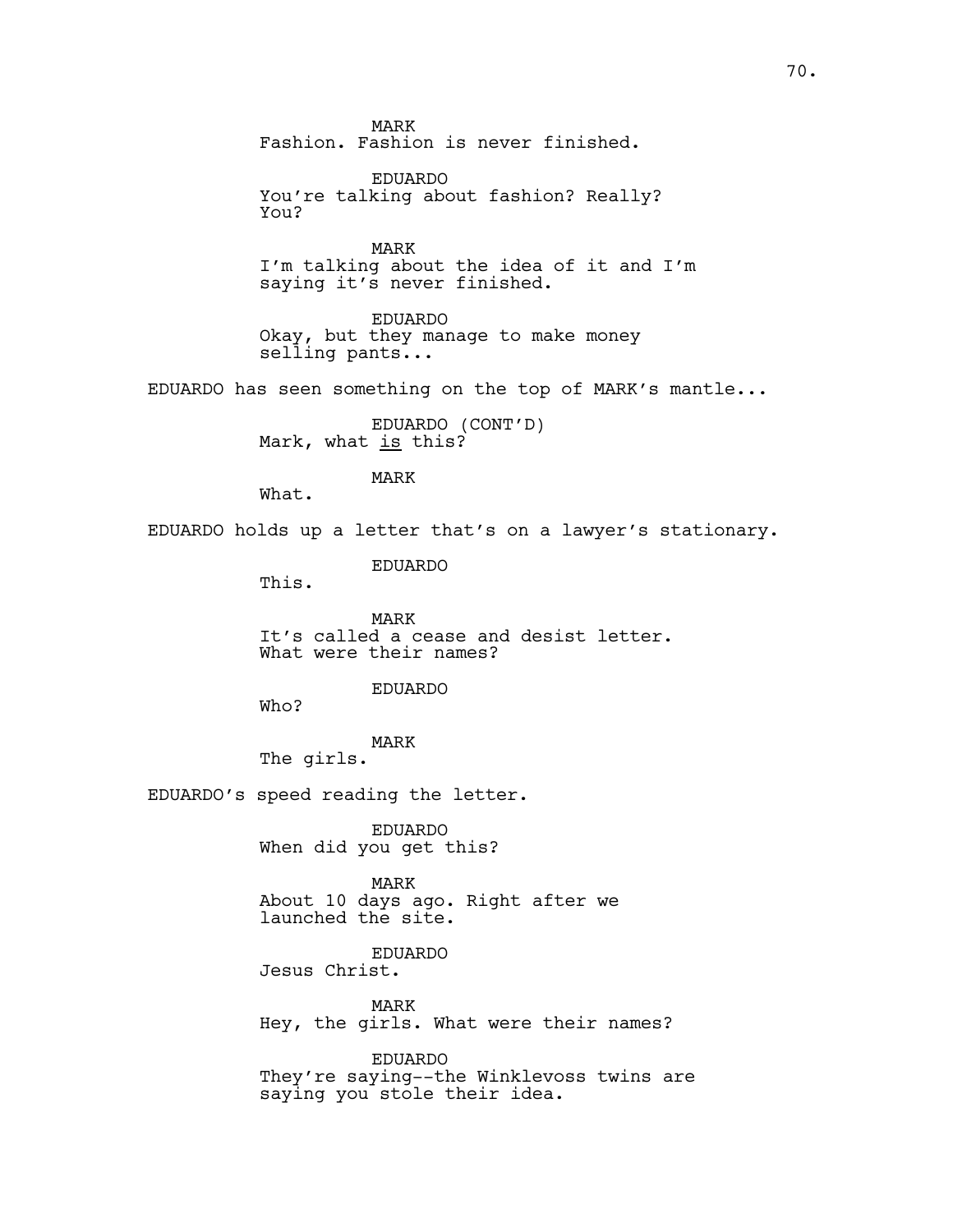MARK Fashion. Fashion is never finished.

EDUARDO You're talking about fashion? Really? You?

MARK I'm talking about the idea of it and I'm saying it's never finished.

EDUARDO Okay, but they manage to make money selling pants...

EDUARDO has seen something on the top of MARK's mantle...

EDUARDO (CONT'D) Mark, what is this?

MARK

What.

EDUARDO holds up a letter that's on a lawyer's stationary.

EDUARDO

This.

MARK It's called a cease and desist letter. What were their names?

## EDUARDO

Who?

MARK

The girls.

EDUARDO's speed reading the letter.

EDUARDO When did you get this?

MARK About 10 days ago. Right after we launched the site.

EDUARDO Jesus Christ.

MARK Hey, the girls. What were their names?

EDUARDO They're saying--the Winklevoss twins are saying you stole their idea.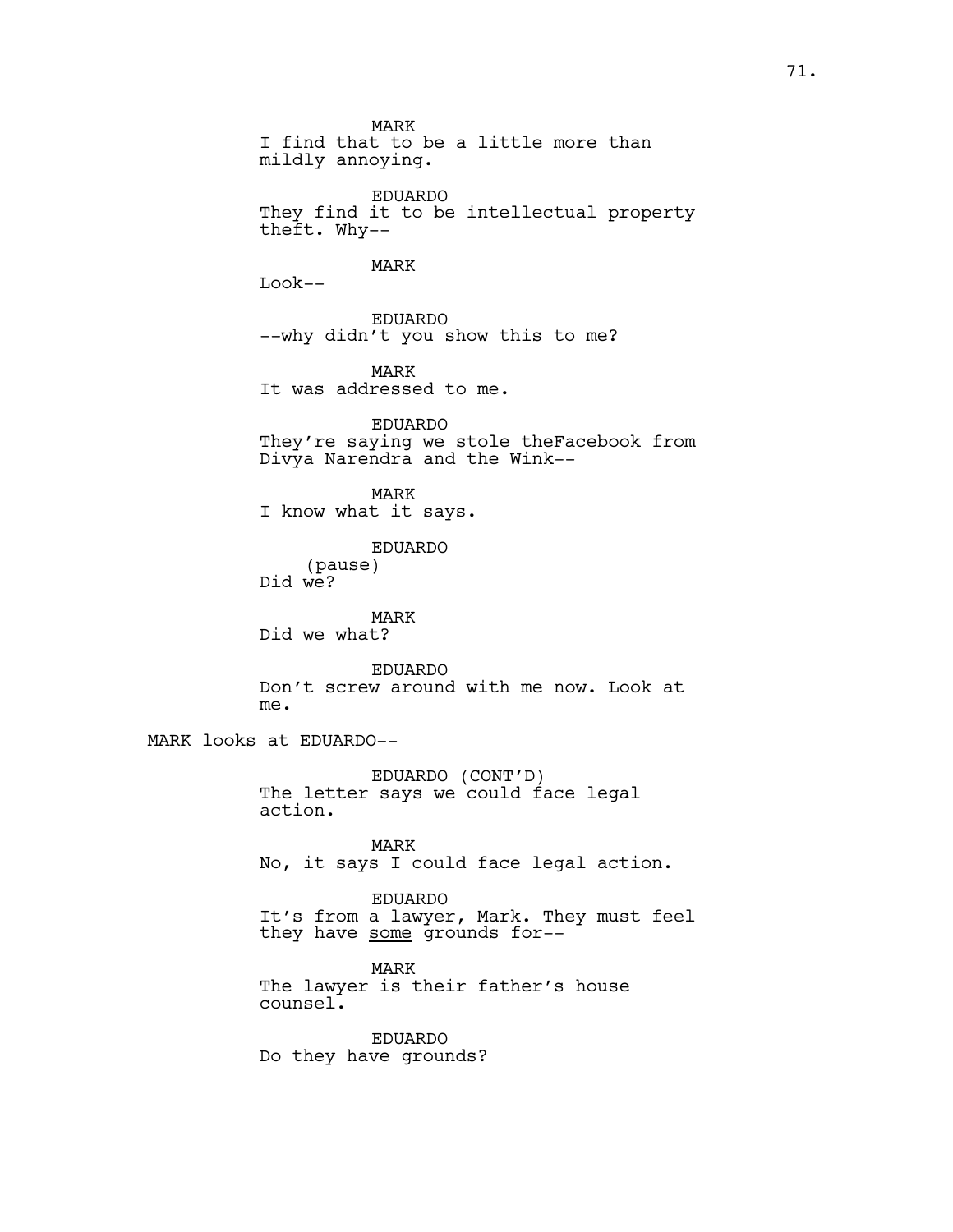MARK I find that to be a little more than mildly annoying. EDUARDO They find it to be intellectual property theft. Why-- MARK Look-- EDUARDO --why didn't you show this to me? MARK It was addressed to me. EDUARDO They're saying we stole theFacebook from Divya Narendra and the Wink-- MARK I know what it says. EDUARDO (pause) Did we? MARK Did we what? EDUARDO Don't screw around with me now. Look at me. MARK looks at EDUARDO-- EDUARDO (CONT'D) The letter says we could face legal action. MARK No, it says I could face legal action. EDUARDO It's from a lawyer, Mark. They must feel they have some grounds for--MARK The lawyer is their father's house counsel.

> EDUARDO Do they have grounds?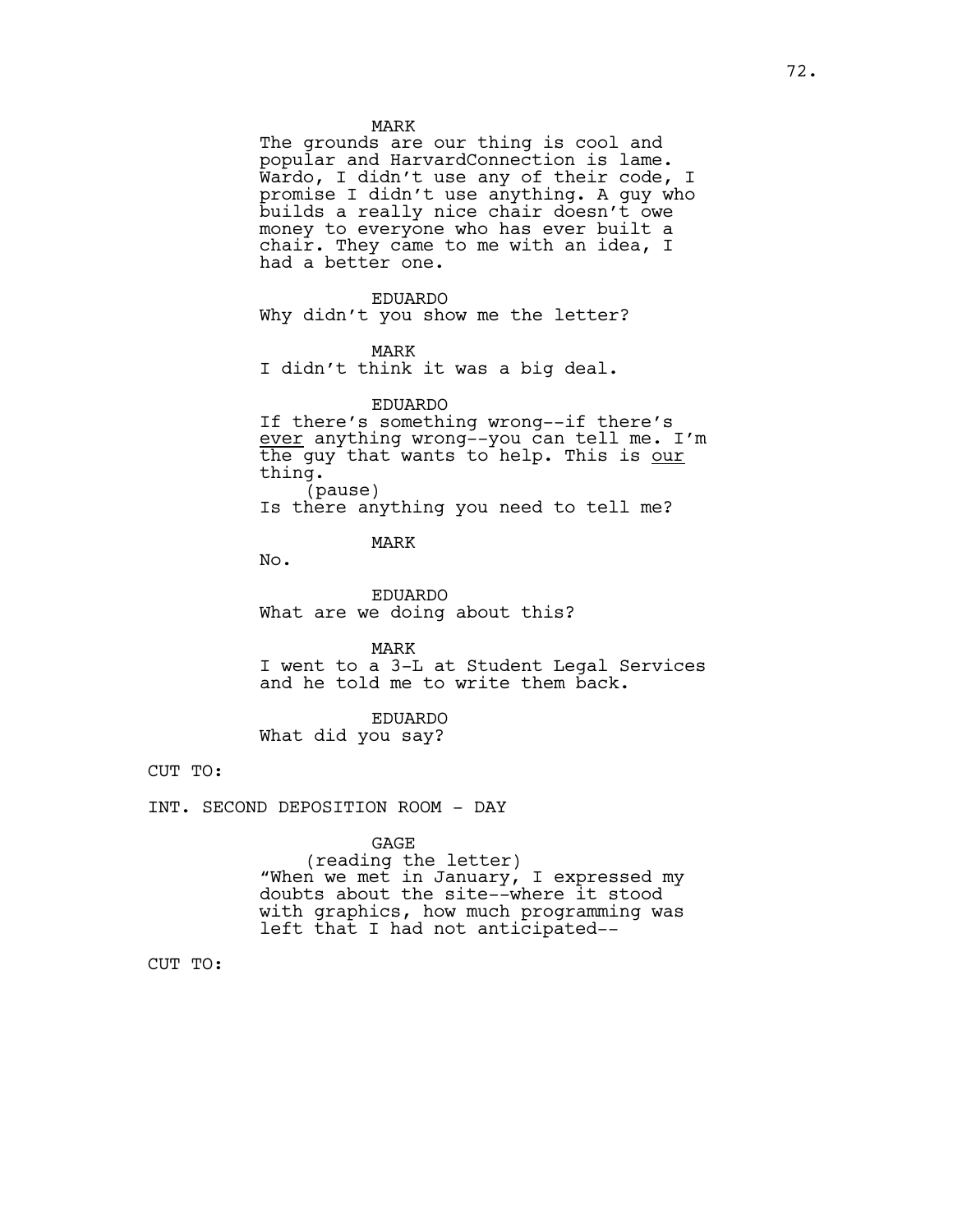MARK

The grounds are our thing is cool and popular and HarvardConnection is lame. Wardo, I didn't use any of their code, I promise I didn't use anything. A guy who builds a really nice chair doesn't owe money to everyone who has ever built a chair. They came to me with an idea, I had a better one.

#### EDUARDO

Why didn't you show me the letter?

### MARK

I didn't think it was a big deal.

### EDUARDO

If there's something wrong--if there's ever anything wrong--you can tell me. I'm the guy that wants to help. This is our thing. (pause) Is there anything you need to tell me?

# MARK

No.

EDUARDO What are we doing about this?

MARK I went to a 3-L at Student Legal Services and he told me to write them back.

# EDUARDO What did you say?

CUT TO:

INT. SECOND DEPOSITION ROOM - DAY

#### GAGE

(reading the letter) "When we met in January, I expressed my doubts about the site--where it stood with graphics, how much programming was left that I had not anticipated--

CUT TO: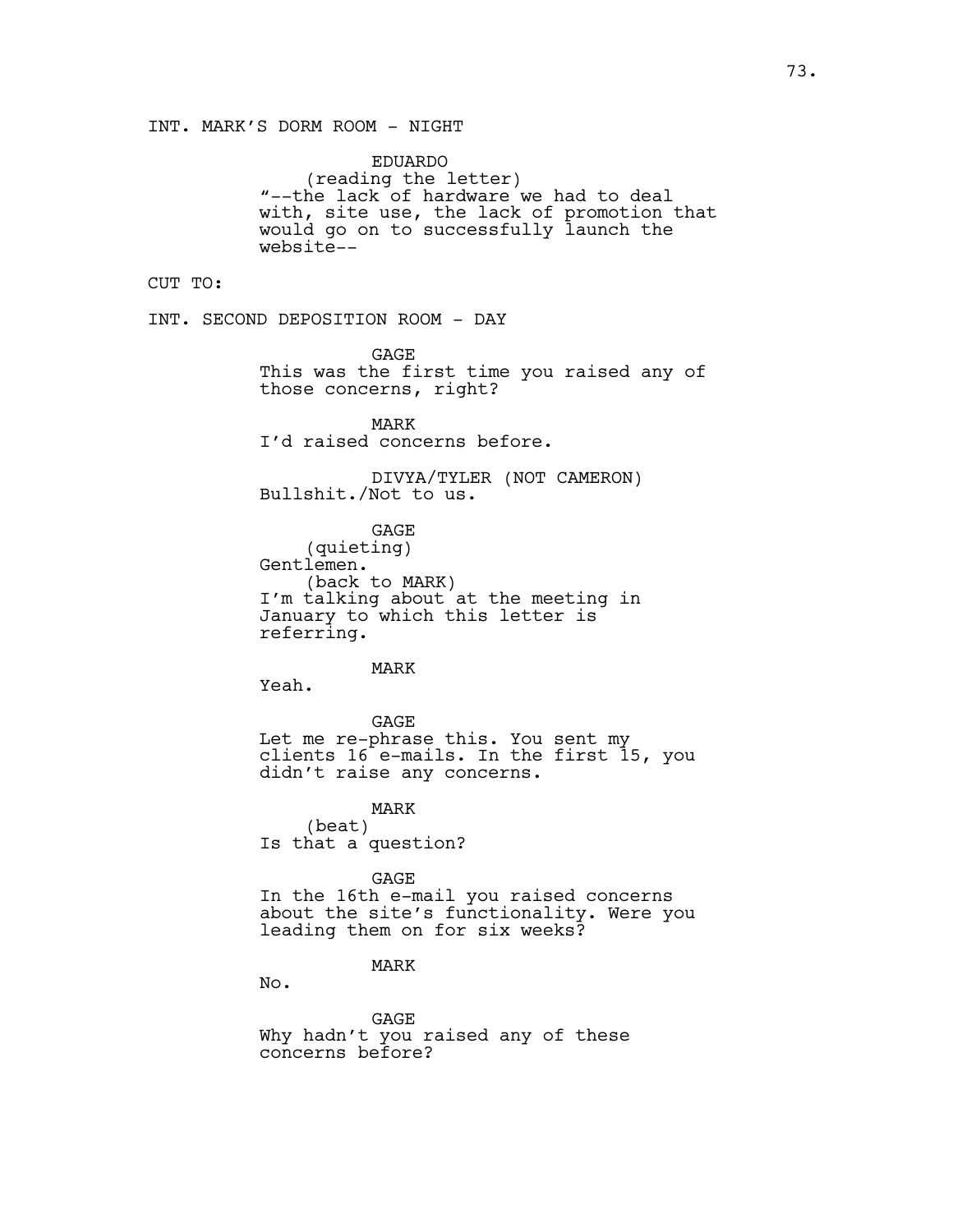EDUARDO (reading the letter) "--the lack of hardware we had to deal with, site use, the lack of promotion that would go on to successfully launch the website--

CUT TO:

INT. SECOND DEPOSITION ROOM - DAY

**GAGE** This was the first time you raised any of those concerns, right?

MARK I'd raised concerns before.

DIVYA/TYLER (NOT CAMERON) Bullshit./Not to us.

GAGE (quieting) Gentlemen. (back to MARK) I'm talking about at the meeting in January to which this letter is referring.

MARK

Yeah.

GAGE Let me re-phrase this. You sent my clients 16 e-mails. In the first 15, you didn't raise any concerns.

MARK (beat) Is that a question?

GAGE In the 16th e-mail you raised concerns about the site's functionality. Were you leading them on for six weeks?

# MARK

No.

GAGE Why hadn't you raised any of these concerns before?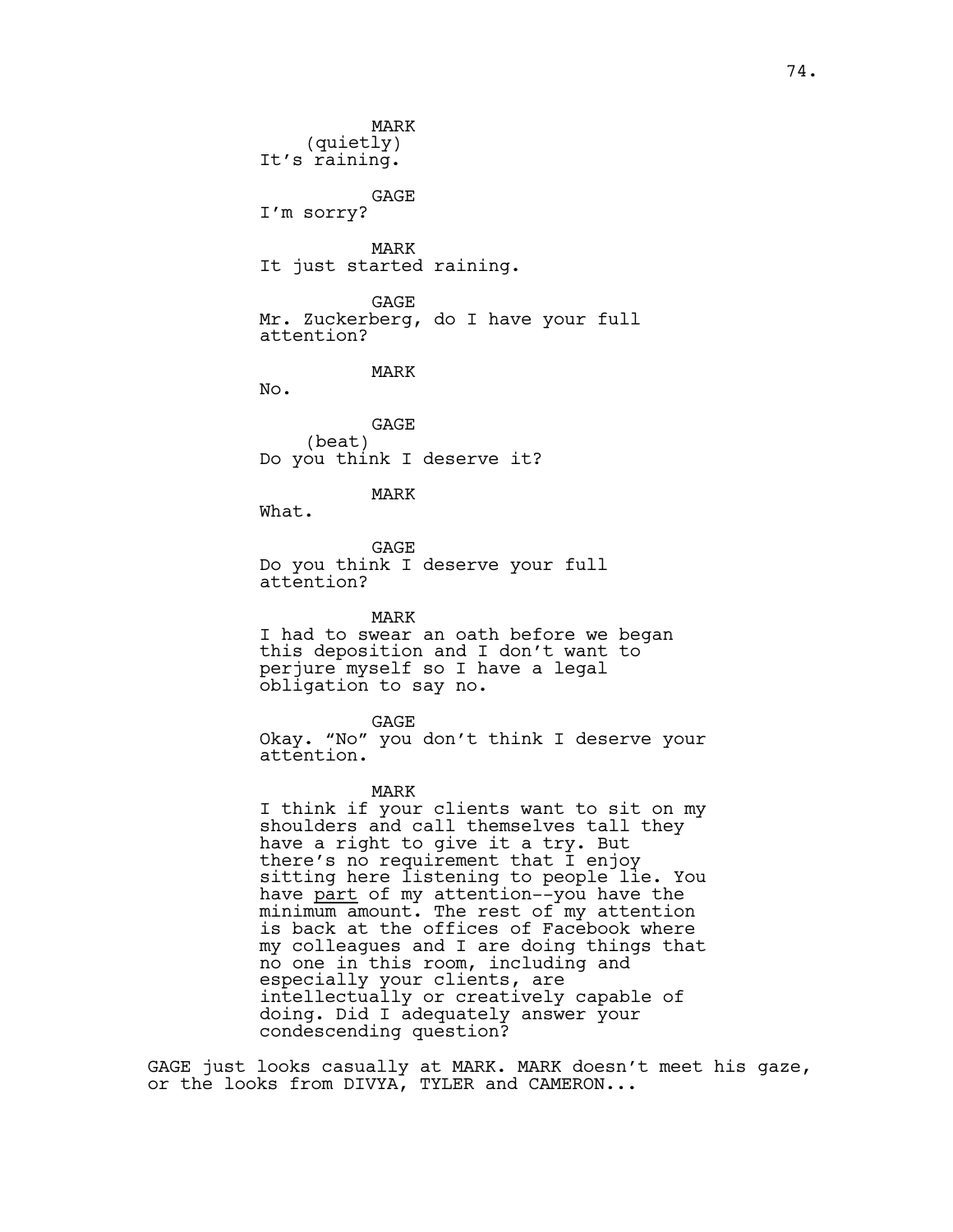MARK (quietly) It's raining. GAGE I'm sorry? MARK It just started raining. GAGE Mr. Zuckerberg, do I have your full attention? MARK No. GAGE (beat) Do you think I deserve it? MARK What. GAGE Do you think I deserve your full attention? MARK I had to swear an oath before we began this deposition and I don't want to perjure myself so I have a legal obligation to say no. GAGE Okay. "No" you don't think I deserve your attention. MARK I think if your clients want to sit on my shoulders and call themselves tall they have a right to give it a try. But

there's no requirement that I enjoy sitting here listening to people lie. You have <u>part</u> of my attention--you have the minimum amount. The rest of my attention is back at the offices of Facebook where my colleagues and I are doing things that no one in this room, including and especially your clients, are intellectually or creatively capable of doing. Did I adequately answer your condescending question?

GAGE just looks casually at MARK. MARK doesn't meet his gaze, or the looks from DIVYA, TYLER and CAMERON...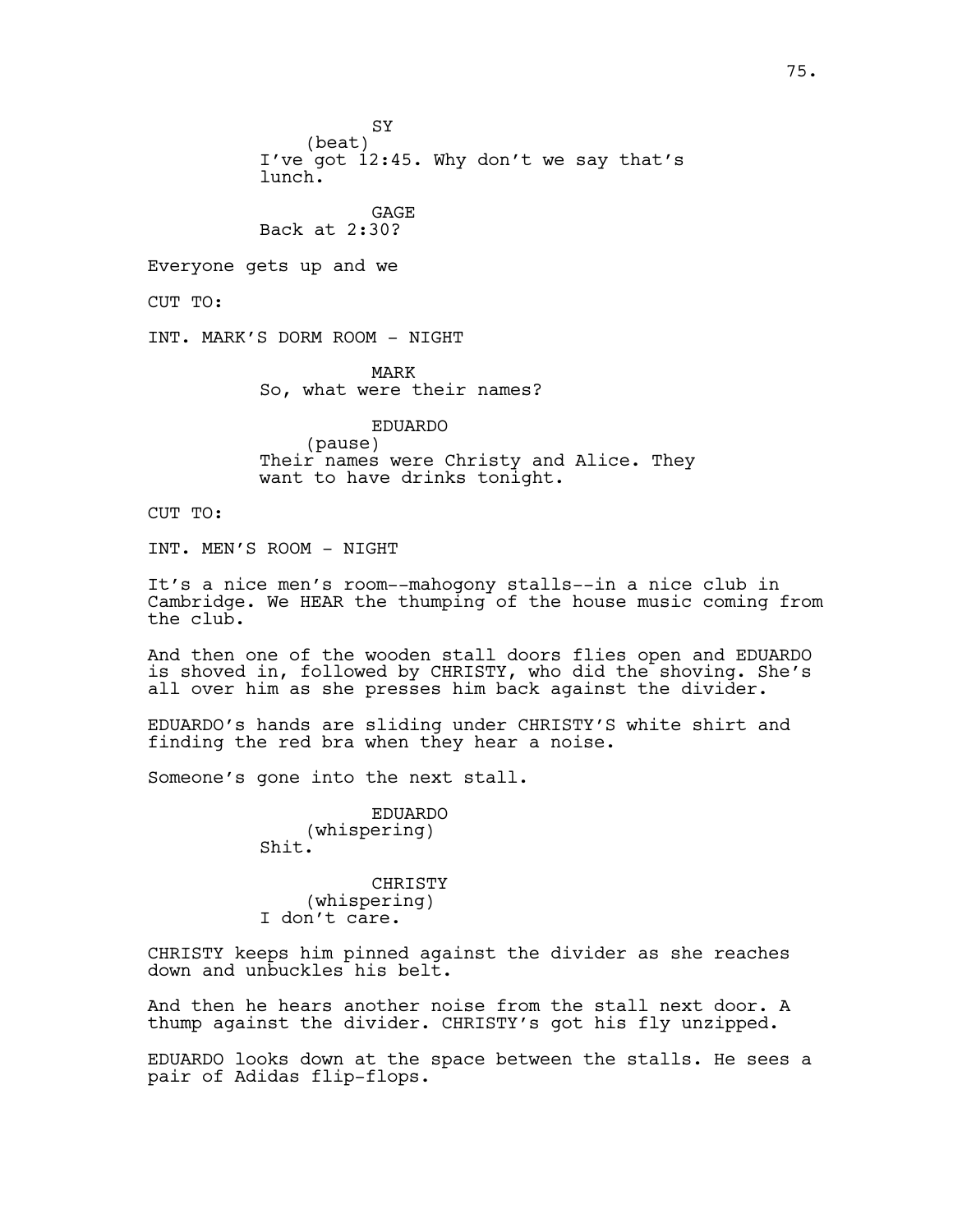SY

(beat) I've got 12:45. Why don't we say that's lunch.

GAGE Back at 2:30?

Everyone gets up and we

CUT TO:

INT. MARK'S DORM ROOM - NIGHT

MARK So, what were their names?

EDUARDO (pause) Their names were Christy and Alice. They want to have drinks tonight.

CUT TO:

INT. MEN'S ROOM - NIGHT

It's a nice men's room--mahogony stalls--in a nice club in Cambridge. We HEAR the thumping of the house music coming from the club.

And then one of the wooden stall doors flies open and EDUARDO is shoved in, followed by CHRISTY, who did the shoving. She's all over him as she presses him back against the divider.

EDUARDO's hands are sliding under CHRISTY'S white shirt and finding the red bra when they hear a noise.

Someone's gone into the next stall.

EDUARDO (whispering) Shit.

CHRISTY (whispering) I don't care.

CHRISTY keeps him pinned against the divider as she reaches down and unbuckles his belt.

And then he hears another noise from the stall next door. A thump against the divider. CHRISTY's got his fly unzipped.

EDUARDO looks down at the space between the stalls. He sees a pair of Adidas flip-flops.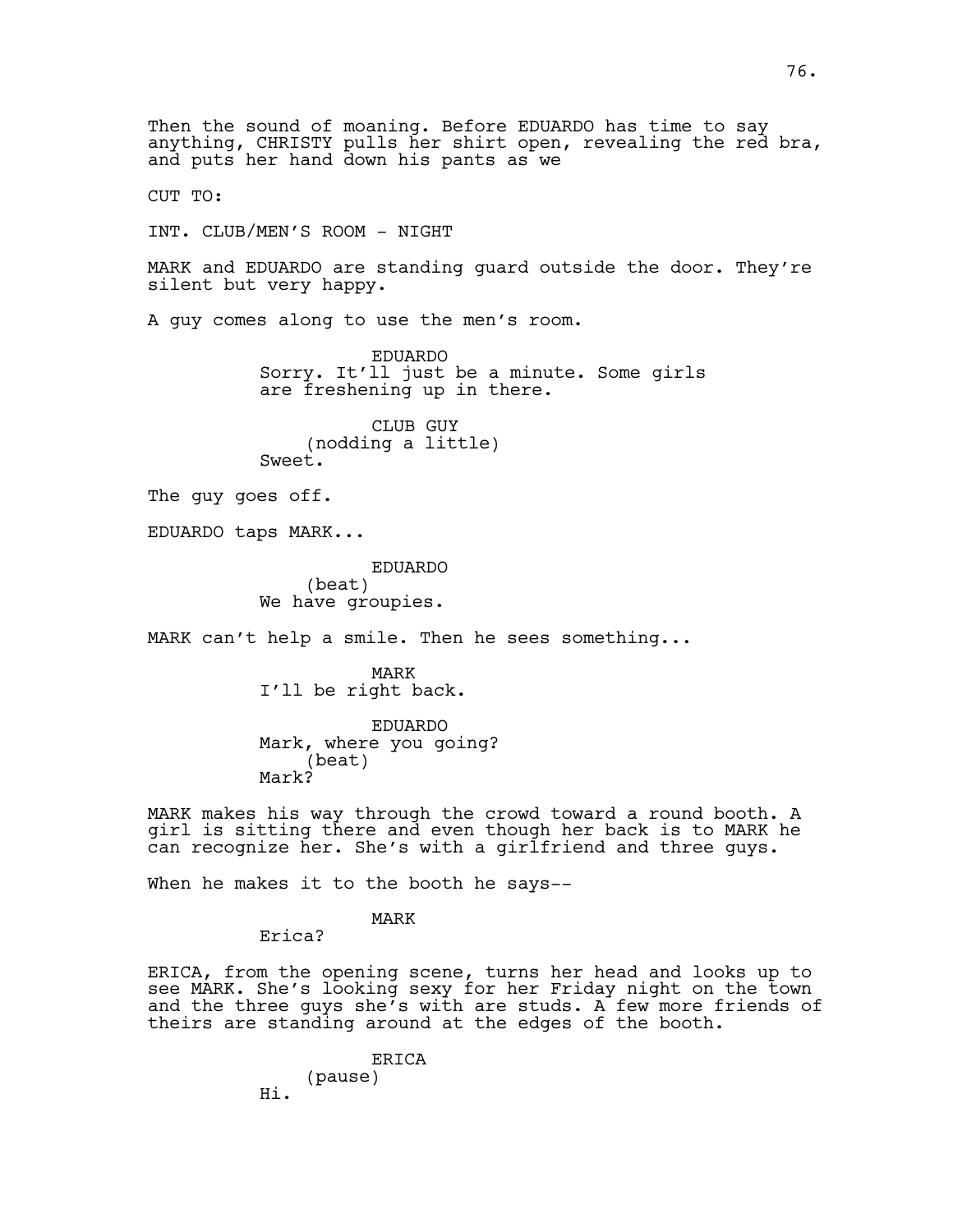Then the sound of moaning. Before EDUARDO has time to say anything, CHRISTY pulls her shirt open, revealing the red bra, and puts her hand down his pants as we CUT TO: INT. CLUB/MEN'S ROOM - NIGHT MARK and EDUARDO are standing guard outside the door. They're silent but very happy. A guy comes along to use the men's room. EDUARDO Sorry. It'll just be a minute. Some girls are freshening up in there. CLUB GUY (nodding a little) Sweet. The guy goes off. EDUARDO taps MARK... EDUARDO (beat) We have groupies. MARK can't help a smile. Then he sees something... MARK I'll be right back. EDUARDO Mark, where you going? (beat) Mark? MARK makes his way through the crowd toward a round booth. A girl is sitting there and even though her back is to MARK he can recognize her. She's with a girlfriend and three guys. When he makes it to the booth he says--MARK Erica? ERICA, from the opening scene, turns her head and looks up to see MARK. She's looking sexy for her Friday night on the town and the three guys she's with are studs. A few more friends of theirs are standing around at the edges of the booth. ERICA (pause)

Hi.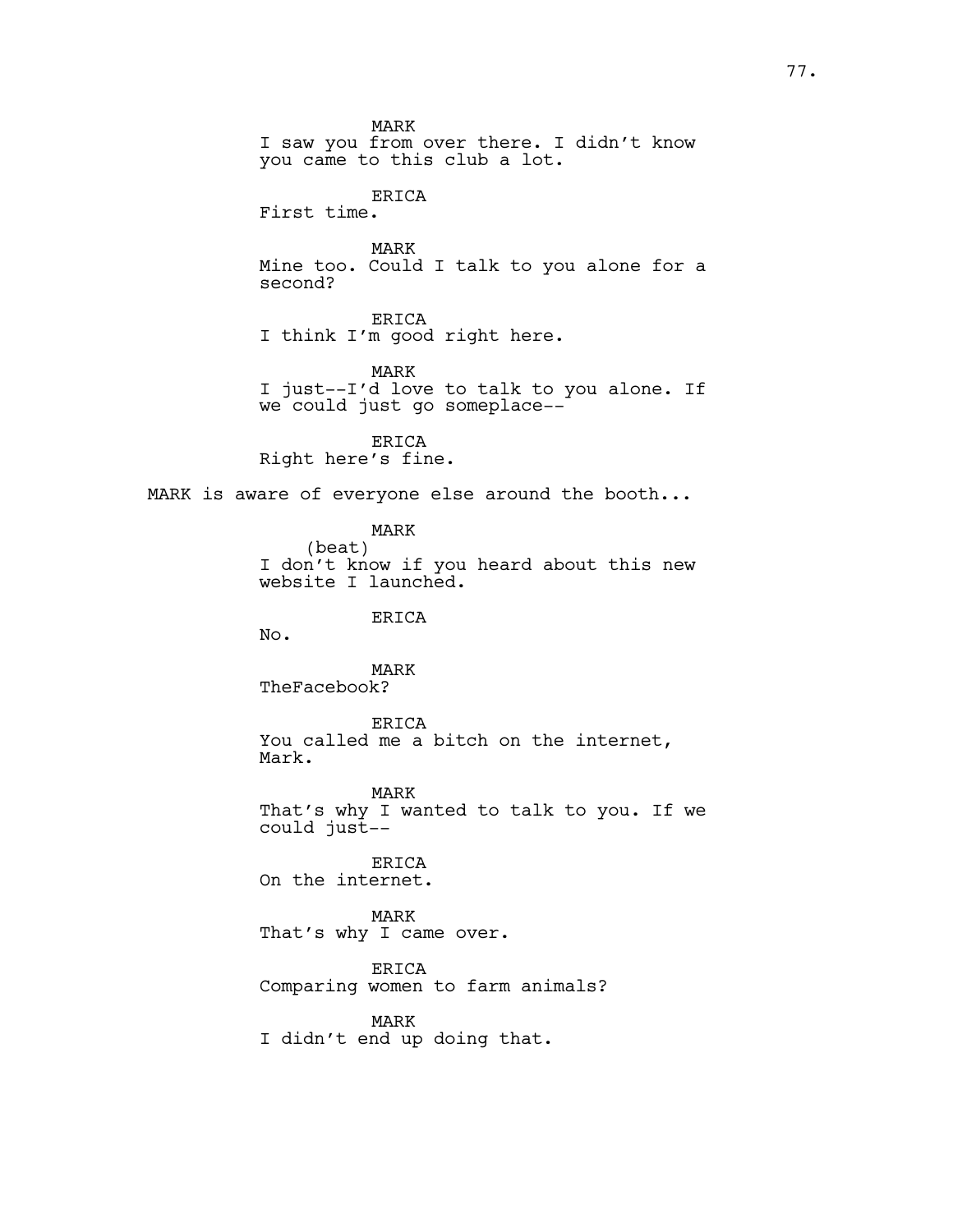MARK

I saw you from over there. I didn't know you came to this club a lot.

ERICA

First time.

MARK Mine too. Could I talk to you alone for a second?

ERICA I think I'm good right here.

MARK I just--I'd love to talk to you alone. If we could just go someplace--

ERICA Right here's fine.

MARK is aware of everyone else around the booth...

MARK (beat) I don't know if you heard about this new website I launched.

ERICA

No.

MARK TheFacebook?

ERICA You called me a bitch on the internet, Mark.

MARK That's why I wanted to talk to you. If we could just--

ERICA On the internet.

MARK That's why I came over.

ERICA Comparing women to farm animals?

MARK I didn't end up doing that.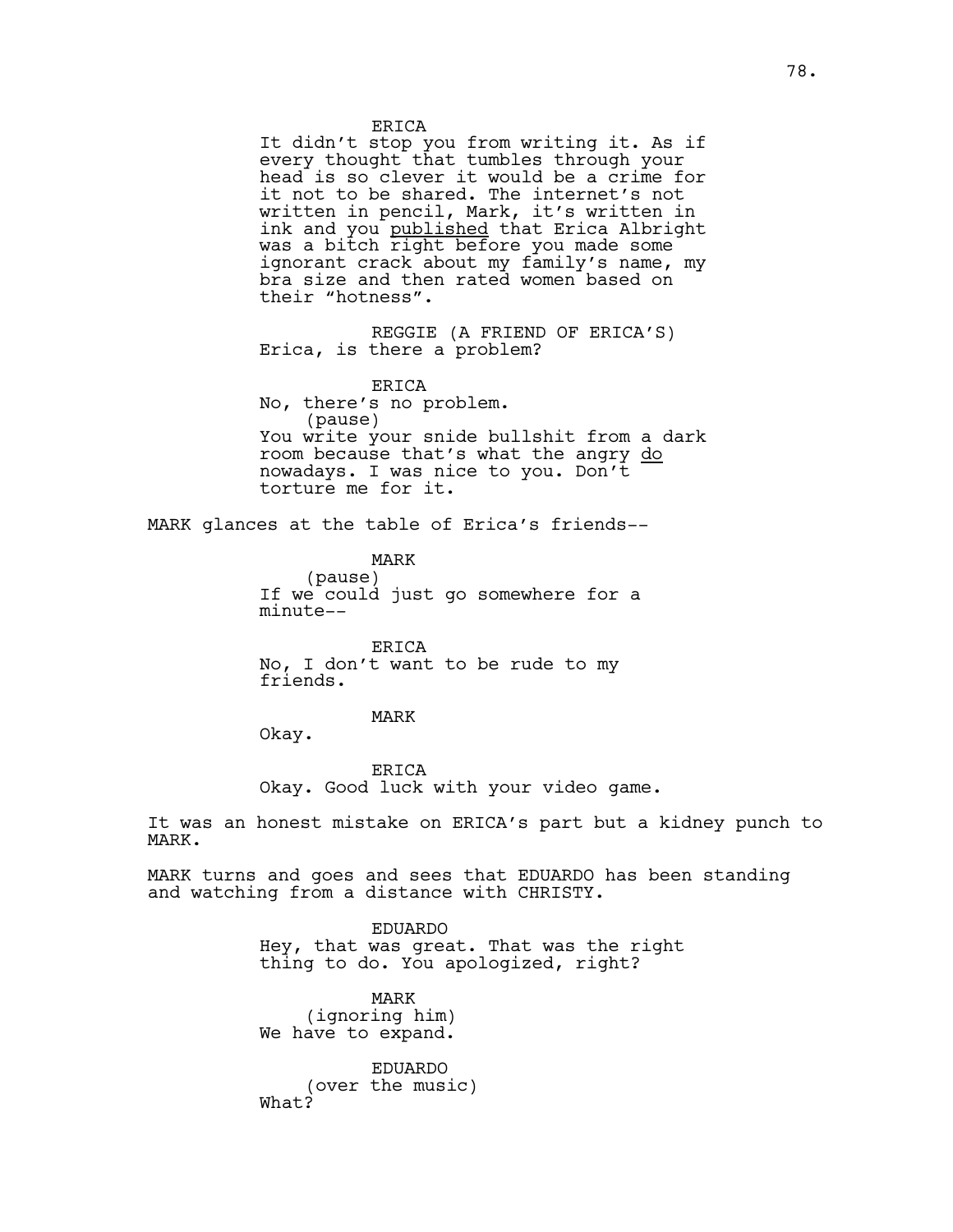ERICA

It didn't stop you from writing it. As if every thought that tumbles through your head is so clever it would be a crime for it not to be shared. The internet's not written in pencil, Mark, it's written in ink and you published that Erica Albright was a bitch right before you made some ignorant crack about my family's name, my bra size and then rated women based on their "hotness".

REGGIE (A FRIEND OF ERICA'S) Erica, is there a problem?

ERICA No, there's no problem. (pause) You write your snide bullshit from a dark room because that's what the angry do nowadays. I was nice to you. Don't torture me for it.

MARK glances at the table of Erica's friends--

MARK (pause) If we could just go somewhere for a minute--

ERICA No, I don't want to be rude to my friends.

MARK

Okay.

ERICA Okay. Good luck with your video game.

It was an honest mistake on ERICA's part but a kidney punch to MARK.

MARK turns and goes and sees that EDUARDO has been standing and watching from a distance with CHRISTY.

> EDUARDO Hey, that was great. That was the right thing to do. You apologized, right?

MARK (ignoring him) We have to expand.

EDUARDO (over the music) What?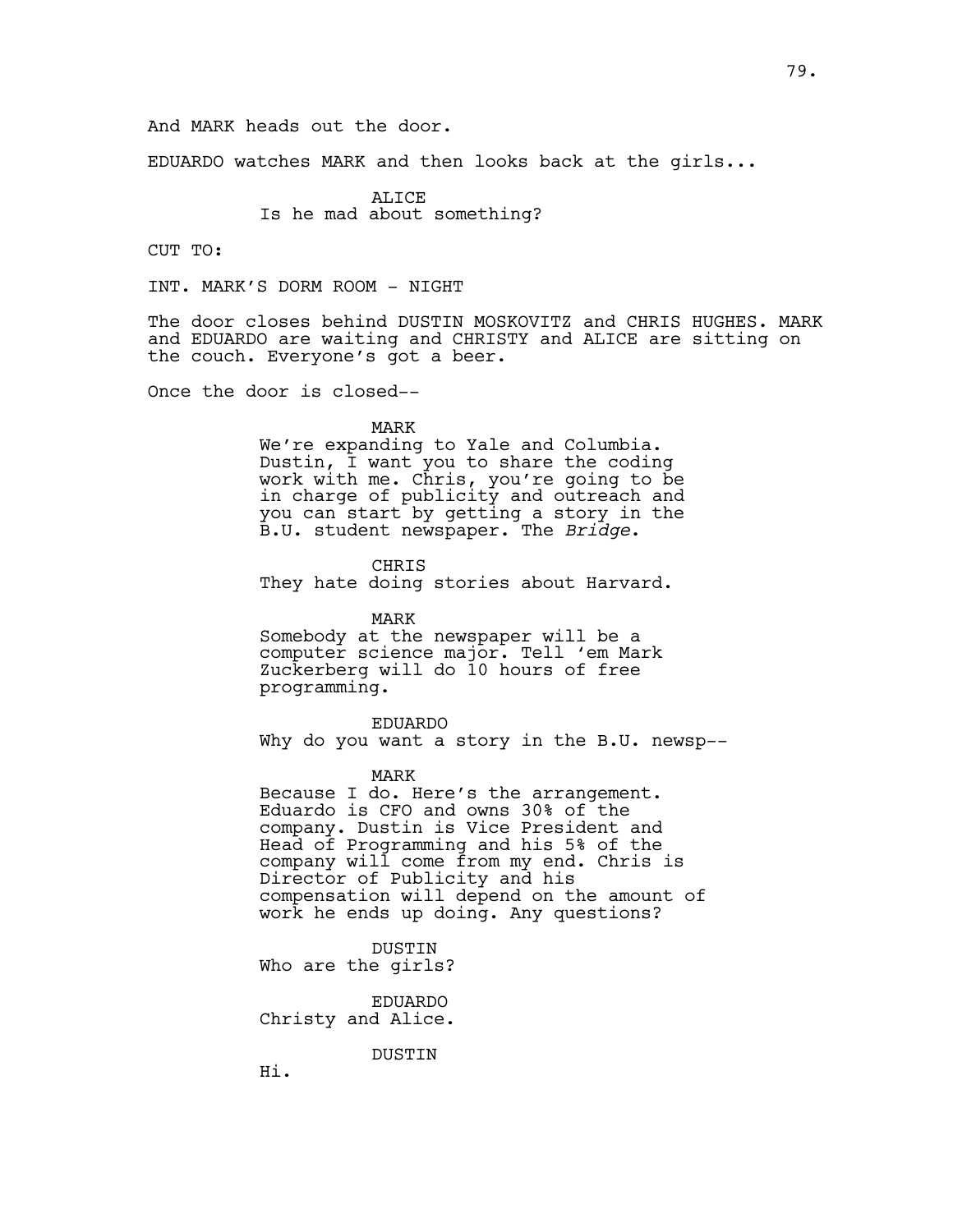And MARK heads out the door.

EDUARDO watches MARK and then looks back at the girls...

ALICE Is he mad about something?

CUT TO:

INT. MARK'S DORM ROOM - NIGHT

The door closes behind DUSTIN MOSKOVITZ and CHRIS HUGHES. MARK and EDUARDO are waiting and CHRISTY and ALICE are sitting on the couch. Everyone's got a beer.

Once the door is closed--

#### MARK

We're expanding to Yale and Columbia. Dustin, I want you to share the coding work with me. Chris, you're going to be in charge of publicity and outreach and you can start by getting a story in the B.U. student newspaper. The *Bridge*.

CHRIS They hate doing stories about Harvard.

MARK Somebody at the newspaper will be a computer science major. Tell 'em Mark Zuckerberg will do 10 hours of free programming.

EDUARDO Why do you want a story in the B.U. newsp--

MARK

Because I do. Here's the arrangement. Eduardo is CFO and owns 30% of the company. Dustin is Vice President and Head of Programming and his 5% of the company will come from my end. Chris is Director of Publicity and his compensation will depend on the amount of work he ends up doing. Any questions?

DUSTIN Who are the girls?

EDUARDO Christy and Alice.

DUSTIN

Hi.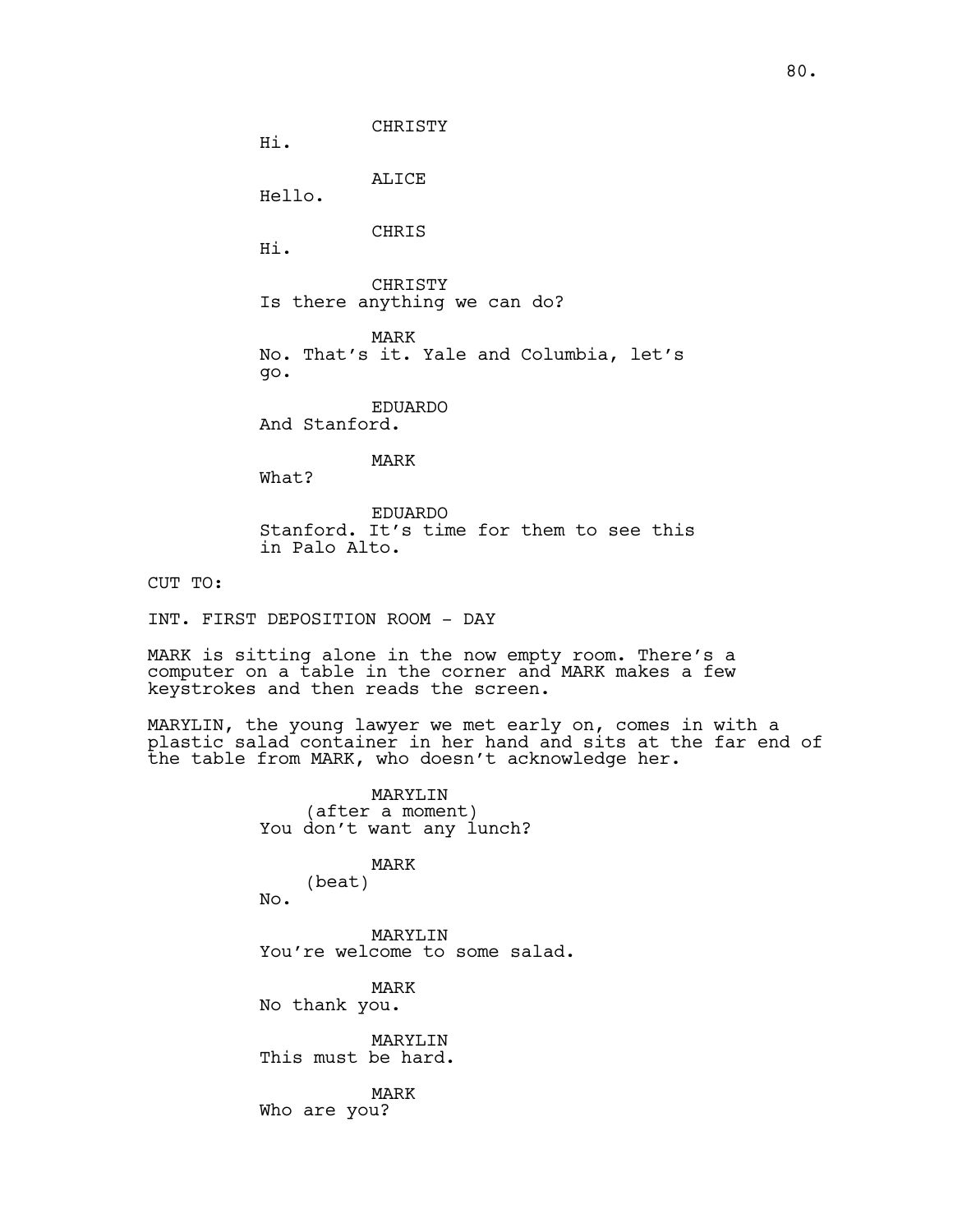Hi.

ALICE Hello.

CHRIS

Hi.

CHRISTY Is there anything we can do?

CHRISTY

MARK No. That's it. Yale and Columbia, let's go.

EDUARDO And Stanford.

MARK

What?

EDUARDO Stanford. It's time for them to see this in Palo Alto.

CUT TO:

INT. FIRST DEPOSITION ROOM - DAY

MARK is sitting alone in the now empty room. There's a computer on a table in the corner and MARK makes a few keystrokes and then reads the screen.

MARYLIN, the young lawyer we met early on, comes in with a plastic salad container in her hand and sits at the far end of the table from MARK, who doesn't acknowledge her.

> MARYLIN (after a moment) You don't want any lunch?

> > MARK

(beat) No.

MARYLIN You're welcome to some salad.

MARK No thank you.

MARYLIN This must be hard.

MARK Who are you?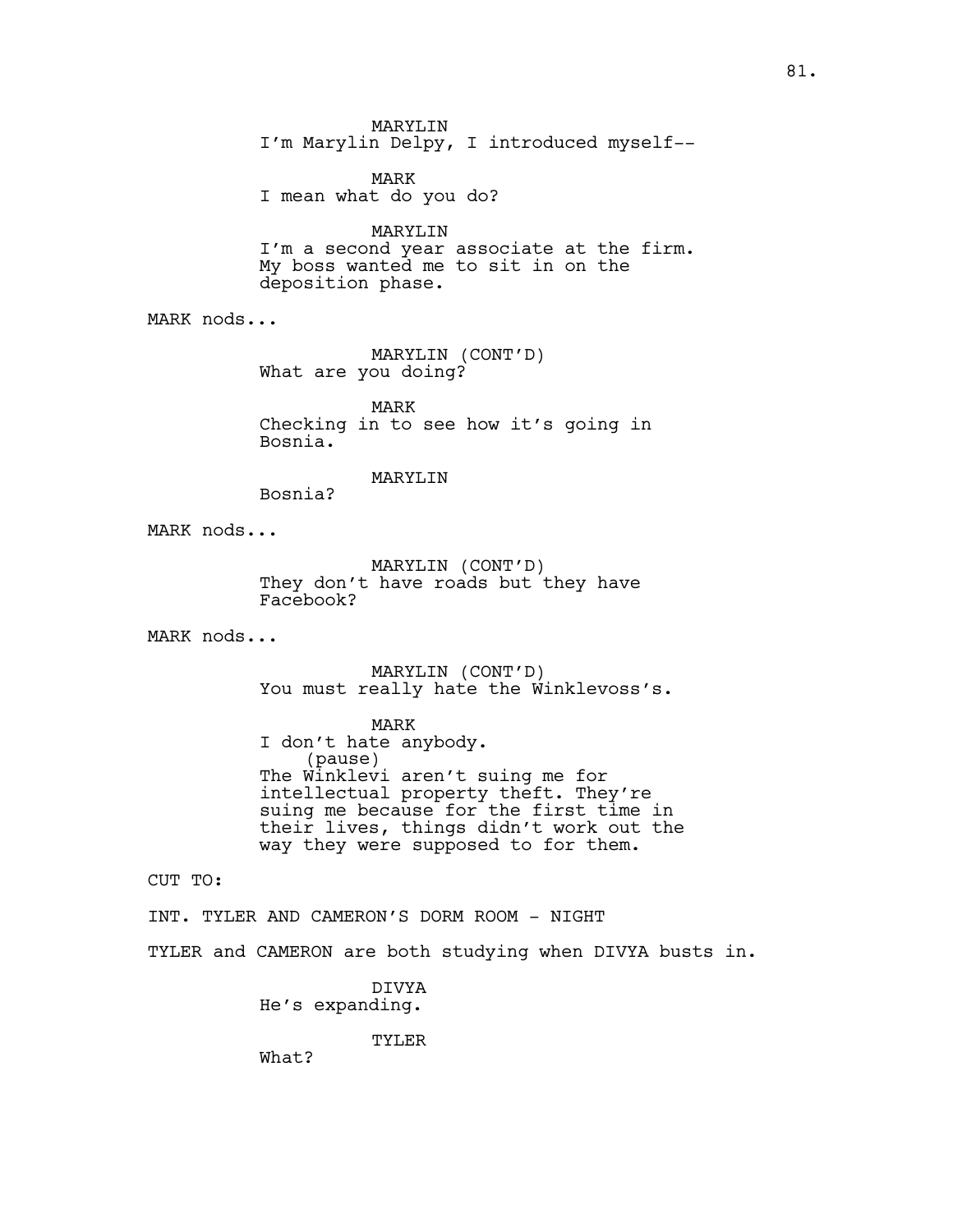MARYLIN

I'm Marylin Delpy, I introduced myself--

MARK I mean what do you do?

# MARYLIN

I'm a second year associate at the firm. My boss wanted me to sit in on the deposition phase.

MARK nods...

MARYLIN (CONT'D) What are you doing?

MARK Checking in to see how it's going in Bosnia.

## MARYLIN

Bosnia?

MARK nods...

MARYLIN (CONT'D) They don't have roads but they have Facebook?

MARK nods...

MARYLIN (CONT'D) You must really hate the Winklevoss's.

MARK I don't hate anybody. (pause) The Winklevi aren't suing me for intellectual property theft. They're suing me because for the first time in their lives, things didn't work out the way they were supposed to for them.

CUT TO:

INT. TYLER AND CAMERON'S DORM ROOM - NIGHT

TYLER and CAMERON are both studying when DIVYA busts in.

DIVYA He's expanding.

TYLER

What?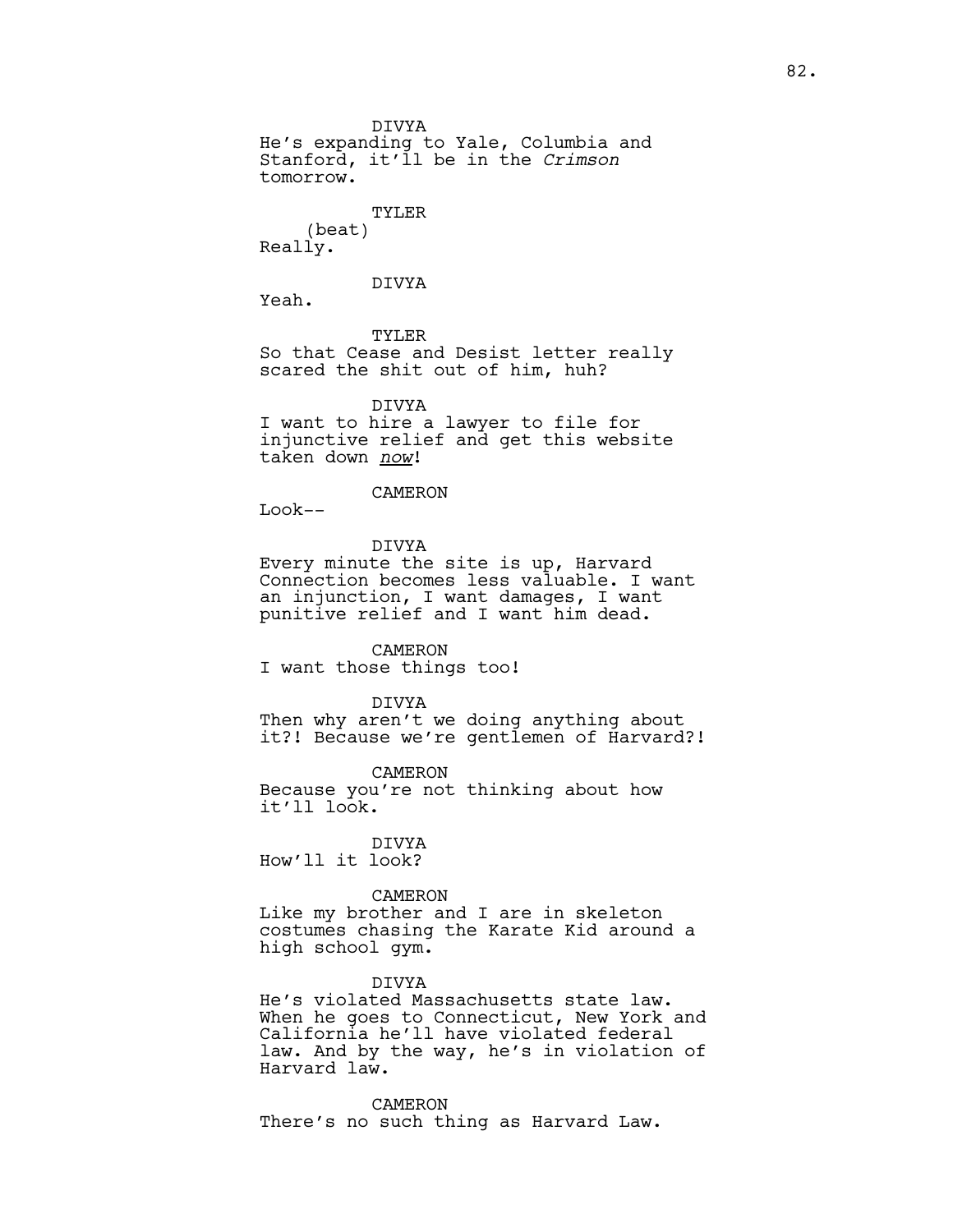DIVYA He's expanding to Yale, Columbia and Stanford, it'll be in the *Crimson* tomorrow.

## TYLER

(beat) Really.

DIVYA

Yeah.

TYLER So that Cease and Desist letter really scared the shit out of him, huh?

DIVYA I want to hire a lawyer to file for injunctive relief and get this website taken down *now*!

## CAMERON

Look--

DIVYA Every minute the site is up, Harvard Connection becomes less valuable. I want an injunction, I want damages, I want punitive relief and I want him dead.

CAMERON I want those things too!

DIVYA Then why aren't we doing anything about it?! Because we're gentlemen of Harvard?!

CAMERON Because you're not thinking about how it'll look.

DIVYA How'll it look?

### CAMERON

Like my brother and I are in skeleton costumes chasing the Karate Kid around a high school gym.

## DIVYA

He's violated Massachusetts state law. When he goes to Connecticut, New York and California he'll have violated federal law. And by the way, he's in violation of Harvard law.

CAMERON There's no such thing as Harvard Law.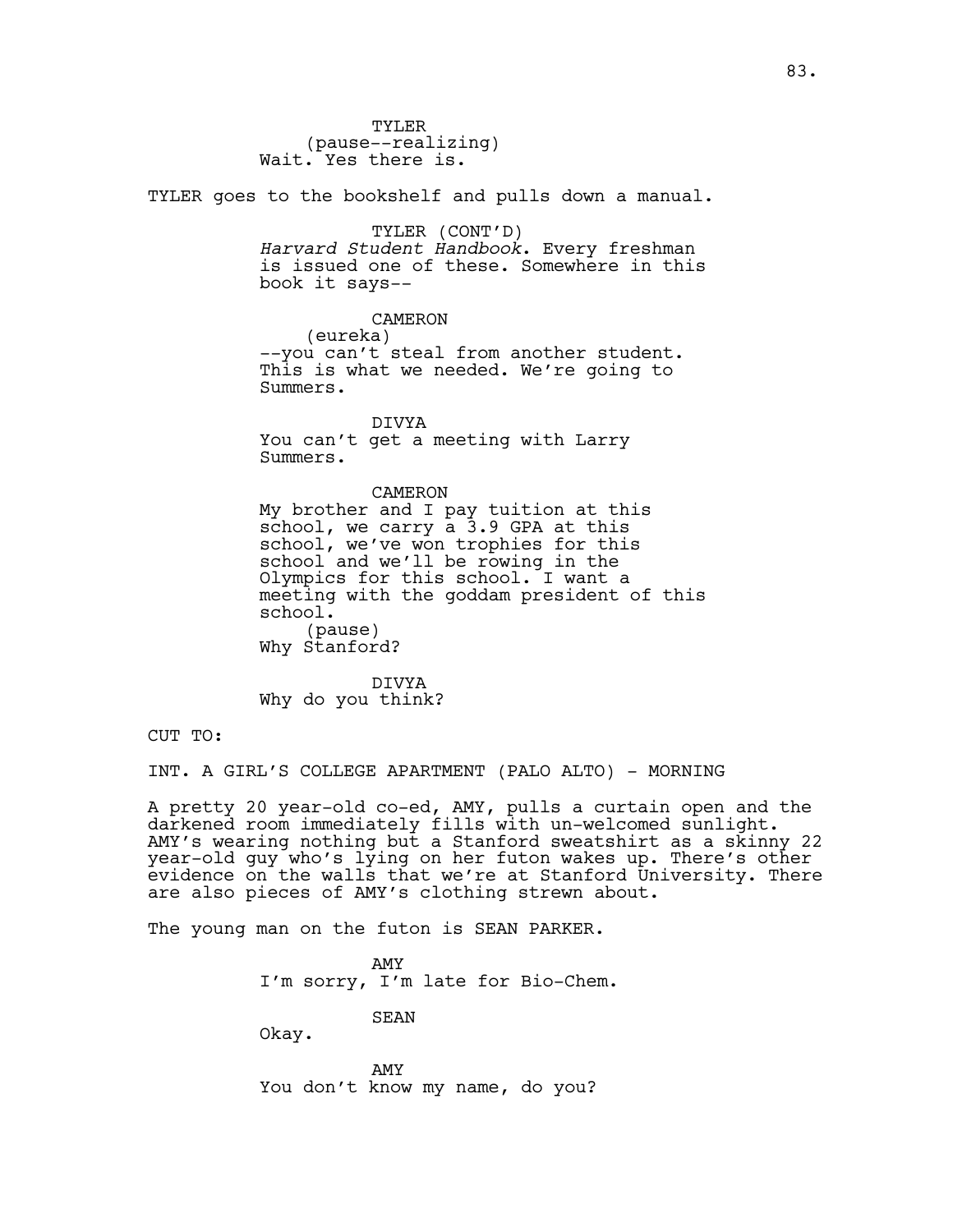TYLER (pause--realizing) Wait. Yes there is.

TYLER goes to the bookshelf and pulls down a manual.

# TYLER (CONT'D)

*Harvard Student Handbook*. Every freshman is issued one of these. Somewhere in this book it says--

CAMERON

(eureka)

--you can't steal from another student. This is what we needed. We're going to Summers.

DIVYA You can't get a meeting with Larry Summers.

CAMERON

My brother and I pay tuition at this school, we carry a 3.9 GPA at this school, we've won trophies for this school and we'll be rowing in the Olympics for this school. I want a meeting with the goddam president of this school. (pause) Why Stanford?

DIVYA Why do you think?

CUT TO:

INT. A GIRL'S COLLEGE APARTMENT (PALO ALTO) - MORNING

A pretty 20 year-old co-ed, AMY, pulls a curtain open and the darkened room immediately fills with un-welcomed sunlight. AMY's wearing nothing but a Stanford sweatshirt as a skinny 22 year-old guy who's lying on her futon wakes up. There's other evidence on the walls that we're at Stanford University. There are also pieces of AMY's clothing strewn about.

The young man on the futon is SEAN PARKER.

AMY I'm sorry, I'm late for Bio-Chem.

SEAN

Okay.

AMY You don't know my name, do you?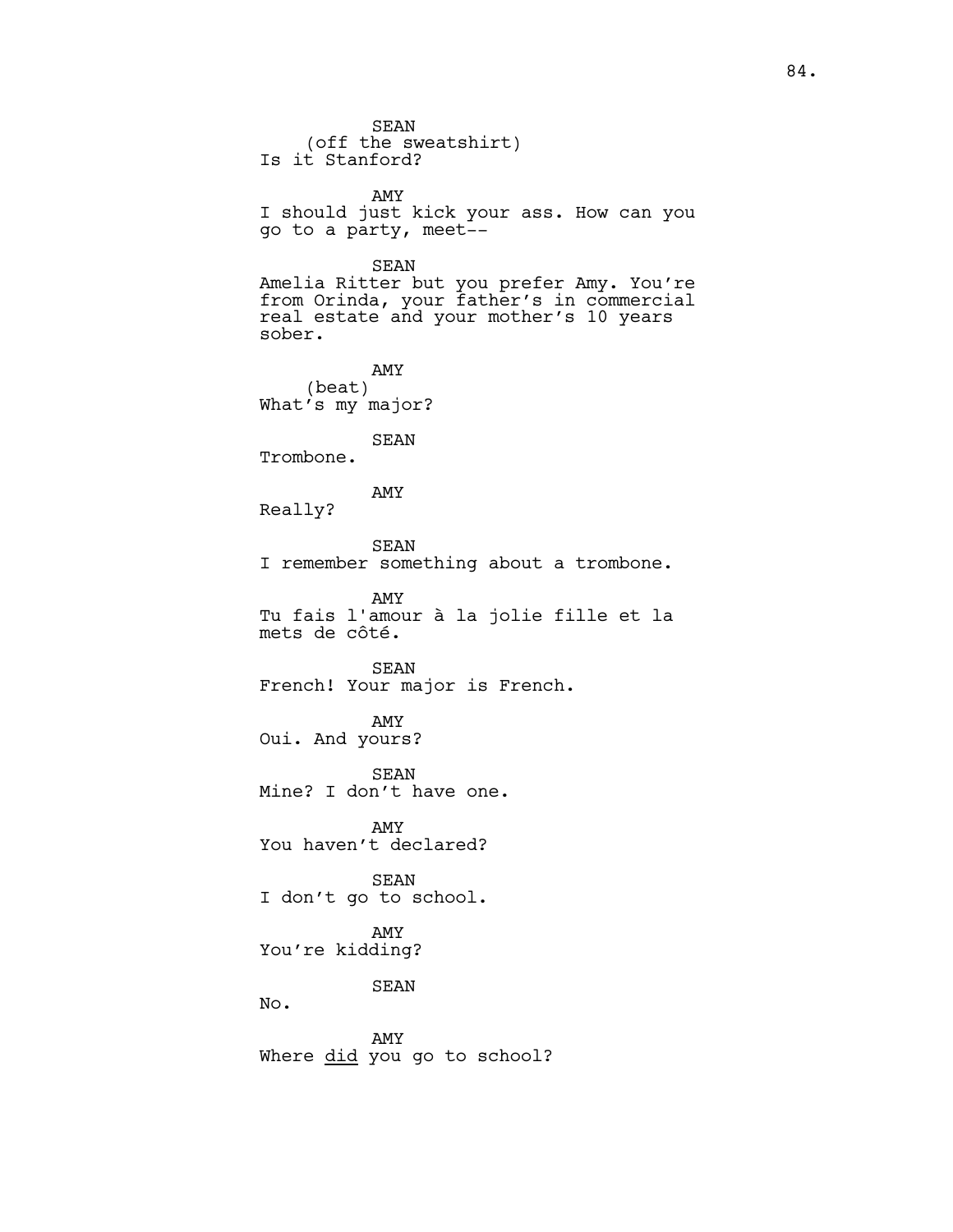SEAN (off the sweatshirt) Is it Stanford? AMY I should just kick your ass. How can you go to a party, meet-- SEAN Amelia Ritter but you prefer Amy. You're from Orinda, your father's in commercial real estate and your mother's 10 years sober. AMY (beat) What's my major? SEAN Trombone. AMY Really? SEAN I remember something about a trombone. AMY Tu fais l'amour à la jolie fille et la mets de côté. SEAN French! Your major is French. AMY Oui. And yours? SEAN Mine? I don't have one. AMY You haven't declared? SEAN I don't go to school. AMY You're kidding? SEAN No. AMY Where did you go to school?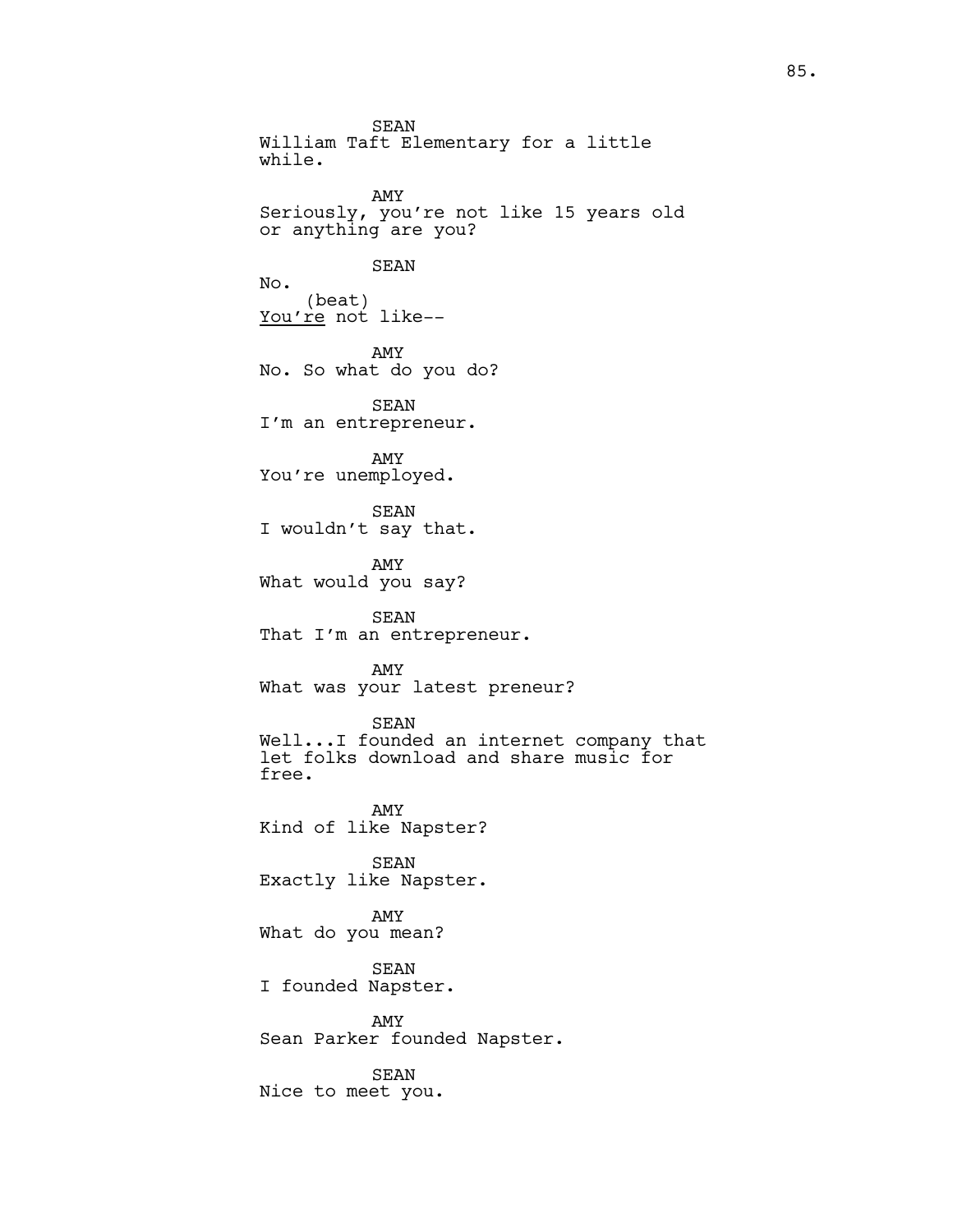SEAN William Taft Elementary for a little while. AMY Seriously, you're not like 15 years old or anything are you? SEAN No. (beat) You're not like-- AMY No. So what do you do? SEAN I'm an entrepreneur. AMY You're unemployed. SEAN I wouldn't say that. AMY What would you say? SEAN That I'm an entrepreneur. AMY What was your latest preneur? SEAN Well...I founded an internet company that let folks download and share music for free. AMY Kind of like Napster? SEAN Exactly like Napster. AMY What do you mean? SEAN I founded Napster. AMY Sean Parker founded Napster. SEAN Nice to meet you.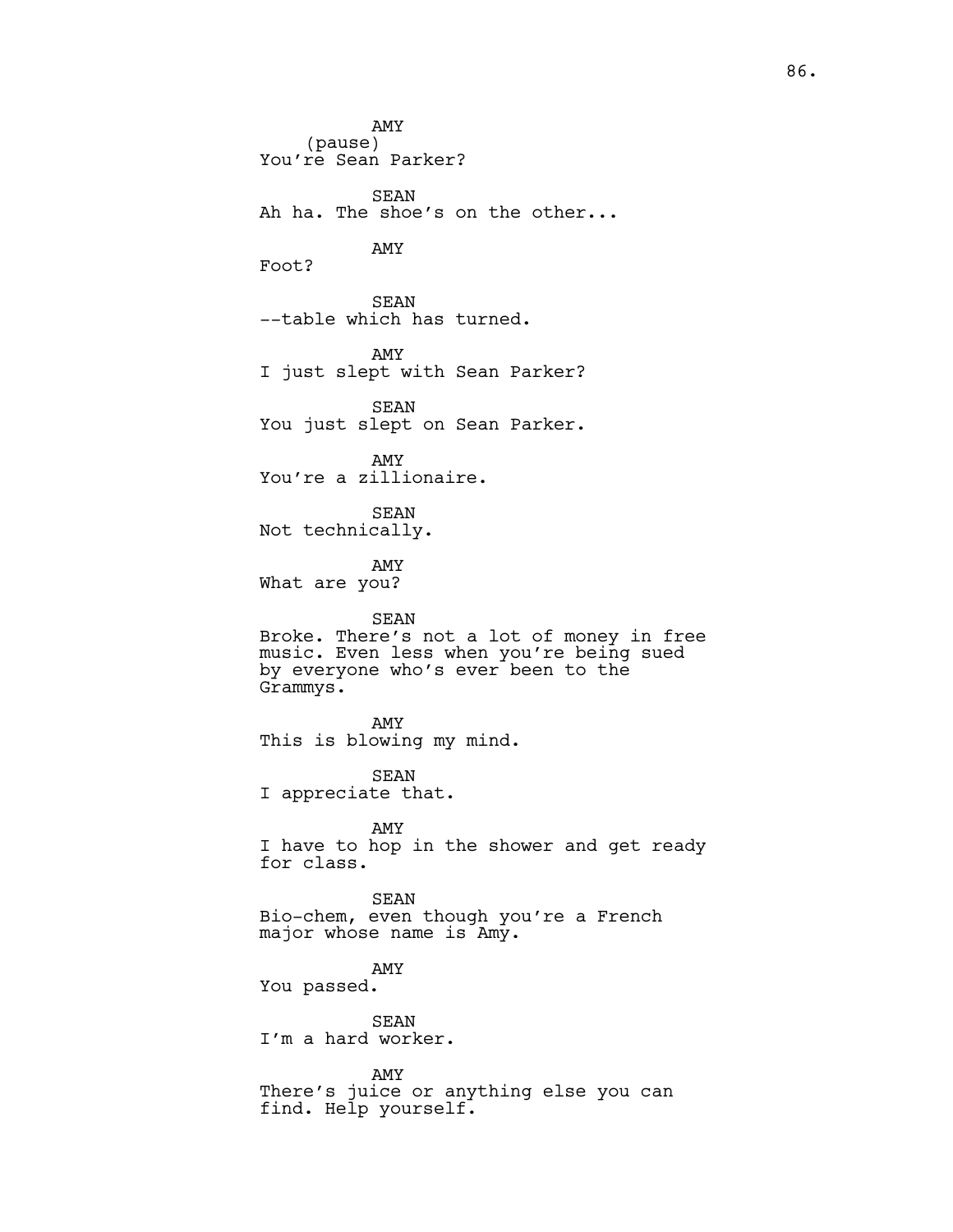AMY (pause) You're Sean Parker? SEAN Ah ha. The shoe's on the other... AMY Foot? SEAN --table which has turned. AMY I just slept with Sean Parker? SEAN You just slept on Sean Parker. AMY You're a zillionaire. SEAN Not technically. AMY What are you? SEAN Broke. There's not a lot of money in free music. Even less when you're being sued by everyone who's ever been to the Grammys. AMY This is blowing my mind. SEAN I appreciate that. AMY I have to hop in the shower and get ready for class. SEAN Bio-chem, even though you're a French major whose name is Amy. AMY You passed. SEAN I'm a hard worker. AMY There's juice or anything else you can find. Help yourself.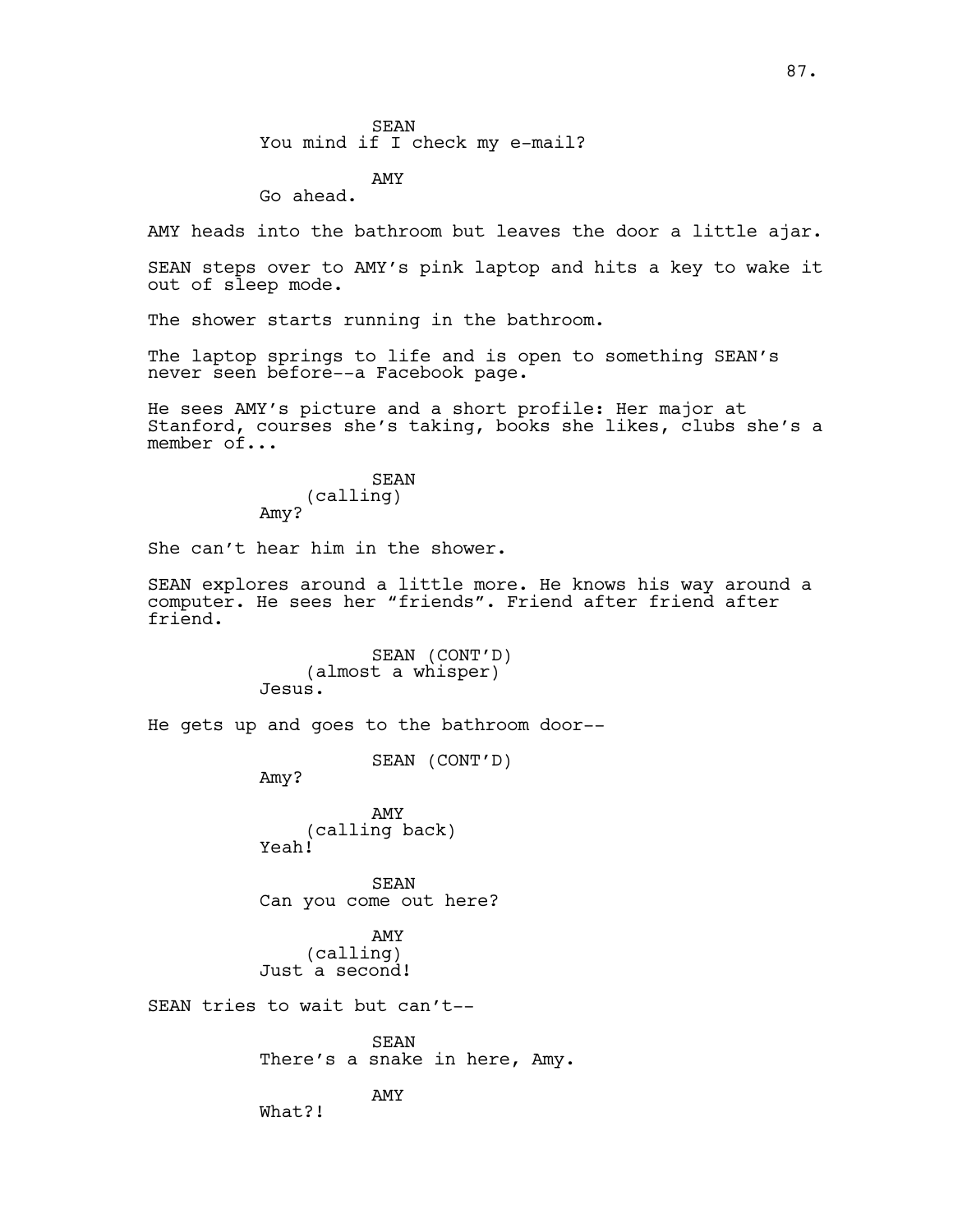SEAN You mind if I check my e-mail?

AMY Go ahead.

AMY heads into the bathroom but leaves the door a little ajar.

SEAN steps over to AMY's pink laptop and hits a key to wake it out of sleep mode.

The shower starts running in the bathroom.

The laptop springs to life and is open to something SEAN's never seen before--a Facebook page.

He sees AMY's picture and a short profile: Her major at Stanford, courses she's taking, books she likes, clubs she's a member of...

> SEAN (calling) Amy?

She can't hear him in the shower.

SEAN explores around a little more. He knows his way around a computer. He sees her "friends". Friend after friend after friend.

> SEAN (CONT'D) (almost a whisper) Jesus.

He gets up and goes to the bathroom door--

SEAN (CONT'D)

Amy?

AMY (calling back) Yeah!

SEAN Can you come out here?

AMY (calling) Just a second!

SEAN tries to wait but can't--

SEAN There's a snake in here, Amy.

AMY

What?!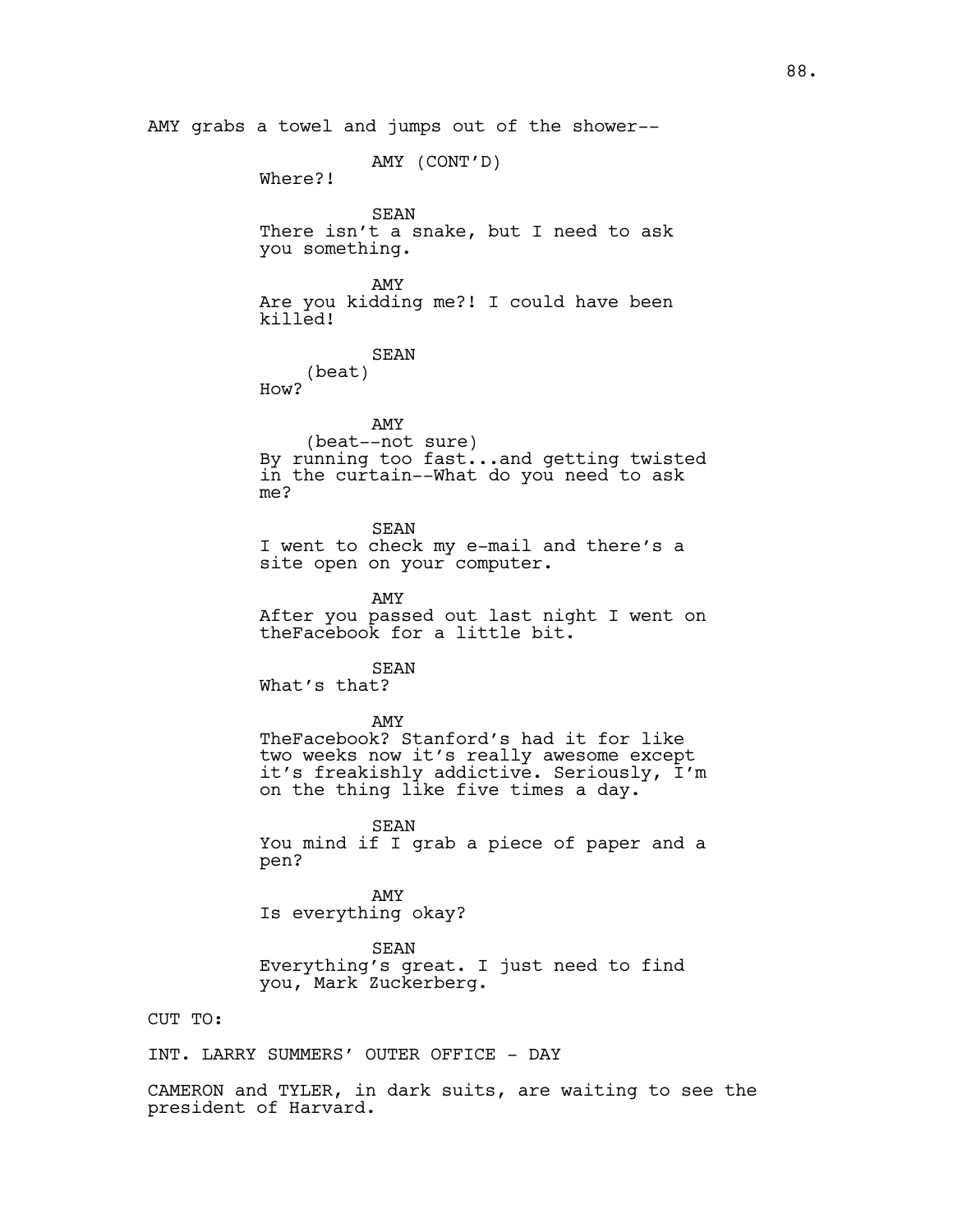AMY grabs a towel and jumps out of the shower-- AMY (CONT'D) Where?! SEAN There isn't a snake, but I need to ask you something. AMY Are you kidding me?! I could have been killed! SEAN (beat) How? AMY (beat--not sure) By running too fast...and getting twisted in the curtain--What do you need to ask me? SEAN I went to check my e-mail and there's a site open on your computer. AMY After you passed out last night I went on theFacebook for a little bit. SEAN What's that? AMY TheFacebook? Stanford's had it for like two weeks now it's really awesome except it's freakishly addictive. Seriously, I'm on the thing like five times a day. SEAN You mind if I grab a piece of paper and a pen? AMY Is everything okay? SEAN Everything's great. I just need to find you, Mark Zuckerberg. CUT TO: INT. LARRY SUMMERS' OUTER OFFICE - DAY

CAMERON and TYLER, in dark suits, are waiting to see the president of Harvard.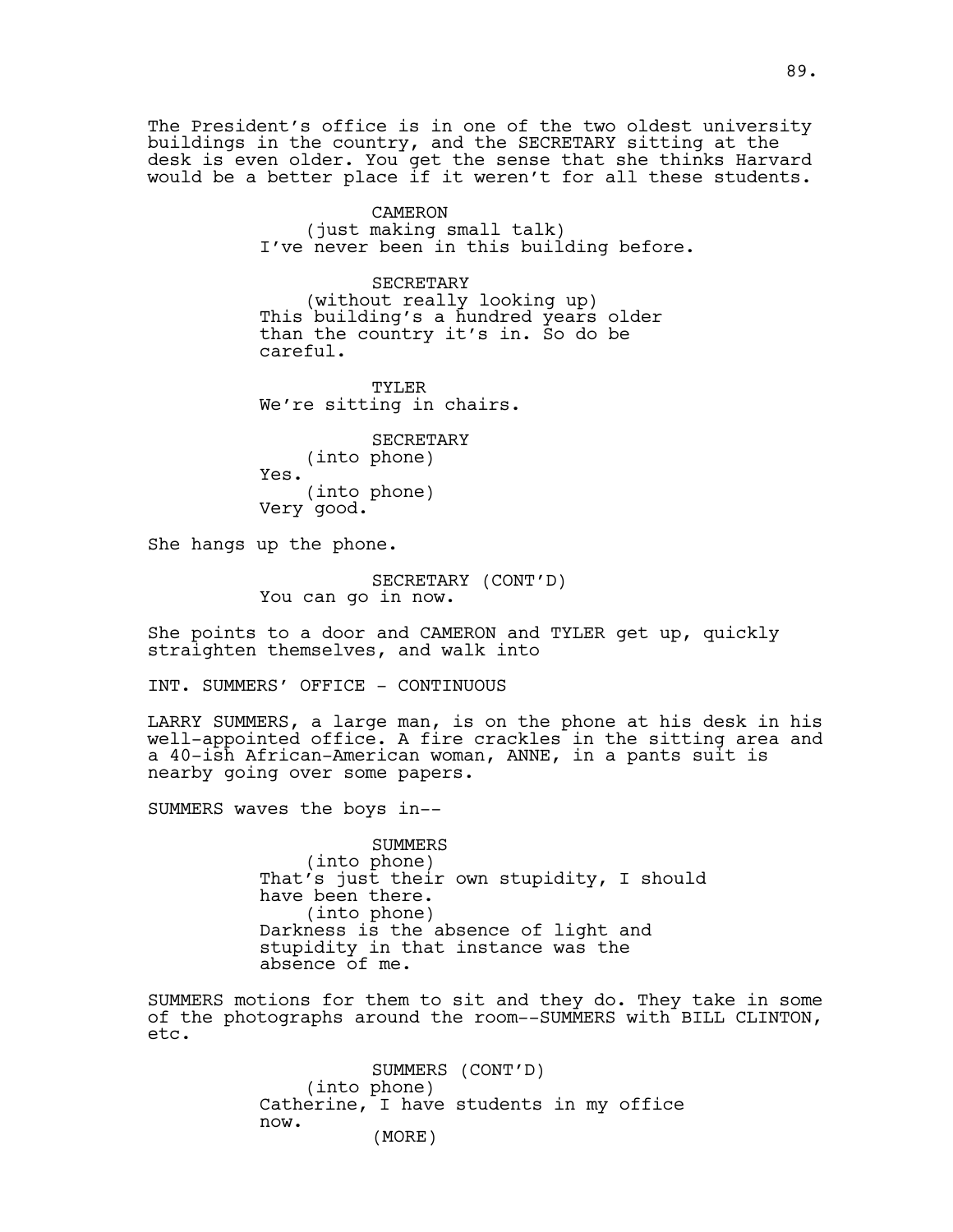The President's office is in one of the two oldest university buildings in the country, and the SECRETARY sitting at the desk is even older. You get the sense that she thinks Harvard would be a better place if it weren't for all these students.

> CAMERON (just making small talk) I've never been in this building before.

SECRETARY (without really looking up) This building's a hundred years older than the country it's in. So do be careful.

TYLER We're sitting in chairs.

**SECRETARY** (into phone) Yes. (into phone) Very good.

She hangs up the phone.

SECRETARY (CONT'D) You can go in now.

She points to a door and CAMERON and TYLER get up, quickly straighten themselves, and walk into

INT. SUMMERS' OFFICE - CONTINUOUS

LARRY SUMMERS, a large man, is on the phone at his desk in his well-appointed office. A fire crackles in the sitting area and a 40-ish African-American woman, ANNE, in a pants suit is nearby going over some papers.

SUMMERS waves the boys in--

SUMMERS (into phone) That's just their own stupidity, I should have been there. (into phone) Darkness is the absence of light and stupidity in that instance was the absence of me.

SUMMERS motions for them to sit and they do. They take in some of the photographs around the room--SUMMERS with BILL CLINTON, etc.

> SUMMERS (CONT'D) (into phone) Catherine, I have students in my office now. (MORE)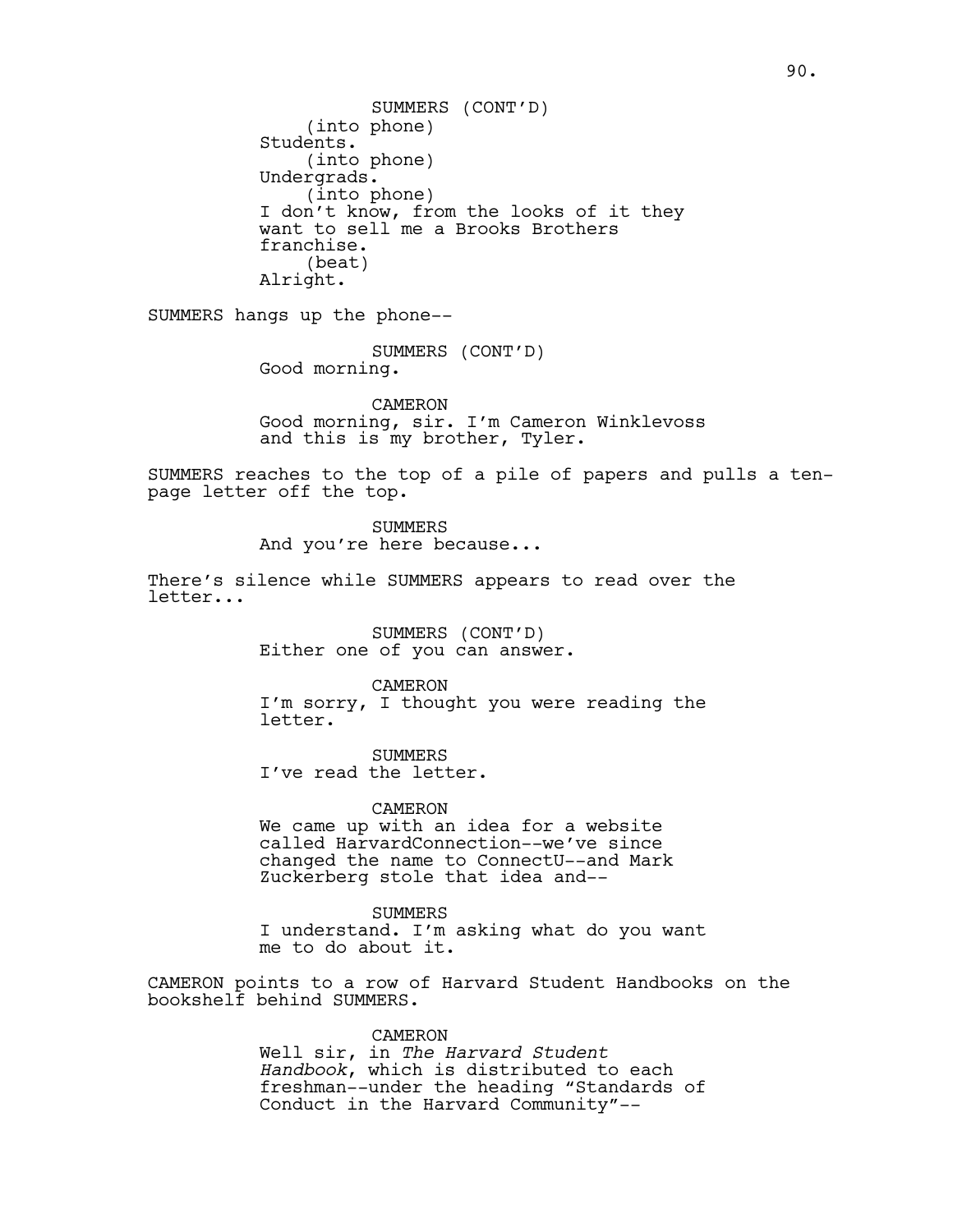(into phone) Students. (into phone) Undergrads. (into phone) I don't know, from the looks of it they want to sell me a Brooks Brothers franchise. (beat) Alright. SUMMERS (CONT'D)

SUMMERS hangs up the phone--

SUMMERS (CONT'D) Good morning.

CAMERON Good morning, sir. I'm Cameron Winklevoss and this is my brother, Tyler.

SUMMERS reaches to the top of a pile of papers and pulls a tenpage letter off the top.

> SUMMERS And you're here because...

There's silence while SUMMERS appears to read over the letter...

> SUMMERS (CONT'D) Either one of you can answer.

> > CAMERON

I'm sorry, I thought you were reading the letter.

SUMMERS I've read the letter.

CAMERON We came up with an idea for a website called HarvardConnection--we've since changed the name to ConnectU--and Mark Zuckerberg stole that idea and--

SUMMERS I understand. I'm asking what do you want me to do about it.

CAMERON points to a row of Harvard Student Handbooks on the bookshelf behind SUMMERS.

> CAMERON Well sir, in *The Harvard Student Handbook*, which is distributed to each freshman--under the heading "Standards of Conduct in the Harvard Community"--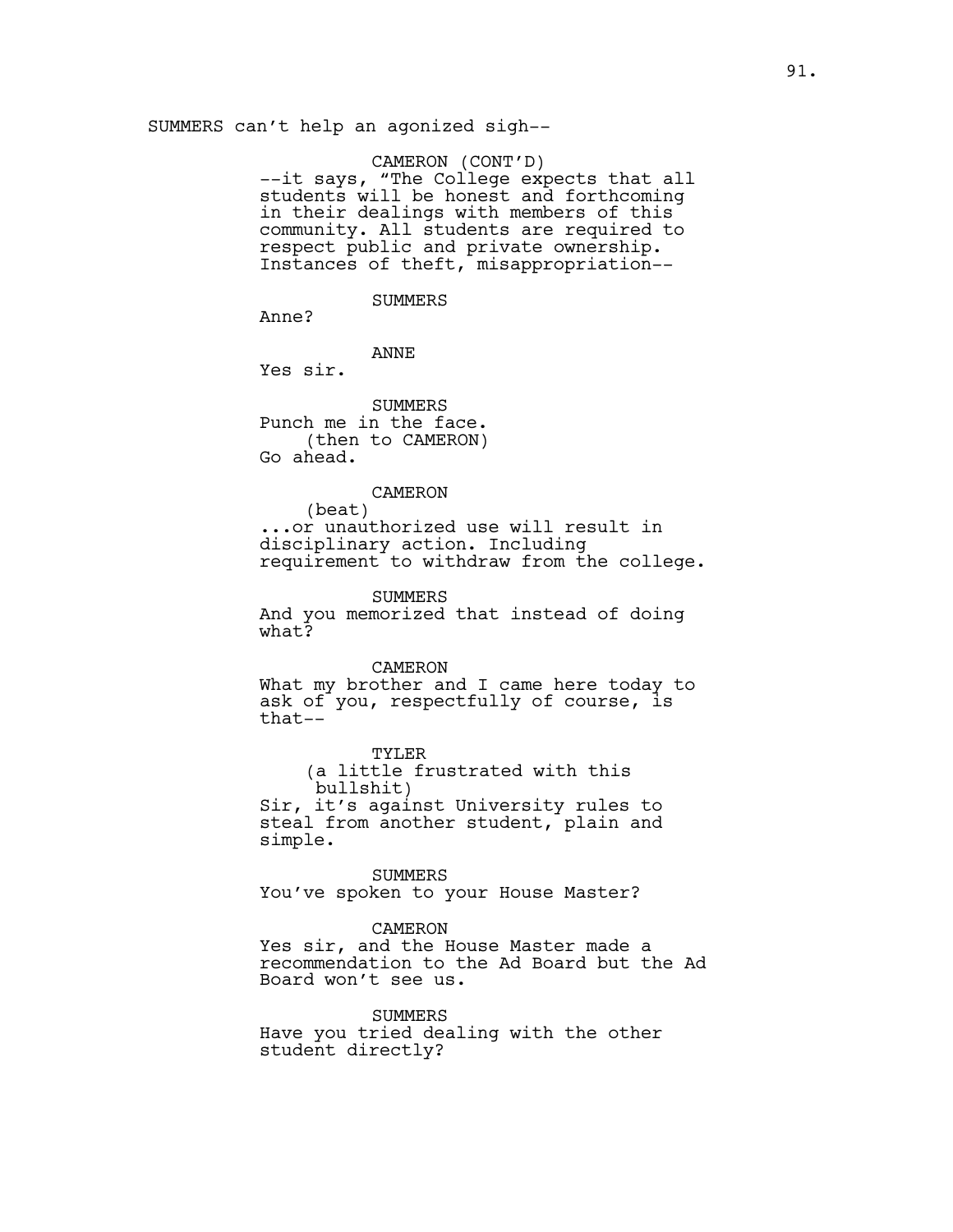SUMMERS can't help an agonized sigh--

CAMERON (CONT'D) --it says, "The College expects that all students will be honest and forthcoming in their dealings with members of this community. All students are required to respect public and private ownership. Instances of theft, misappropriation--

# SUMMERS

Anne?

#### ANNE

Yes sir.

SUMMERS Punch me in the face. (then to CAMERON) Go ahead.

# CAMERON

(beat) ...or unauthorized use will result in disciplinary action. Including requirement to withdraw from the college.

**SUMMERS** 

And you memorized that instead of doing what?

#### CAMERON

What my brother and I came here today to ask of you, respectfully of course, is that--

TYLER (a little frustrated with this bullshit) Sir, it's against University rules to steal from another student, plain and simple.

SUMMERS You've spoken to your House Master?

#### CAMERON

Yes sir, and the House Master made a recommendation to the Ad Board but the Ad Board won't see us.

SUMMERS Have you tried dealing with the other student directly?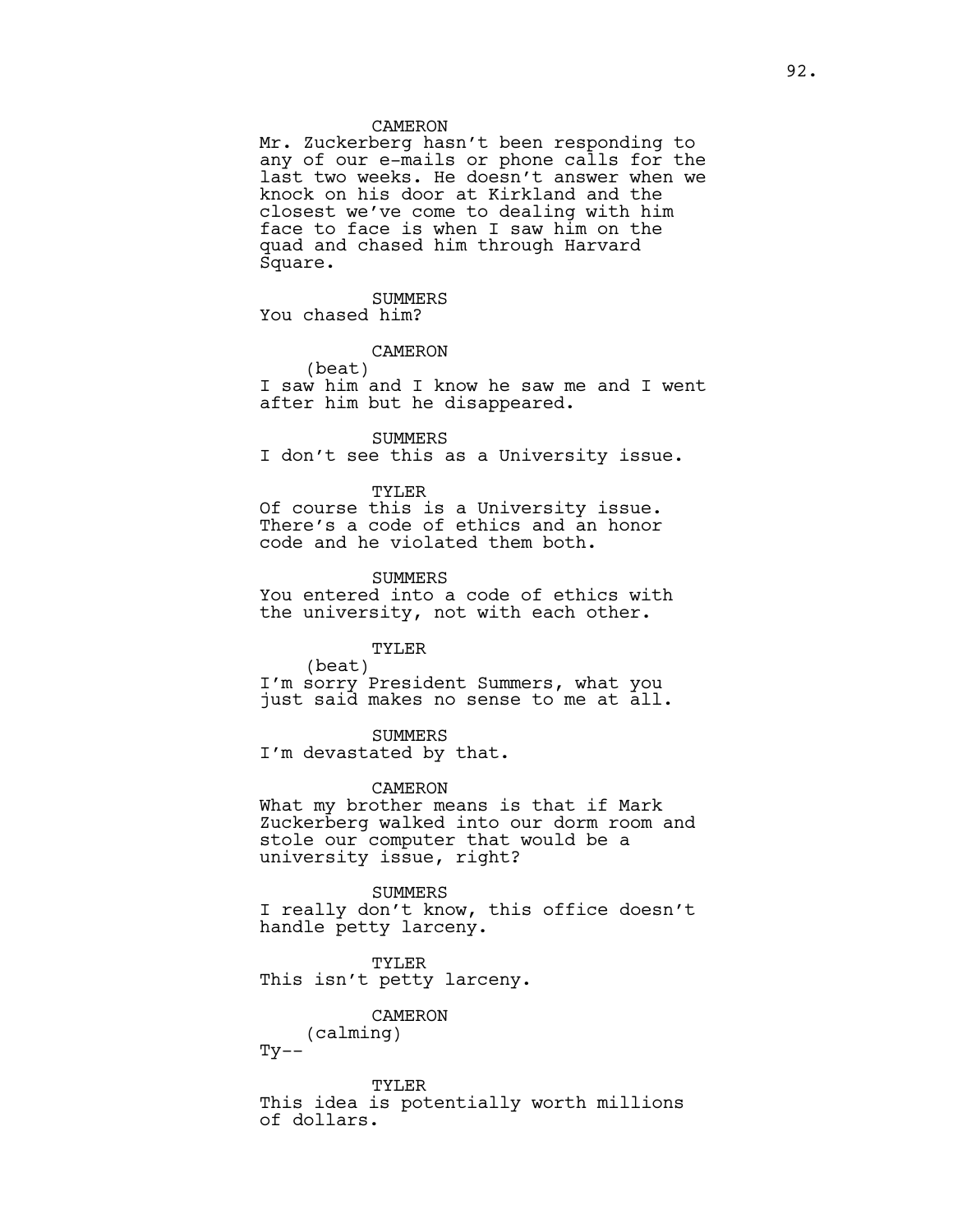#### CAMERON

Mr. Zuckerberg hasn't been responding to any of our e-mails or phone calls for the last two weeks. He doesn't answer when we knock on his door at Kirkland and the closest we've come to dealing with him face to face is when I saw him on the quad and chased him through Harvard Square.

SUMMERS You chased him?

## CAMERON

(beat) I saw him and I know he saw me and I went after him but he disappeared.

SUMMERS

I don't see this as a University issue.

TYLER

Of course this is a University issue. There's a code of ethics and an honor code and he violated them both.

SUMMERS

You entered into a code of ethics with the university, not with each other.

# TYLER

(beat) I'm sorry President Summers, what you just said makes no sense to me at all.

SUMMERS I'm devastated by that.

CAMERON

What my brother means is that if Mark Zuckerberg walked into our dorm room and stole our computer that would be a university issue, right?

SUMMERS

I really don't know, this office doesn't handle petty larceny.

TYLER This isn't petty larceny.

CAMERON

(calming)

 $Ty$ --

TYLER This idea is potentially worth millions of dollars.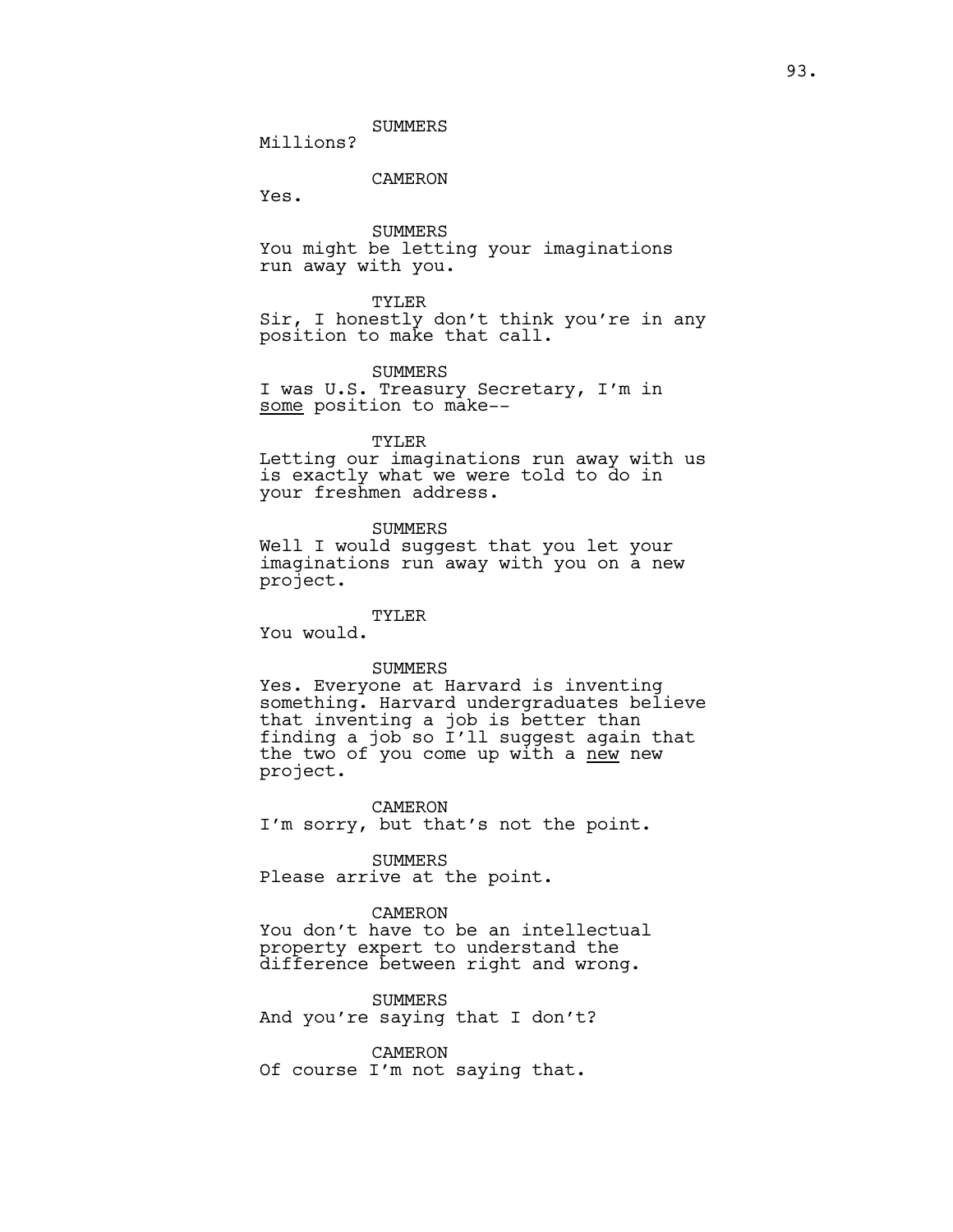SUMMERS

Millions?

CAMERON

Yes.

SUMMERS You might be letting your imaginations run away with you.

#### TYLER

Sir, I honestly don't think you're in any position to make that call.

# **SUMMERS**

I was U.S. Treasury Secretary, I'm in some position to make--

TYLER

Letting our imaginations run away with us is exactly what we were told to do in your freshmen address.

SUMMERS

Well I would suggest that you let your imaginations run away with you on a new project.

TYLER

You would.

### SUMMERS

Yes. Everyone at Harvard is inventing something. Harvard undergraduates believe that inventing a job is better than finding a job so I'll suggest again that the two of you come up with a <u>new</u> new project.

CAMERON I'm sorry, but that's not the point.

SUMMERS Please arrive at the point.

CAMERON

You don't have to be an intellectual property expert to understand the difference between right and wrong.

SUMMERS And you're saying that I don't?

CAMERON Of course I'm not saying that.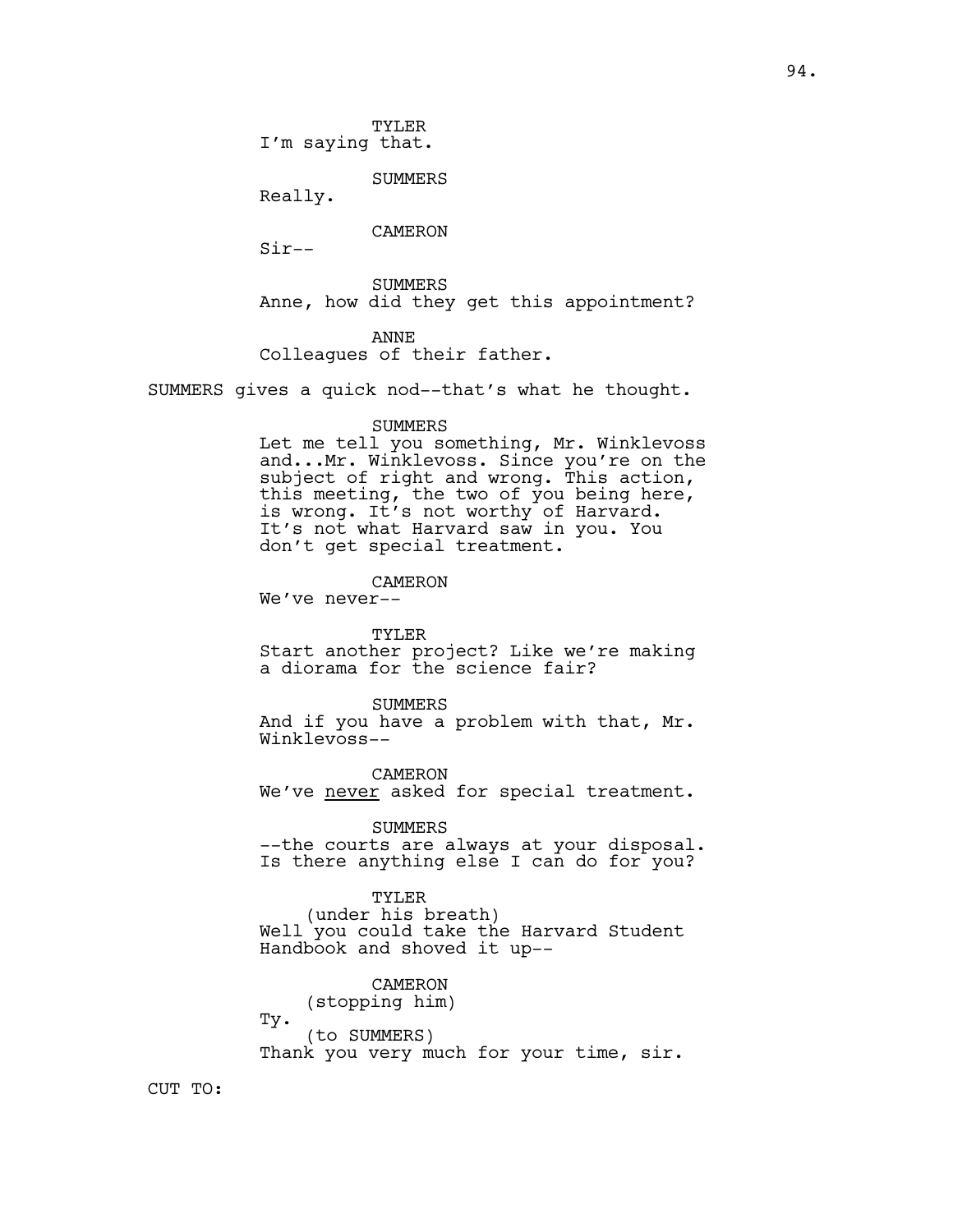TYLER I'm saying that.

SUMMERS

Really.

CAMERON

Sir--

SUMMERS Anne, how did they get this appointment?

ANNE Colleagues of their father.

SUMMERS gives a quick nod--that's what he thought.

#### SUMMERS

Let me tell you something, Mr. Winklevoss and...Mr. Winklevoss. Since you're on the subject of right and wrong. This action, this meeting, the two of you being here, is wrong. It's not worthy of Harvard. It's not what Harvard saw in you. You don't get special treatment.

### CAMERON

We've never--

TYLER Start another project? Like we're making

a diorama for the science fair?

SUMMERS And if you have a problem with that, Mr. Winklevoss--

CAMERON We've <u>never</u> asked for special treatment.

SUMMERS --the courts are always at your disposal. Is there anything else I can do for you?

TYLER

(under his breath) Well you could take the Harvard Student Handbook and shoved it up--

CAMERON

(stopping him) Ty. (to SUMMERS) Thank you very much for your time, sir.

CUT TO: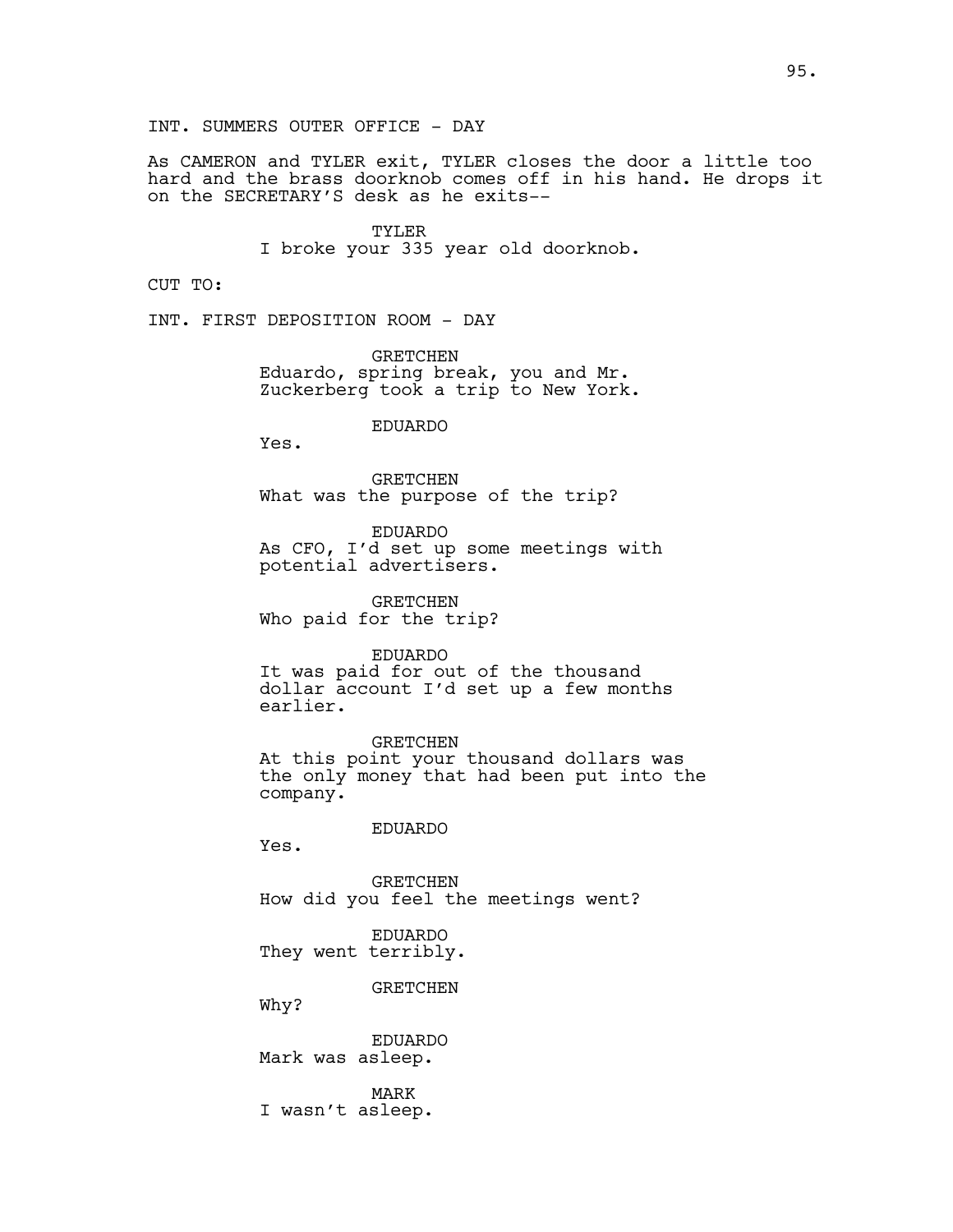INT. SUMMERS OUTER OFFICE - DAY

As CAMERON and TYLER exit, TYLER closes the door a little too hard and the brass doorknob comes off in his hand. He drops it on the SECRETARY'S desk as he exits--

> TYLER I broke your 335 year old doorknob.

CUT TO:

INT. FIRST DEPOSITION ROOM - DAY

GRETCHEN Eduardo, spring break, you and Mr. Zuckerberg took a trip to New York.

EDUARDO

Yes.

GRETCHEN What was the purpose of the trip?

EDUARDO As CFO, I'd set up some meetings with potential advertisers.

GRETCHEN Who paid for the trip?

EDUARDO It was paid for out of the thousand dollar account I'd set up a few months earlier.

GRETCHEN At this point your thousand dollars was the only money that had been put into the company.

## EDUARDO

Yes.

GRETCHEN How did you feel the meetings went?

EDUARDO They went terribly.

**GRETCHEN** 

Why?

EDUARDO Mark was asleep.

MARK I wasn't asleep.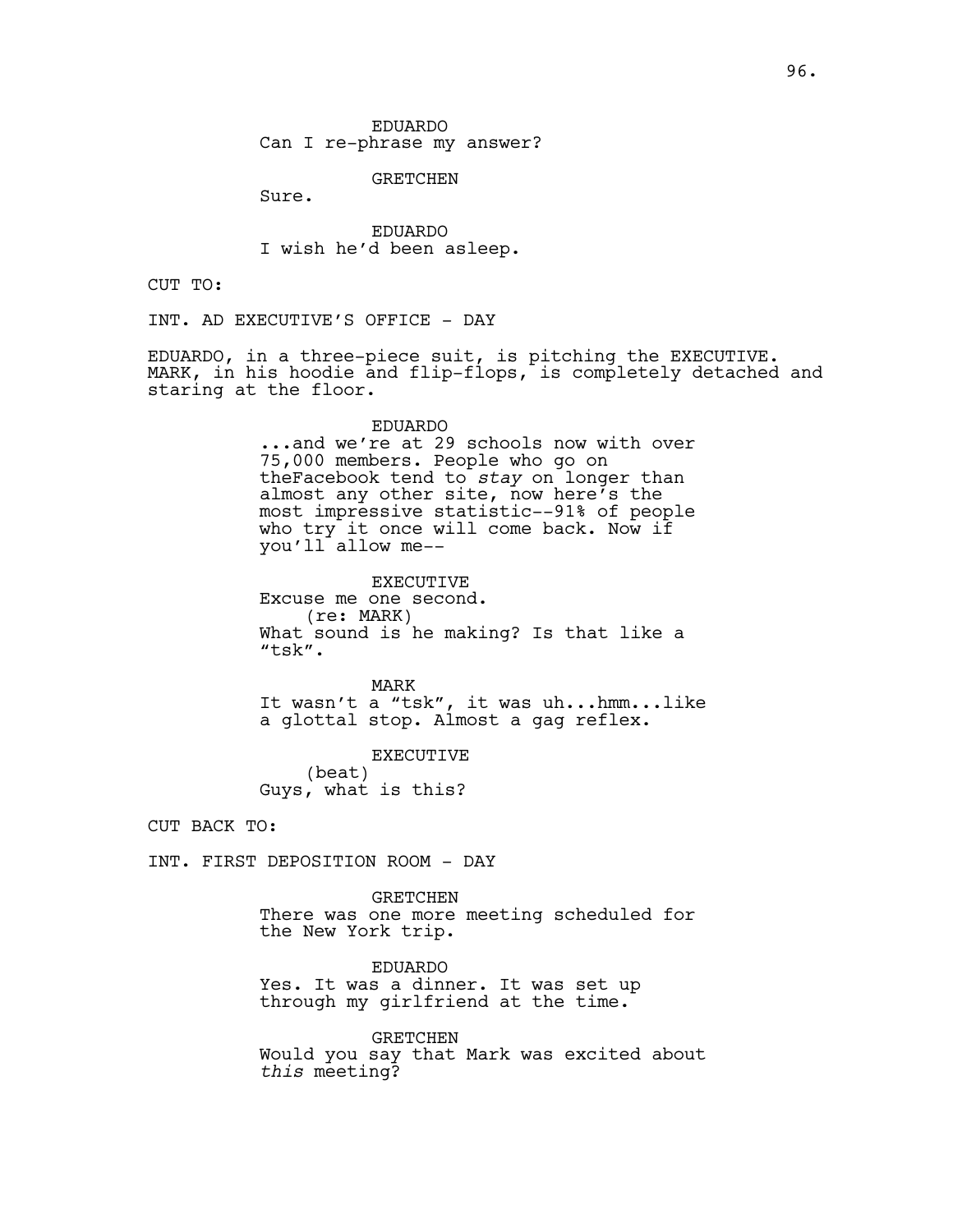GRETCHEN

Sure.

EDUARDO I wish he'd been asleep.

CUT TO:

INT. AD EXECUTIVE'S OFFICE - DAY

EDUARDO, in a three-piece suit, is pitching the EXECUTIVE. MARK, in his hoodie and flip-flops, is completely detached and staring at the floor.

#### EDUARDO

...and we're at 29 schools now with over 75,000 members. People who go on theFacebook tend to *stay* on longer than almost any other site, now here's the most impressive statistic--91% of people who try it once will come back. Now if you'll allow me--

EXECUTIVE Excuse me one second. (re: MARK) What sound is he making? Is that like a "tsk".

MARK It wasn't a "tsk", it was uh...hmm...like a glottal stop. Almost a gag reflex.

EXECUTIVE (beat) Guys, what is this?

CUT BACK TO:

INT. FIRST DEPOSITION ROOM - DAY

GRETCHEN There was one more meeting scheduled for the New York trip.

EDUARDO Yes. It was a dinner. It was set up through my girlfriend at the time.

GRETCHEN Would you say that Mark was excited about *this* meeting?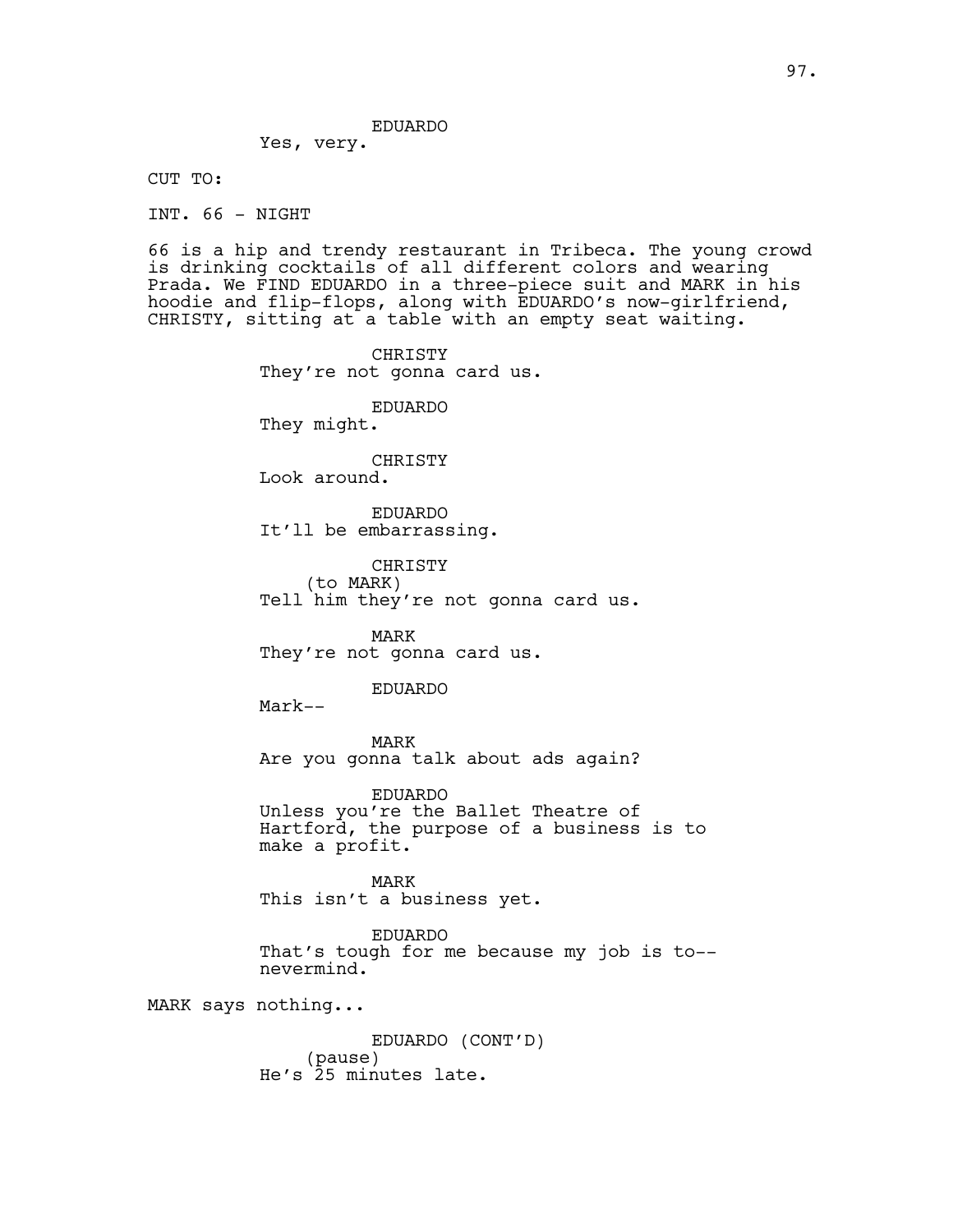EDUARDO

Yes, very.

CUT TO:

INT. 66 - NIGHT

66 is a hip and trendy restaurant in Tribeca. The young crowd is drinking cocktails of all different colors and wearing Prada. We FIND EDUARDO in a three-piece suit and MARK in his hoodie and flip-flops, along with EDUARDO's now-girlfriend, CHRISTY, sitting at a table with an empty seat waiting.

> CHRISTY They're not gonna card us. EDUARDO They might. CHRISTY Look around. EDUARDO It'll be embarrassing. CHRISTY (to MARK) Tell him they're not gonna card us. MARK They're not gonna card us. EDUARDO Mark-- MARK Are you gonna talk about ads again? EDUARDO Unless you're the Ballet Theatre of Hartford, the purpose of a business is to make a profit. MARK This isn't a business yet.

EDUARDO That's tough for me because my job is to- nevermind.

MARK says nothing...

EDUARDO (CONT'D) (pause) He's 25 minutes late.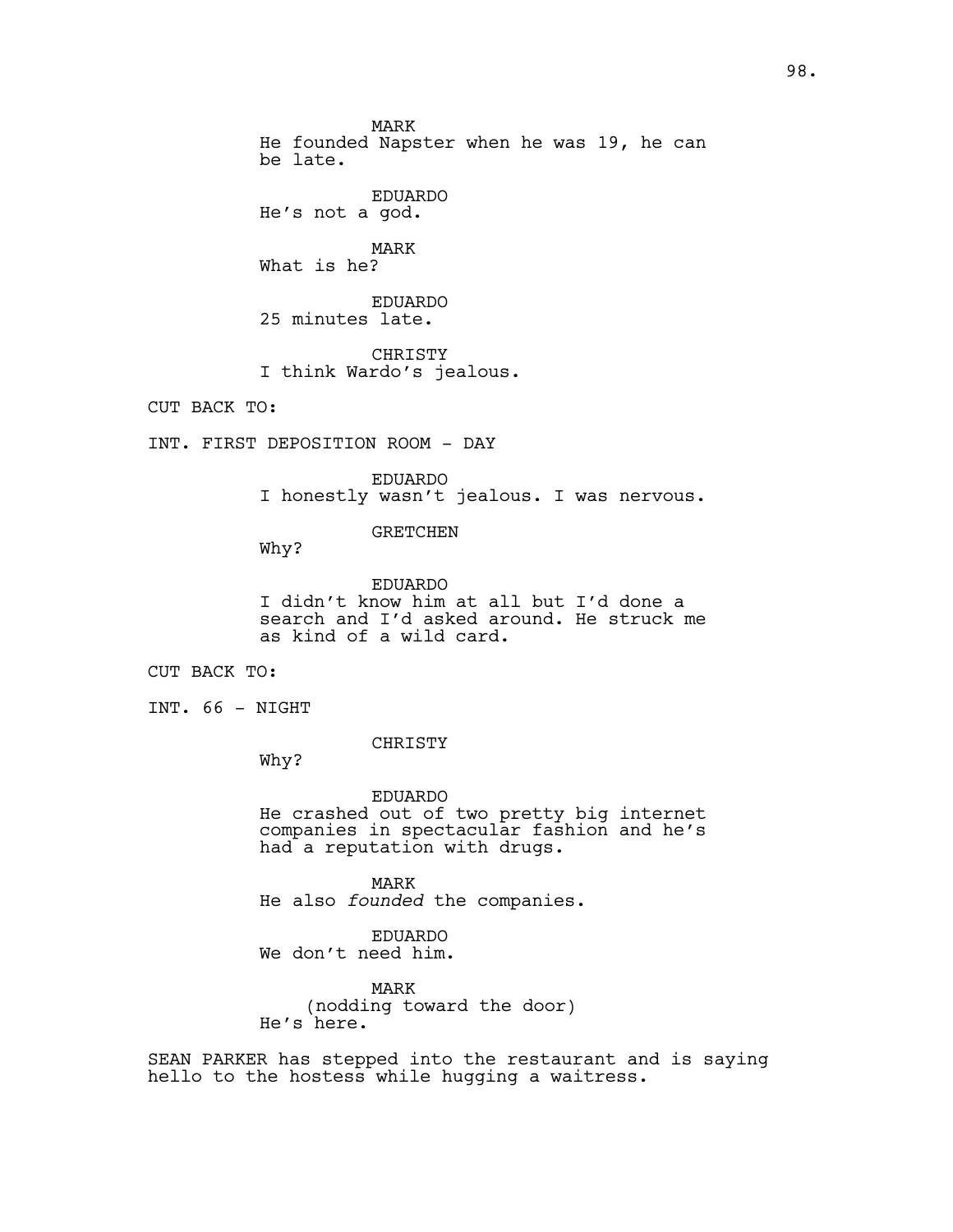MARK He founded Napster when he was 19, he can be late.

EDUARDO He's not a god.

MARK What is he?

EDUARDO

25 minutes late.

CHRISTY I think Wardo's jealous.

CUT BACK TO:

INT. FIRST DEPOSITION ROOM - DAY

EDUARDO I honestly wasn't jealous. I was nervous.

GRETCHEN

Why?

EDUARDO I didn't know him at all but I'd done a search and I'd asked around. He struck me as kind of a wild card.

CUT BACK TO:

INT. 66 - NIGHT

CHRISTY

Why?

EDUARDO He crashed out of two pretty big internet companies in spectacular fashion and he's had a reputation with drugs.

MARK He also *founded* the companies.

EDUARDO We don't need him.

MARK (nodding toward the door) He's here.

SEAN PARKER has stepped into the restaurant and is saying hello to the hostess while hugging a waitress.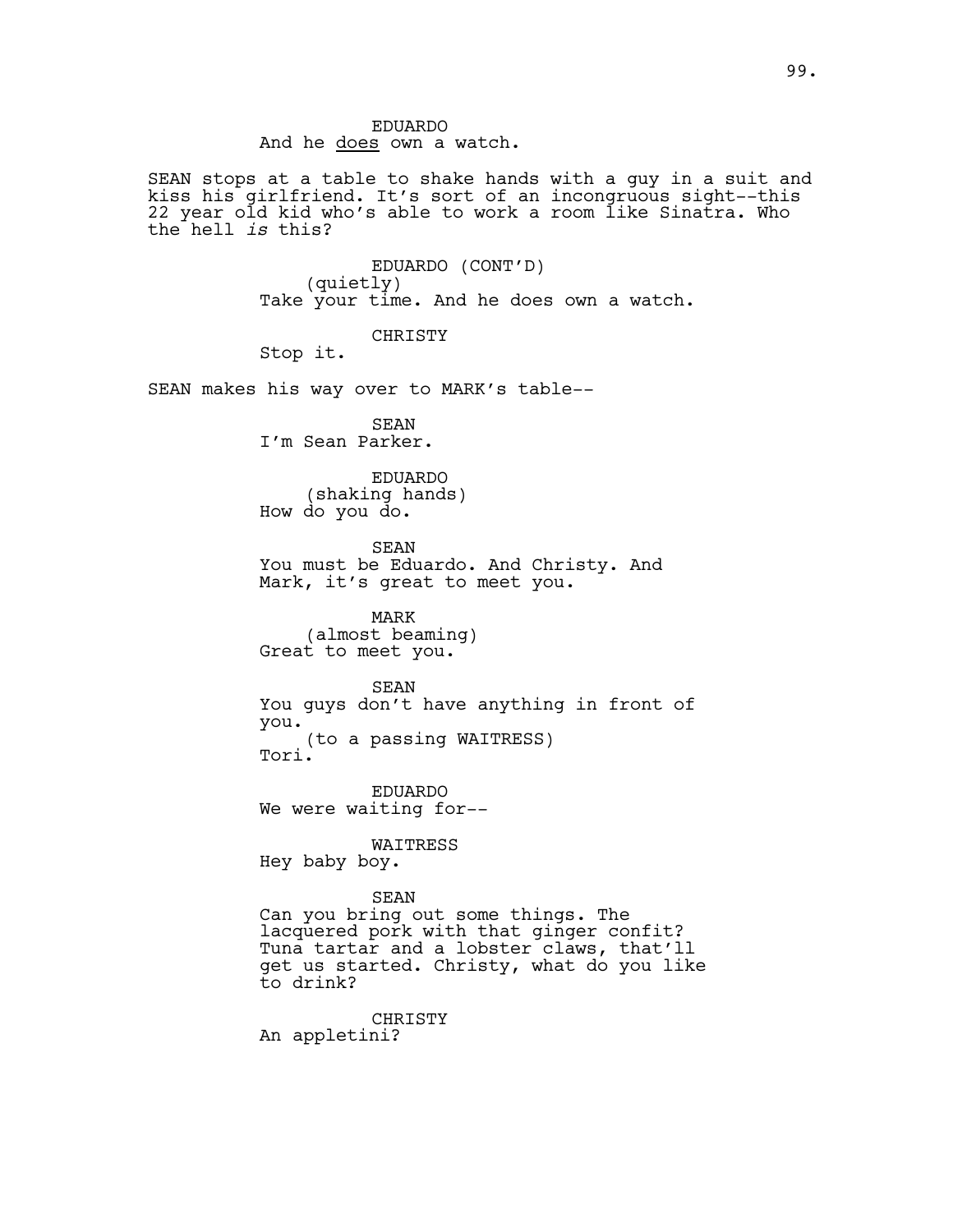SEAN stops at a table to shake hands with a guy in a suit and kiss his girlfriend. It's sort of an incongruous sight--this 22 year old kid who's able to work a room like Sinatra. Who the hell *is* this?

> EDUARDO (CONT'D) (quietly) Take your time. And he does own a watch.

CHRISTY

Stop it.

SEAN makes his way over to MARK's table--

SEAN I'm Sean Parker.

EDUARDO (shaking hands) How do you do.

SEAN You must be Eduardo. And Christy. And Mark, it's great to meet you.

MARK (almost beaming) Great to meet you.

#### SEAN

You guys don't have anything in front of you. (to a passing WAITRESS) Tori.

EDUARDO We were waiting for--

WAITRESS Hey baby boy.

# SEAN

Can you bring out some things. The lacquered pork with that ginger confit? Tuna tartar and a lobster claws, that'll get us started. Christy, what do you like to drink?

CHRISTY An appletini?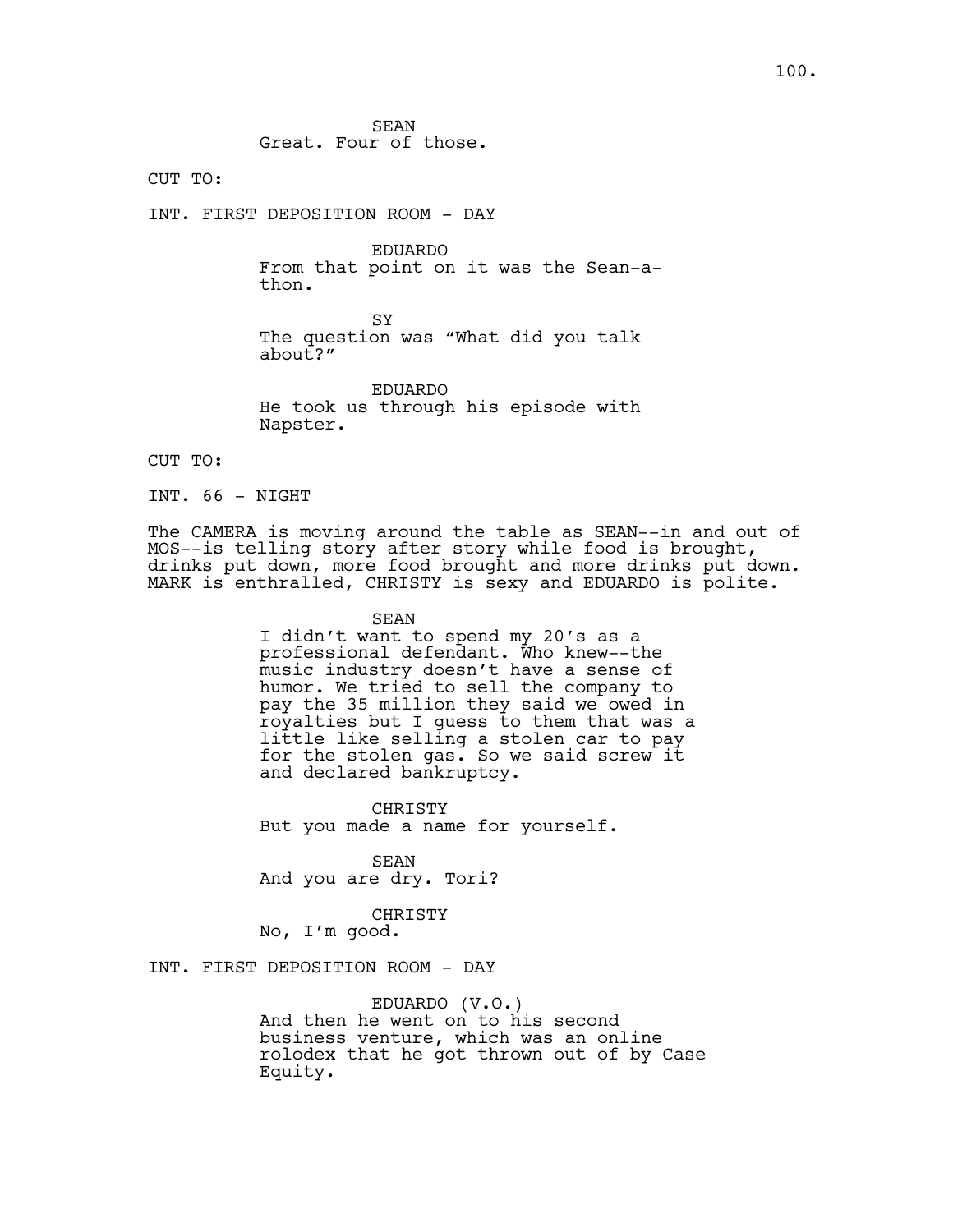SEAN Great. Four of those.

CUT TO:

INT. FIRST DEPOSITION ROOM - DAY

EDUARDO From that point on it was the Sean-athon.

SY The question was "What did you talk about?"

EDUARDO He took us through his episode with Napster.

CUT TO:

INT. 66 - NIGHT

The CAMERA is moving around the table as SEAN--in and out of MOS--is telling story after story while food is brought, drinks put down, more food brought and more drinks put down. MARK is enthralled, CHRISTY is sexy and EDUARDO is polite.

SEAN

I didn't want to spend my 20's as a professional defendant. Who knew--the music industry doesn't have a sense of humor. We tried to sell the company to pay the 35 million they said we owed in royalties but I guess to them that was a little like selling a stolen car to pay for the stolen gas. So we said screw it and declared bankruptcy.

CHRISTY But you made a name for yourself.

SEAN And you are dry. Tori?

CHRISTY

No, I'm good.

INT. FIRST DEPOSITION ROOM - DAY

EDUARDO (V.O.) And then he went on to his second business venture, which was an online rolodex that he got thrown out of by Case Equity.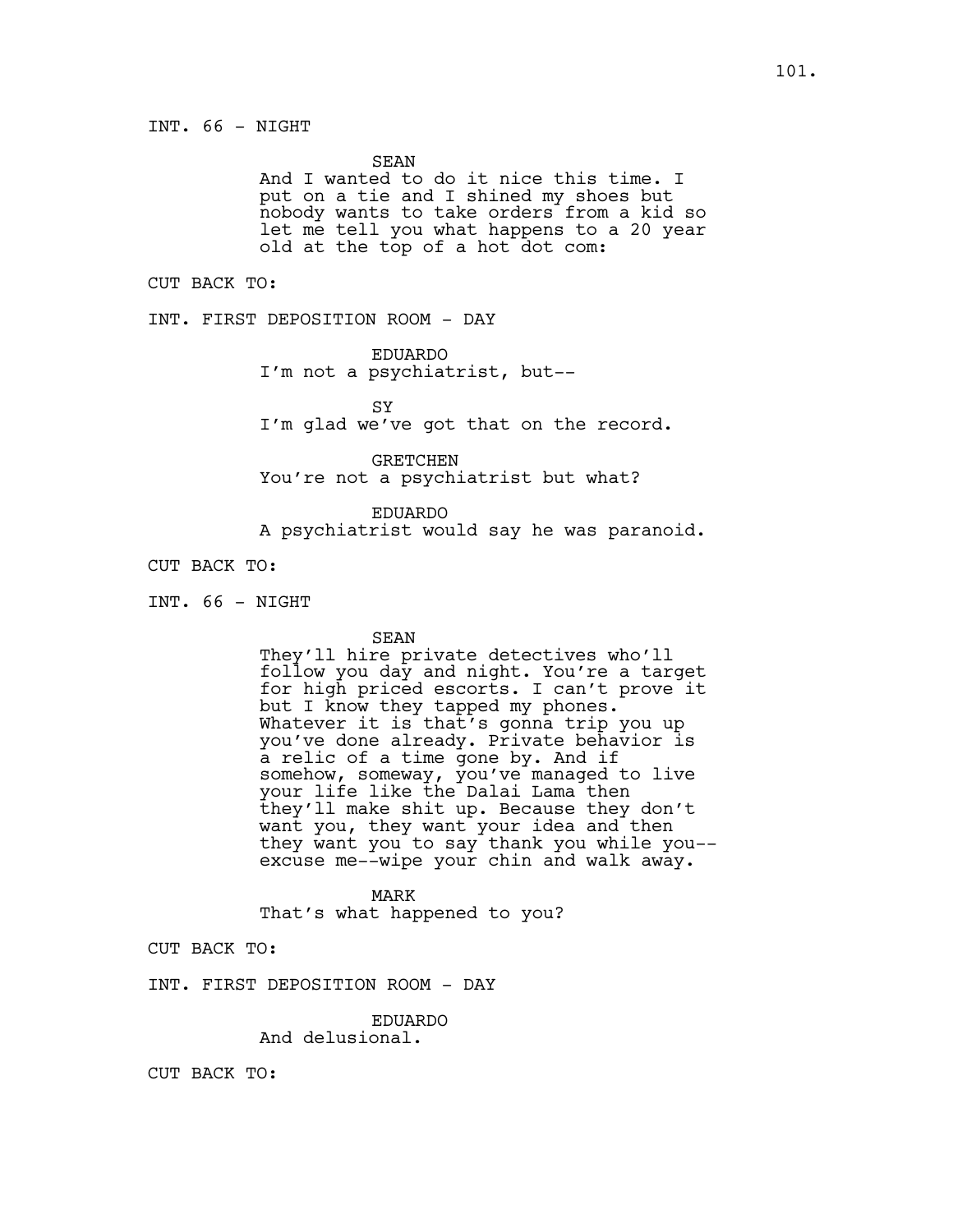SEAN

And I wanted to do it nice this time. I put on a tie and I shined my shoes but nobody wants to take orders from a kid so let me tell you what happens to a 20 year old at the top of a hot dot com:

CUT BACK TO:

INT. FIRST DEPOSITION ROOM - DAY

EDUARDO

I'm not a psychiatrist, but--

**SY** 

I'm glad we've got that on the record.

GRETCHEN You're not a psychiatrist but what?

EDUARDO A psychiatrist would say he was paranoid.

CUT BACK TO:

INT. 66 - NIGHT

SEAN

They'll hire private detectives who'll follow you day and night. You're a target for high priced escorts. I can't prove it but I know they tapped my phones. Whatever it is that's gonna trip you up you've done already. Private behavior is a relic of a time gone by. And if somehow, someway, you've managed to live your life like the Dalai Lama then they'll make shit up. Because they don't want you, they want your idea and then they want you to say thank you while you- excuse me--wipe your chin and walk away.

MARK That's what happened to you?

CUT BACK TO:

INT. FIRST DEPOSITION ROOM - DAY

EDUARDO

And delusional.

CUT BACK TO: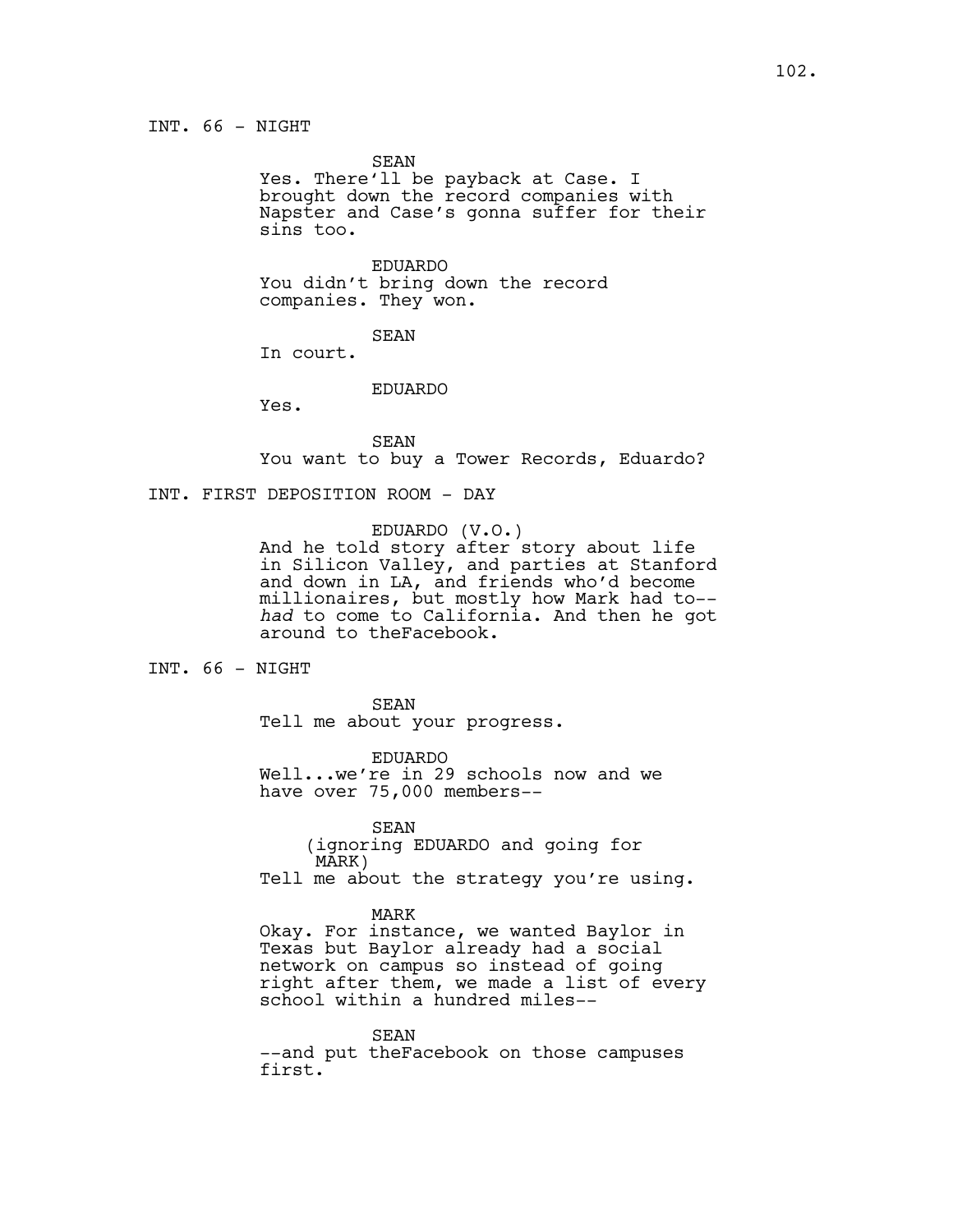SEAN

Yes. There'll be payback at Case. I brought down the record companies with Napster and Case's gonna suffer for their sins too.

EDUARDO You didn't bring down the record companies. They won.

SEAN

In court.

### EDUARDO

Yes.

SEAN You want to buy a Tower Records, Eduardo?

INT. FIRST DEPOSITION ROOM - DAY

EDUARDO (V.O.)

And he told story after story about life in Silicon Valley, and parties at Stanford and down in LA, and friends who'd become millionaires, but mostly how Mark had to- *had* to come to California. And then he got around to theFacebook.

INT. 66 - NIGHT

SEAN Tell me about your progress.

EDUARDO Well...we're in 29 schools now and we have over 75,000 members--

SEAN (ignoring EDUARDO and going for MARK) Tell me about the strategy you're using.

MARK

Okay. For instance, we wanted Baylor in Texas but Baylor already had a social network on campus so instead of going right after them, we made a list of every school within a hundred miles--

SEAN --and put theFacebook on those campuses first.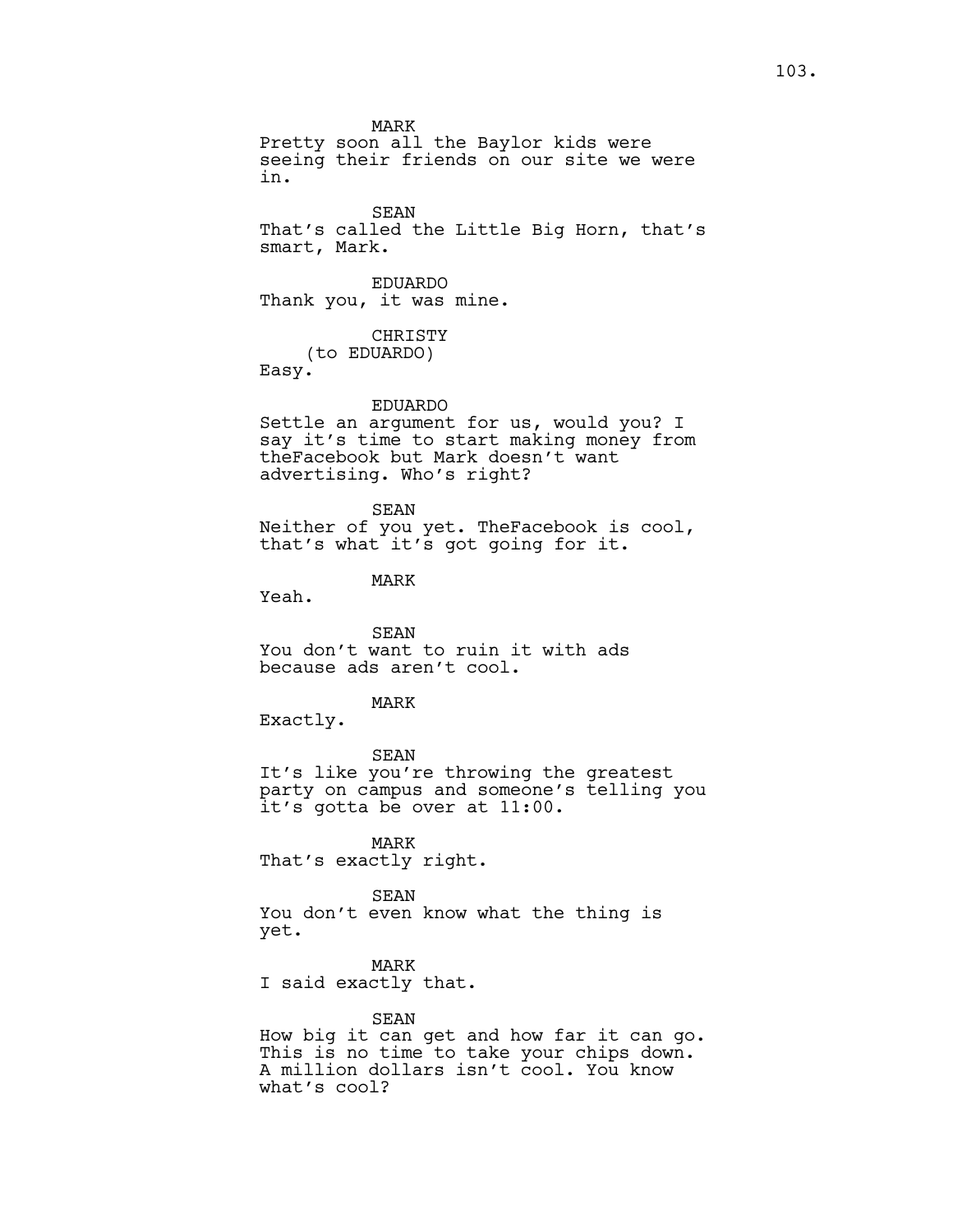MARK Pretty soon all the Baylor kids were seeing their friends on our site we were in.

SEAN That's called the Little Big Horn, that's smart, Mark.

EDUARDO Thank you, it was mine.

CHRISTY (to EDUARDO) Easy.

EDUARDO

Settle an argument for us, would you? I say it's time to start making money from theFacebook but Mark doesn't want advertising. Who's right?

SEAN Neither of you yet. TheFacebook is cool, that's what it's got going for it.

MARK

Yeah.

SEAN You don't want to ruin it with ads because ads aren't cool.

MARK

Exactly.

SEAN It's like you're throwing the greatest party on campus and someone's telling you it's gotta be over at 11:00.

MARK That's exactly right.

SEAN You don't even know what the thing is yet.

MARK I said exactly that.

SEAN How big it can get and how far it can go. This is no time to take your chips down. A million dollars isn't cool. You know what's cool?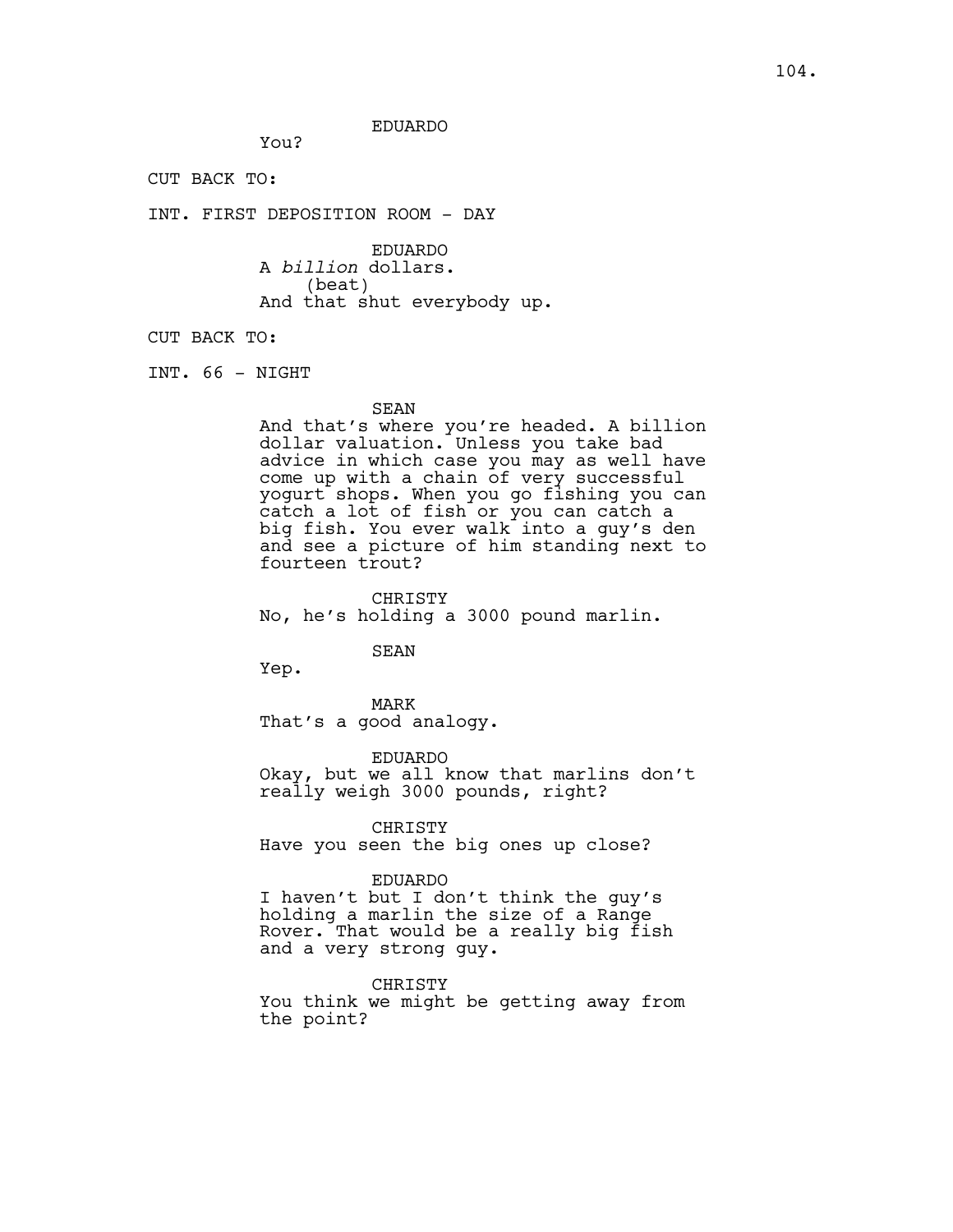# EDUARDO

CUT BACK TO:

INT. FIRST DEPOSITION ROOM - DAY

You?

EDUARDO A *billion* dollars. (beat) And that shut everybody up.

CUT BACK TO:

INT. 66 - NIGHT

### SEAN

And that's where you're headed. A billion dollar valuation. Unless you take bad advice in which case you may as well have come up with a chain of very successful yogurt shops. When you go fishing you can catch a lot of fish or you can catch a big fish. You ever walk into a guy's den and see a picture of him standing next to fourteen trout?

CHRISTY No, he's holding a 3000 pound marlin.

# SEAN

Yep.

MARK That's a good analogy.

EDUARDO Okay, but we all know that marlins don't really weigh 3000 pounds, right?

CHRISTY

Have you seen the big ones up close?

# EDUARDO

I haven't but I don't think the guy's holding a marlin the size of a Range Rover. That would be a really big fish and a very strong guy.

CHRISTY

You think we might be getting away from the point?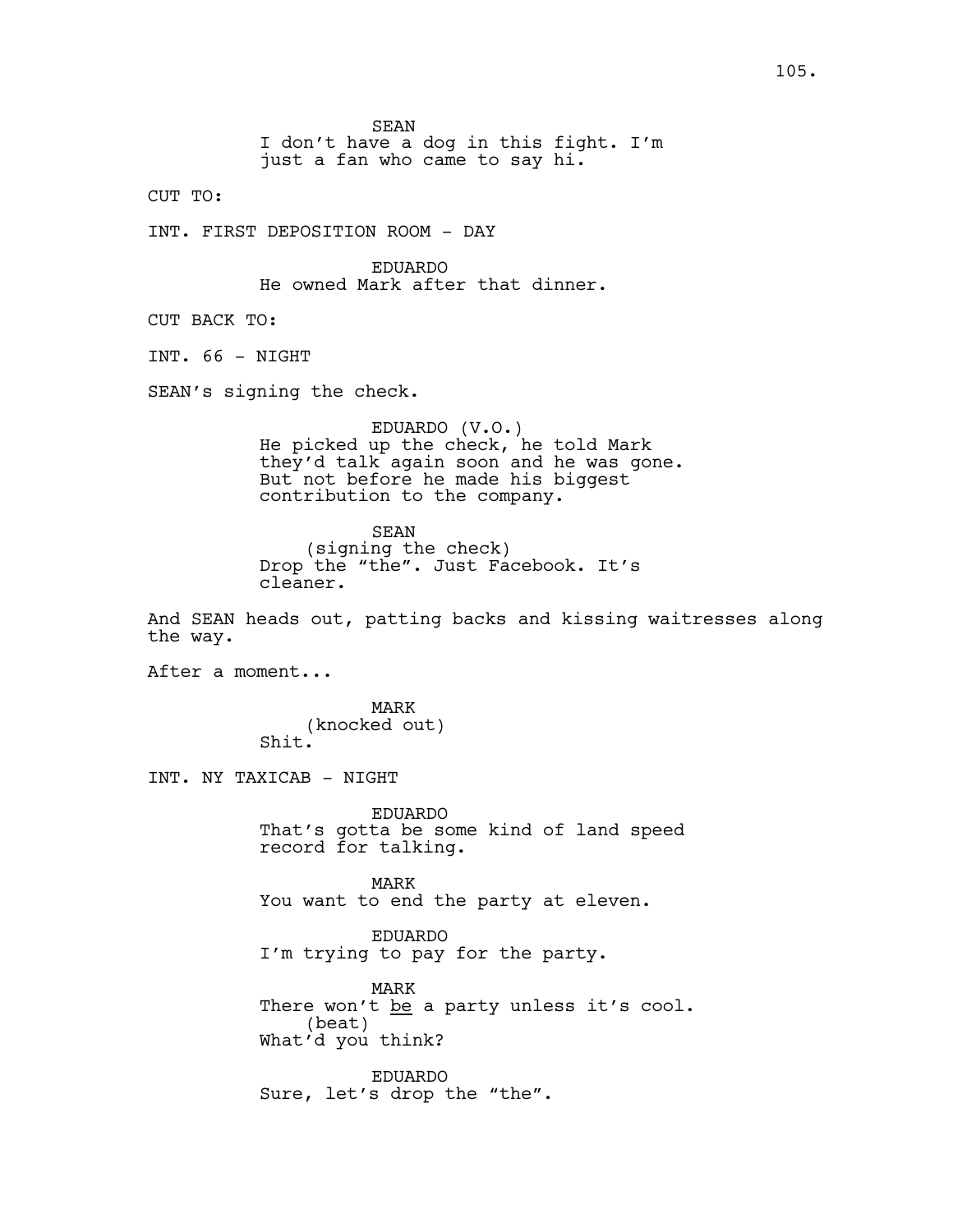SEAN

I don't have a dog in this fight. I'm just a fan who came to say hi.

CUT TO:

INT. FIRST DEPOSITION ROOM - DAY

EDUARDO He owned Mark after that dinner.

CUT BACK TO:

INT. 66 - NIGHT

SEAN's signing the check.

EDUARDO (V.O.) He picked up the check, he told Mark they'd talk again soon and he was gone. But not before he made his biggest contribution to the company.

SEAN (signing the check) Drop the "the". Just Facebook. It's cleaner.

And SEAN heads out, patting backs and kissing waitresses along the way.

After a moment...

MARK (knocked out) Shit.

INT. NY TAXICAB - NIGHT

EDUARDO That's gotta be some kind of land speed record for talking.

MARK You want to end the party at eleven.

EDUARDO I'm trying to pay for the party.

MARK There won't be a party unless it's cool. (beat) What'd you think?

EDUARDO Sure, let's drop the "the".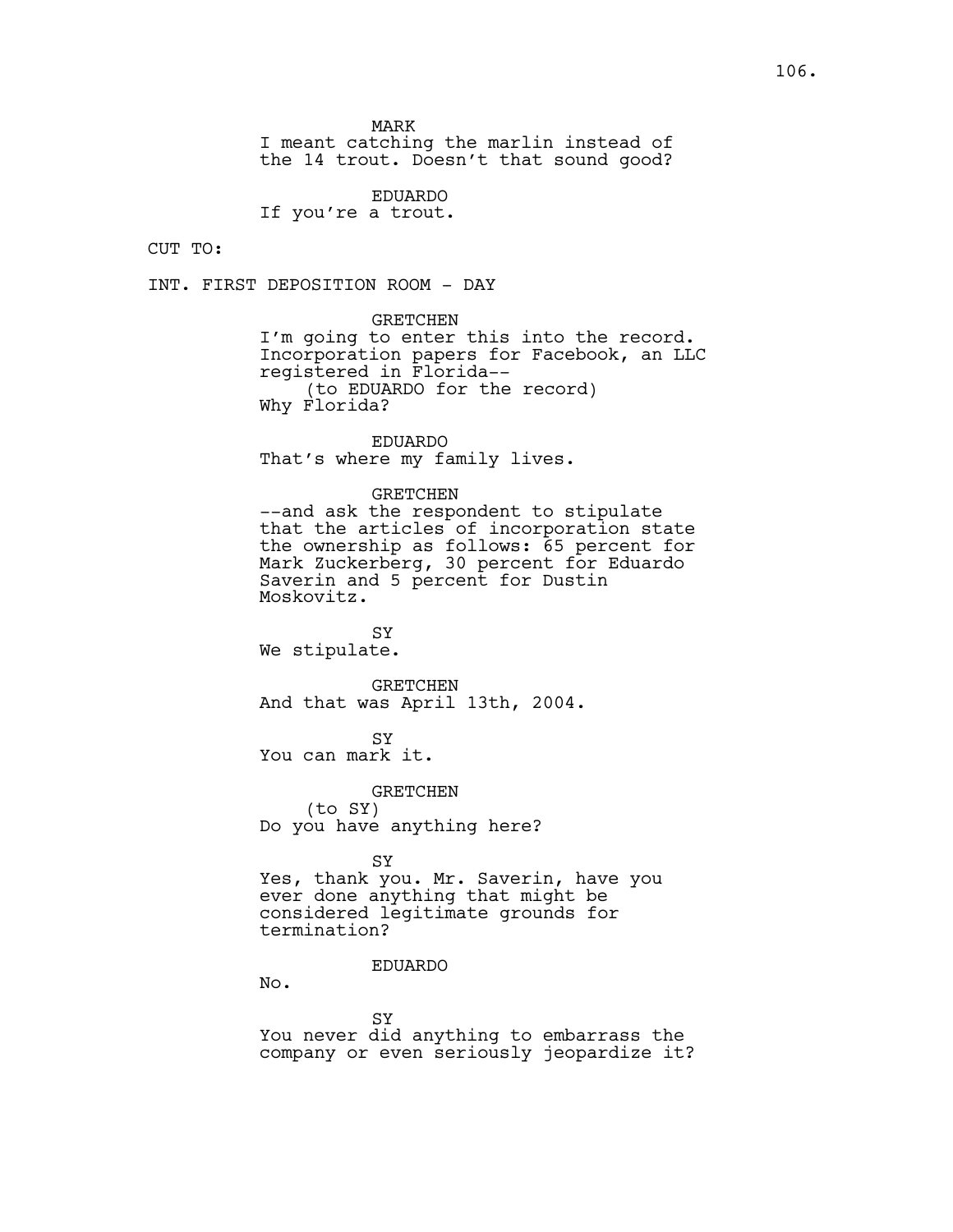MARK

I meant catching the marlin instead of the 14 trout. Doesn't that sound good?

EDUARDO

If you're a trout.

CUT TO:

INT. FIRST DEPOSITION ROOM - DAY

GRETCHEN

I'm going to enter this into the record. Incorporation papers for Facebook, an LLC registered in Florida-- (to EDUARDO for the record) Why Florida?

EDUARDO That's where my family lives.

### GRETCHEN

--and ask the respondent to stipulate that the articles of incorporation state the ownership as follows: 65 percent for Mark Zuckerberg, 30 percent for Eduardo Saverin and 5 percent for Dustin Moskovitz.

SY We stipulate.

GRETCHEN And that was April 13th, 2004.

SY You can mark it.

GRETCHEN (to SY) Do you have anything here?

**SY** Yes, thank you. Mr. Saverin, have you ever done anything that might be considered legitimate grounds for termination?

# EDUARDO

No.

SY You never did anything to embarrass the company or even seriously jeopardize it?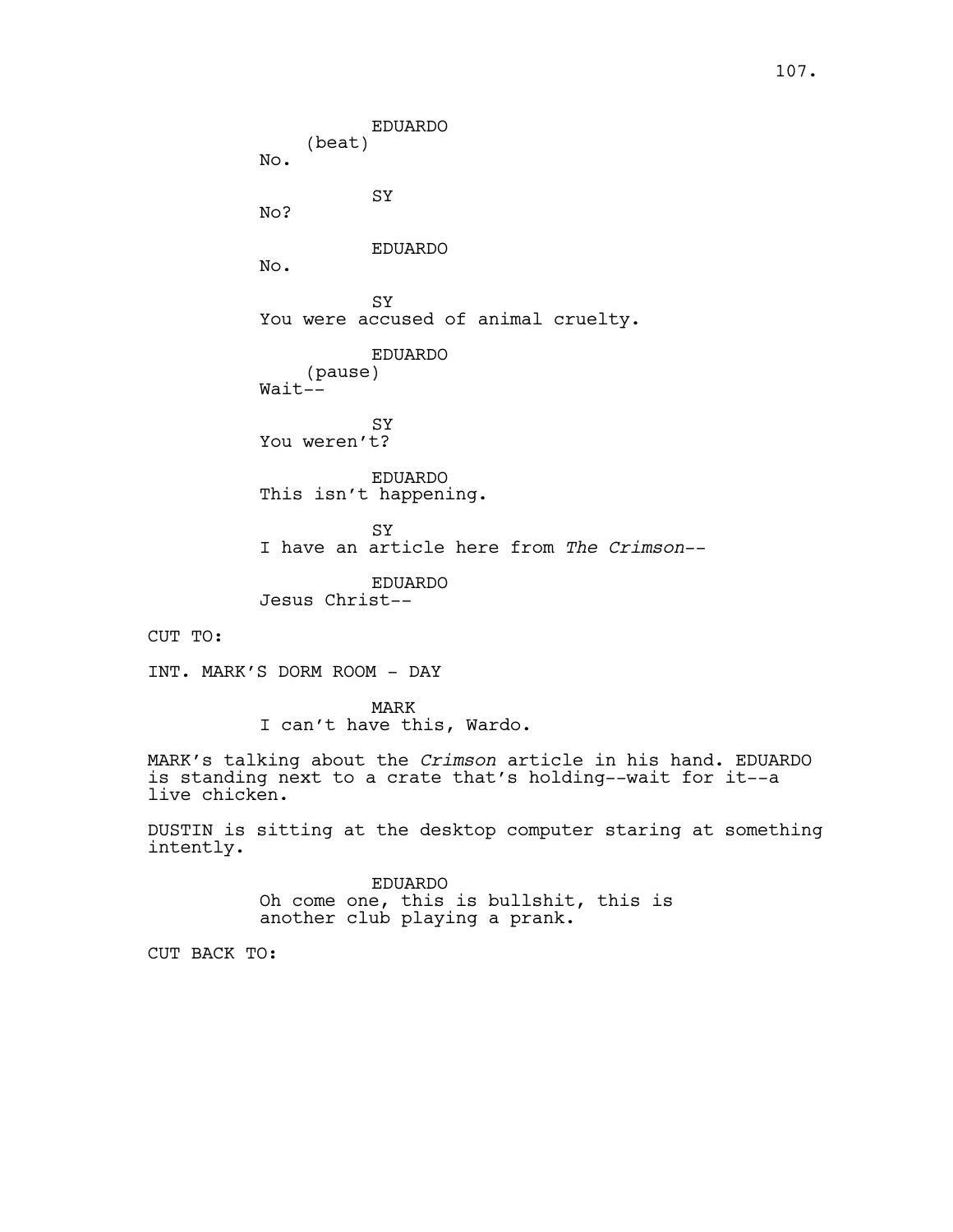EDUARDO (beat) No. SY No? EDUARDO No. **SY** You were accused of animal cruelty. EDUARDO (pause) Wait-- SY You weren't? EDUARDO This isn't happening. **SY** I have an article here from *The Crimson*-- EDUARDO Jesus Christ-- INT. MARK'S DORM ROOM - DAY MARK I can't have this, Wardo. MARK's talking about the *Crimson* article in his hand. EDUARDO

is standing next to a crate that's holding--wait for it--a live chicken.

DUSTIN is sitting at the desktop computer staring at something intently.

> EDUARDO Oh come one, this is bullshit, this is another club playing a prank.

CUT BACK TO:

CUT TO: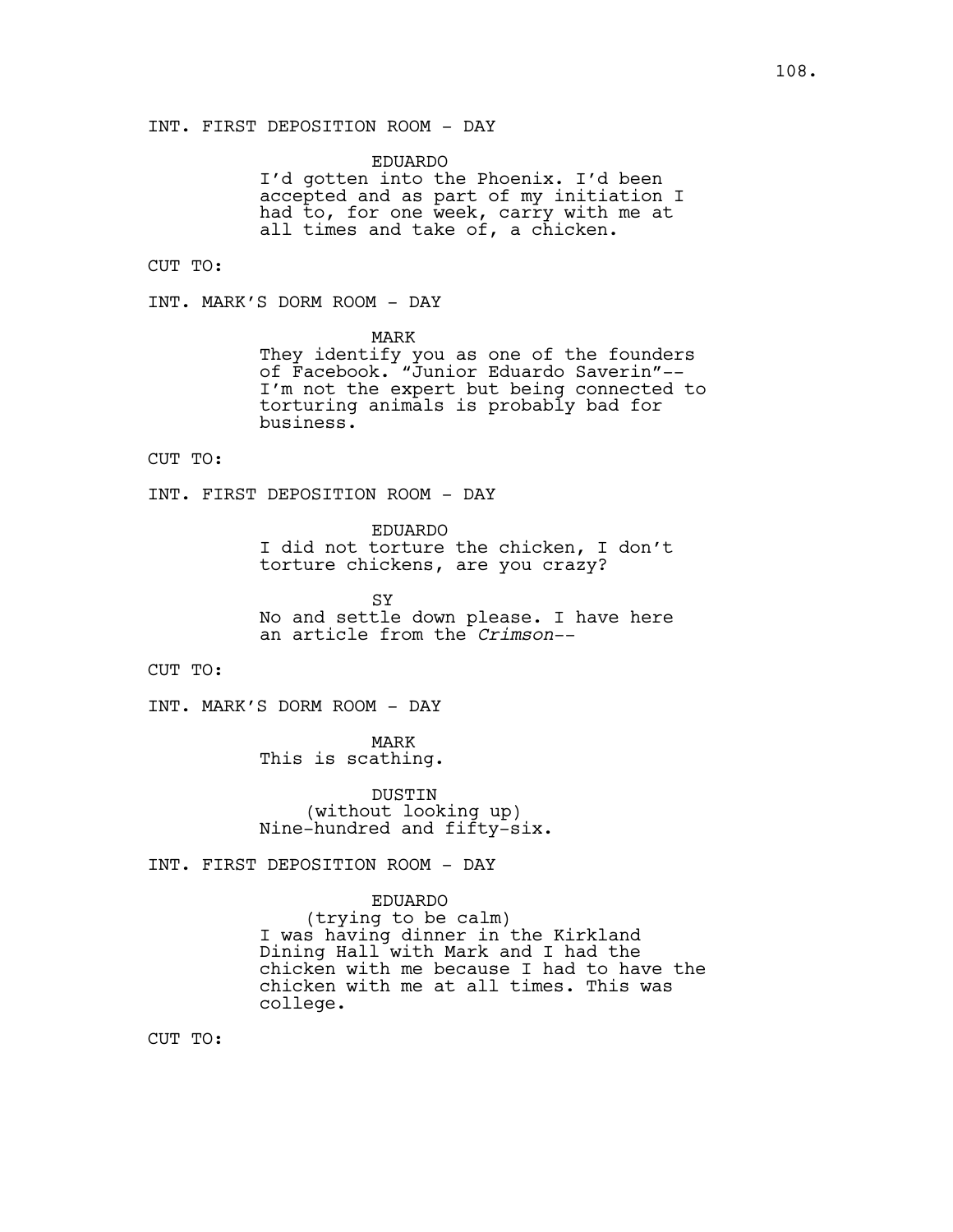EDUARDO I'd gotten into the Phoenix. I'd been accepted and as part of my initiation I had to, for one week, carry with me at all times and take of, a chicken.

CUT TO:

INT. MARK'S DORM ROOM - DAY

MARK

They identify you as one of the founders of Facebook. "Junior Eduardo Saverin"-- I'm not the expert but being connected to torturing animals is probably bad for business.

CUT TO:

INT. FIRST DEPOSITION ROOM - DAY

EDUARDO I did not torture the chicken, I don't torture chickens, are you crazy?

**SY** No and settle down please. I have here an article from the *Crimson*--

CUT TO:

INT. MARK'S DORM ROOM - DAY

MARK This is scathing.

DUSTIN (without looking up) Nine-hundred and fifty-six.

INT. FIRST DEPOSITION ROOM - DAY

EDUARDO

(trying to be calm) I was having dinner in the Kirkland Dining Hall with Mark and I had the chicken with me because I had to have the chicken with me at all times. This was college.

CUT TO: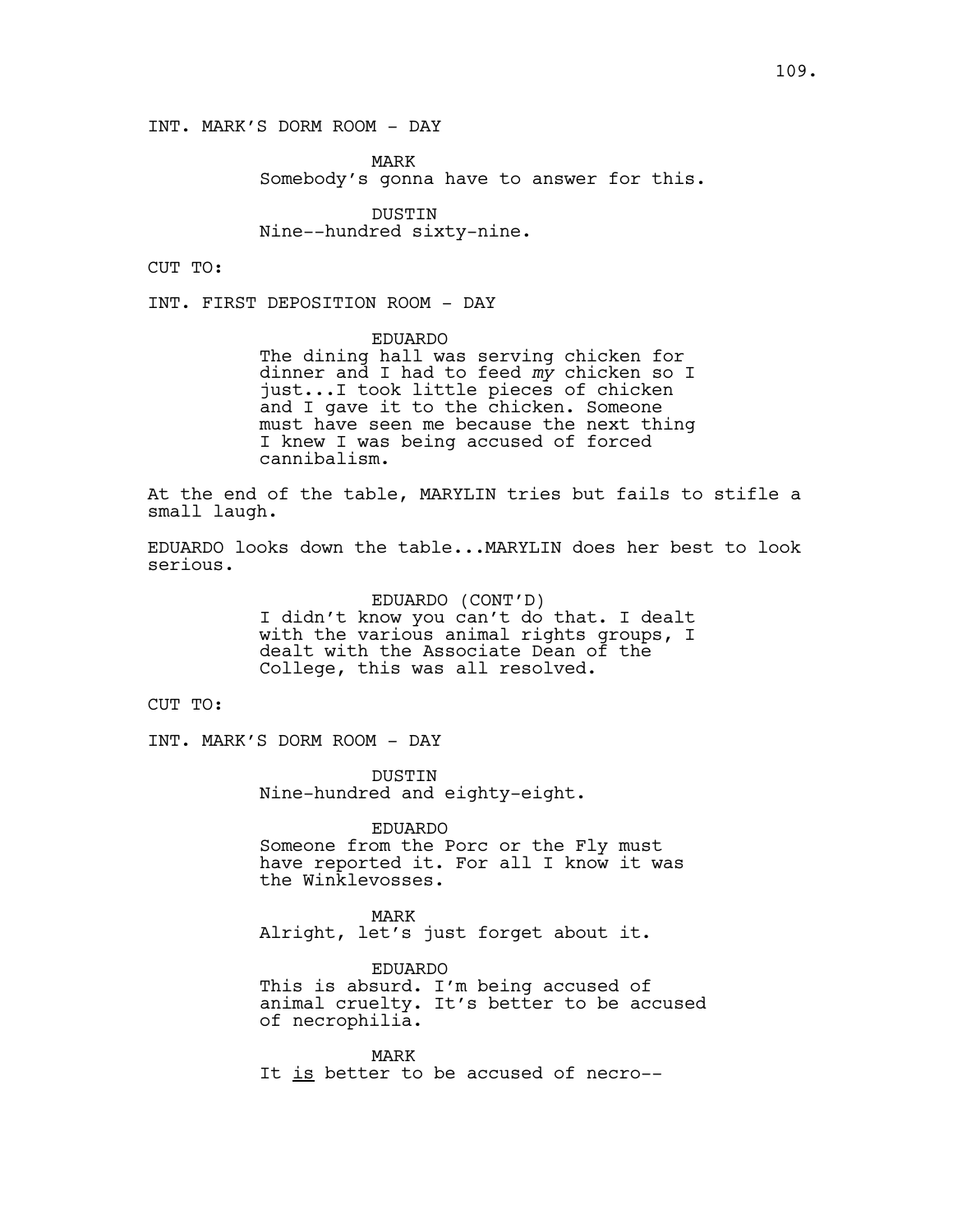INT. MARK'S DORM ROOM - DAY

MARK Somebody's gonna have to answer for this.

DUSTIN Nine--hundred sixty-nine.

CUT TO:

INT. FIRST DEPOSITION ROOM - DAY

EDUARDO The dining hall was serving chicken for dinner and I had to feed *my* chicken so I just...I took little pieces of chicken and I gave it to the chicken. Someone must have seen me because the next thing I knew I was being accused of forced cannibalism.

At the end of the table, MARYLIN tries but fails to stifle a small laugh.

EDUARDO looks down the table...MARYLIN does her best to look serious.

> EDUARDO (CONT'D) I didn't know you can't do that. I dealt with the various animal rights groups, I dealt with the Associate Dean of the College, this was all resolved.

CUT TO:

INT. MARK'S DORM ROOM - DAY

DUSTIN Nine-hundred and eighty-eight.

EDUARDO Someone from the Porc or the Fly must have reported it. For all I know it was the Winklevosses.

MARK Alright, let's just forget about it.

EDUARDO This is absurd. I'm being accused of animal cruelty. It's better to be accused of necrophilia.

MARK It is better to be accused of necro--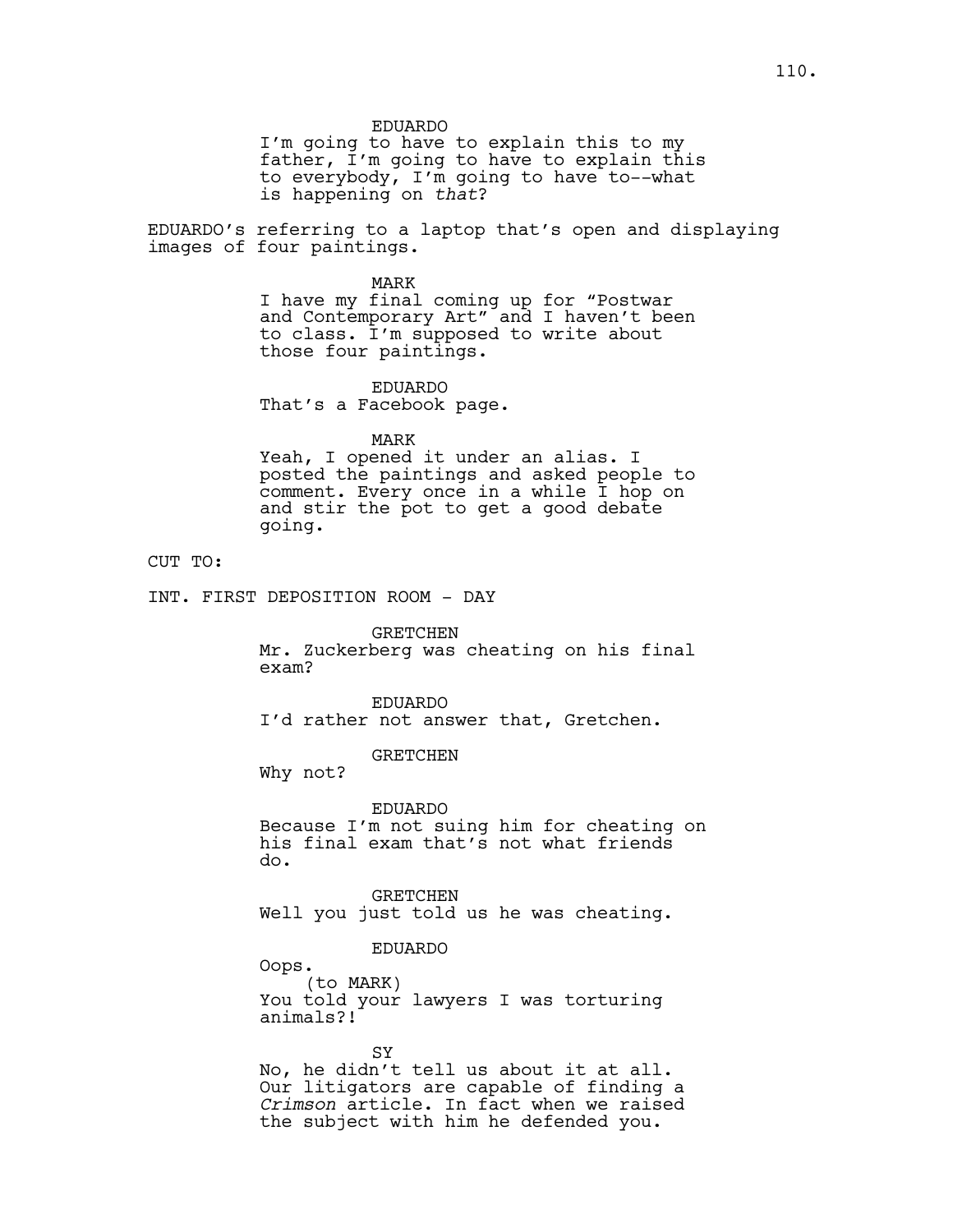EDUARDO

I'm going to have to explain this to my father, I'm going to have to explain this to everybody, I'm going to have to--what is happening on *that*?

EDUARDO's referring to a laptop that's open and displaying images of four paintings.

> MARK I have my final coming up for "Postwar and Contemporary Art" and I haven't been to class. I'm supposed to write about those four paintings.

EDUARDO That's a Facebook page.

MARK

Yeah, I opened it under an alias. I posted the paintings and asked people to comment. Every once in a while I hop on and stir the pot to get a good debate going.

CUT TO:

INT. FIRST DEPOSITION ROOM - DAY

GRETCHEN

Mr. Zuckerberg was cheating on his final exam?

EDUARDO I'd rather not answer that, Gretchen.

GRETCHEN

Why not?

EDUARDO Because I'm not suing him for cheating on his final exam that's not what friends do.

GRETCHEN Well you just told us he was cheating.

EDUARDO

Oops. (to MARK) You told your lawyers I was torturing animals?!

SY No, he didn't tell us about it at all. Our litigators are capable of finding a *Crimson* article. In fact when we raised the subject with him he defended you.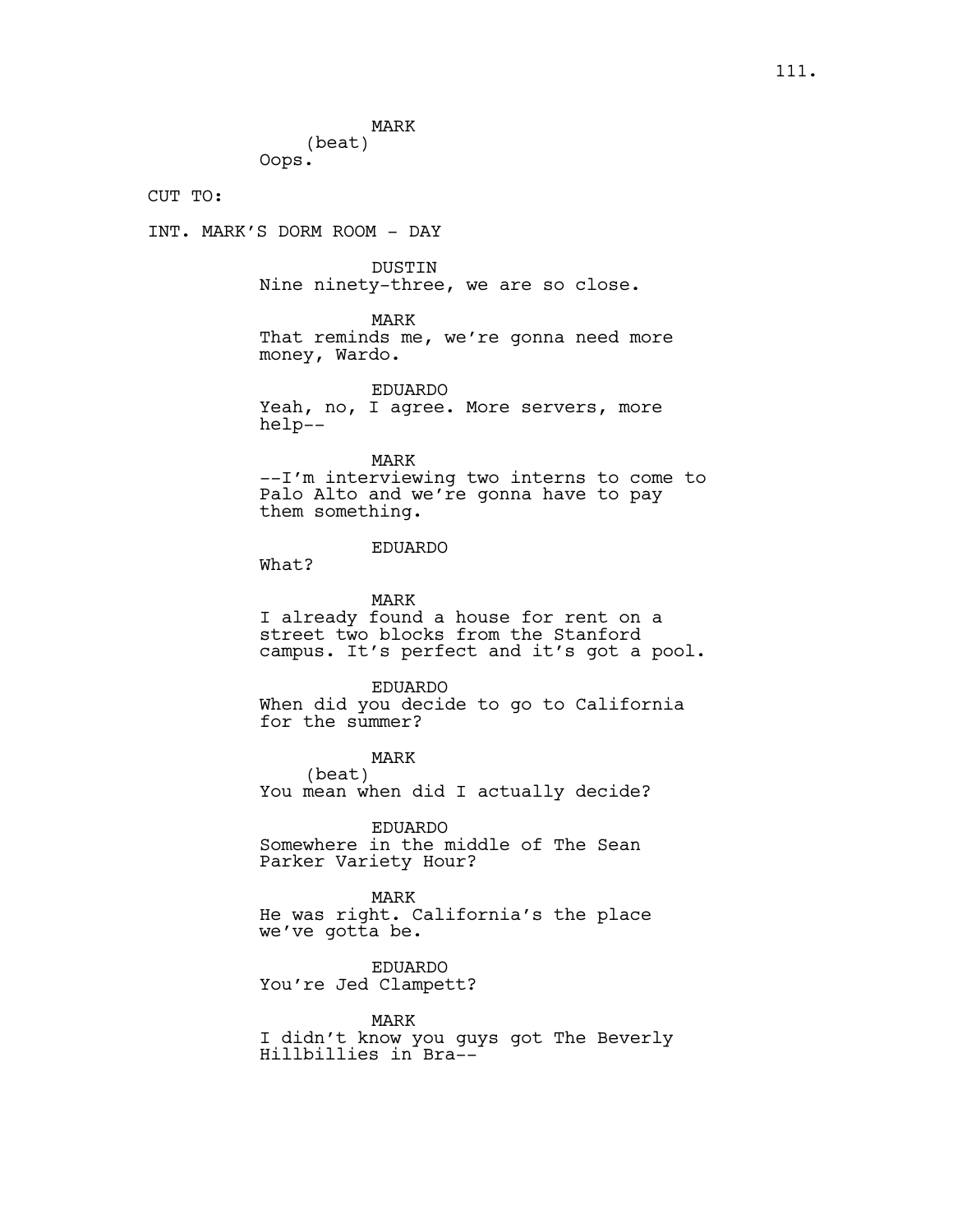MARK (beat) Oops.

CUT TO:

INT. MARK'S DORM ROOM - DAY

DUSTIN

Nine ninety-three, we are so close.

MARK

That reminds me, we're gonna need more money, Wardo.

EDUARDO Yeah, no, I agree. More servers, more help--

MARK

--I'm interviewing two interns to come to Palo Alto and we're gonna have to pay them something.

## EDUARDO

What?

MARK I already found a house for rent on a street two blocks from the Stanford campus. It's perfect and it's got a pool.

EDUARDO When did you decide to go to California for the summer?

MARK (beat) You mean when did I actually decide?

EDUARDO Somewhere in the middle of The Sean Parker Variety Hour?

MARK He was right. California's the place we've gotta be.

EDUARDO You're Jed Clampett?

MARK I didn't know you guys got The Beverly Hillbillies in Bra--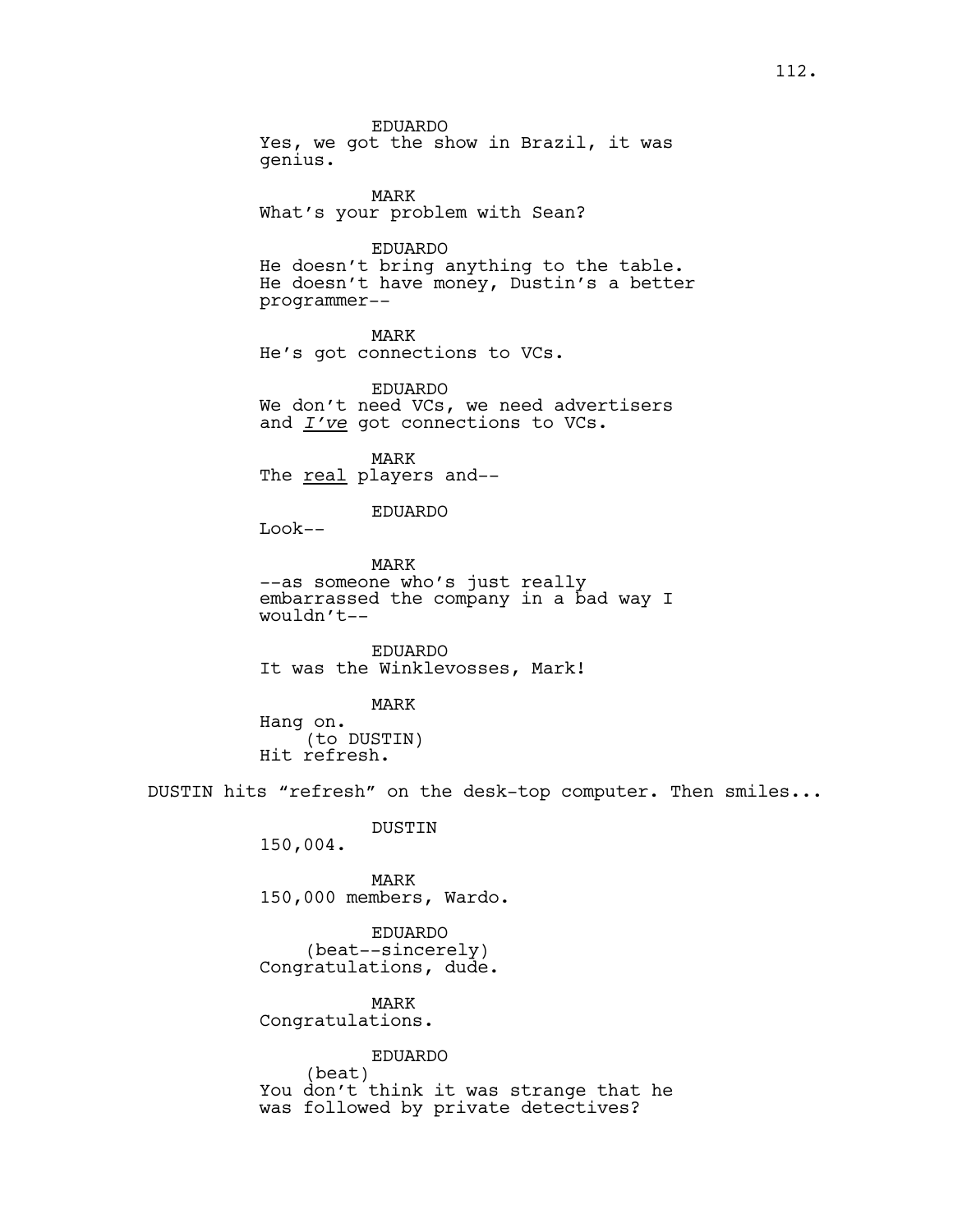EDUARDO

Yes, we got the show in Brazil, it was genius.

MARK What's your problem with Sean?

EDUARDO He doesn't bring anything to the table. He doesn't have money, Dustin's a better programmer--

MARK He's got connections to VCs.

EDUARDO We don't need VCs, we need advertisers and *I've* got connections to VCs.

MARK The real players and--

EDUARDO

Look--

MARK --as someone who's just really embarrassed the company in a bad way I wouldn't--

EDUARDO It was the Winklevosses, Mark!

MARK Hang on. (to DUSTIN) Hit refresh.

DUSTIN hits "refresh" on the desk-top computer. Then smiles...

DUSTIN

150,004.

MARK 150,000 members, Wardo.

EDUARDO (beat--sincerely) Congratulations, dude.

MARK Congratulations.

> EDUARDO (beat)

You don't think it was strange that he was followed by private detectives?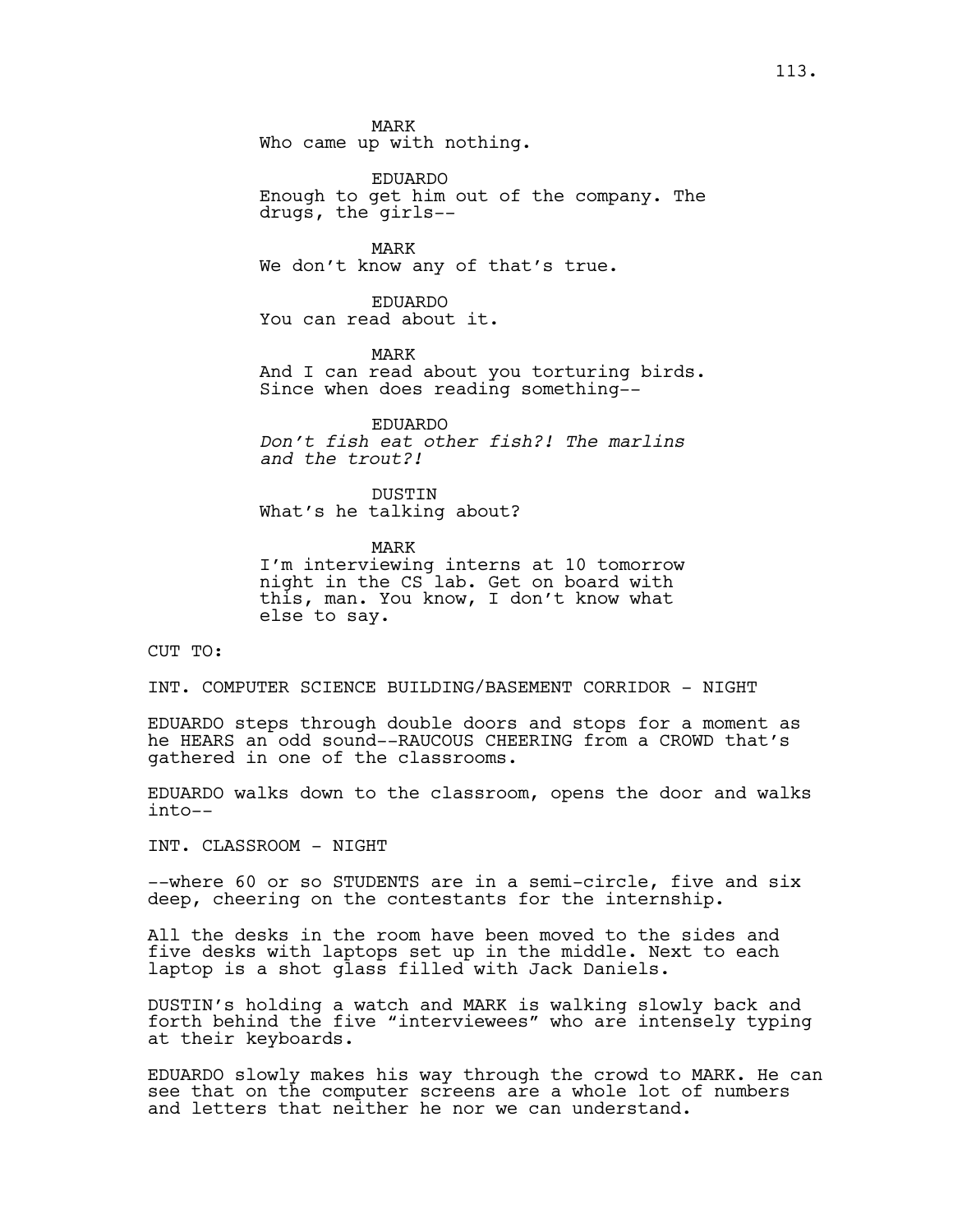MARK

Who came up with nothing.

EDUARDO Enough to get him out of the company. The drugs, the girls--

MARK We don't know any of that's true.

EDUARDO You can read about it.

MARK And I can read about you torturing birds. Since when does reading something--

EDUARDO *Don't fish eat other fish?! The marlins and the trout?!*

DUSTIN What's he talking about?

MARK I'm interviewing interns at 10 tomorrow night in the CS lab. Get on board with this, man. You know, I don't know what else to say.

CUT TO:

INT. COMPUTER SCIENCE BUILDING/BASEMENT CORRIDOR - NIGHT

EDUARDO steps through double doors and stops for a moment as he HEARS an odd sound--RAUCOUS CHEERING from a CROWD that's gathered in one of the classrooms.

EDUARDO walks down to the classroom, opens the door and walks into--

INT. CLASSROOM - NIGHT

--where 60 or so STUDENTS are in a semi-circle, five and six deep, cheering on the contestants for the internship.

All the desks in the room have been moved to the sides and five desks with laptops set up in the middle. Next to each laptop is a shot glass filled with Jack Daniels.

DUSTIN's holding a watch and MARK is walking slowly back and forth behind the five "interviewees" who are intensely typing at their keyboards.

EDUARDO slowly makes his way through the crowd to MARK. He can see that on the computer screens are a whole lot of numbers and letters that neither he nor we can understand.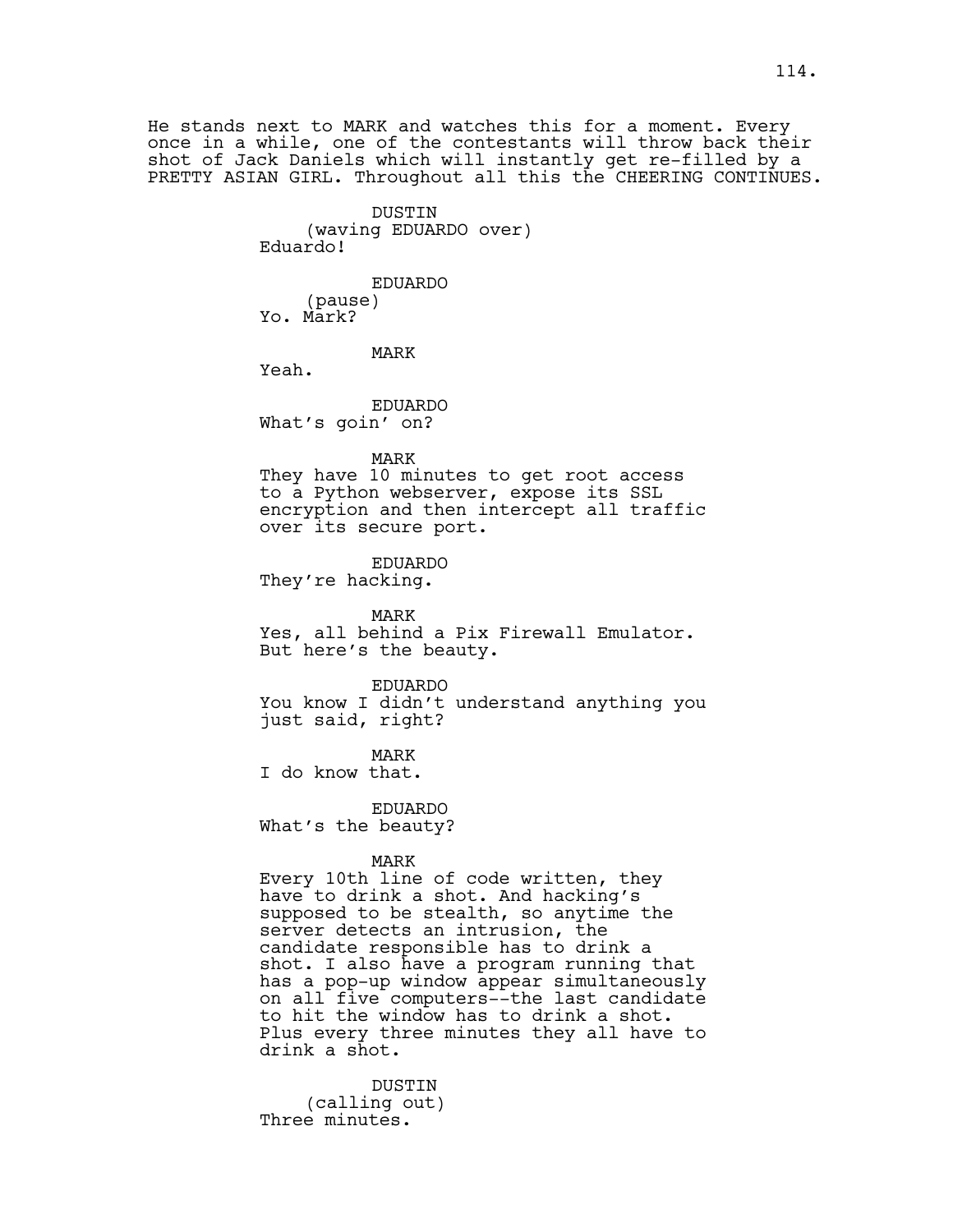He stands next to MARK and watches this for a moment. Every once in a while, one of the contestants will throw back their shot of Jack Daniels which will instantly get re-filled by a PRETTY ASIAN GIRL. Throughout all this the CHEERING CONTINUES.

> DUSTIN (waving EDUARDO over) Eduardo!

EDUARDO (pause) Yo. Mark?

MARK

Yeah.

EDUARDO What's goin' on?

#### MARK

They have 10 minutes to get root access to a Python webserver, expose its SSL encryption and then intercept all traffic over its secure port.

EDUARDO

They're hacking.

MARK Yes, all behind a Pix Firewall Emulator. But here's the beauty.

EDUARDO

You know I didn't understand anything you just said, right?

MARK

I do know that.

EDUARDO

What's the beauty?

MARK

Every 10th line of code written, they have to drink a shot. And hacking's supposed to be stealth, so anytime the server detects an intrusion, the candidate responsible has to drink a shot. I also have a program running that has a pop-up window appear simultaneously on all five computers--the last candidate to hit the window has to drink a shot. Plus every three minutes they all have to drink a shot.

DUSTIN (calling out) Three minutes.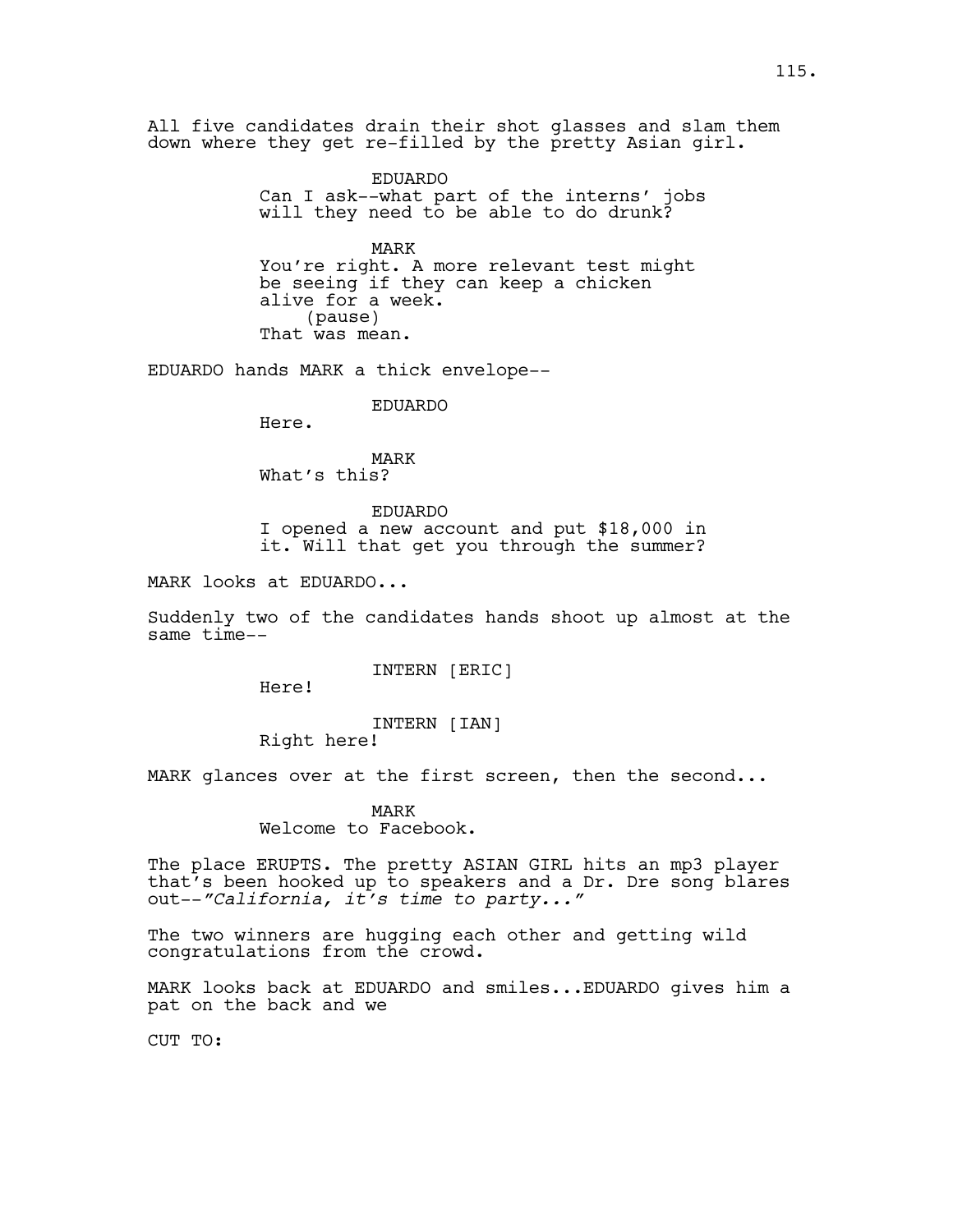All five candidates drain their shot glasses and slam them down where they get re-filled by the pretty Asian girl.

> EDUARDO Can I ask--what part of the interns' jobs will they need to be able to do drunk?

MARK You're right. A more relevant test might be seeing if they can keep a chicken alive for a week. (pause) That was mean.

EDUARDO hands MARK a thick envelope--

EDUARDO

Here.

MARK What's this?

EDUARDO I opened a new account and put \$18,000 in it. Will that get you through the summer?

MARK looks at EDUARDO...

Suddenly two of the candidates hands shoot up almost at the same time--

INTERN [ERIC]

Here!

INTERN [IAN] Right here!

MARK glances over at the first screen, then the second...

MARK Welcome to Facebook.

The place ERUPTS. The pretty ASIAN GIRL hits an mp3 player that's been hooked up to speakers and a Dr. Dre song blares out--*"California, it's time to party..."*

The two winners are hugging each other and getting wild congratulations from the crowd.

MARK looks back at EDUARDO and smiles...EDUARDO gives him a pat on the back and we

CUT TO: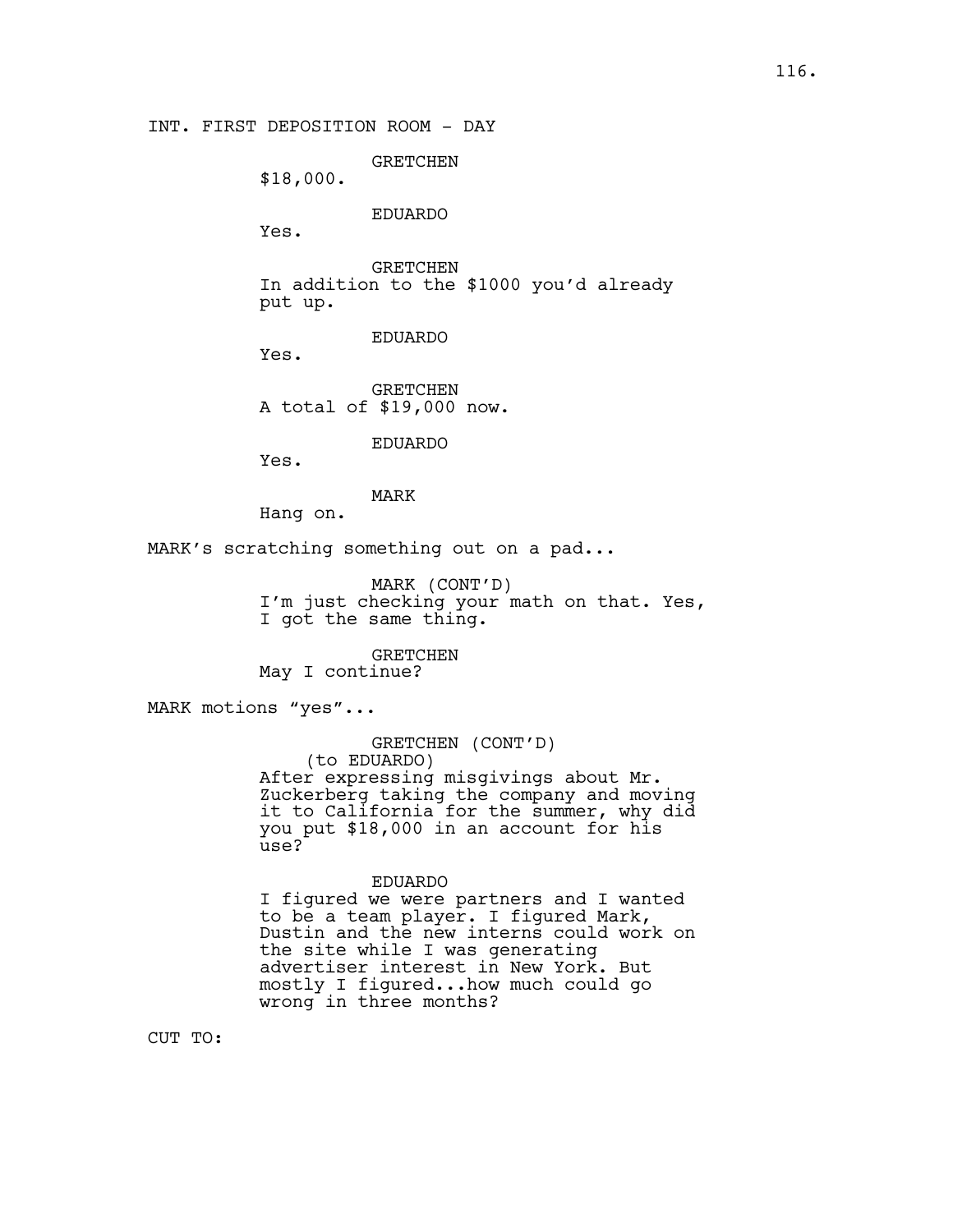GRETCHEN

\$18,000.

# EDUARDO

Yes.

GRETCHEN In addition to the \$1000 you'd already put up.

## EDUARDO

Yes.

GRETCHEN A total of \$19,000 now.

EDUARDO

Yes.

# MARK

Hang on.

MARK's scratching something out on a pad...

MARK (CONT'D) I'm just checking your math on that. Yes, I got the same thing.

GRETCHEN May I continue?

MARK motions "yes"...

## GRETCHEN (CONT'D)

(to EDUARDO) After expressing misgivings about Mr. Zuckerberg taking the company and moving it to California for the summer, why did you put \$18,000 in an account for his use?

#### EDUARDO

I figured we were partners and I wanted to be a team player. I figured Mark, Dustin and the new interns could work on the site while I was generating advertiser interest in New York. But mostly I figured...how much could go wrong in three months?

CUT TO: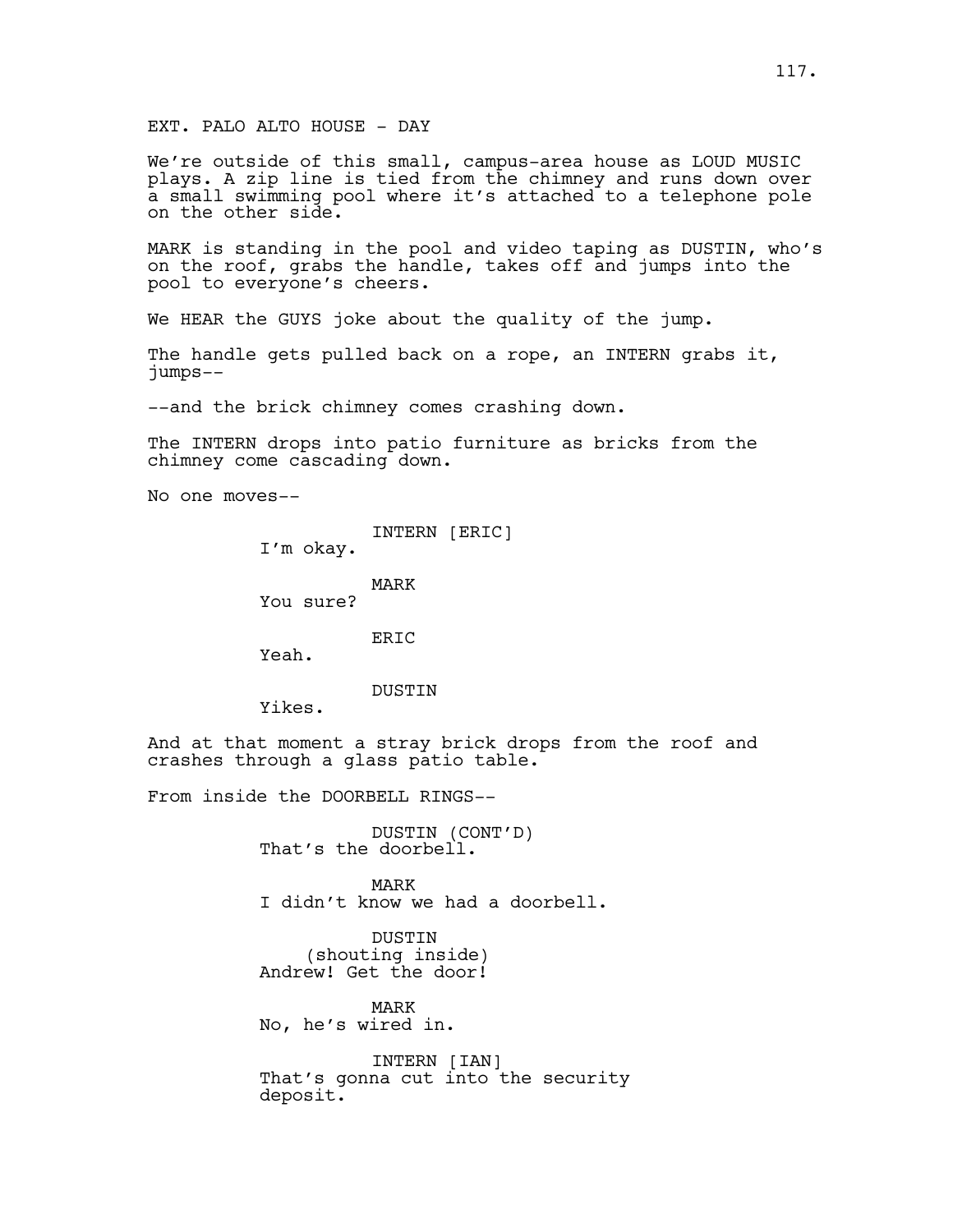### EXT. PALO ALTO HOUSE - DAY

We're outside of this small, campus-area house as LOUD MUSIC plays. A zip line is tied from the chimney and runs down over a small swimming pool where it's attached to a telephone pole on the other side.

MARK is standing in the pool and video taping as DUSTIN, who's on the roof, grabs the handle, takes off and jumps into the pool to everyone's cheers.

We HEAR the GUYS joke about the quality of the jump.

The handle gets pulled back on a rope, an INTERN grabs it, jumps--

--and the brick chimney comes crashing down.

The INTERN drops into patio furniture as bricks from the chimney come cascading down.

No one moves--

INTERN [ERIC]

I'm okay.

MARK

You sure?

ER<sub>TC</sub>

Yeah.

DUSTIN

Yikes.

And at that moment a stray brick drops from the roof and crashes through a glass patio table.

From inside the DOORBELL RINGS--

DUSTIN (CONT'D) That's the doorbell.

MARK I didn't know we had a doorbell.

DUSTIN (shouting inside) Andrew! Get the door!

MARK No, he's wired in.

INTERN [IAN] That's gonna cut into the security deposit.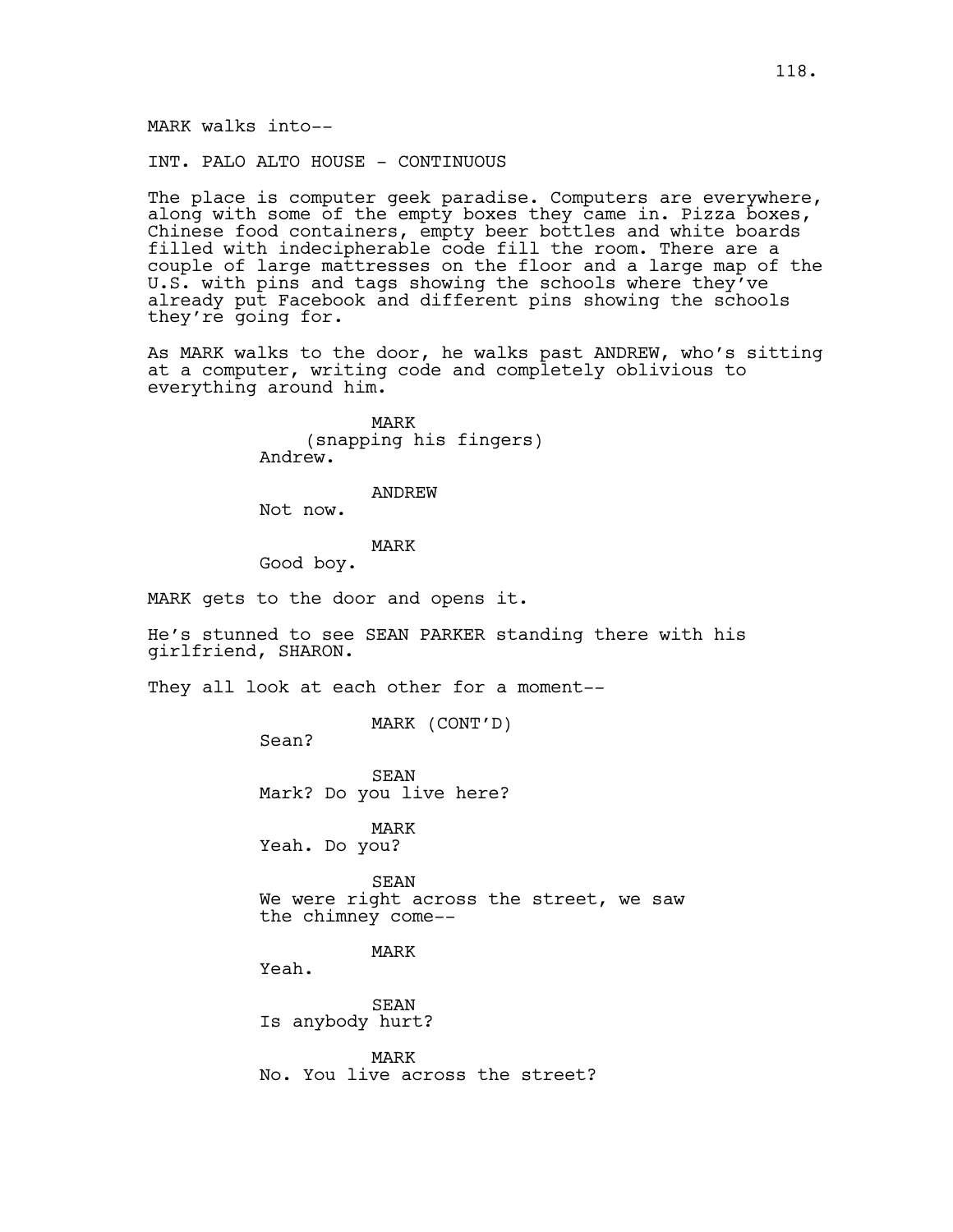MARK walks into--

INT. PALO ALTO HOUSE - CONTINUOUS

The place is computer geek paradise. Computers are everywhere, along with some of the empty boxes they came in. Pizza boxes, Chinese food containers, empty beer bottles and white boards filled with indecipherable code fill the room. There are a couple of large mattresses on the floor and a large map of the U.S. with pins and tags showing the schools where they've already put Facebook and different pins showing the schools they're going for.

As MARK walks to the door, he walks past ANDREW, who's sitting at a computer, writing code and completely oblivious to everything around him.

> MARK (snapping his fingers) Andrew.

## ANDREW

Not now.

## MARK

Good boy.

MARK gets to the door and opens it.

He's stunned to see SEAN PARKER standing there with his girlfriend, SHARON.

They all look at each other for a moment--

MARK (CONT'D)

Sean?

SEAN Mark? Do you live here?

MARK Yeah. Do you?

SEAN We were right across the street, we saw the chimney come--

MARK

Yeah.

SEAN Is anybody hurt?

MARK No. You live across the street?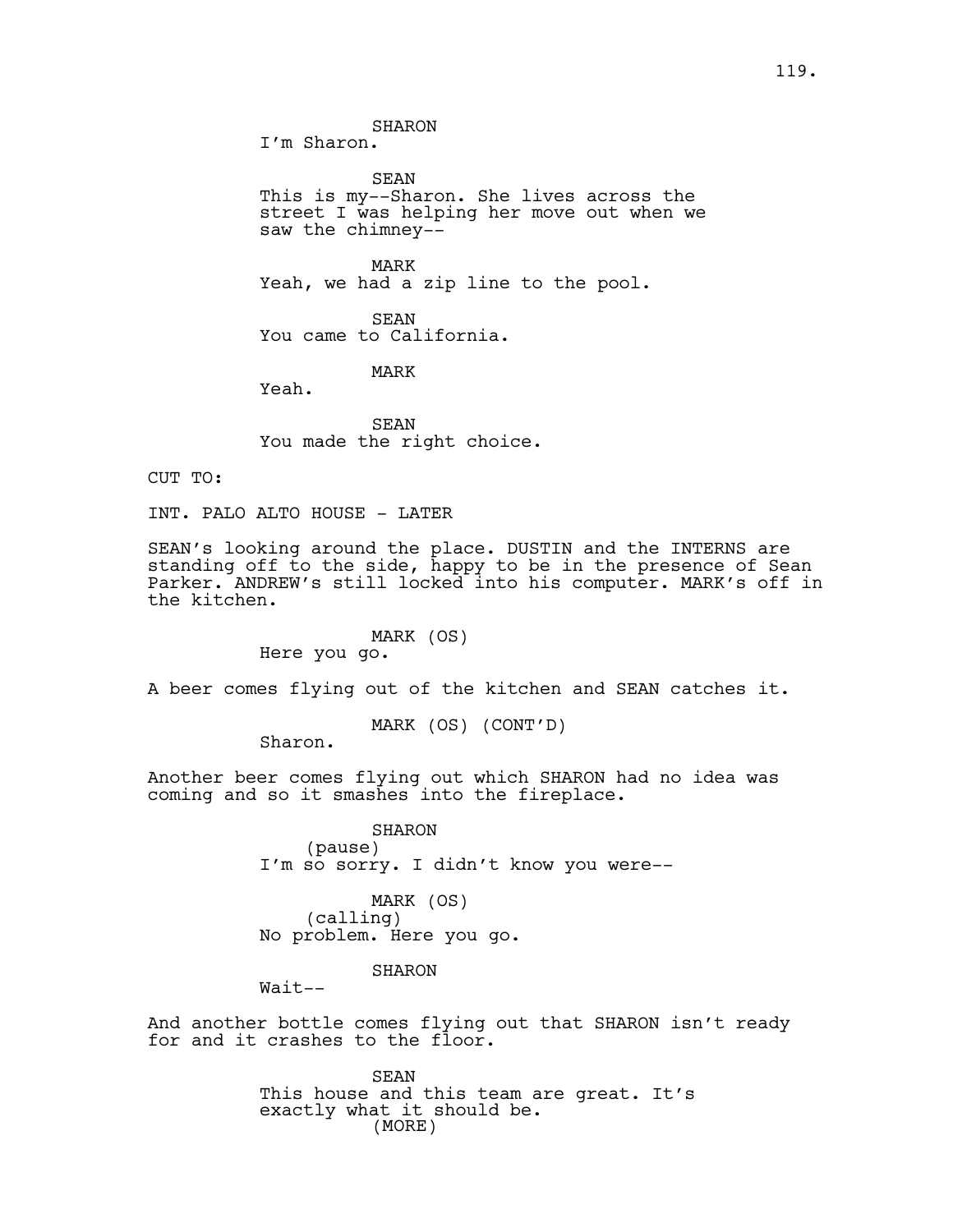I'm Sharon.

SEAN This is my--Sharon. She lives across the street I was helping her move out when we saw the chimney--

MARK Yeah, we had a zip line to the pool.

SEAN You came to California.

MARK

Yeah.

SEAN You made the right choice.

CUT TO:

INT. PALO ALTO HOUSE - LATER

SEAN's looking around the place. DUSTIN and the INTERNS are standing off to the side, happy to be in the presence of Sean Parker. ANDREW's still locked into his computer. MARK's off in the kitchen.

> MARK (OS) Here you go.

A beer comes flying out of the kitchen and SEAN catches it.

MARK (OS) (CONT'D)

Sharon.

Another beer comes flying out which SHARON had no idea was coming and so it smashes into the fireplace.

> SHARON (pause) I'm so sorry. I didn't know you were--

MARK (OS) (calling) No problem. Here you go.

SHARON

Wait--

And another bottle comes flying out that SHARON isn't ready for and it crashes to the floor.

> SEAN This house and this team are great. It's exactly what it should be. (MORE)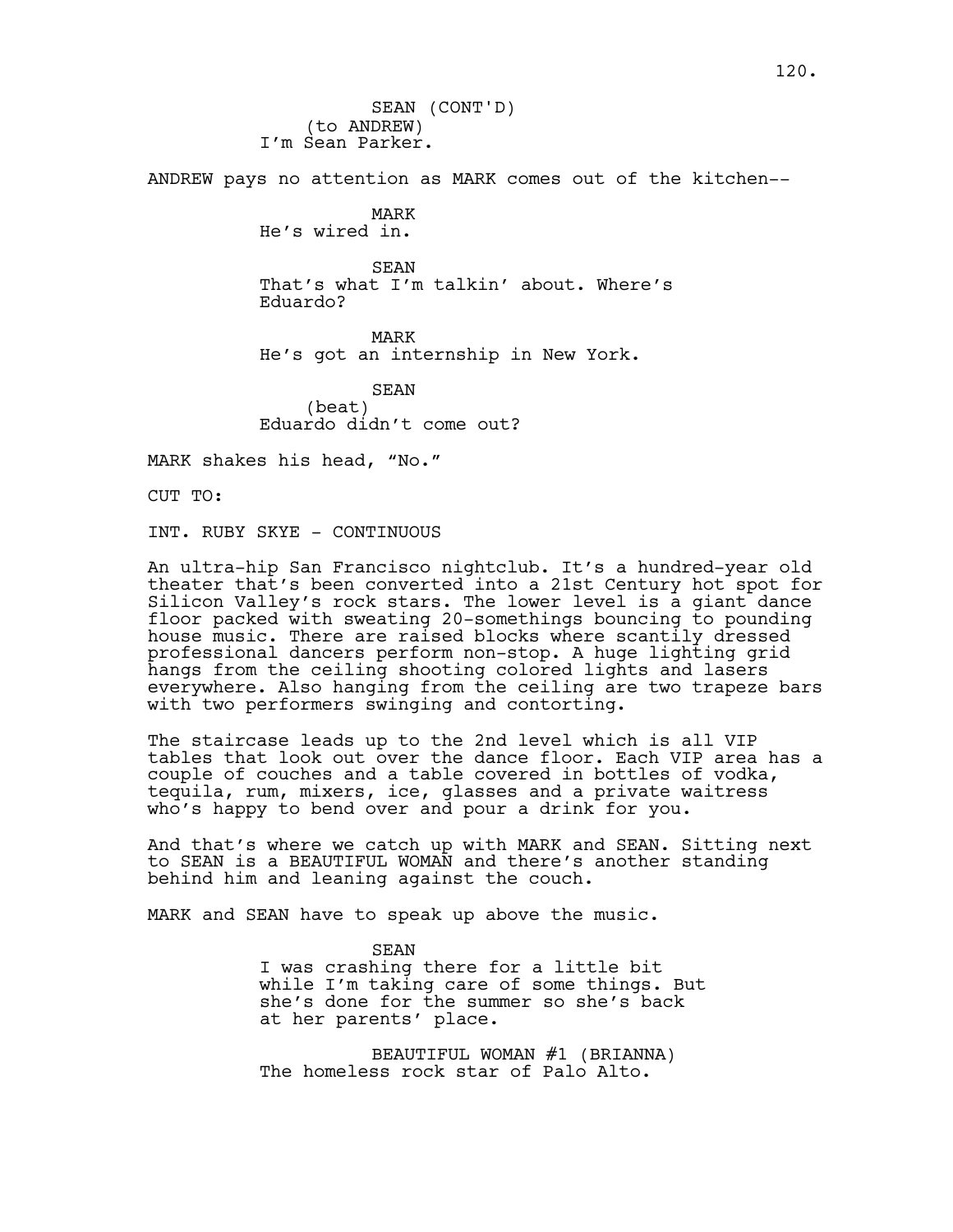(to ANDREW) I'm Sean Parker. SEAN (CONT'D)

ANDREW pays no attention as MARK comes out of the kitchen--

MARK He's wired in.

SEAN That's what I'm talkin' about. Where's Eduardo?

MARK He's got an internship in New York.

SEAN (beat) Eduardo didn't come out?

MARK shakes his head, "No."

CUT TO:

INT. RUBY SKYE - CONTINUOUS

An ultra-hip San Francisco nightclub. It's a hundred-year old theater that's been converted into a 21st Century hot spot for Silicon Valley's rock stars. The lower level is a giant dance floor packed with sweating 20-somethings bouncing to pounding house music. There are raised blocks where scantily dressed professional dancers perform non-stop. A huge lighting grid hangs from the ceiling shooting colored lights and lasers everywhere. Also hanging from the ceiling are two trapeze bars with two performers swinging and contorting.

The staircase leads up to the 2nd level which is all VIP tables that look out over the dance floor. Each VIP area has a couple of couches and a table covered in bottles of vodka, tequila, rum, mixers, ice, glasses and a private waitress who's happy to bend over and pour a drink for you.

And that's where we catch up with MARK and SEAN. Sitting next to SEAN is a BEAUTIFUL WOMAN and there's another standing behind him and leaning against the couch.

MARK and SEAN have to speak up above the music.

SEAN I was crashing there for a little bit while I'm taking care of some things. But she's done for the summer so she's back at her parents' place.

BEAUTIFUL WOMAN #1 (BRIANNA) The homeless rock star of Palo Alto.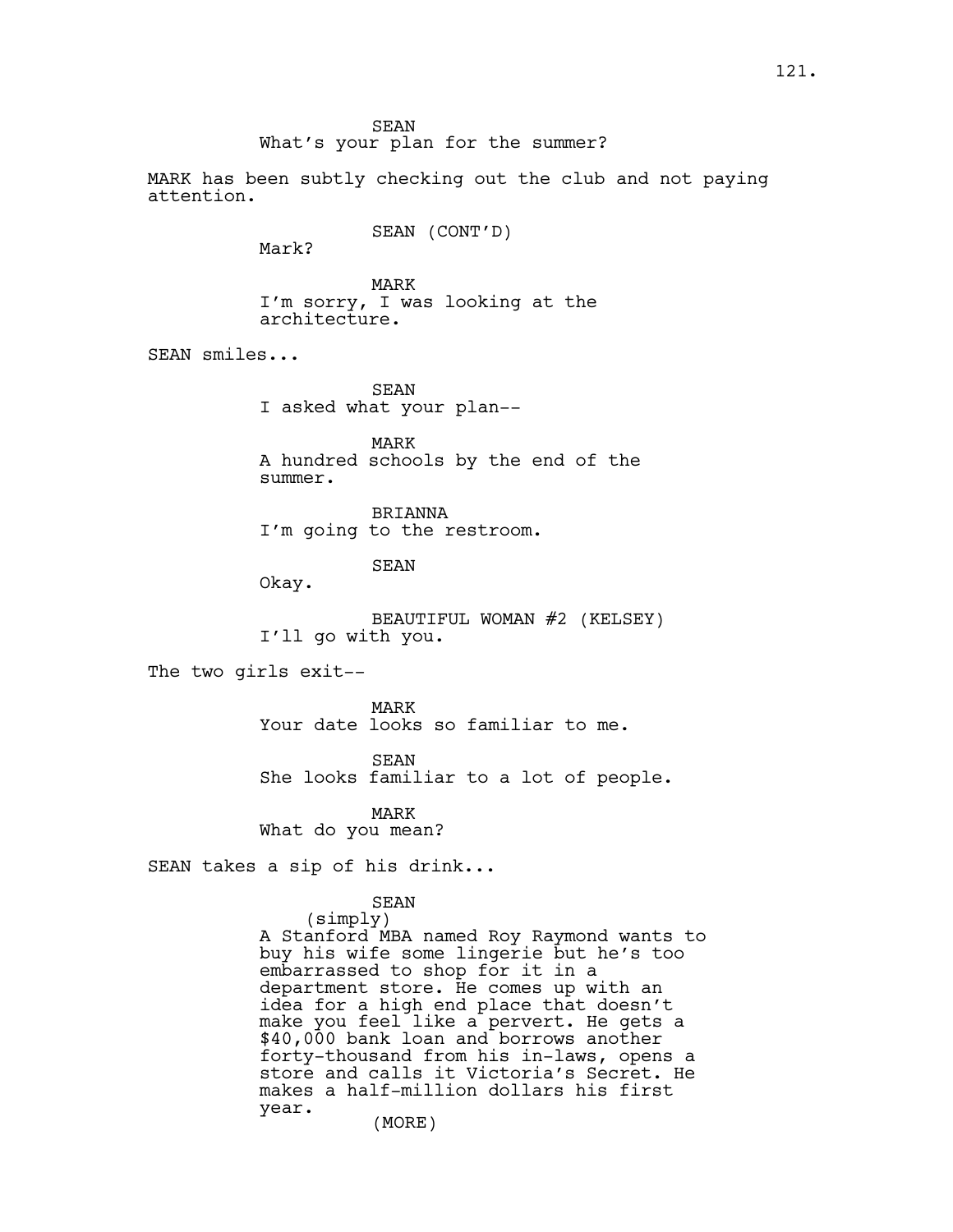What's your plan for the summer?

MARK has been subtly checking out the club and not paying attention.

SEAN (CONT'D)

Mark?

MARK I'm sorry, I was looking at the architecture.

SEAN smiles...

SEAN I asked what your plan--

MARK A hundred schools by the end of the summer.

BRIANNA I'm going to the restroom.

SEAN

Okay.

BEAUTIFUL WOMAN #2 (KELSEY) I'll go with you.

The two girls exit--

MARK Your date looks so familiar to me.

SEAN

She looks familiar to a lot of people.

MARK What do you mean?

SEAN takes a sip of his drink...

SEAN

(simply) A Stanford MBA named Roy Raymond wants to buy his wife some lingerie but he's too embarrassed to shop for it in a department store. He comes up with an idea for a high end place that doesn't make you feel like a pervert. He gets a \$40,000 bank loan and borrows another forty-thousand from his in-laws, opens a store and calls it Victoria's Secret. He makes a half-million dollars his first year. (MORE)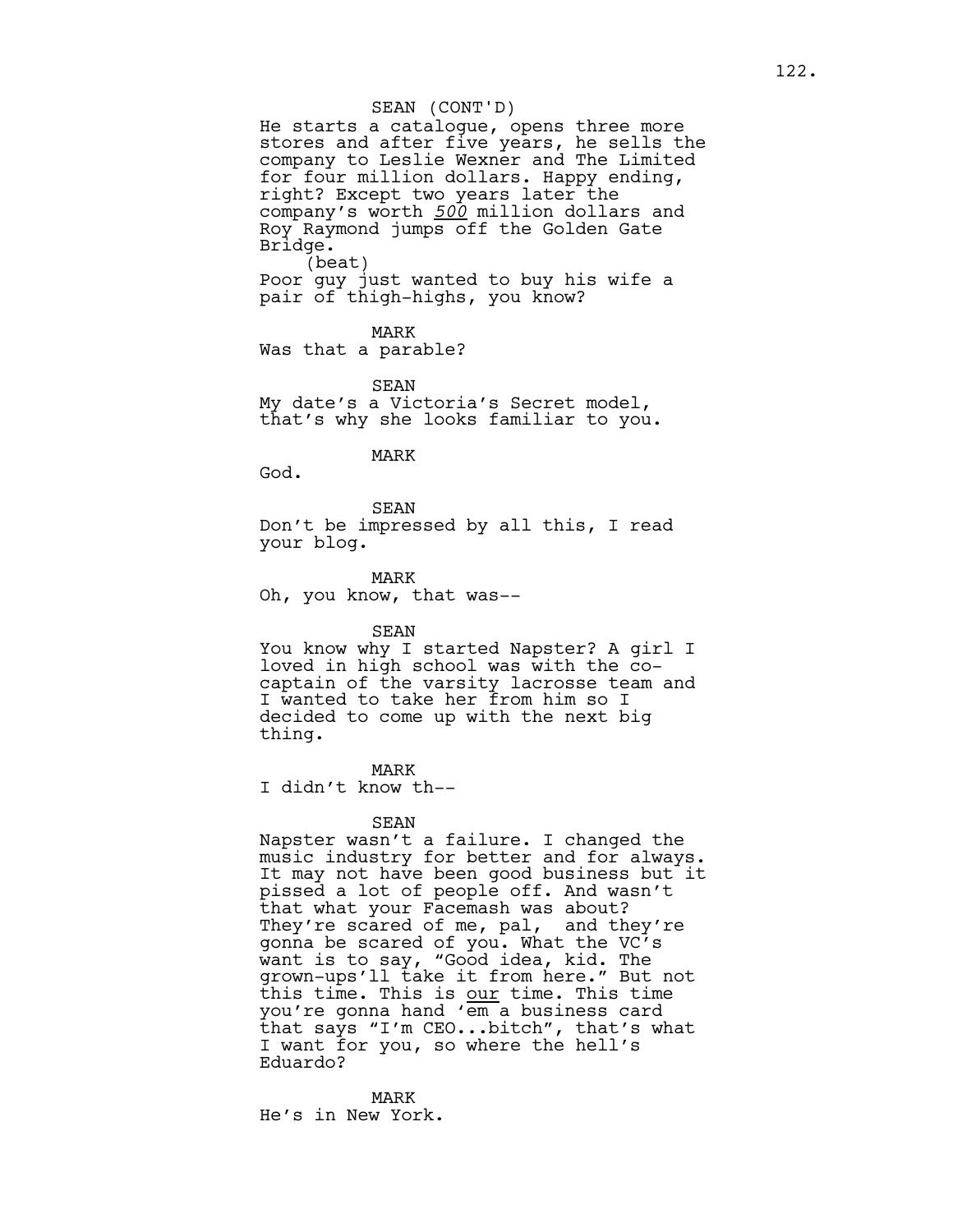#### SEAN (CONT'D)

He starts a catalogue, opens three more stores and after five years, he sells the company to Leslie Wexner and The Limited for four million dollars. Happy ending, right? Except two years later the company's worth *500* million dollars and Roy Raymond jumps off the Golden Gate Bridge. (beat) Poor guy just wanted to buy his wife a pair of thigh-highs, you know?

MARK

Was that a parable?

SEAN My date's a Victoria's Secret model, that's why she looks familiar to you.

### MARK

God.

SEAN Don't be impressed by all this, I read your blog.

MARK Oh, you know, that was--

SEAN

You know why I started Napster? A girl I loved in high school was with the cocaptain of the varsity lacrosse team and I wanted to take her from him so I decided to come up with the next big thing.

MARK I didn't know th--

## SEAN

Napster wasn't a failure. I changed the music industry for better and for always. It may not have been good business but it pissed a lot of people off. And wasn't that what your Facemash was about? They're scared of me, pal, and they're gonna be scared of you. What the VC's want is to say, "Good idea, kid. The grown-ups'll take it from here." But not this time. This is our time. This time you're gonna hand 'em a business card that says "I'm CEO...bitch", that's what I want for you, so where the hell's Eduardo?

MARK He's in New York.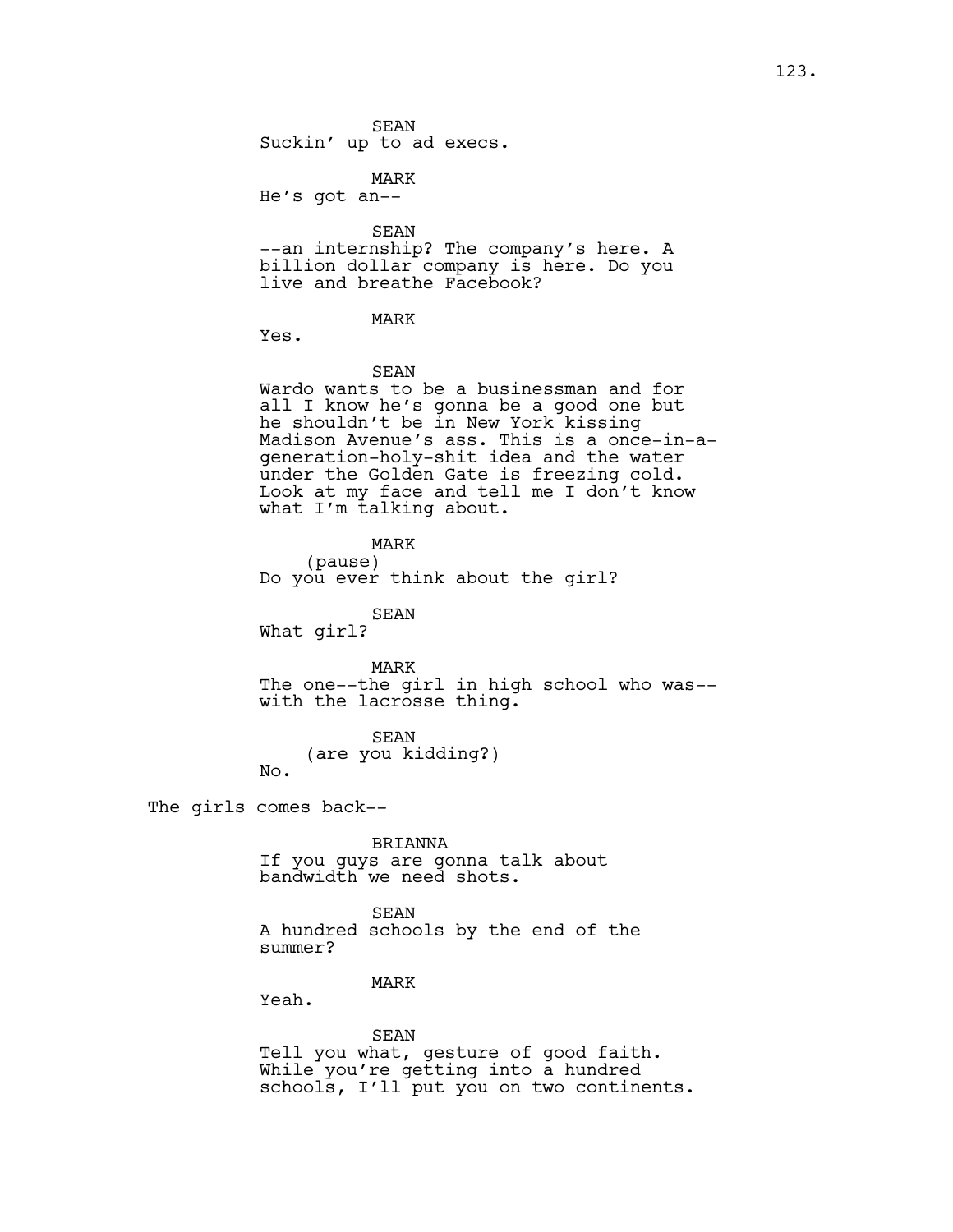SEAN Suckin' up to ad execs.

MARK He's got an--

SEAN

--an internship? The company's here. A billion dollar company is here. Do you live and breathe Facebook?

MARK

Yes.

SEAN

Wardo wants to be a businessman and for all I know he's gonna be a good one but he shouldn't be in New York kissing Madison Avenue's ass. This is a once-in-ageneration-holy-shit idea and the water under the Golden Gate is freezing cold. Look at my face and tell me I don't know what I'm talking about.

MARK

(pause) Do you ever think about the girl?

SEAN

What girl?

MARK

The one--the girl in high school who was- with the lacrosse thing.

SEAN

(are you kidding?) No.

The girls comes back--

BRIANNA

If you guys are gonna talk about bandwidth we need shots.

SEAN A hundred schools by the end of the

summer?

## MARK

Yeah.

SEAN Tell you what, gesture of good faith. While you're getting into a hundred schools, I'll put you on two continents.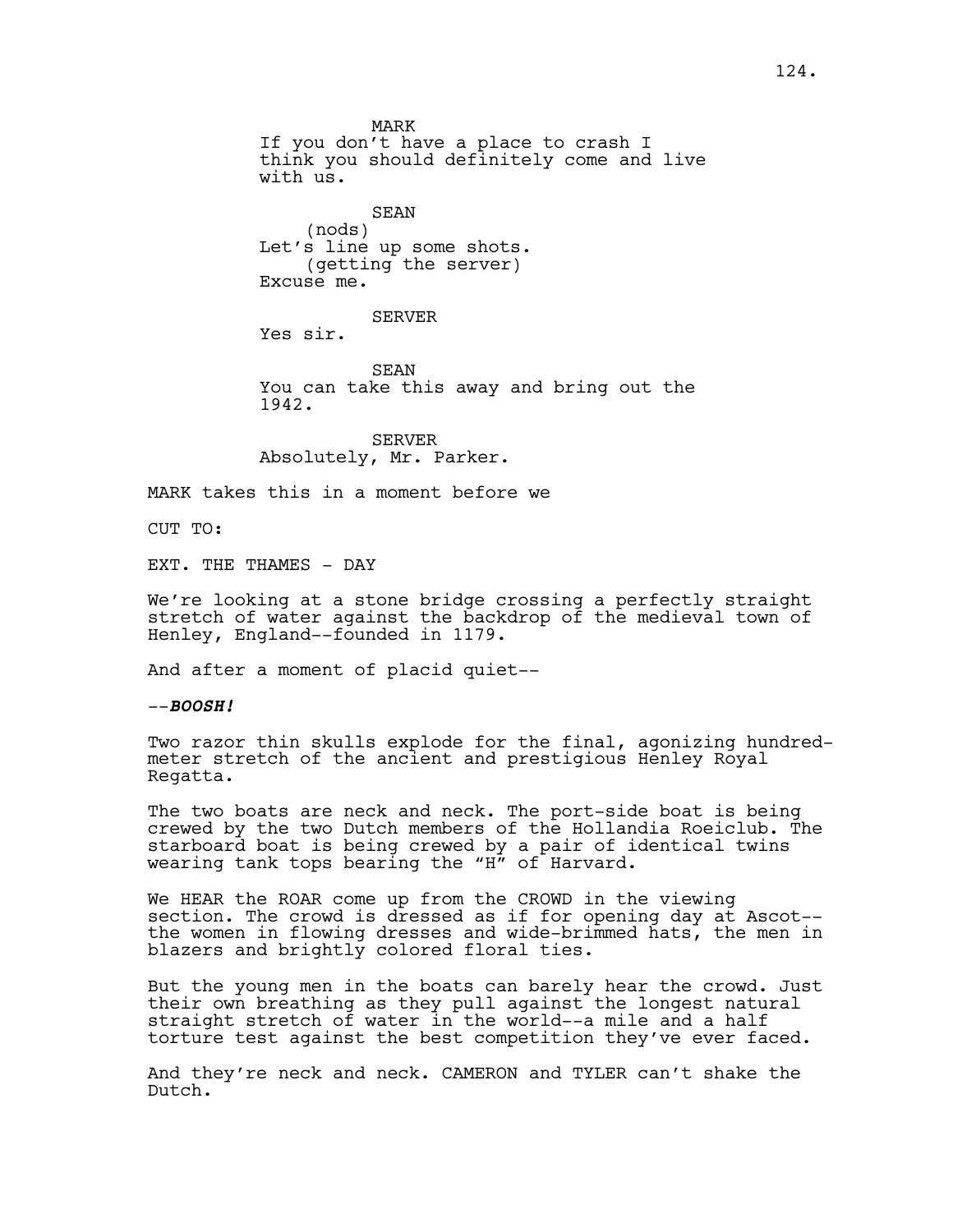MARK If you don't have a place to crash I think you should definitely come and live with us. SEAN (nods) Let's line up some shots. (getting the server) Excuse me. SERVER Yes sir. SEAN You can take this away and bring out the

1942.

SERVER Absolutely, Mr. Parker.

MARK takes this in a moment before we

CUT TO:

EXT. THE THAMES - DAY

We're looking at a stone bridge crossing a perfectly straight stretch of water against the backdrop of the medieval town of Henley, England--founded in 1179.

And after a moment of placid quiet--

--**BOOSH!**

Two razor thin skulls explode for the final, agonizing hundredmeter stretch of the ancient and prestigious Henley Royal Regatta.

The two boats are neck and neck. The port-side boat is being crewed by the two Dutch members of the Hollandia Roeiclub. The starboard boat is being crewed by a pair of identical twins wearing tank tops bearing the "H" of Harvard.

We HEAR the ROAR come up from the CROWD in the viewing section. The crowd is dressed as if for opening day at Ascot- the women in flowing dresses and wide-brimmed hats, the men in blazers and brightly colored floral ties.

But the young men in the boats can barely hear the crowd. Just their own breathing as they pull against the longest natural straight stretch of water in the world--a mile and a half torture test against the best competition they've ever faced.

And they're neck and neck. CAMERON and TYLER can't shake the Dutch.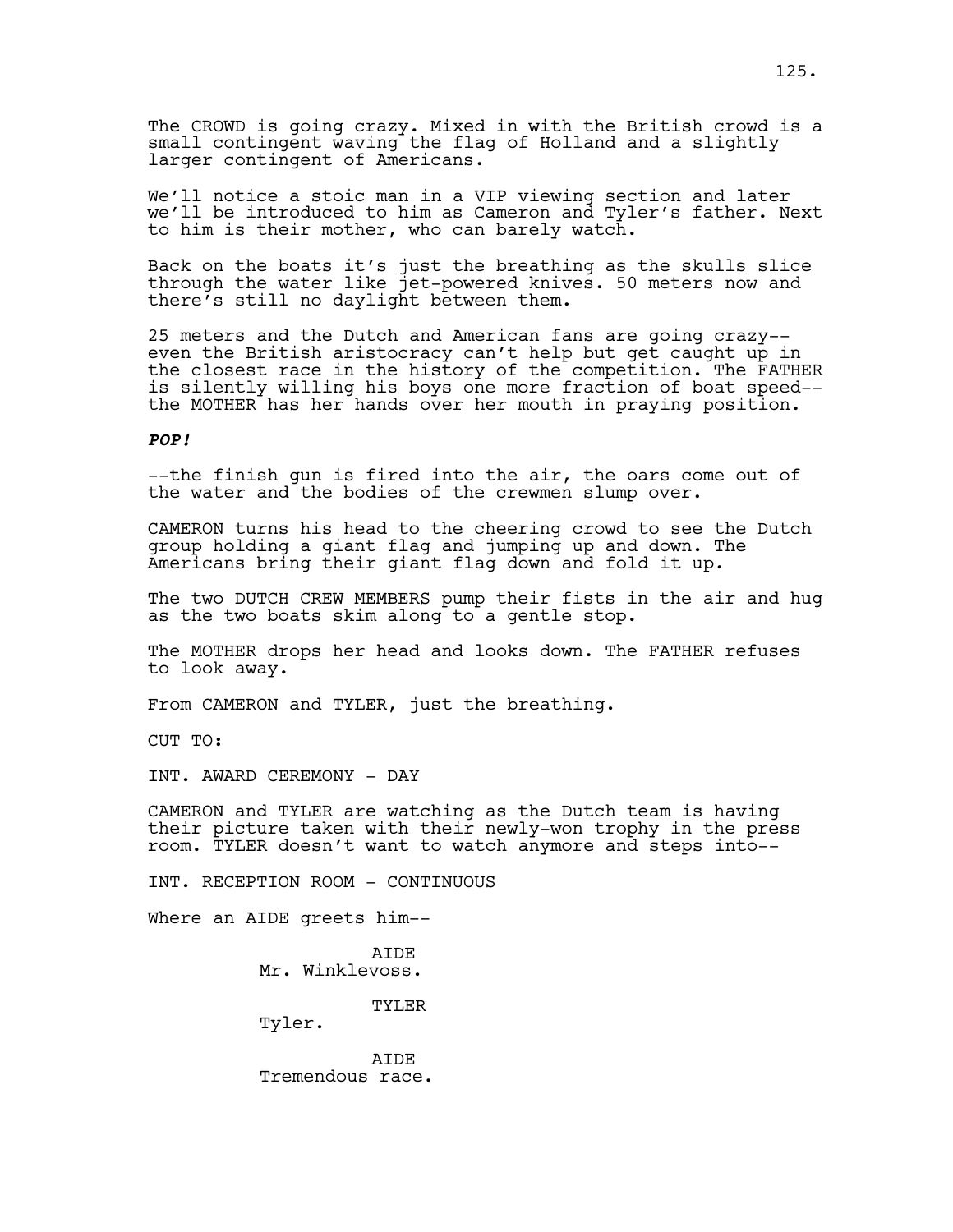The CROWD is going crazy. Mixed in with the British crowd is a small contingent waving the flag of Holland and a slightly larger contingent of Americans.

We'll notice a stoic man in a VIP viewing section and later we'll be introduced to him as Cameron and Tyler's father. Next to him is their mother, who can barely watch.

Back on the boats it's just the breathing as the skulls slice through the water like jet-powered knives. 50 meters now and there's still no daylight between them.

25 meters and the Dutch and American fans are going crazy- even the British aristocracy can't help but get caught up in the closest race in the history of the competition. The FATHER is silently willing his boys one more fraction of boat speed- the MOTHER has her hands over her mouth in praying position.

## **POP!**

--the finish gun is fired into the air, the oars come out of the water and the bodies of the crewmen slump over.

CAMERON turns his head to the cheering crowd to see the Dutch group holding a giant flag and jumping up and down. The Americans bring their giant flag down and fold it up.

The two DUTCH CREW MEMBERS pump their fists in the air and hug as the two boats skim along to a gentle stop.

The MOTHER drops her head and looks down. The FATHER refuses to look away.

From CAMERON and TYLER, just the breathing.

CUT TO:

INT. AWARD CEREMONY - DAY

CAMERON and TYLER are watching as the Dutch team is having their picture taken with their newly-won trophy in the press room. TYLER doesn't want to watch anymore and steps into--

INT. RECEPTION ROOM - CONTINUOUS

Where an AIDE greets him--

**ATDE** Mr. Winklevoss.

TYLER

Tyler.

AIDE Tremendous race.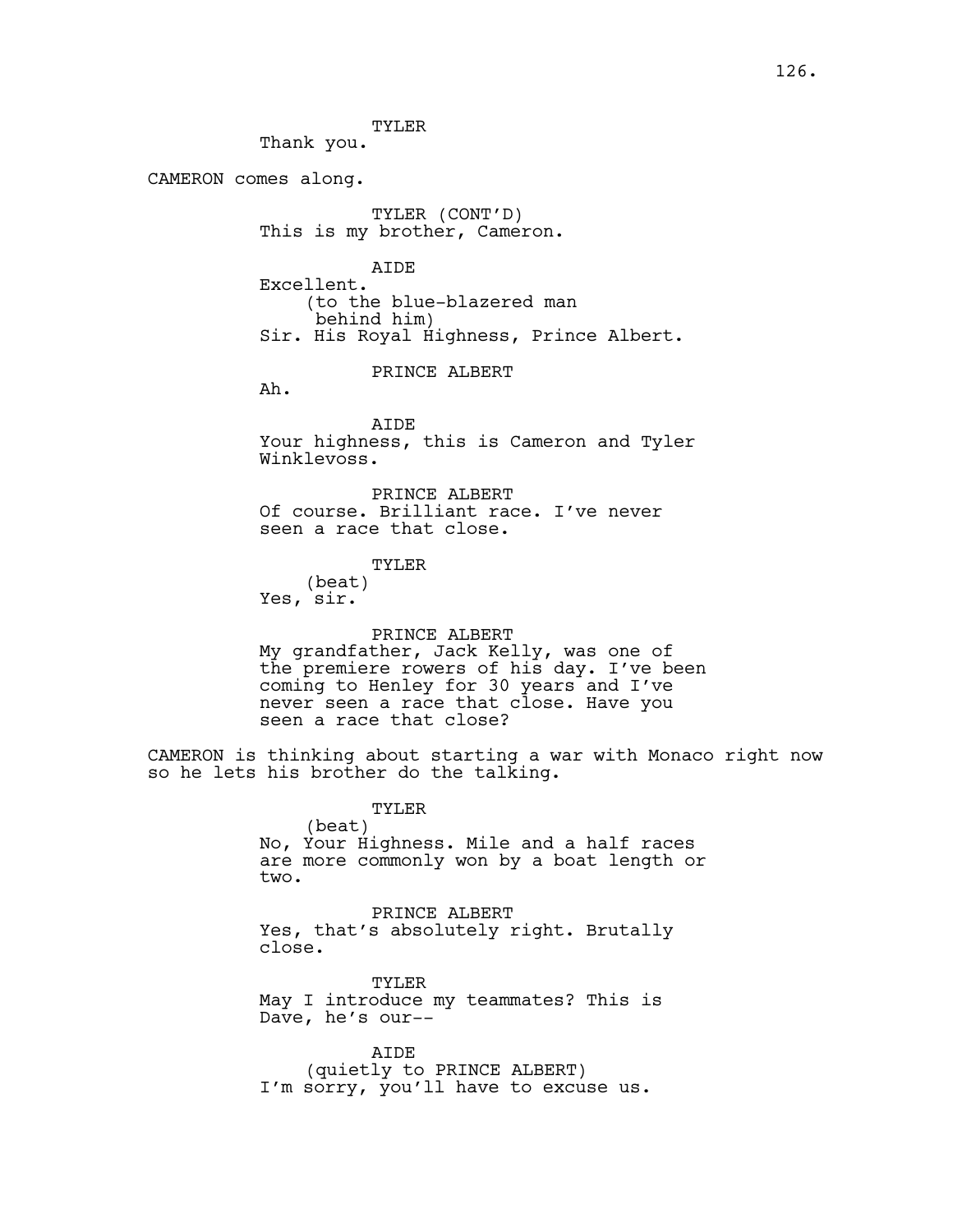TYLER Thank you.

CAMERON comes along.

TYLER (CONT'D) This is my brother, Cameron.

AIDE Excellent. (to the blue-blazered man behind him) Sir. His Royal Highness, Prince Albert.

PRINCE ALBERT

Ah.

AIDE Your highness, this is Cameron and Tyler Winklevoss.

PRINCE ALBERT Of course. Brilliant race. I've never seen a race that close.

TYLER

(beat) Yes, sir.

PRINCE ALBERT

My grandfather, Jack Kelly, was one of the premiere rowers of his day. I've been coming to Henley for 30 years and I've never seen a race that close. Have you seen a race that close?

CAMERON is thinking about starting a war with Monaco right now so he lets his brother do the talking.

> TYLER (beat) No, Your Highness. Mile and a half races are more commonly won by a boat length or two.

PRINCE ALBERT Yes, that's absolutely right. Brutally close.

TYLER May I introduce my teammates? This is Dave, he's our--

AIDE (quietly to PRINCE ALBERT) I'm sorry, you'll have to excuse us.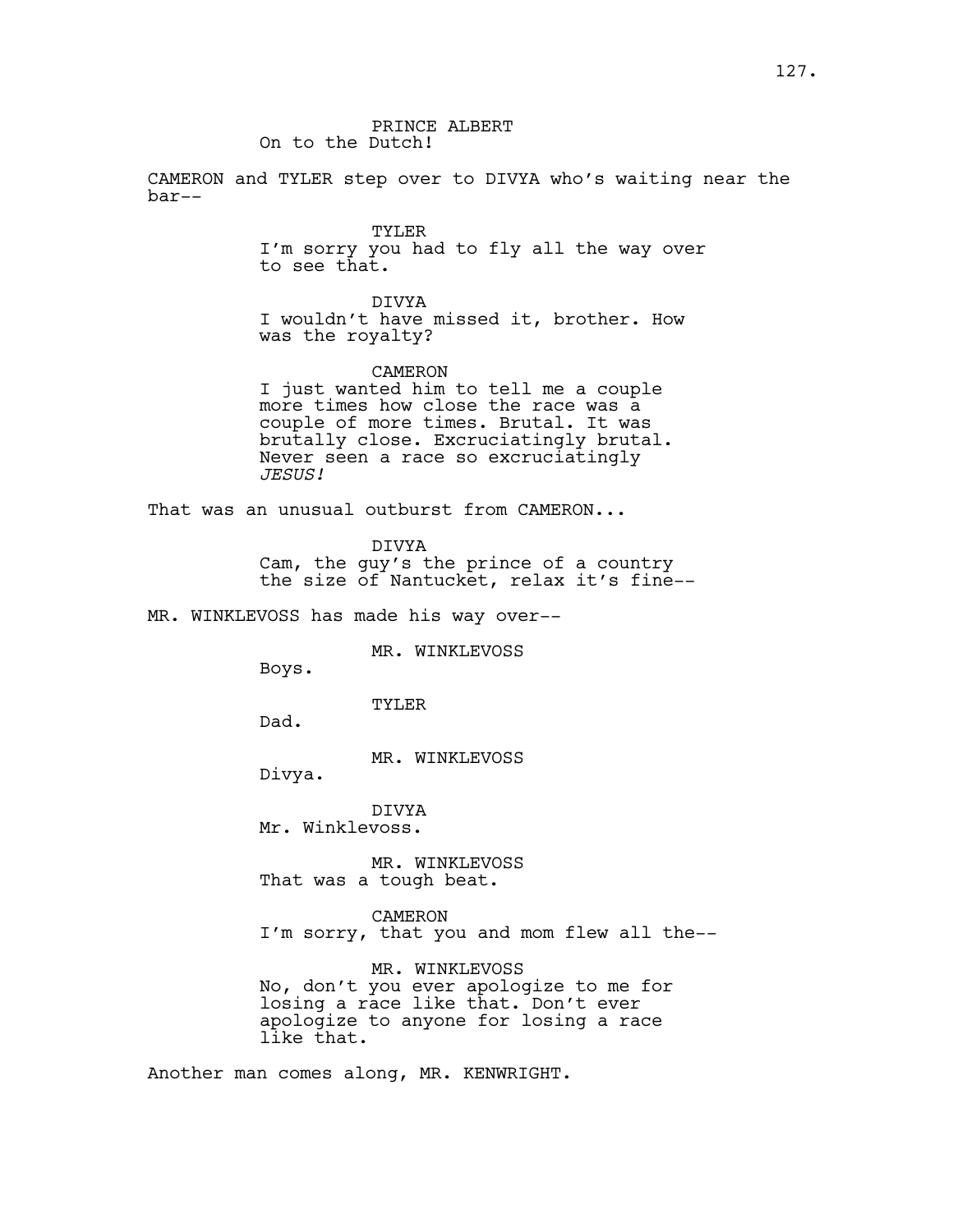#### PRINCE ALBERT On to the Dutch!

CAMERON and TYLER step over to DIVYA who's waiting near the bar--

TYLER

I'm sorry you had to fly all the way over to see that.

DIVYA I wouldn't have missed it, brother. How was the royalty?

CAMERON I just wanted him to tell me a couple more times how close the race was a couple of more times. Brutal. It was brutally close. Excruciatingly brutal. Never seen a race so excruciatingly *JESUS!*

That was an unusual outburst from CAMERON...

DIVYA Cam, the guy's the prince of a country the size of Nantucket, relax it's fine--

MR. WINKLEVOSS has made his way over--

MR. WINKLEVOSS

Boys.

TYLER

Dad.

MR. WINKLEVOSS

Divya.

DIVYA Mr. Winklevoss.

MR. WINKLEVOSS That was a tough beat.

CAMERON I'm sorry, that you and mom flew all the--

MR. WINKLEVOSS No, don't you ever apologize to me for losing a race like that. Don't ever apologize to anyone for losing a race like that.

Another man comes along, MR. KENWRIGHT.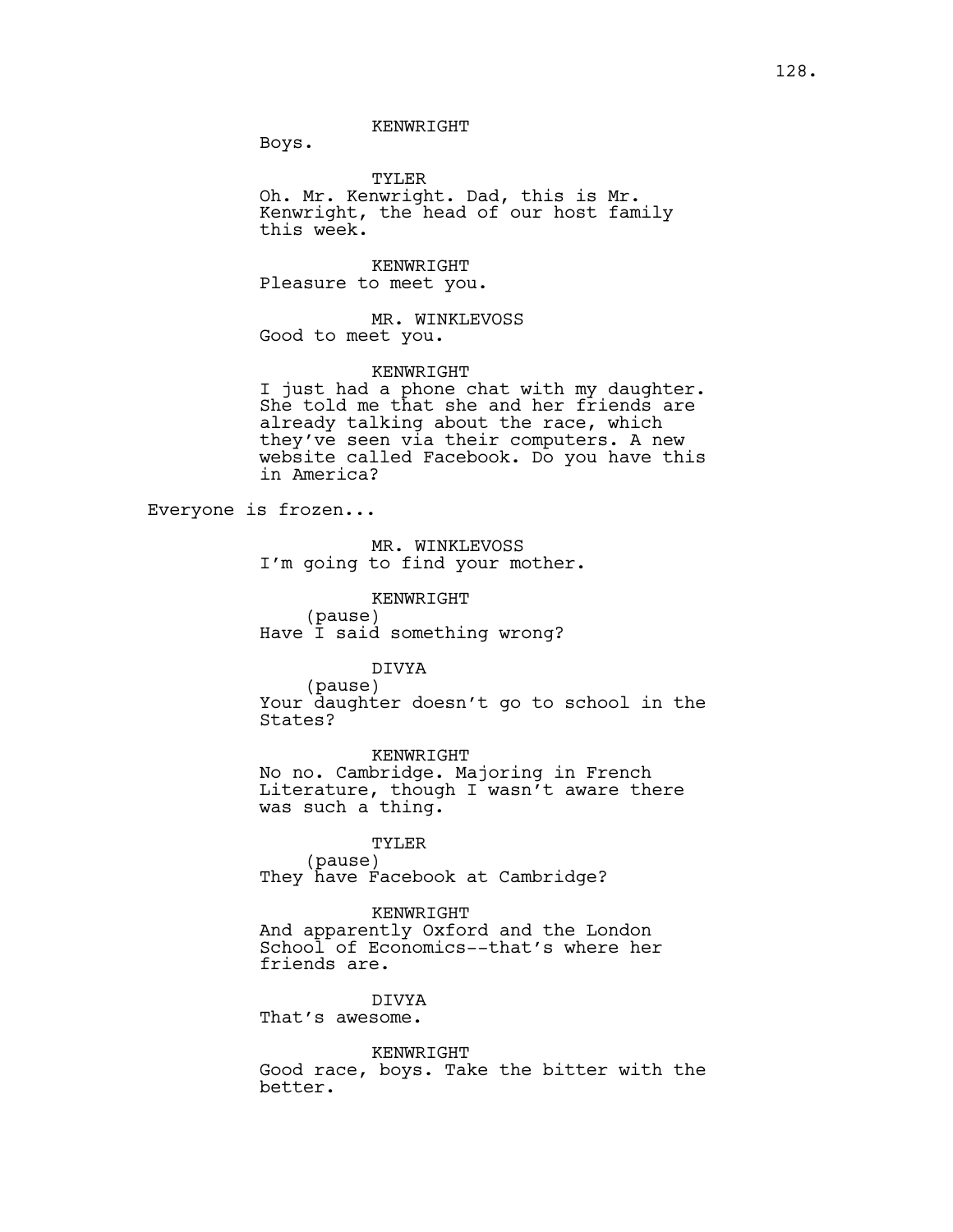Boys.

TYLER Oh. Mr. Kenwright. Dad, this is Mr. Kenwright, the head of our host family this week.

KENWRIGHT Pleasure to meet you.

MR. WINKLEVOSS Good to meet you.

## **KENWRIGHT**

KENWRIGHT

I just had a phone chat with my daughter. She told me that she and her friends are already talking about the race, which they've seen via their computers. A new website called Facebook. Do you have this in America?

Everyone is frozen...

MR. WINKLEVOSS I'm going to find your mother.

KENWRIGHT (pause) Have I said something wrong?

## DIVYA

(pause) Your daughter doesn't go to school in the States?

KENWRIGHT No no. Cambridge. Majoring in French Literature, though I wasn't aware there was such a thing.

#### TYLER

(pause) They have Facebook at Cambridge?

KENWRIGHT

And apparently Oxford and the London School of Economics--that's where her friends are.

DIVYA

That's awesome.

better.

KENWRIGHT Good race, boys. Take the bitter with the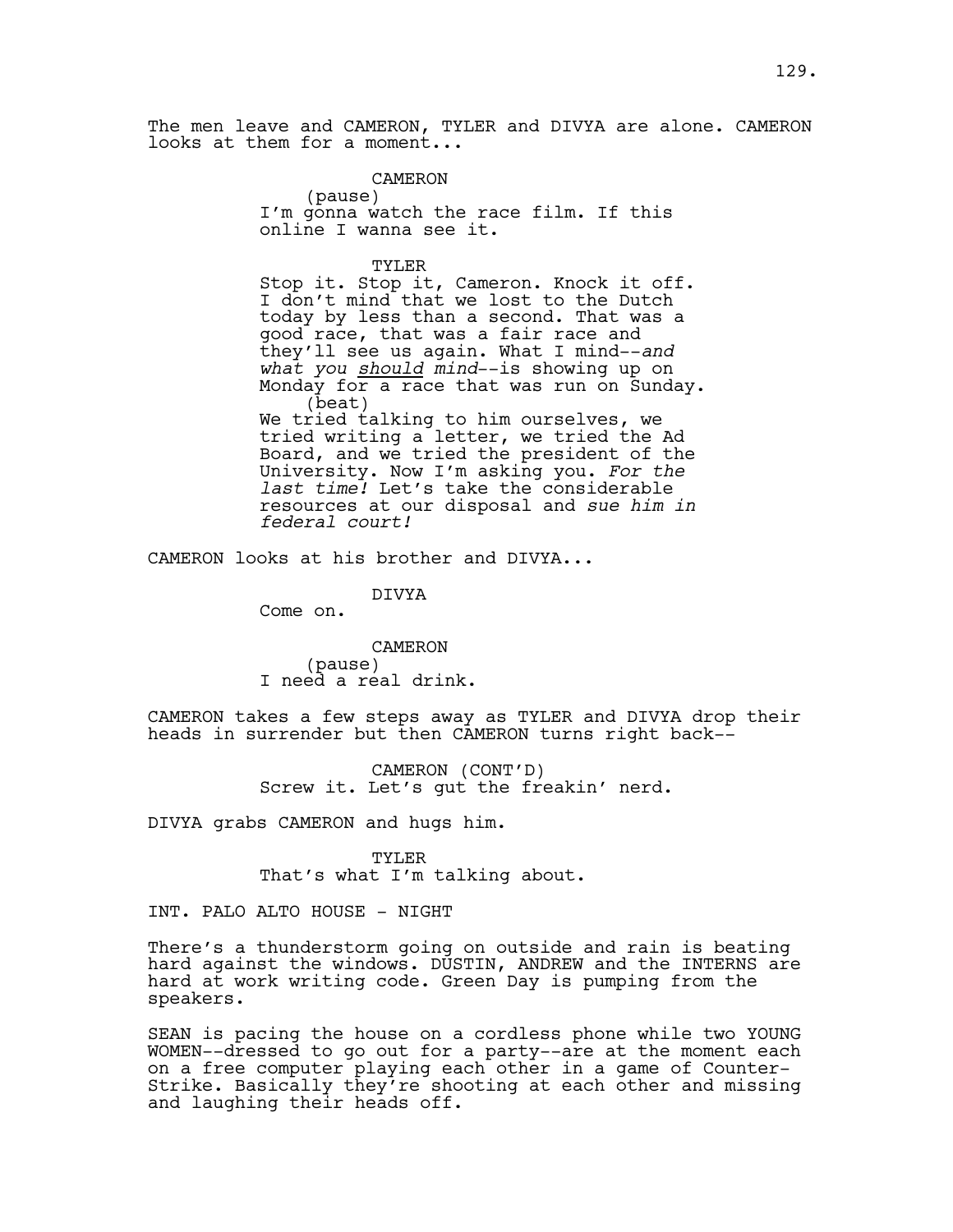The men leave and CAMERON, TYLER and DIVYA are alone. CAMERON looks at them for a moment...

> CAMERON (pause) I'm gonna watch the race film. If this online I wanna see it.

TYLER Stop it. Stop it, Cameron. Knock it off. I don't mind that we lost to the Dutch today by less than a second. That was a good race, that was a fair race and they'll see us again. What I mind--*and what you should mind*--is showing up on Monday for a race that was run on Sunday. (beat) We tried talking to him ourselves, we tried writing a letter, we tried the Ad Board, and we tried the president of the University. Now I'm asking you. *For the last time!* Let's take the considerable resources at our disposal and *sue him in federal court!*

CAMERON looks at his brother and DIVYA...

DIVYA

Come on.

CAMERON (pause) I need a real drink.

CAMERON takes a few steps away as TYLER and DIVYA drop their heads in surrender but then CAMERON turns right back--

> CAMERON (CONT'D) Screw it. Let's gut the freakin' nerd.

DIVYA grabs CAMERON and hugs him.

TYLER That's what I'm talking about.

INT. PALO ALTO HOUSE - NIGHT

There's a thunderstorm going on outside and rain is beating hard against the windows. DUSTIN, ANDREW and the INTERNS are hard at work writing code. Green Day is pumping from the speakers.

SEAN is pacing the house on a cordless phone while two YOUNG WOMEN--dressed to go out for a party--are at the moment each on a free computer playing each other in a game of Counter-Strike. Basically they're shooting at each other and missing and laughing their heads off.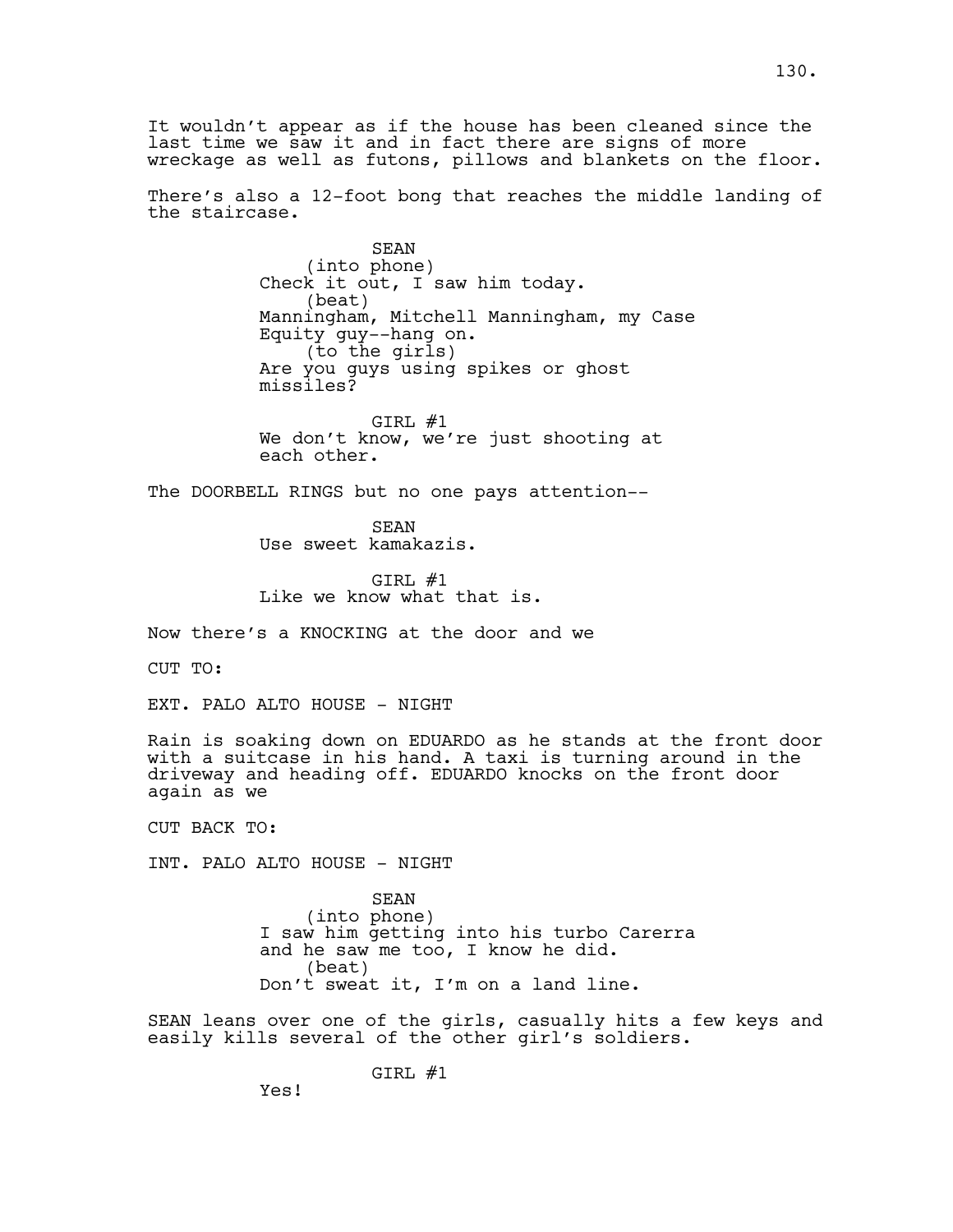It wouldn't appear as if the house has been cleaned since the last time we saw it and in fact there are signs of more wreckage as well as futons, pillows and blankets on the floor.

There's also a 12-foot bong that reaches the middle landing of the staircase.

> SEAN (into phone) Check it out, I saw him today. (beat) Manningham, Mitchell Manningham, my Case Equity guy--hang on. (to the girls) Are you guys using spikes or ghost missiles?

GIRL #1 We don't know, we're just shooting at each other.

The DOORBELL RINGS but no one pays attention--

SEAN Use sweet kamakazis.

GIRL #1 Like we know what that is.

Now there's a KNOCKING at the door and we

CUT TO:

EXT. PALO ALTO HOUSE - NIGHT

Rain is soaking down on EDUARDO as he stands at the front door with a suitcase in his hand. A taxi is turning around in the driveway and heading off. EDUARDO knocks on the front door again as we

CUT BACK TO:

INT. PALO ALTO HOUSE - NIGHT

SEAN (into phone) I saw him getting into his turbo Carerra and he saw me too, I know he did. (beat) Don't sweat it, I'm on a land line.

SEAN leans over one of the girls, casually hits a few keys and easily kills several of the other girl's soldiers.

GIRL #1

Yes!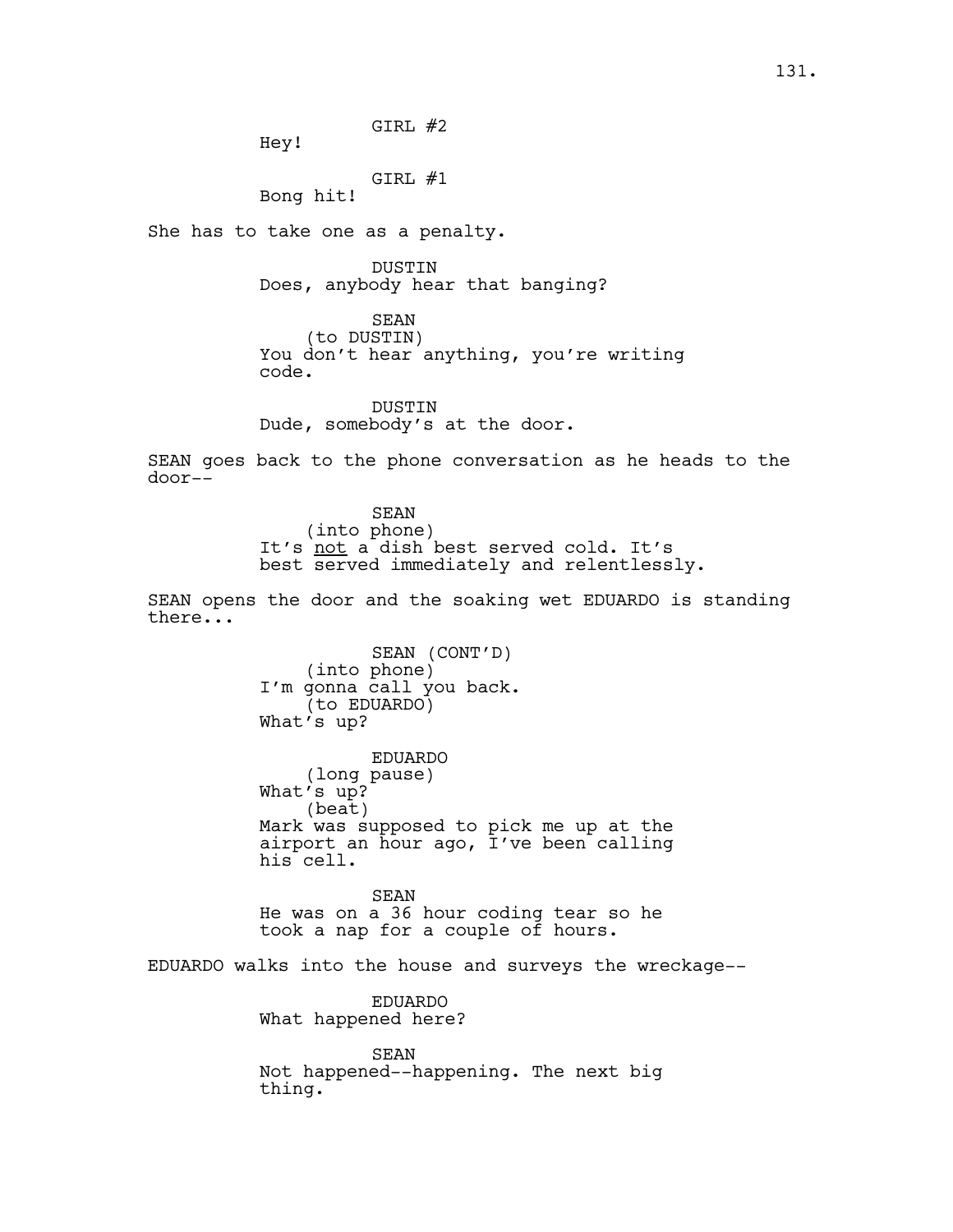GIRL #2

Hey!

GIRL #1

Bong hit!

She has to take one as a penalty.

DUSTIN Does, anybody hear that banging?

SEAN (to DUSTIN) You don't hear anything, you're writing code.

**DUSTIN** Dude, somebody's at the door.

SEAN goes back to the phone conversation as he heads to the door--

> SEAN (into phone) It's not a dish best served cold. It's best served immediately and relentlessly.

SEAN opens the door and the soaking wet EDUARDO is standing there...

> SEAN (CONT'D) (into phone) I'm gonna call you back. (to EDUARDO) What's up?

EDUARDO (long pause) What's up? (beat) Mark was supposed to pick me up at the airport an hour ago, I've been calling his cell.

SEAN He was on a 36 hour coding tear so he took a nap for a couple of hours.

EDUARDO walks into the house and surveys the wreckage--

EDUARDO What happened here?

SEAN Not happened--happening. The next big thing.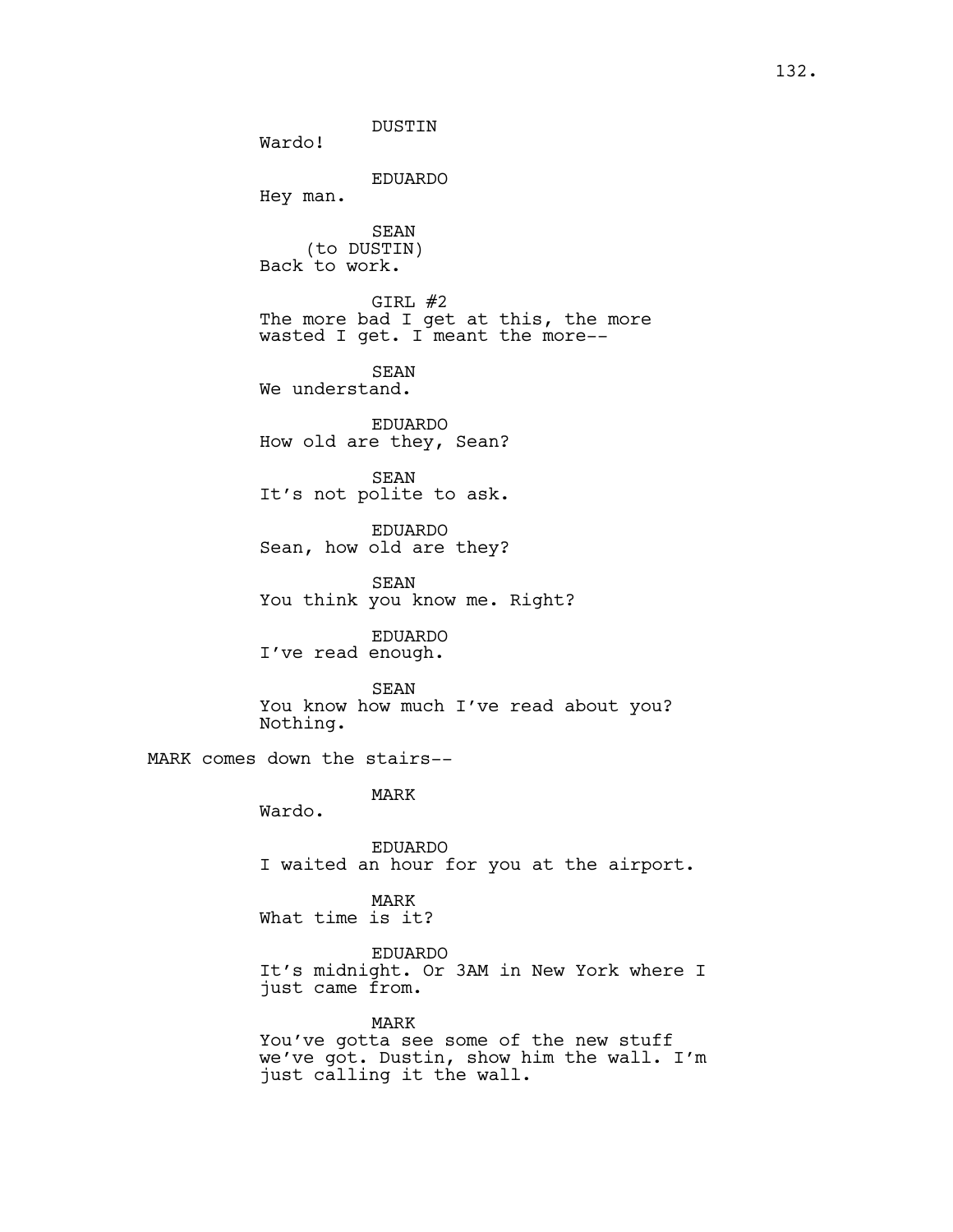DUSTIN Wardo! EDUARDO Hey man. SEAN (to DUSTIN) Back to work. GIRL #2 The more bad I get at this, the more wasted I get. I meant the more-- SEAN We understand. EDUARDO How old are they, Sean? SEAN It's not polite to ask. EDUARDO Sean, how old are they? SEAN You think you know me. Right? EDUARDO I've read enough. SEAN You know how much I've read about you? Nothing. MARK comes down the stairs-- MARK Wardo. EDUARDO I waited an hour for you at the airport. MARK

What time is it?

EDUARDO It's midnight. Or 3AM in New York where I just came from.

MARK You've gotta see some of the new stuff we've got. Dustin, show him the wall. I'm just calling it the wall.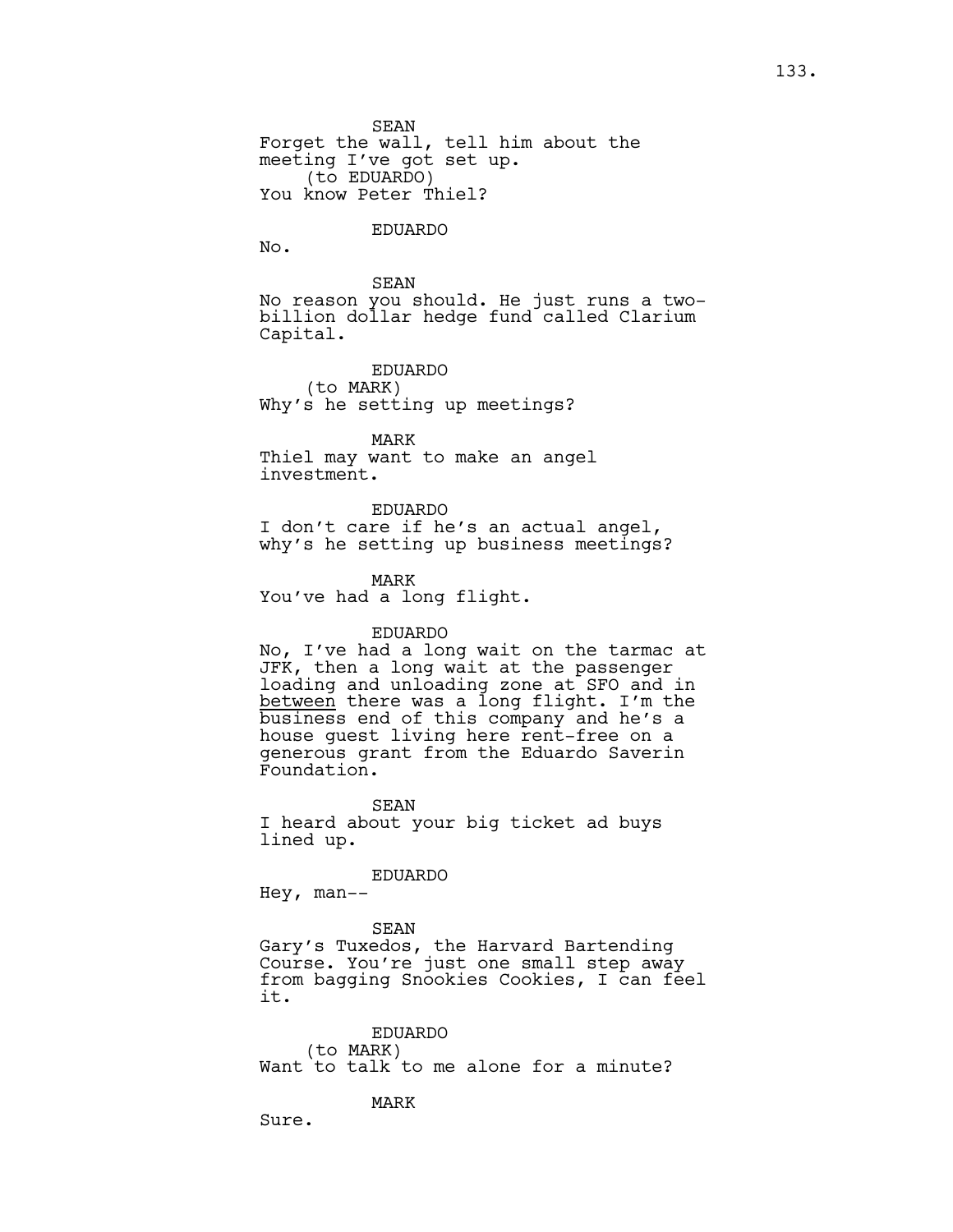SEAN Forget the wall, tell him about the meeting I've got set up. (to EDUARDO) You know Peter Thiel?

EDUARDO

No.

SEAN

No reason you should. He just runs a twobillion dollar hedge fund called Clarium Capital.

EDUARDO (to MARK) Why's he setting up meetings?

MARK Thiel may want to make an angel investment.

EDUARDO

I don't care if he's an actual angel, why's he setting up business meetings?

MARK You've had a long flight.

#### EDUARDO

No, I've had a long wait on the tarmac at JFK, then a long wait at the passenger loading and unloading zone at SFO and in between there was a long flight. I'm the business end of this company and he's a house guest living here rent-free on a generous grant from the Eduardo Saverin Foundation.

SEAN I heard about your big ticket ad buys lined up.

EDUARDO

Hey, man--

SEAN Gary's Tuxedos, the Harvard Bartending Course. You're just one small step away from bagging Snookies Cookies, I can feel it.

EDUARDO (to MARK) Want to talk to me alone for a minute?

MARK

Sure.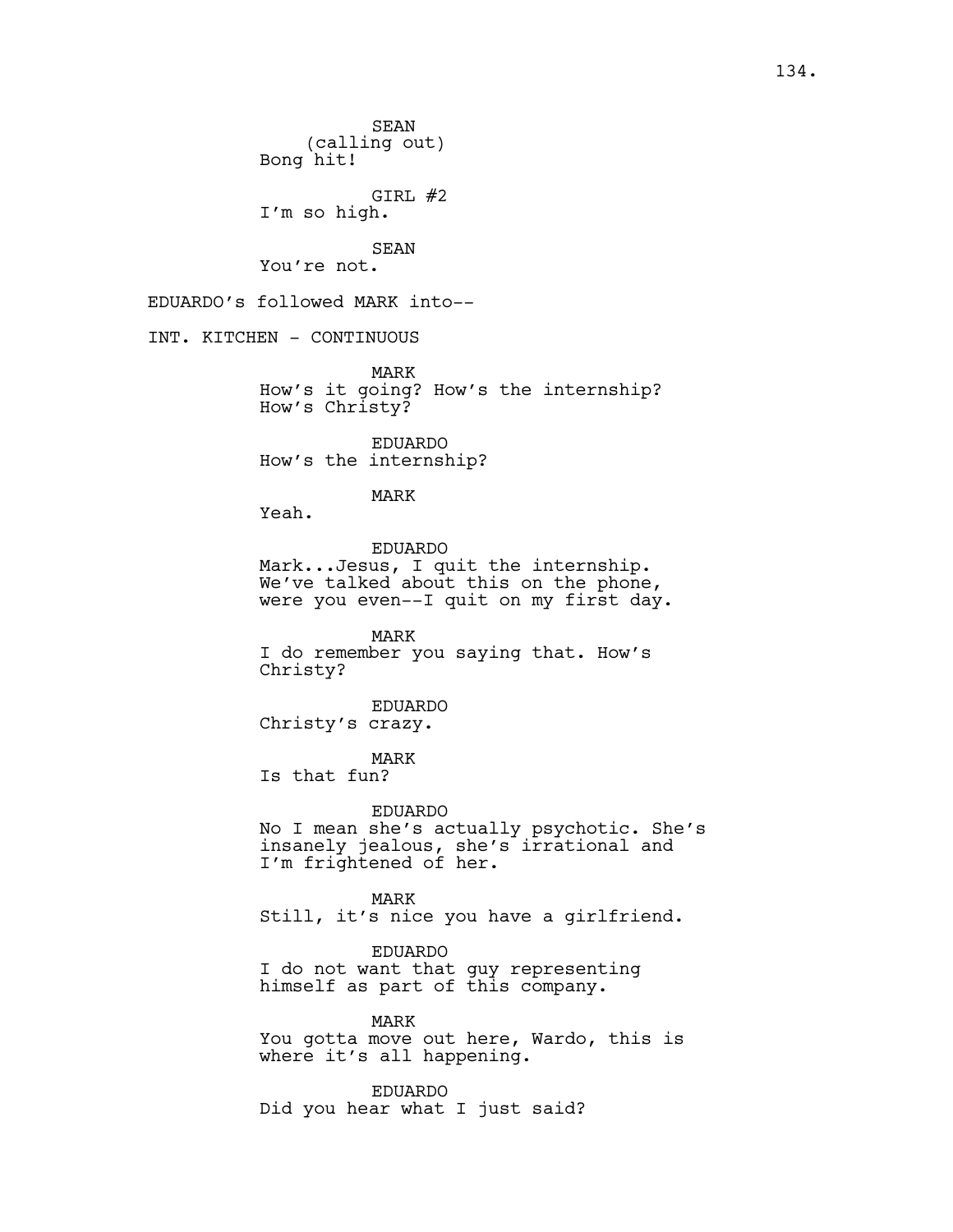SEAN (calling out) Bong hit! GIRL #2 I'm so high. SEAN You're not. EDUARDO's followed MARK into-- INT. KITCHEN - CONTINUOUS MARK How's it going? How's the internship? How's Christy? EDUARDO How's the internship? MARK Yeah. EDUARDO Mark...Jesus, I quit the internship. We've talked about this on the phone, were you even--I quit on my first day. MARK I do remember you saying that. How's Christy? EDUARDO Christy's crazy. MARK Is that fun? EDUARDO No I mean she's actually psychotic. She's insanely jealous, she's irrational and I'm frightened of her. MARK Still, it's nice you have a girlfriend. EDUARDO I do not want that guy representing himself as part of this company. MARK You gotta move out here, Wardo, this is where it's all happening. EDUARDO Did you hear what I just said?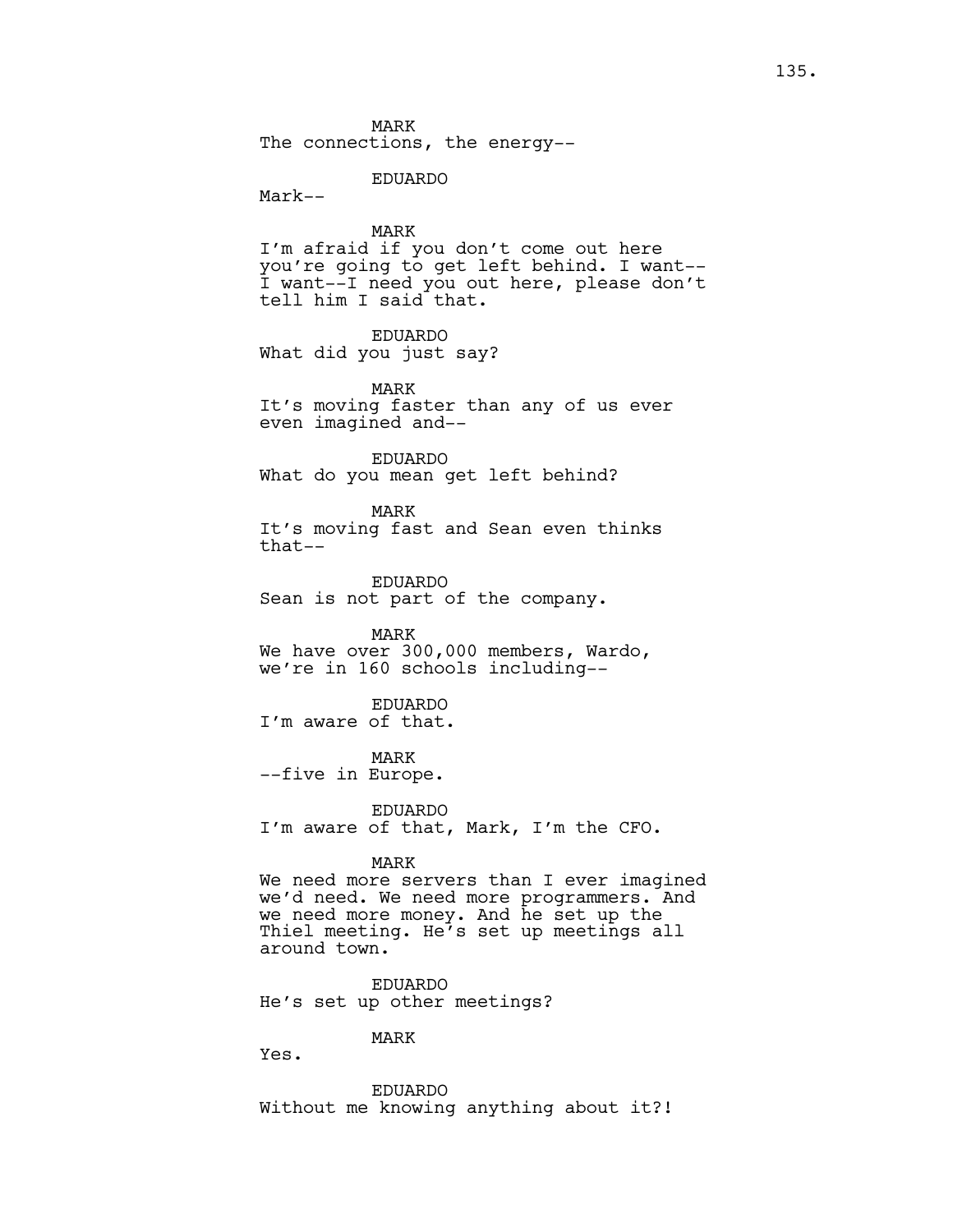The connections, the energy--

EDUARDO

Mark--

MARK

I'm afraid if you don't come out here you're going to get left behind. I want-- I want--I need you out here, please don't tell him I said that.

EDUARDO What did you just say?

MARK

It's moving faster than any of us ever even imagined and--

EDUARDO What do you mean get left behind?

MARK It's moving fast and Sean even thinks that--

EDUARDO Sean is not part of the company.

MARK We have over 300,000 members, Wardo, we're in 160 schools including--

EDUARDO I'm aware of that.

MARK --five in Europe.

EDUARDO I'm aware of that, Mark, I'm the CFO.

#### MARK

We need more servers than I ever imagined we'd need. We need more programmers. And we need more money. And he set up the Thiel meeting. He's set up meetings all around town.

EDUARDO He's set up other meetings?

## MARK

Yes.

EDUARDO Without me knowing anything about it?!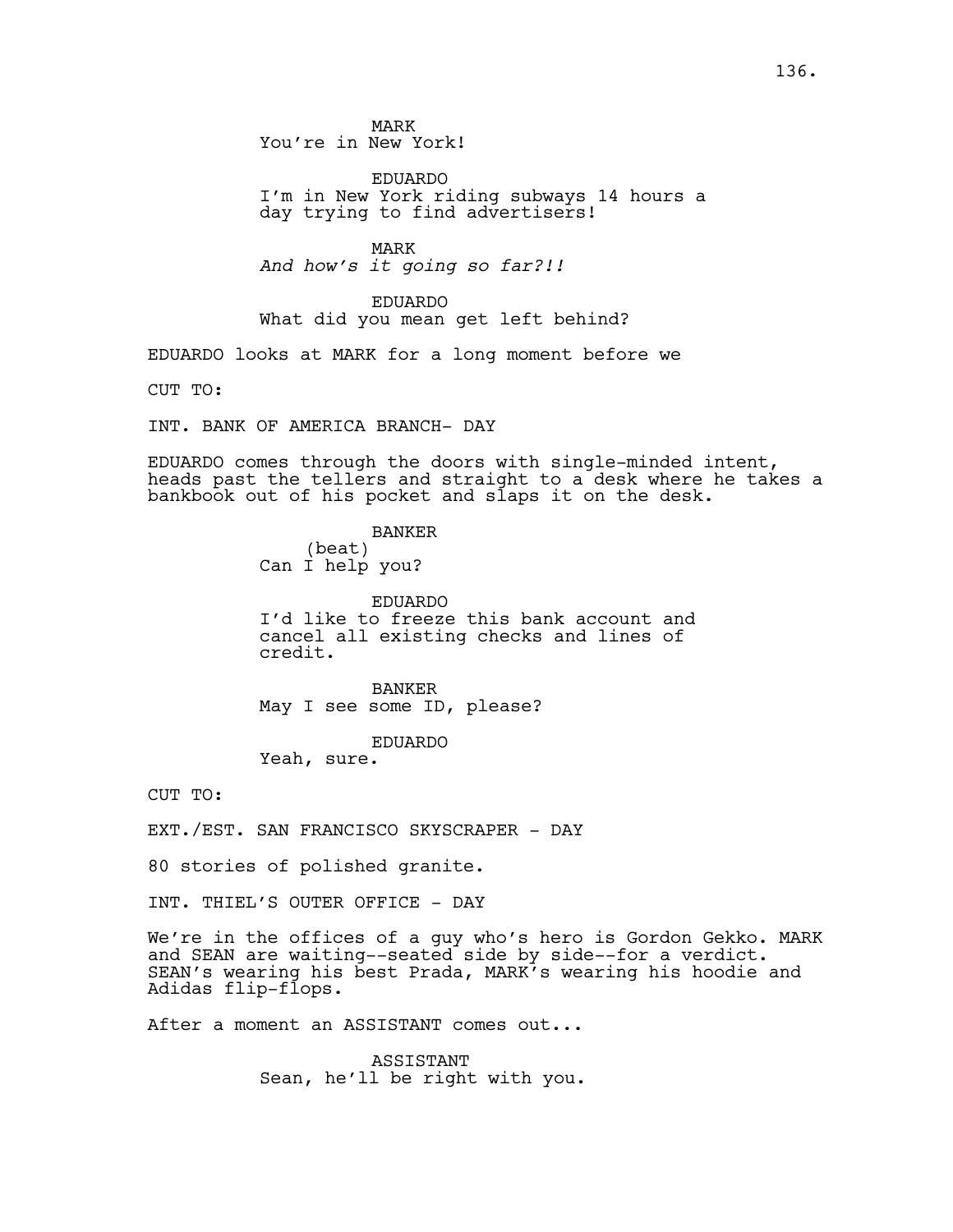MARK You're in New York!

EDUARDO I'm in New York riding subways 14 hours a day trying to find advertisers!

MARK *And how's it going so far?!!*

EDUARDO What did you mean get left behind?

EDUARDO looks at MARK for a long moment before we

CUT TO:

INT. BANK OF AMERICA BRANCH- DAY

EDUARDO comes through the doors with single-minded intent, heads past the tellers and straight to a desk where he takes a bankbook out of his pocket and slaps it on the desk.

> BANKER (beat) Can I help you?

EDUARDO I'd like to freeze this bank account and cancel all existing checks and lines of credit.

BANKER May I see some ID, please?

EDUARDO

Yeah, sure.

CUT TO:

EXT./EST. SAN FRANCISCO SKYSCRAPER - DAY

80 stories of polished granite.

INT. THIEL'S OUTER OFFICE - DAY

We're in the offices of a guy who's hero is Gordon Gekko. MARK and SEAN are waiting--seated side by side--for a verdict. SEAN's wearing his best Prada, MARK's wearing his hoodie and Adidas flip-flops.

After a moment an ASSISTANT comes out...

ASSISTANT Sean, he'll be right with you.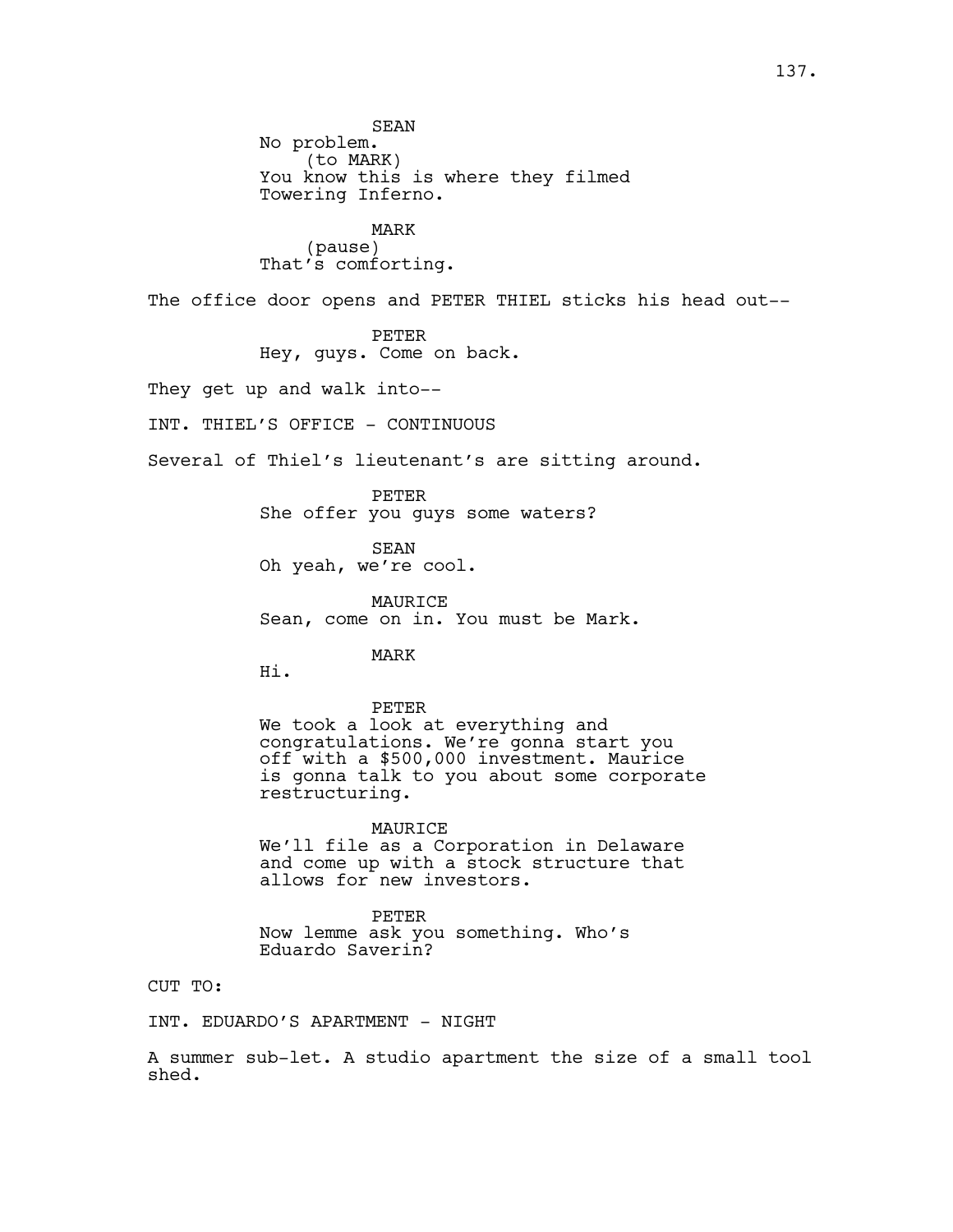SEAN No problem. (to MARK) You know this is where they filmed Towering Inferno.

MARK (pause) That's comforting.

The office door opens and PETER THIEL sticks his head out--

PETER Hey, guys. Come on back.

They get up and walk into--

INT. THIEL'S OFFICE - CONTINUOUS

Several of Thiel's lieutenant's are sitting around.

PETER She offer you guys some waters?

SEAN Oh yeah, we're cool.

MAURICE Sean, come on in. You must be Mark.

MARK

Hi.

PETER We took a look at everything and congratulations. We're gonna start you off with a \$500,000 investment. Maurice is gonna talk to you about some corporate restructuring.

MAURICE We'll file as a Corporation in Delaware and come up with a stock structure that allows for new investors.

PETER Now lemme ask you something. Who's Eduardo Saverin?

CUT TO:

INT. EDUARDO'S APARTMENT - NIGHT

A summer sub-let. A studio apartment the size of a small tool shed.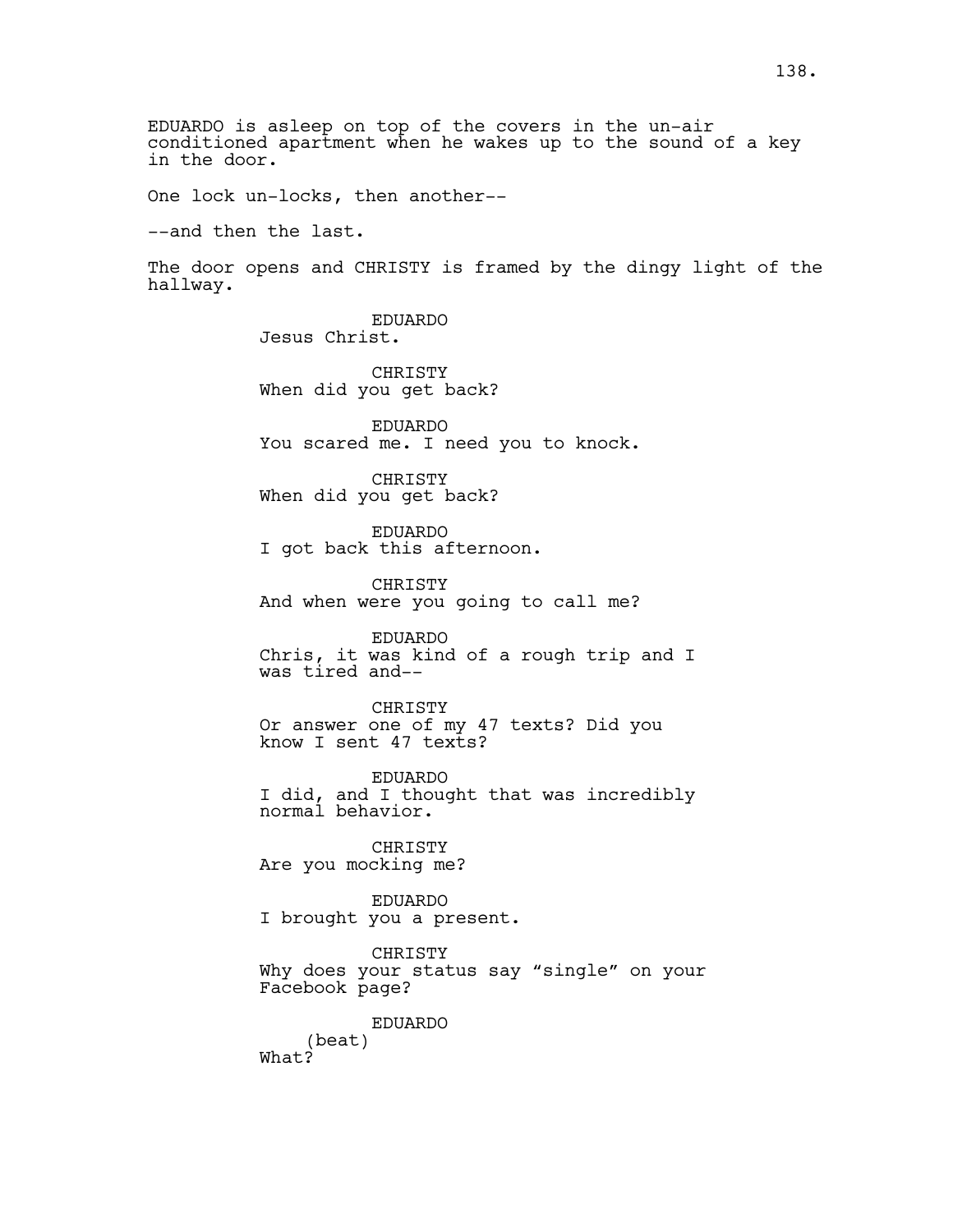EDUARDO is asleep on top of the covers in the un-air conditioned apartment when he wakes up to the sound of a key in the door.

One lock un-locks, then another--

--and then the last.

The door opens and CHRISTY is framed by the dingy light of the hallway.

> EDUARDO Jesus Christ.

**CHRISTY** When did you get back?

EDUARDO You scared me. I need you to knock.

CHRISTY When did you get back?

EDUARDO I got back this afternoon.

CHRISTY And when were you going to call me?

EDUARDO Chris, it was kind of a rough trip and I was tired and--

CHRISTY Or answer one of my 47 texts? Did you know I sent 47 texts?

EDUARDO I did, and I thought that was incredibly normal behavior.

CHRISTY Are you mocking me?

EDUARDO I brought you a present.

CHRISTY Why does your status say "single" on your Facebook page?

EDUARDO

(beat) What?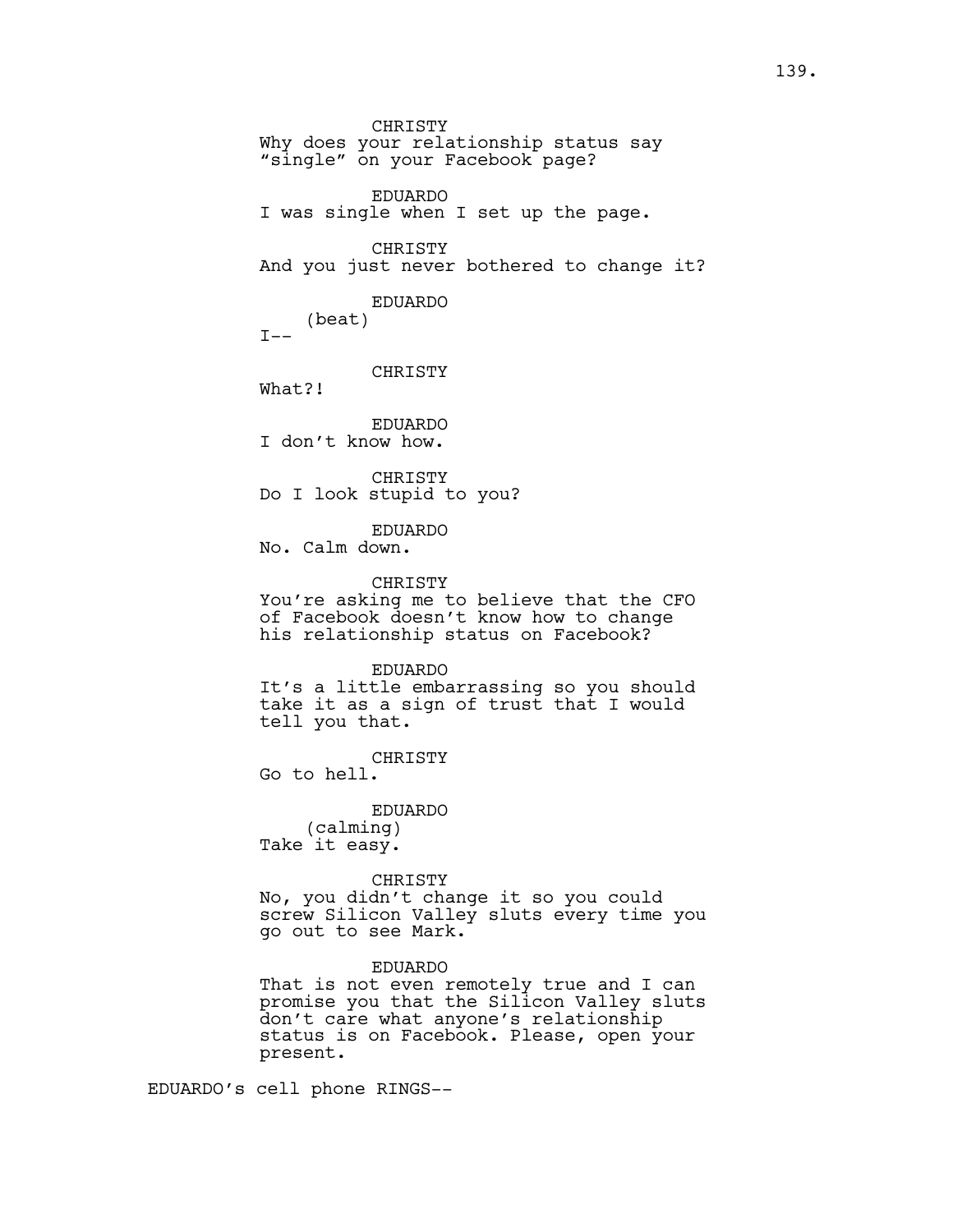CHRISTY Why does your relationship status say "single" on your Facebook page? EDUARDO I was single when I set up the page. CHRISTY And you just never bothered to change it? EDUARDO (beat)  $T = -$ CHRISTY What?! EDUARDO I don't know how. CHRISTY Do I look stupid to you? EDUARDO No. Calm down. CHRISTY You're asking me to believe that the CFO of Facebook doesn't know how to change his relationship status on Facebook? EDUARDO It's a little embarrassing so you should take it as a sign of trust that I would tell you that.

CHRISTY

Go to hell.

EDUARDO (calming) Take it easy.

CHRISTY No, you didn't change it so you could screw Silicon Valley sluts every time you go out to see Mark.

EDUARDO

That is not even remotely true and I can promise you that the Silicon Valley sluts don't care what anyone's relationship status is on Facebook. Please, open your present.

EDUARDO's cell phone RINGS--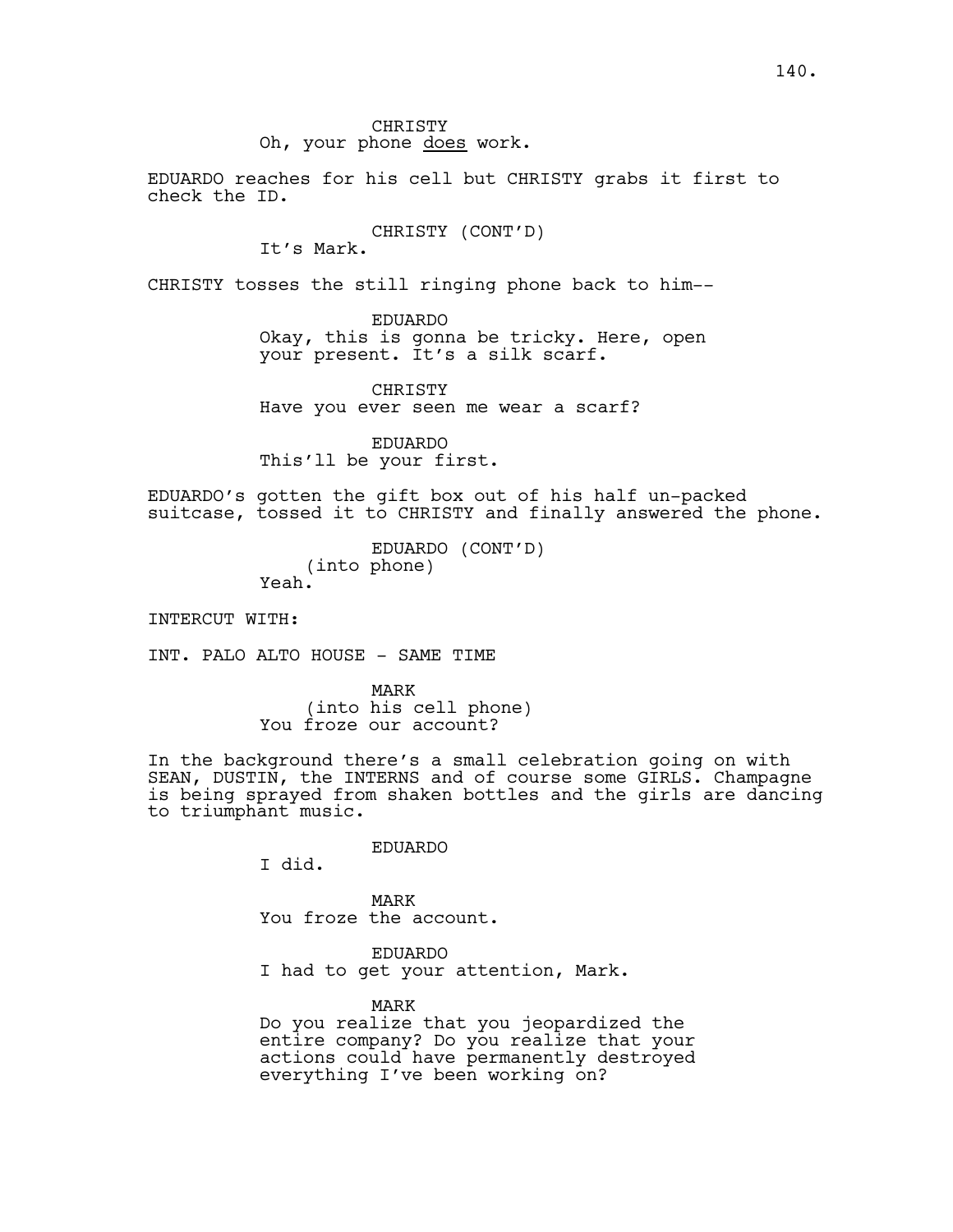CHRISTY

Oh, your phone does work.

EDUARDO reaches for his cell but CHRISTY grabs it first to check the ID.

CHRISTY (CONT'D)

It's Mark.

CHRISTY tosses the still ringing phone back to him--

EDUARDO Okay, this is gonna be tricky. Here, open your present. It's a silk scarf.

CHRISTY Have you ever seen me wear a scarf?

EDUARDO This'll be your first.

EDUARDO's gotten the gift box out of his half un-packed suitcase, tossed it to CHRISTY and finally answered the phone.

> EDUARDO (CONT'D) (into phone) Yeah.

INTERCUT WITH:

INT. PALO ALTO HOUSE - SAME TIME

MARK (into his cell phone) You froze our account?

In the background there's a small celebration going on with SEAN, DUSTIN, the INTERNS and of course some GIRLS. Champagne is being sprayed from shaken bottles and the girls are dancing to triumphant music.

EDUARDO

I did.

MARK You froze the account.

EDUARDO I had to get your attention, Mark.

MARK

Do you realize that you jeopardized the entire company? Do you realize that your actions could have permanently destroyed everything I've been working on?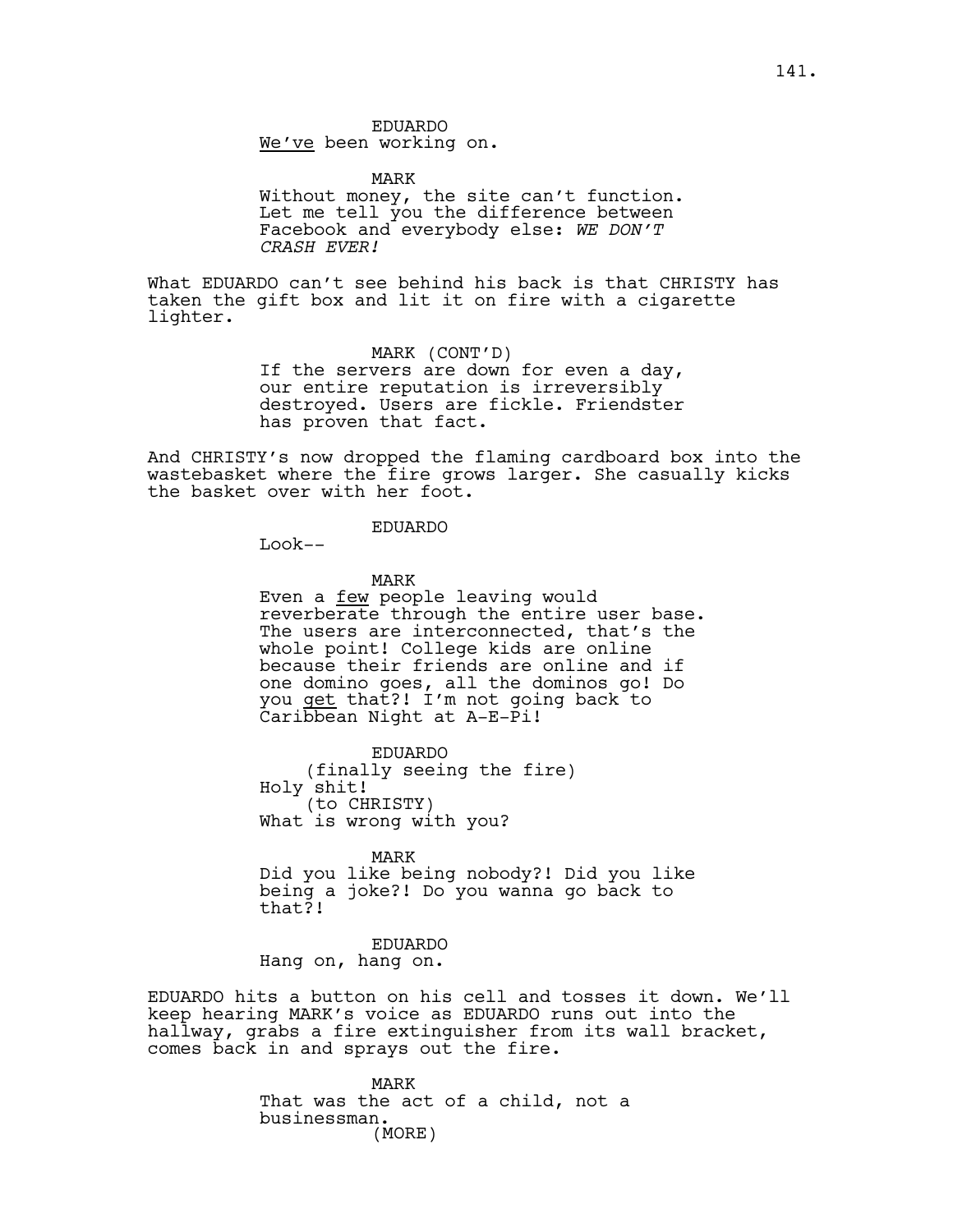EDUARDO We've been working on.

MARK Without money, the site can't function. Let me tell you the difference between Facebook and everybody else: *WE DON'T CRASH EVER!*

What EDUARDO can't see behind his back is that CHRISTY has taken the gift box and lit it on fire with a cigarette lighter.

MARK (CONT'D)

If the servers are down for even a day, our entire reputation is irreversibly destroyed. Users are fickle. Friendster has proven that fact.

And CHRISTY's now dropped the flaming cardboard box into the wastebasket where the fire grows larger. She casually kicks the basket over with her foot.

#### EDUARDO

 $L \cdot \circ \circ k --$ 

MARK

Even a few people leaving would reverberate through the entire user base. The users are interconnected, that's the whole point! College kids are online because their friends are online and if one domino goes, all the dominos go! Do you <u>get</u> that?! I'm not going back to Caribbean Night at A-E-Pi!

EDUARDO (finally seeing the fire) Holy shit! (to CHRISTY) What is wrong with you?

MARK Did you like being nobody?! Did you like being a joke?! Do you wanna go back to that?!

EDUARDO Hang on, hang on.

EDUARDO hits a button on his cell and tosses it down. We'll keep hearing MARK's voice as EDUARDO runs out into the hallway, grabs a fire extinguisher from its wall bracket, comes back in and sprays out the fire.

> MARK That was the act of a child, not a businessman. (MORE)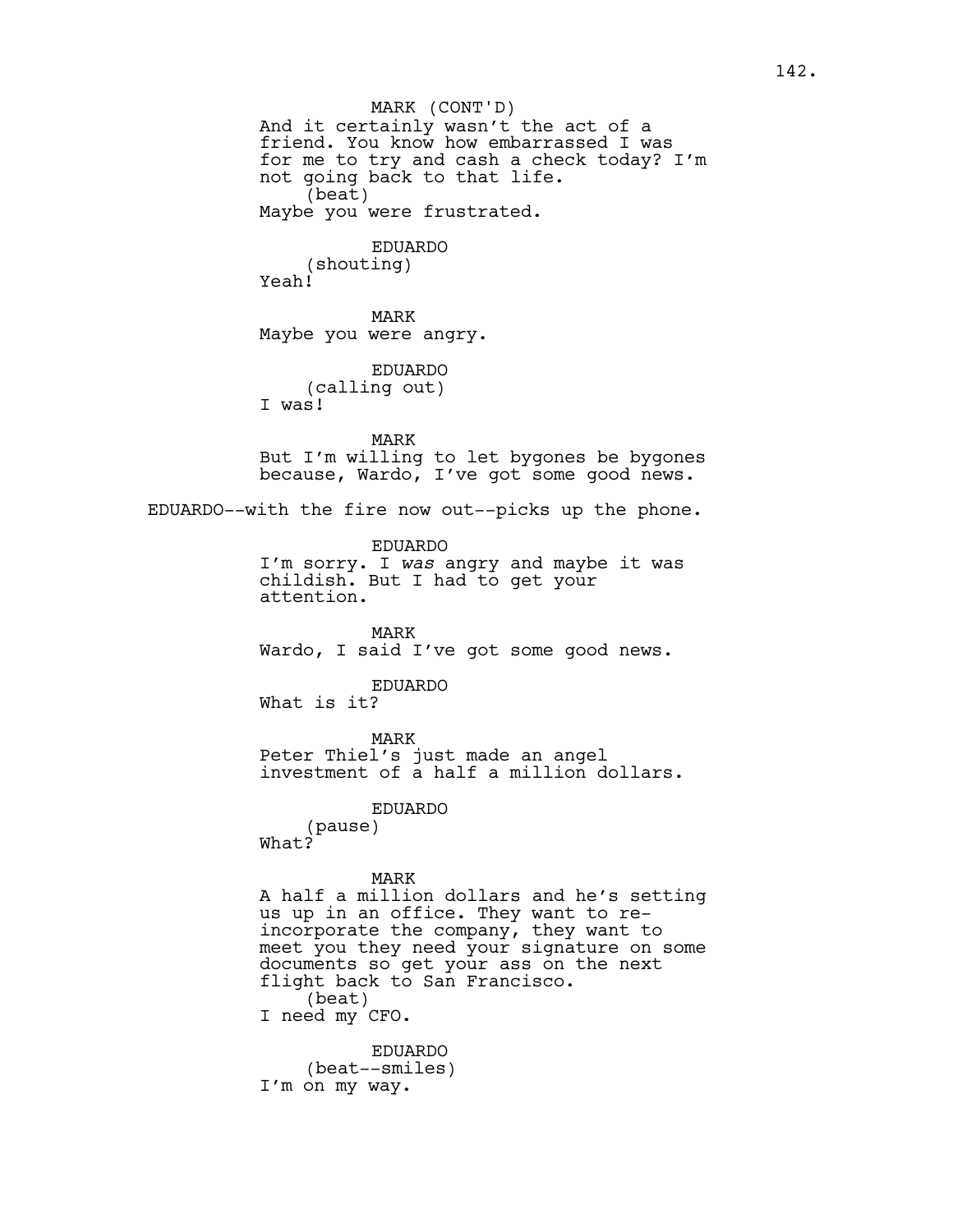And it certainly wasn't the act of a friend. You know how embarrassed I was for me to try and cash a check today? I'm not going back to that life. (beat) Maybe you were frustrated. EDUARDO (shouting) Yeah! MARK Maybe you were angry. EDUARDO (calling out) I was! MARK But I'm willing to let bygones be bygones because, Wardo, I've got some good news. EDUARDO--with the fire now out--picks up the phone. EDUARDO I'm sorry. I *was* angry and maybe it was childish. But I had to get your attention. MARK Wardo, I said I've got some good news. EDUARDO What is it? MARK Peter Thiel's just made an angel investment of a half a million dollars. EDUARDO (pause) What? MARK A half a million dollars and he's setting us up in an office. They want to reincorporate the company, they want to meet you they need your signature on some documents so get your ass on the next flight back to San Francisco. (beat) I need my CFO. EDUARDO (beat--smiles) MARK (CONT'D)

I'm on my way.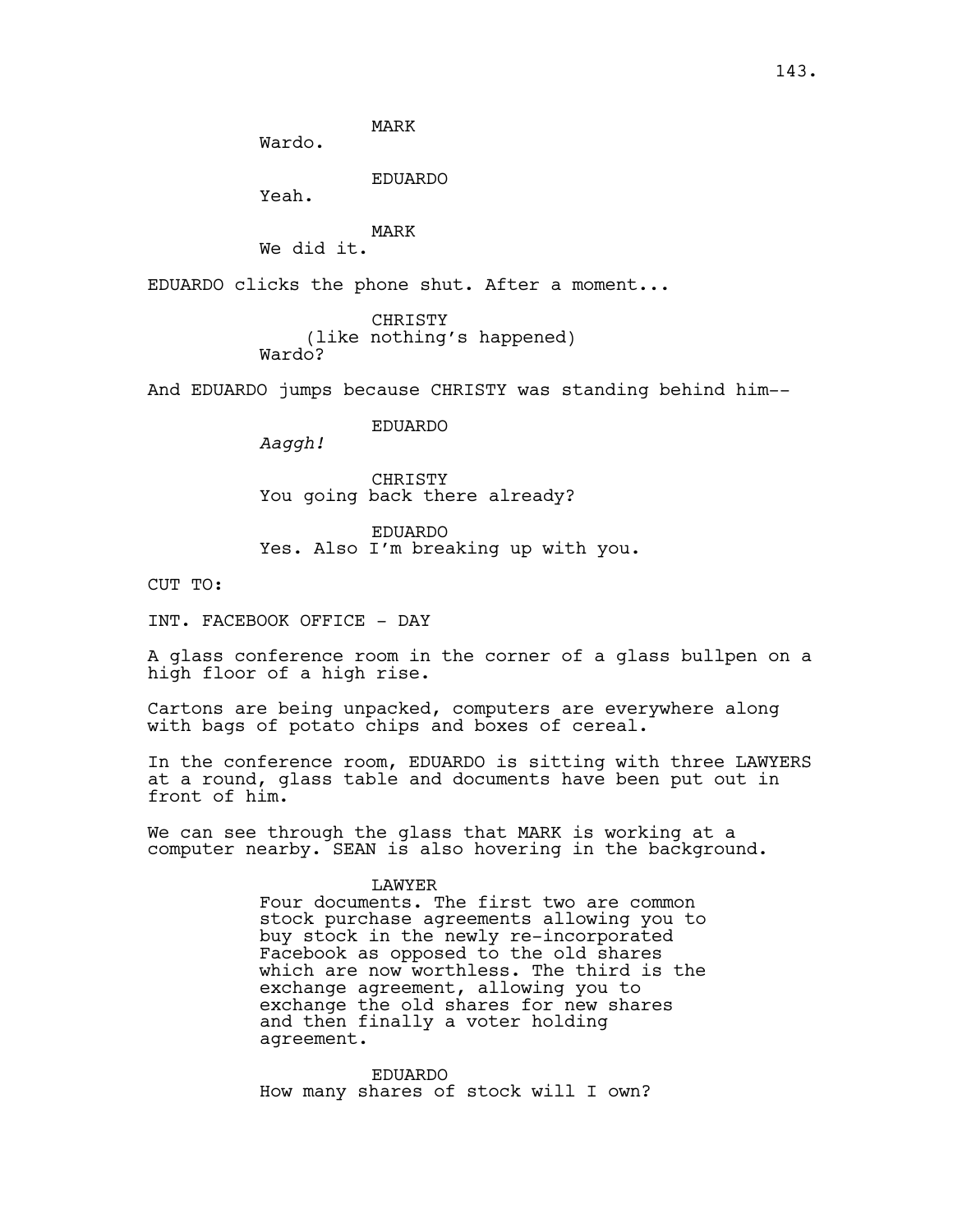MARK

Yeah.

Wardo.

MARK We did it.

EDUARDO clicks the phone shut. After a moment...

EDUARDO

CHRISTY (like nothing's happened) Wardo?

And EDUARDO jumps because CHRISTY was standing behind him--

EDUARDO

*Aaggh!*

CHRISTY You going back there already?

EDUARDO Yes. Also I'm breaking up with you.

CUT TO:

INT. FACEBOOK OFFICE - DAY

A glass conference room in the corner of a glass bullpen on a high floor of a high rise.

Cartons are being unpacked, computers are everywhere along with bags of potato chips and boxes of cereal.

In the conference room, EDUARDO is sitting with three LAWYERS at a round, glass table and documents have been put out in front of him.

We can see through the glass that MARK is working at a computer nearby. SEAN is also hovering in the background.

#### LAWYER

Four documents. The first two are common stock purchase agreements allowing you to buy stock in the newly re-incorporated Facebook as opposed to the old shares which are now worthless. The third is the exchange agreement, allowing you to exchange the old shares for new shares and then finally a voter holding agreement.

EDUARDO How many shares of stock will I own?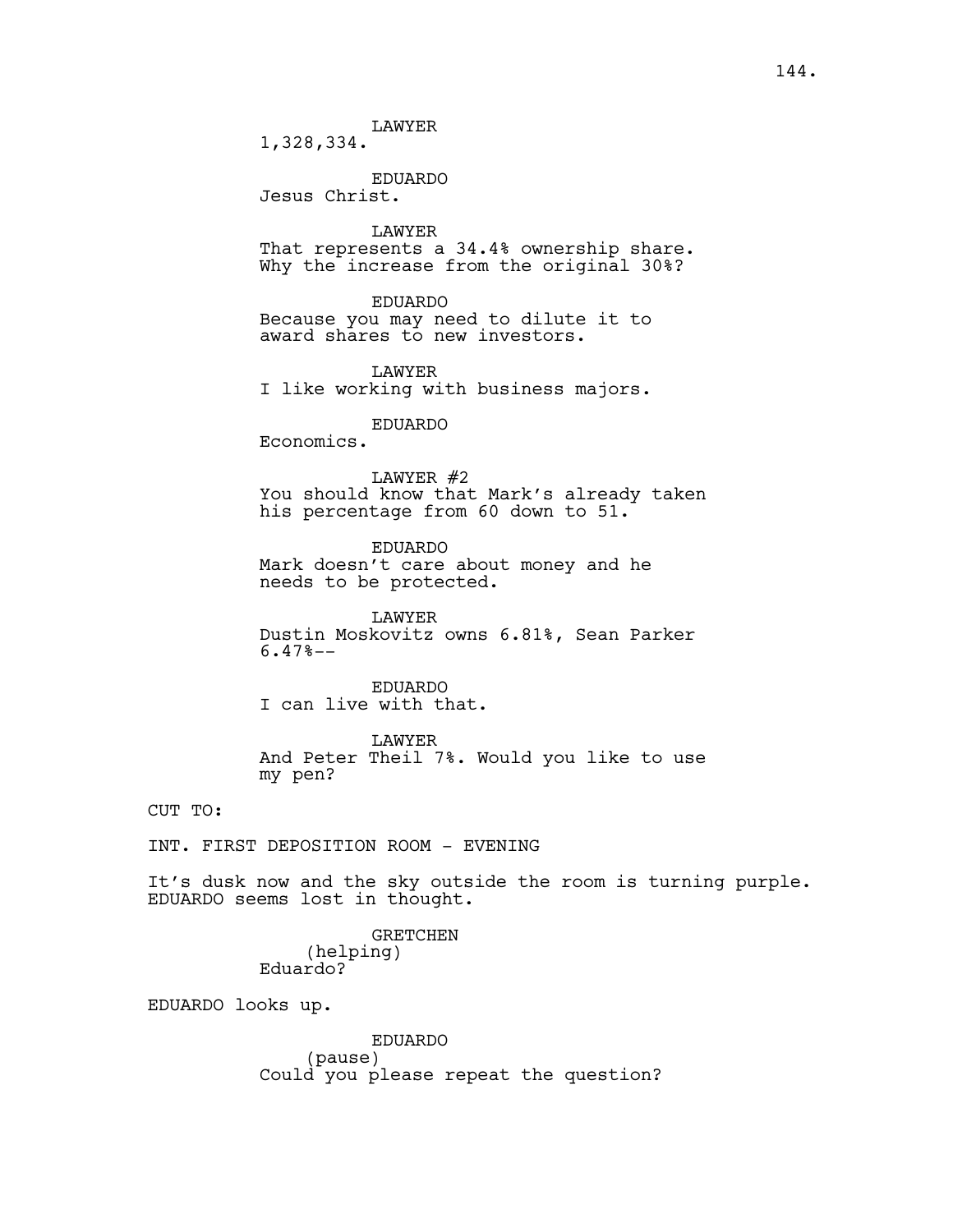LAWYER

1,328,334.

EDUARDO Jesus Christ.

LAWYER

That represents a 34.4% ownership share. Why the increase from the original 30%?

EDUARDO

Because you may need to dilute it to award shares to new investors.

LAWYER I like working with business majors.

# EDUARDO

Economics.

LAWYER #2

You should know that Mark's already taken his percentage from 60 down to 51.

EDUARDO Mark doesn't care about money and he needs to be protected.

LAWYER Dustin Moskovitz owns 6.81%, Sean Parker 6.47%--

EDUARDO I can live with that.

LAWYER And Peter Theil 7%. Would you like to use my pen?

CUT TO:

INT. FIRST DEPOSITION ROOM - EVENING

It's dusk now and the sky outside the room is turning purple. EDUARDO seems lost in thought.

> GRETCHEN (helping) Eduardo?

EDUARDO looks up.

EDUARDO (pause) Could you please repeat the question?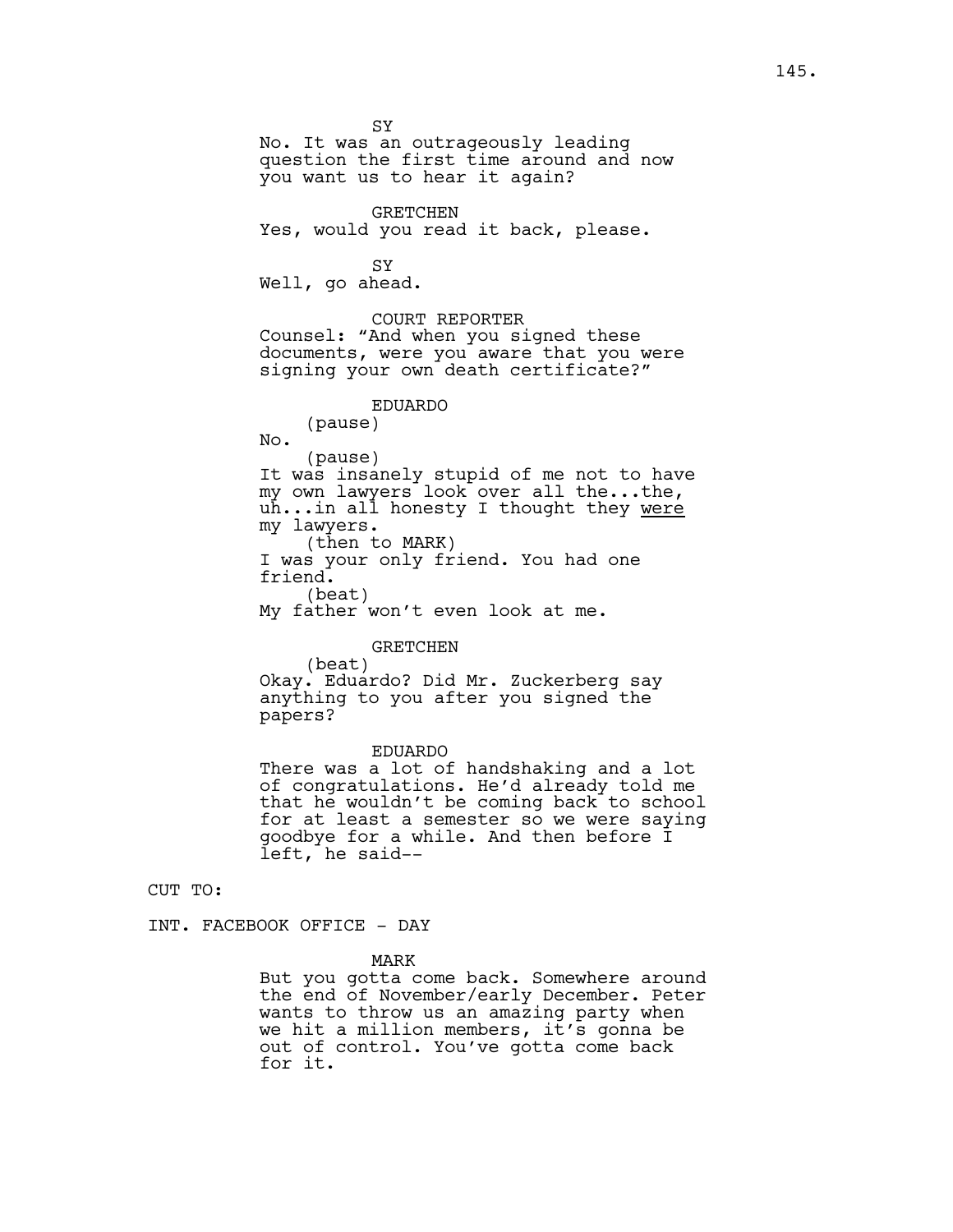No. It was an outrageously leading question the first time around and now you want us to hear it again? GRETCHEN Yes, would you read it back, please. SY Well, go ahead. COURT REPORTER Counsel: "And when you signed these documents, were you aware that you were signing your own death certificate?" EDUARDO (pause) No. (pause) It was insanely stupid of me not to have my own lawyers look over all the...the, uh...in all honesty I thought they were my lawyers. (then to MARK) I was your only friend. You had one friend.

(beat) My father won't even look at me.

#### GRETCHEN

SY

(beat) Okay. Eduardo? Did Mr. Zuckerberg say anything to you after you signed the papers?

#### EDUARDO

There was a lot of handshaking and a lot of congratulations. He'd already told me that he wouldn't be coming back to school for at least a semester so we were saying goodbye for a while. And then before I left, he said--

CUT TO:

INT. FACEBOOK OFFICE - DAY

MARK

But you gotta come back. Somewhere around the end of November/early December. Peter wants to throw us an amazing party when we hit a million members, it's gonna be out of control. You've gotta come back for it.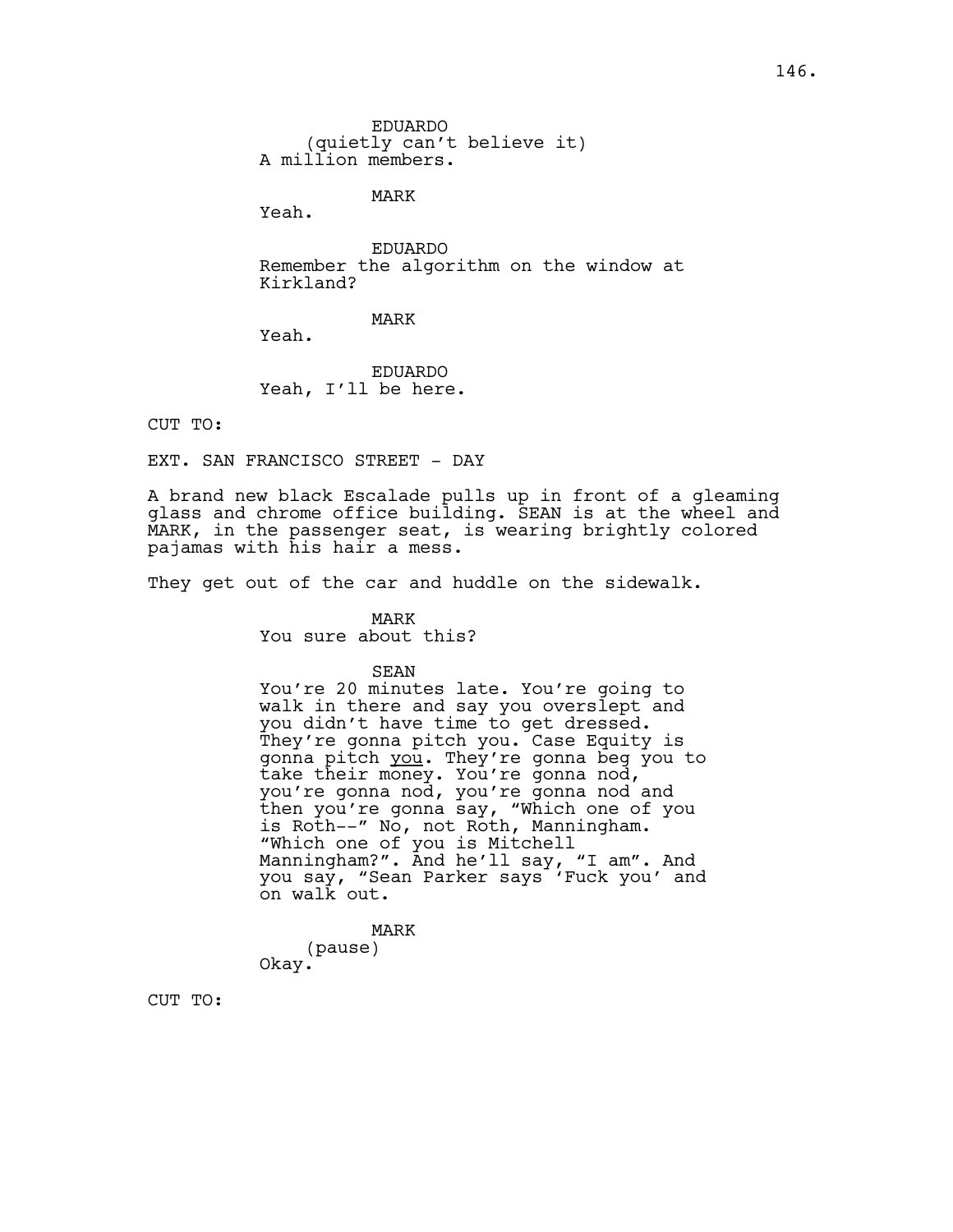EDUARDO (quietly can't believe it) A million members.

MARK

Yeah.

EDUARDO Remember the algorithm on the window at Kirkland?

MARK

Yeah.

EDUARDO Yeah, I'll be here.

CUT TO:

EXT. SAN FRANCISCO STREET - DAY

A brand new black Escalade pulls up in front of a gleaming glass and chrome office building. SEAN is at the wheel and MARK, in the passenger seat, is wearing brightly colored pajamas with his hair a mess.

They get out of the car and huddle on the sidewalk.

MARK You sure about this?

SEAN

You're 20 minutes late. You're going to walk in there and say you overslept and you didn't have time to get dressed. They're gonna pitch you. Case Equity is gonna pitch you. They're gonna beg you to take their money. You're gonna nod, you're gonna nod, you're gonna nod and then you're gonna say, "Which one of you is Roth--" No, not Roth, Manningham. "Which one of you is Mitchell Manningham?". And he'll say, "I am". And you say, "Sean Parker says 'Fuck you' and on walk out.

MARK (pause) Okay.

CUT TO: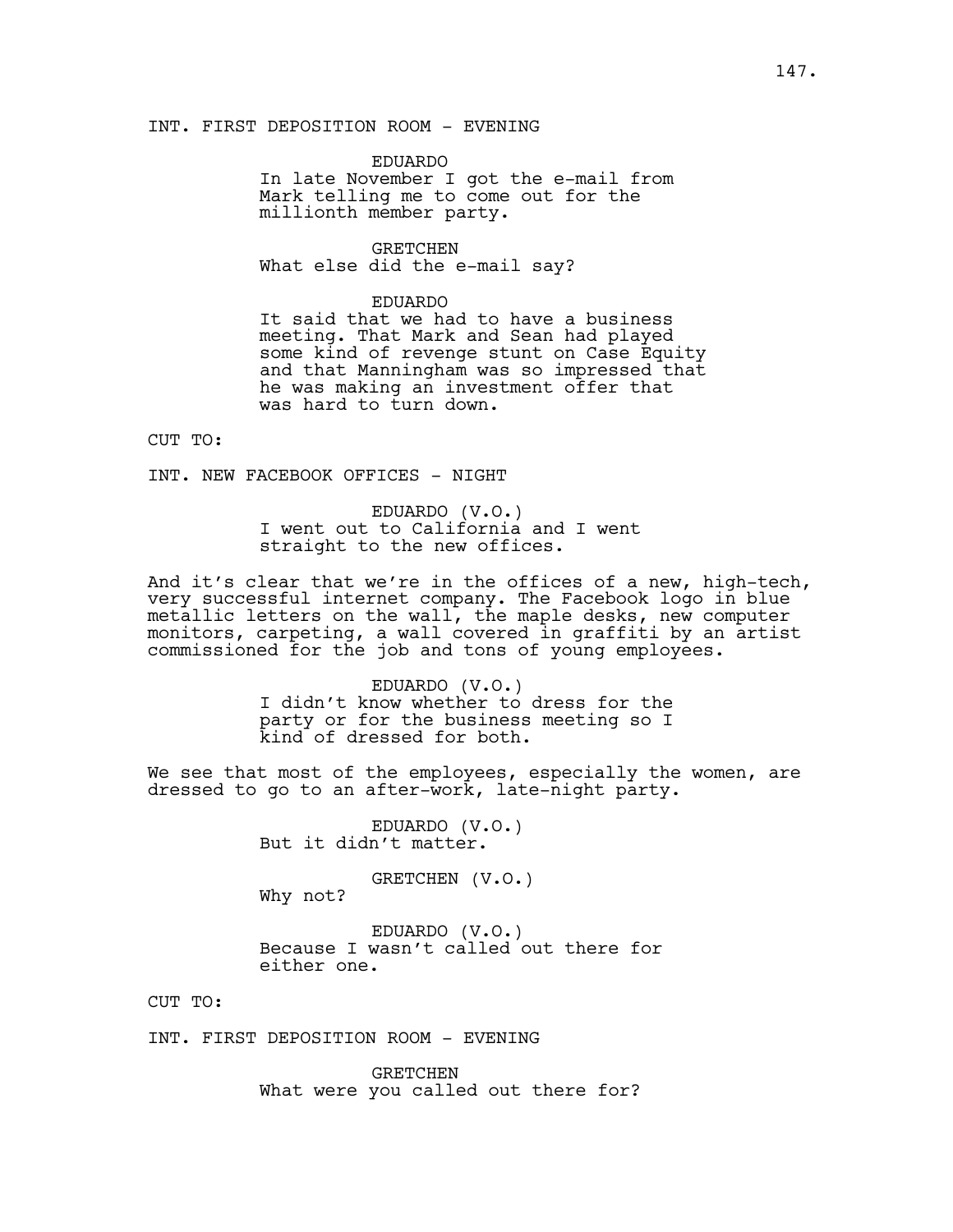INT. FIRST DEPOSITION ROOM - EVENING

EDUARDO In late November I got the e-mail from Mark telling me to come out for the millionth member party.

GRETCHEN What else did the e-mail say?

### EDUARDO

It said that we had to have a business meeting. That Mark and Sean had played some kind of revenge stunt on Case Equity and that Manningham was so impressed that he was making an investment offer that was hard to turn down.

CUT TO:

INT. NEW FACEBOOK OFFICES - NIGHT

EDUARDO (V.O.) I went out to California and I went straight to the new offices.

And it's clear that we're in the offices of a new, high-tech, very successful internet company. The Facebook logo in blue metallic letters on the wall, the maple desks, new computer monitors, carpeting, a wall covered in graffiti by an artist commissioned for the job and tons of young employees.

> EDUARDO (V.O.) I didn't know whether to dress for the party or for the business meeting so I kind of dressed for both.

We see that most of the employees, especially the women, are dressed to go to an after-work, late-night party.

> EDUARDO (V.O.) But it didn't matter.

GRETCHEN (V.O.) Why not?

EDUARDO (V.O.) Because I wasn't called out there for either one.

CUT TO:

INT. FIRST DEPOSITION ROOM - EVENING

GRETCHEN What were you called out there for?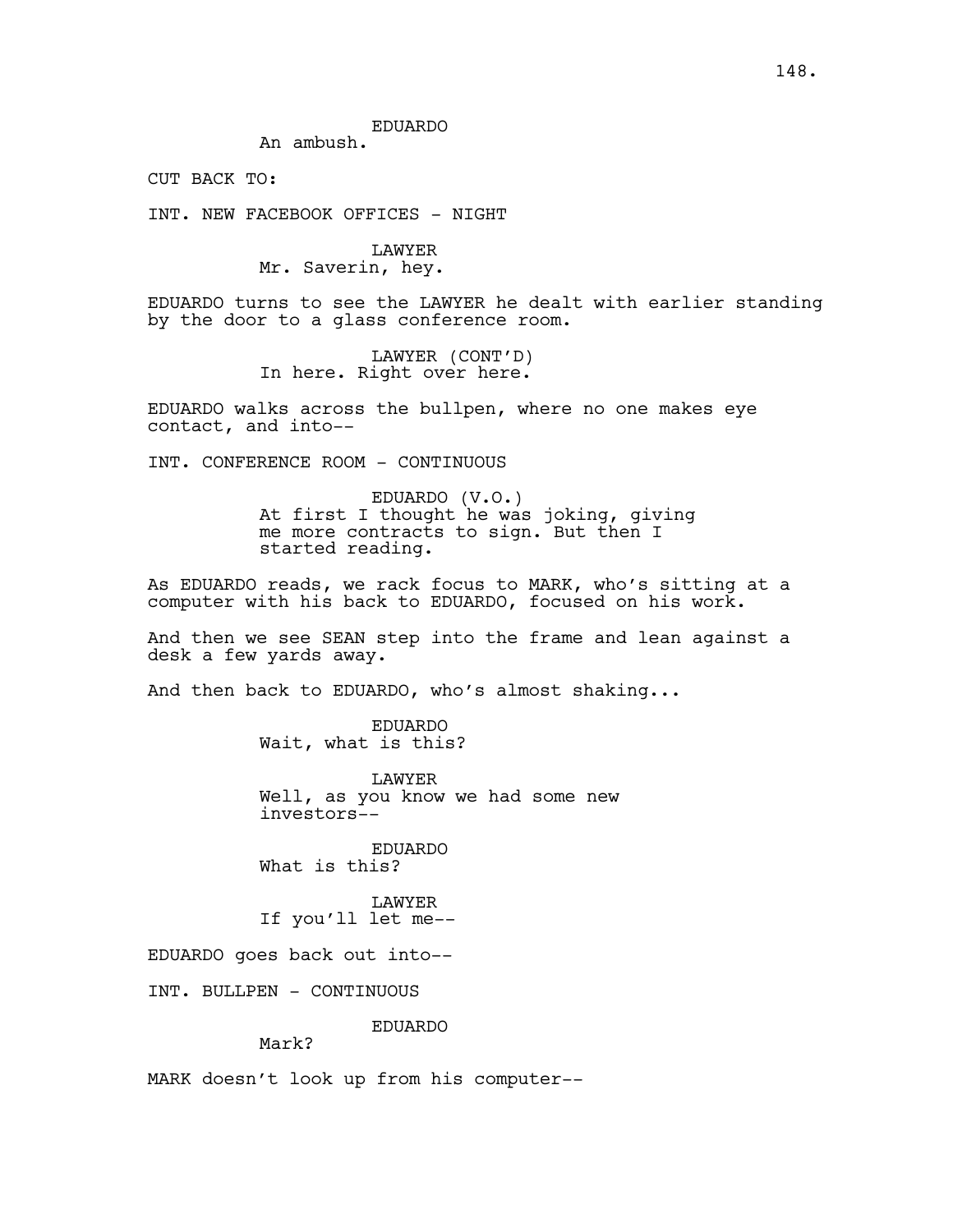EDUARDO

An ambush.

CUT BACK TO:

INT. NEW FACEBOOK OFFICES - NIGHT

LAWYER Mr. Saverin, hey.

EDUARDO turns to see the LAWYER he dealt with earlier standing by the door to a glass conference room.

> LAWYER (CONT'D) In here. Right over here.

EDUARDO walks across the bullpen, where no one makes eye contact, and into--

INT. CONFERENCE ROOM - CONTINUOUS

EDUARDO (V.O.) At first I thought he was joking, giving me more contracts to sign. But then I started reading.

As EDUARDO reads, we rack focus to MARK, who's sitting at a computer with his back to EDUARDO, focused on his work.

And then we see SEAN step into the frame and lean against a desk a few yards away.

And then back to EDUARDO, who's almost shaking...

EDUARDO Wait, what is this?

LAWYER Well, as you know we had some new investors--

EDUARDO What is this?

LAWYER If you'll let me--

EDUARDO goes back out into--

INT. BULLPEN - CONTINUOUS

EDUARDO

# Mark?

MARK doesn't look up from his computer--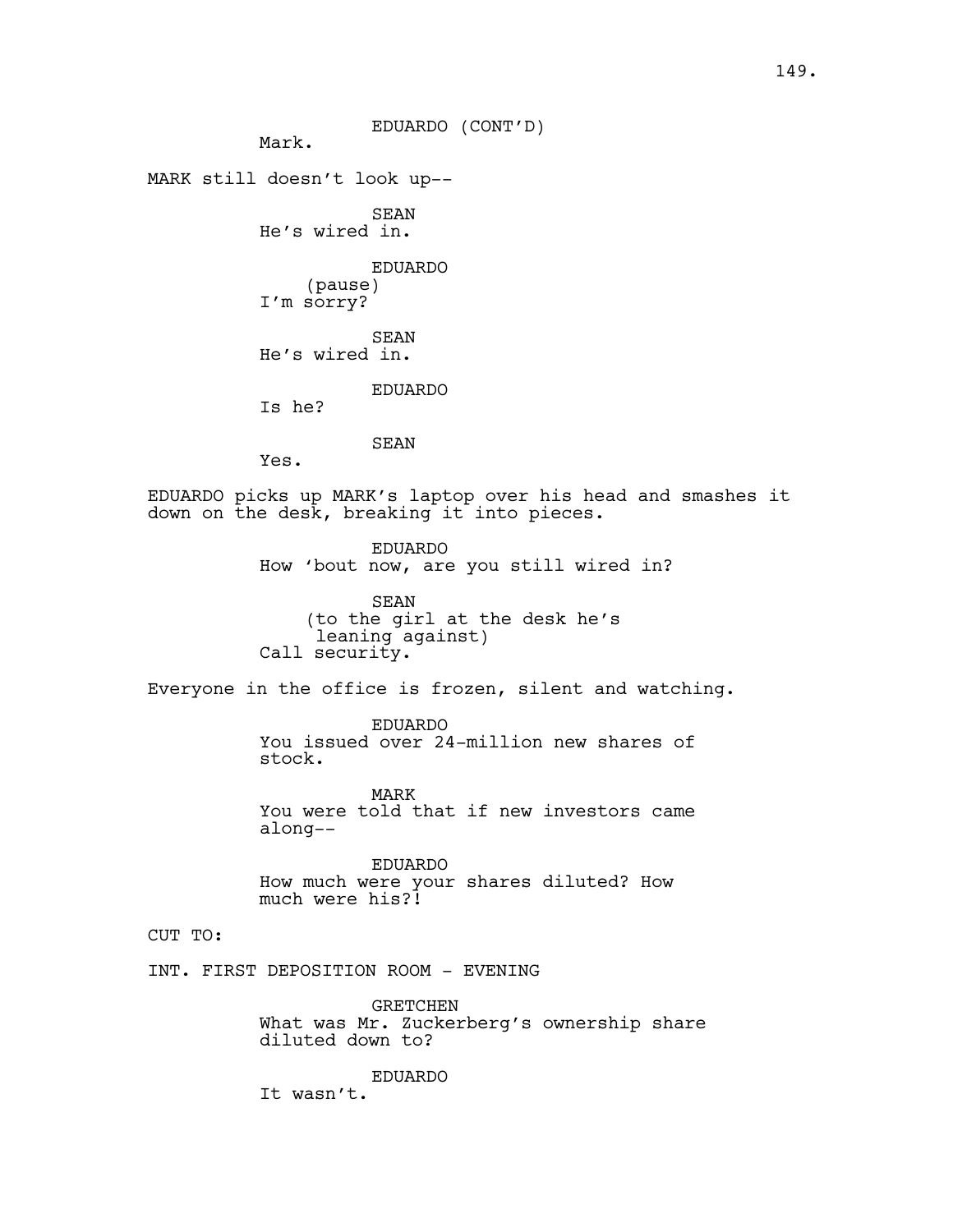EDUARDO (CONT'D)

Mark.

MARK still doesn't look up--

SEAN He's wired in.

> EDUARDO (pause)

I'm sorry?

SEAN He's wired in.

EDUARDO

Is he?

# SEAN

Yes.

EDUARDO picks up MARK's laptop over his head and smashes it down on the desk, breaking it into pieces.

> EDUARDO How 'bout now, are you still wired in?

SEAN (to the girl at the desk he's leaning against) Call security.

Everyone in the office is frozen, silent and watching.

EDUARDO You issued over 24-million new shares of stock.

MARK You were told that if new investors came along--

EDUARDO How much were your shares diluted? How much were his?!

# CUT TO:

INT. FIRST DEPOSITION ROOM - EVENING

GRETCHEN What was Mr. Zuckerberg's ownership share diluted down to?

EDUARDO

It wasn't.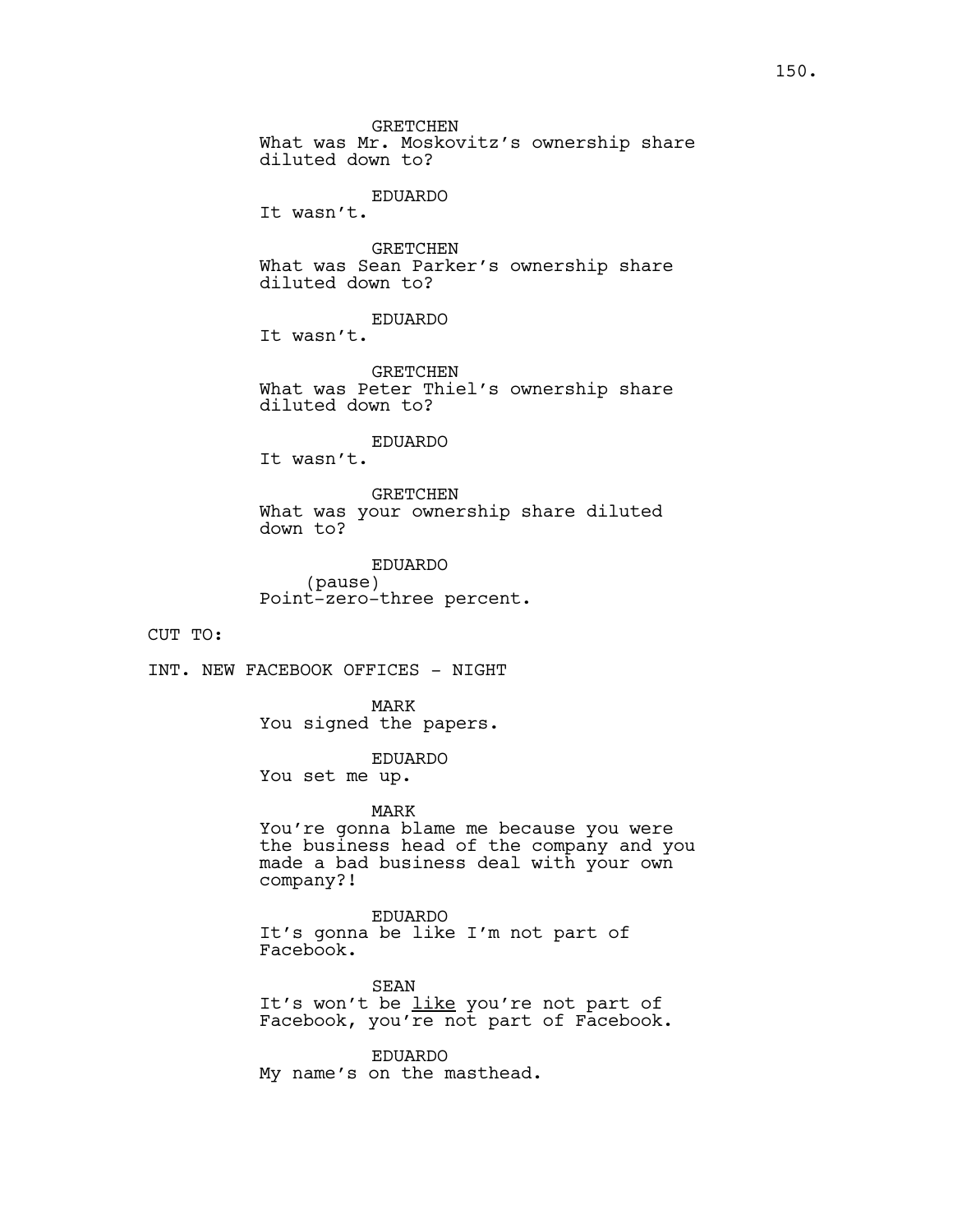GRETCHEN What was Mr. Moskovitz's ownership share diluted down to?

### EDUARDO

It wasn't.

GRETCHEN What was Sean Parker's ownership share diluted down to?

EDUARDO

It wasn't.

GRETCHEN What was Peter Thiel's ownership share diluted down to?

# EDUARDO

It wasn't.

GRETCHEN What was your ownership share diluted down to?

EDUARDO (pause) Point-zero-three percent.

CUT TO:

INT. NEW FACEBOOK OFFICES - NIGHT

MARK You signed the papers.

EDUARDO You set me up.

MARK You're gonna blame me because you were the business head of the company and you made a bad business deal with your own company?!

EDUARDO It's gonna be like I'm not part of Facebook.

SEAN It's won't be like you're not part of Facebook, you're not part of Facebook.

EDUARDO My name's on the masthead.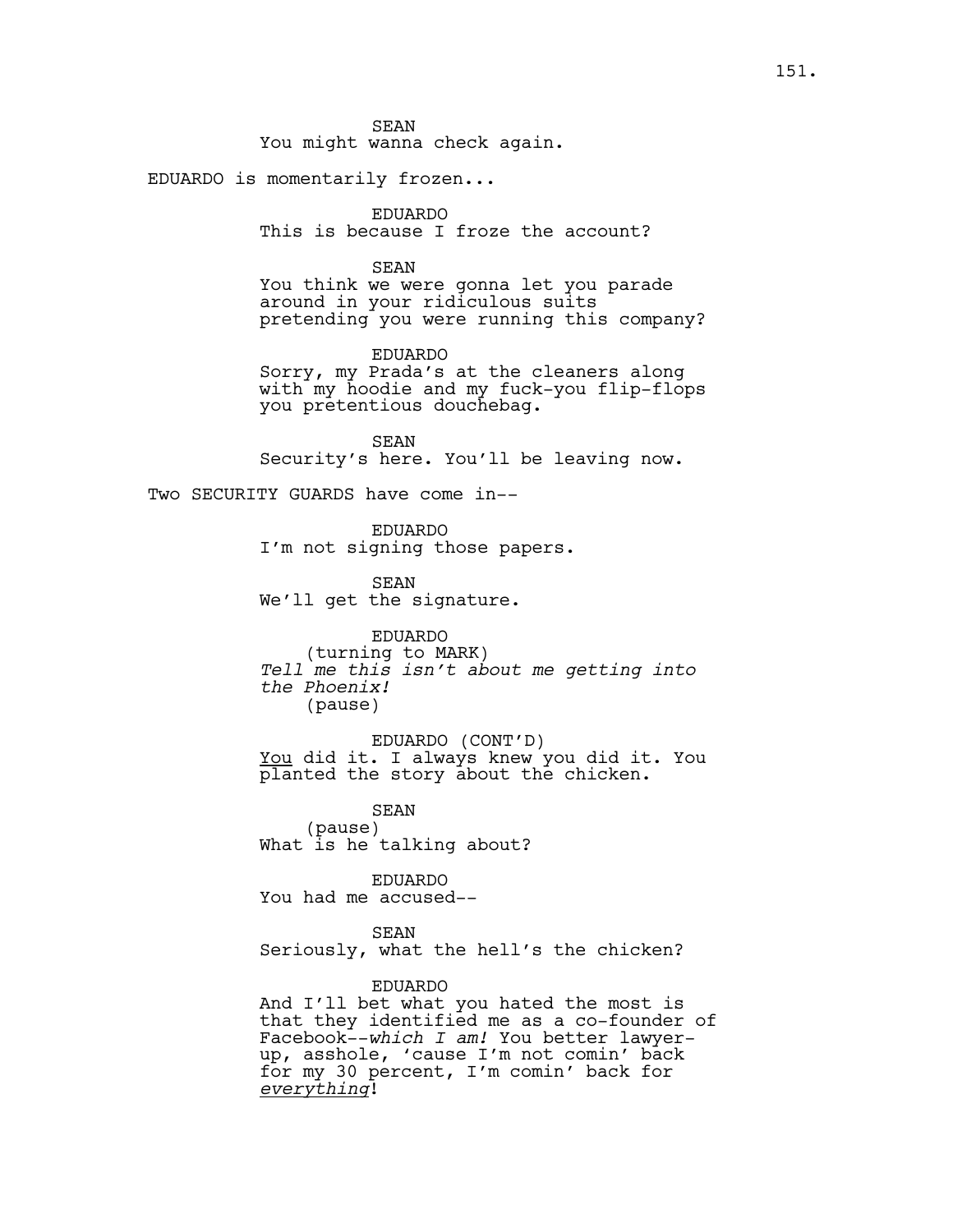SEAN

You might wanna check again.

EDUARDO is momentarily frozen...

EDUARDO This is because I froze the account?

### SEAN

You think we were gonna let you parade around in your ridiculous suits pretending you were running this company?

### EDUARDO

Sorry, my Prada's at the cleaners along with my hoodie and my fuck-you flip-flops you pretentious douchebag.

SEAN Security's here. You'll be leaving now.

Two SECURITY GUARDS have come in--

EDUARDO I'm not signing those papers.

SEAN We'll get the signature.

EDUARDO (turning to MARK) *Tell me this isn't about me getting into the Phoenix!* (pause)

EDUARDO (CONT'D) You did it. I always knew you did it. You planted the story about the chicken.

SEAN (pause) What is he talking about?

EDUARDO You had me accused--

# SEAN

Seriously, what the hell's the chicken?

# EDUARDO

And I'll bet what you hated the most is that they identified me as a co-founder of Facebook--*which I am!* You better lawyerup, asshole, 'cause I'm not comin' back for my 30 percent, I'm comin' back for *everything*!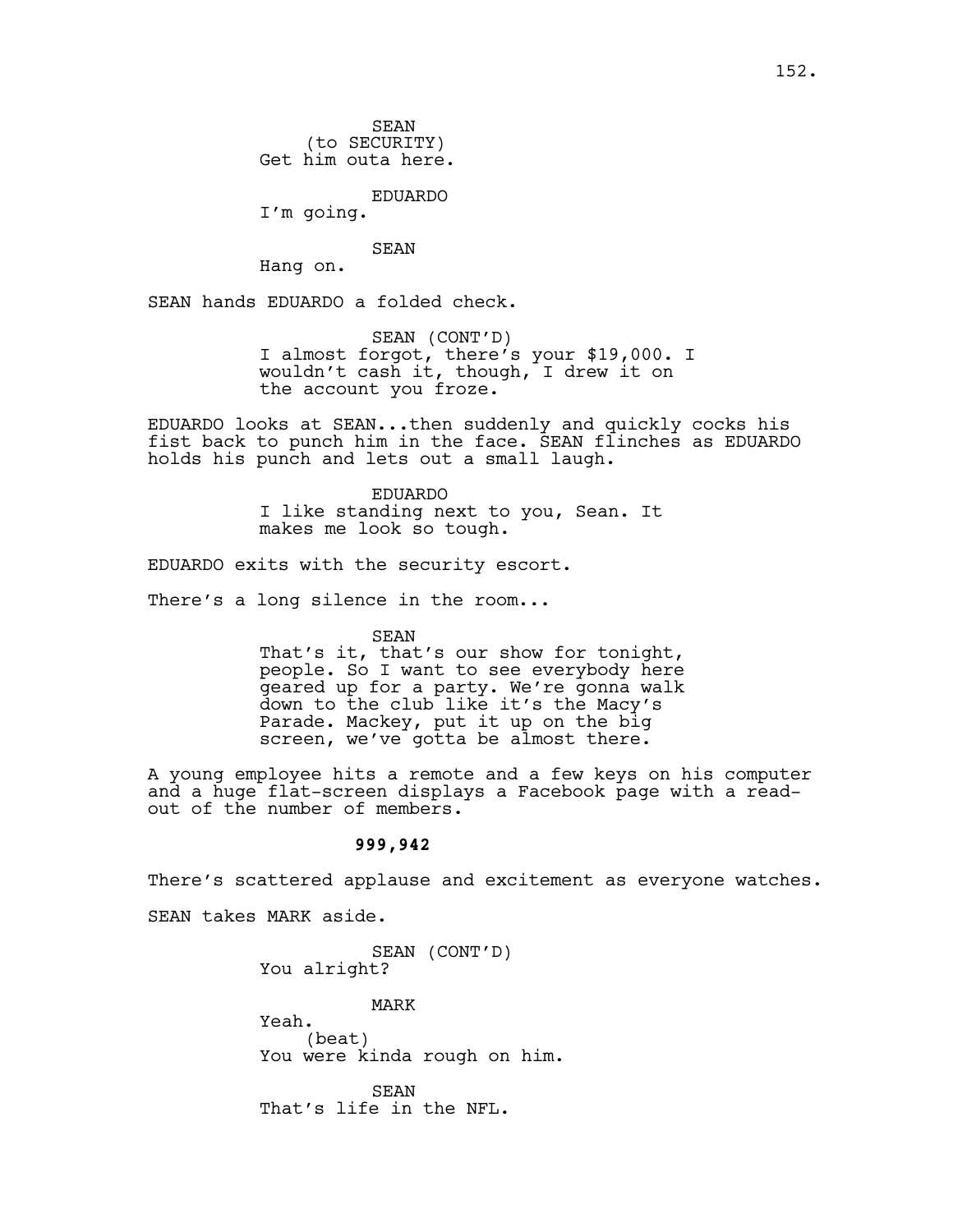SEAN (to SECURITY) Get him outa here.

EDUARDO

I'm going.

### SEAN

Hang on.

SEAN hands EDUARDO a folded check.

SEAN (CONT'D) I almost forgot, there's your \$19,000. I wouldn't cash it, though, I drew it on the account you froze.

EDUARDO looks at SEAN...then suddenly and quickly cocks his fist back to punch him in the face. SEAN flinches as EDUARDO holds his punch and lets out a small laugh.

> EDUARDO I like standing next to you, Sean. It makes me look so tough.

EDUARDO exits with the security escort.

There's a long silence in the room...

SEAN

That's it, that's our show for tonight, people. So I want to see everybody here geared up for a party. We're gonna walk down to the club like it's the Macy's Parade. Mackey, put it up on the big screen, we've gotta be almost there.

A young employee hits a remote and a few keys on his computer and a huge flat-screen displays a Facebook page with a readout of the number of members.

# **999,942**

There's scattered applause and excitement as everyone watches.

SEAN takes MARK aside.

SEAN (CONT'D) You alright?

MARK Yeah. (beat) You were kinda rough on him.

SEAN That's life in the NFL.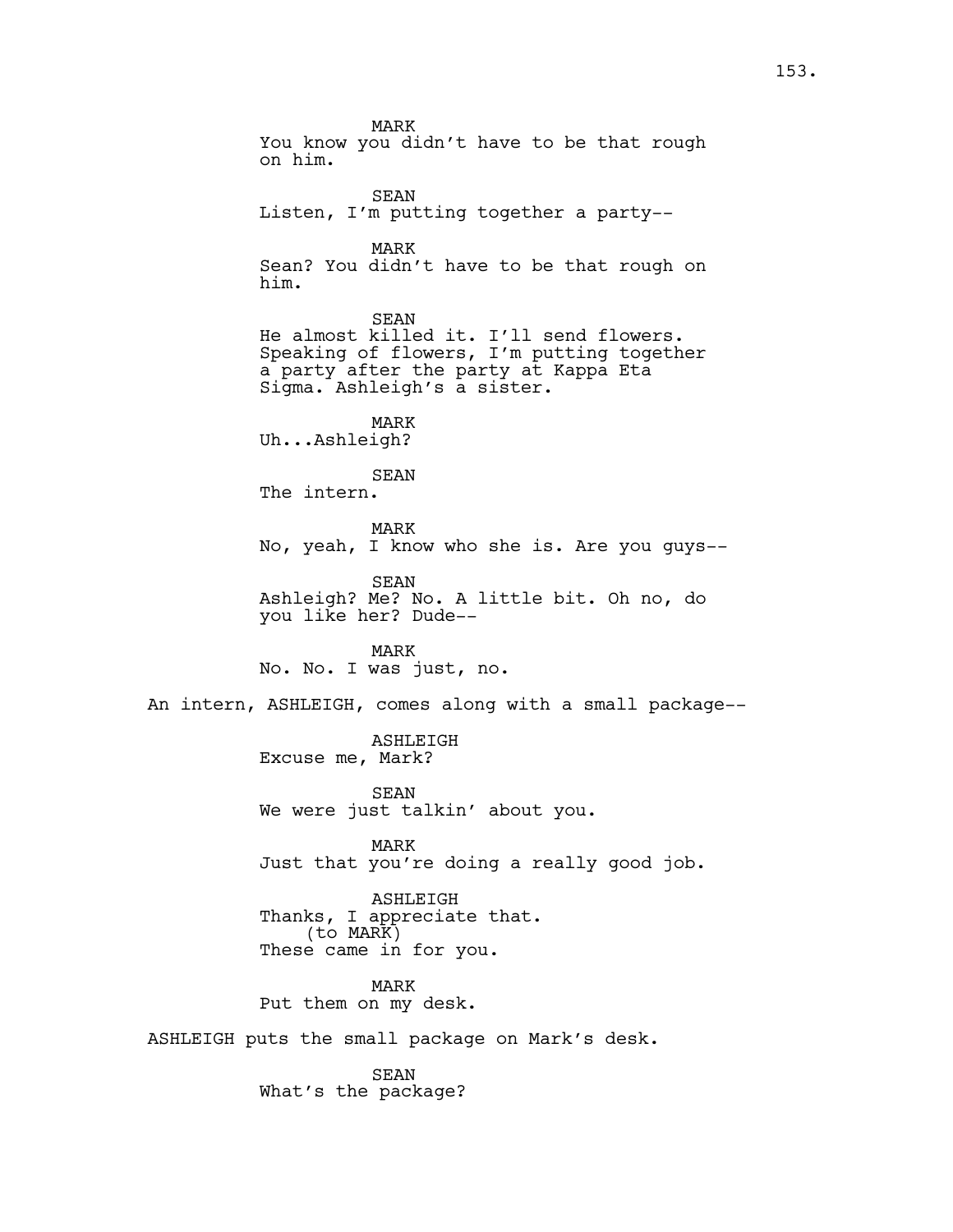MARK You know you didn't have to be that rough on him. SEAN Listen, I'm putting together a party-- MARK Sean? You didn't have to be that rough on him. SEAN He almost killed it. I'll send flowers. Speaking of flowers, I'm putting together a party after the party at Kappa Eta Sigma. Ashleigh's a sister. MARK Uh...Ashleigh? SEAN The intern. MARK No, yeah, I know who she is. Are you guys-- SEAN Ashleigh? Me? No. A little bit. Oh no, do you like her? Dude-- MARK No. No. I was just, no. An intern, ASHLEIGH, comes along with a small package-- ASHLEIGH Excuse me, Mark? SEAN We were just talkin' about you. MARK Just that you're doing a really good job. ASHLEIGH Thanks, I appreciate that. (to MARK) These came in for you. MARK Put them on my desk. ASHLEIGH puts the small package on Mark's desk. SEAN

What's the package?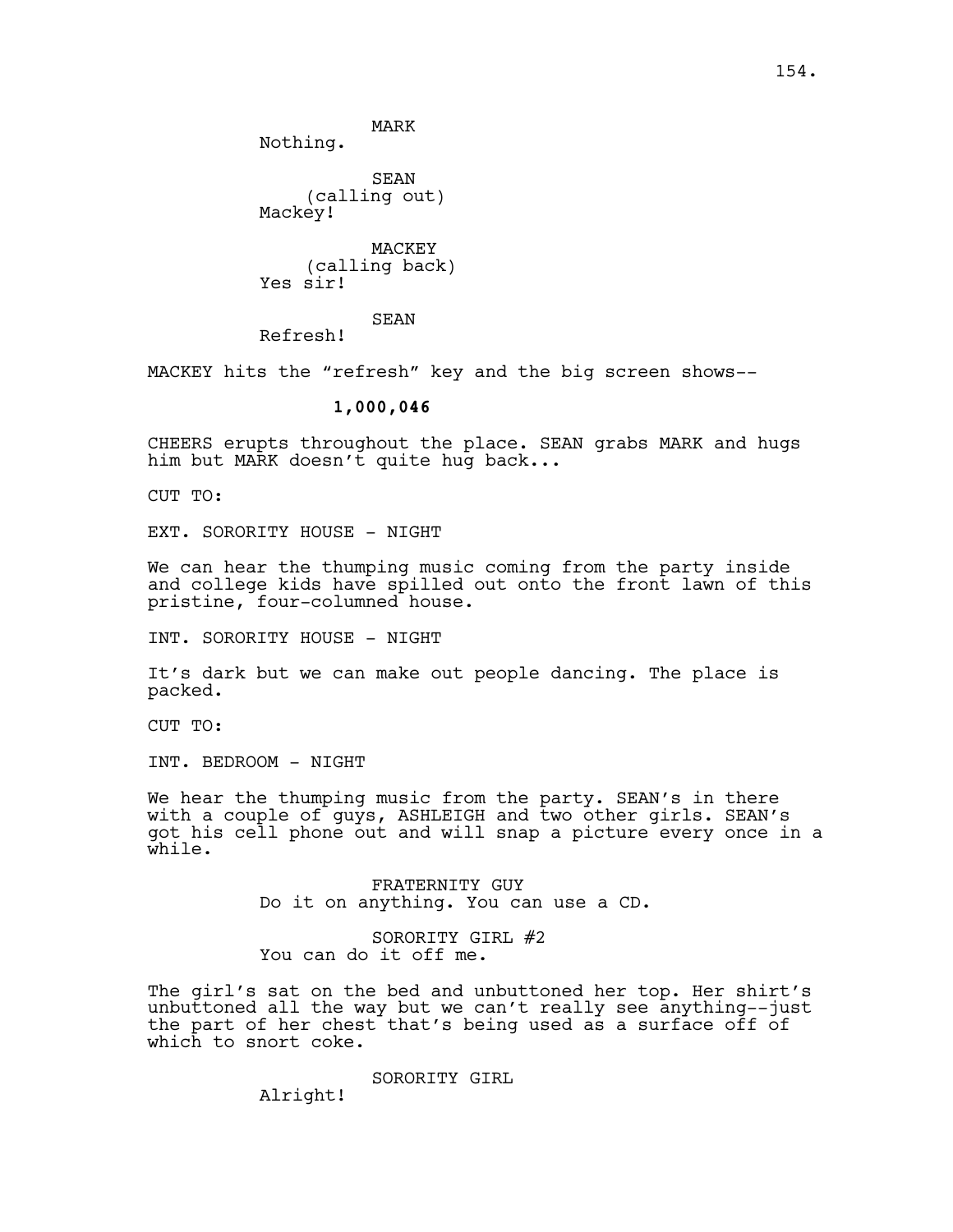MARK Nothing.

SEAN (calling out) Mackey!

MACKEY (calling back) Yes sir!

SEAN

Refresh!

MACKEY hits the "refresh" key and the big screen shows--

# **1,000,046**

CHEERS erupts throughout the place. SEAN grabs MARK and hugs him but MARK doesn't quite hug back...

CUT TO:

EXT. SORORITY HOUSE - NIGHT

We can hear the thumping music coming from the party inside and college kids have spilled out onto the front lawn of this pristine, four-columned house.

INT. SORORITY HOUSE - NIGHT

It's dark but we can make out people dancing. The place is packed.

CUT TO:

INT. BEDROOM - NIGHT

We hear the thumping music from the party. SEAN's in there with a couple of guys, ASHLEIGH and two other girls. SEAN's got his cell phone out and will snap a picture every once in a while.

> FRATERNITY GUY Do it on anything. You can use a CD.

SORORITY GIRL #2 You can do it off me.

The girl's sat on the bed and unbuttoned her top. Her shirt's unbuttoned all the way but we can't really see anything--just the part of her chest that's being used as a surface off of which to snort coke.

SORORITY GIRL

Alright!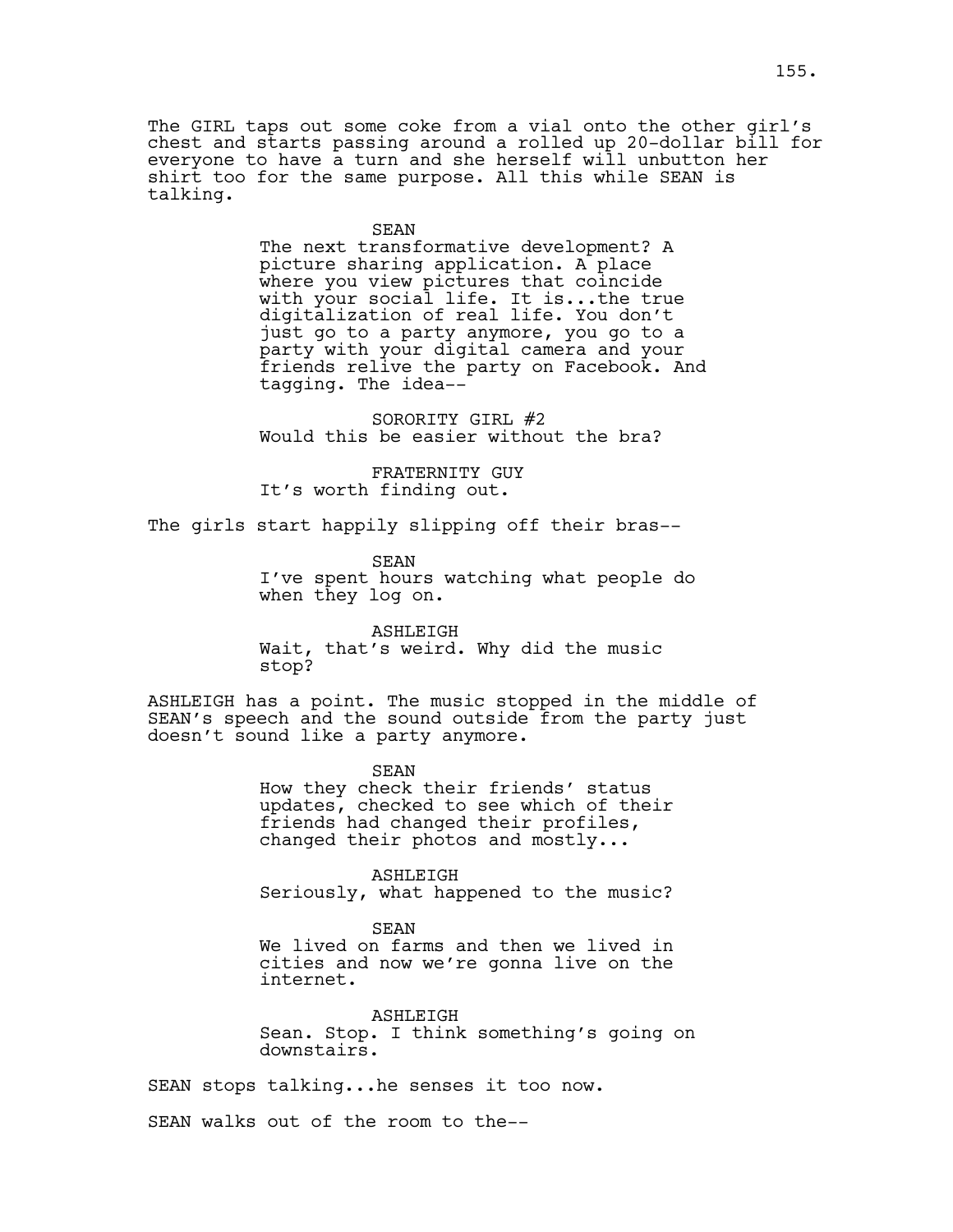The GIRL taps out some coke from a vial onto the other girl's chest and starts passing around a rolled up 20-dollar bill for everyone to have a turn and she herself will unbutton her shirt too for the same purpose. All this while SEAN is talking.

#### SEAN

The next transformative development? A picture sharing application. A place where you view pictures that coincide with your social life. It is...the true digitalization of real life. You don't just go to a party anymore, you go to a party with your digital camera and your friends relive the party on Facebook. And tagging. The idea--

SORORITY GIRL #2 Would this be easier without the bra?

FRATERNITY GUY It's worth finding out.

The girls start happily slipping off their bras--

SEAN I've spent hours watching what people do when they log on.

ASHLEIGH Wait, that's weird. Why did the music stop?

ASHLEIGH has a point. The music stopped in the middle of SEAN's speech and the sound outside from the party just doesn't sound like a party anymore.

> SEAN How they check their friends' status updates, checked to see which of their friends had changed their profiles, changed their photos and mostly...

> ASHLEIGH Seriously, what happened to the music?

> SEAN We lived on farms and then we lived in cities and now we're gonna live on the internet.

ASHLEIGH Sean. Stop. I think something's going on downstairs.

SEAN stops talking...he senses it too now.

SEAN walks out of the room to the--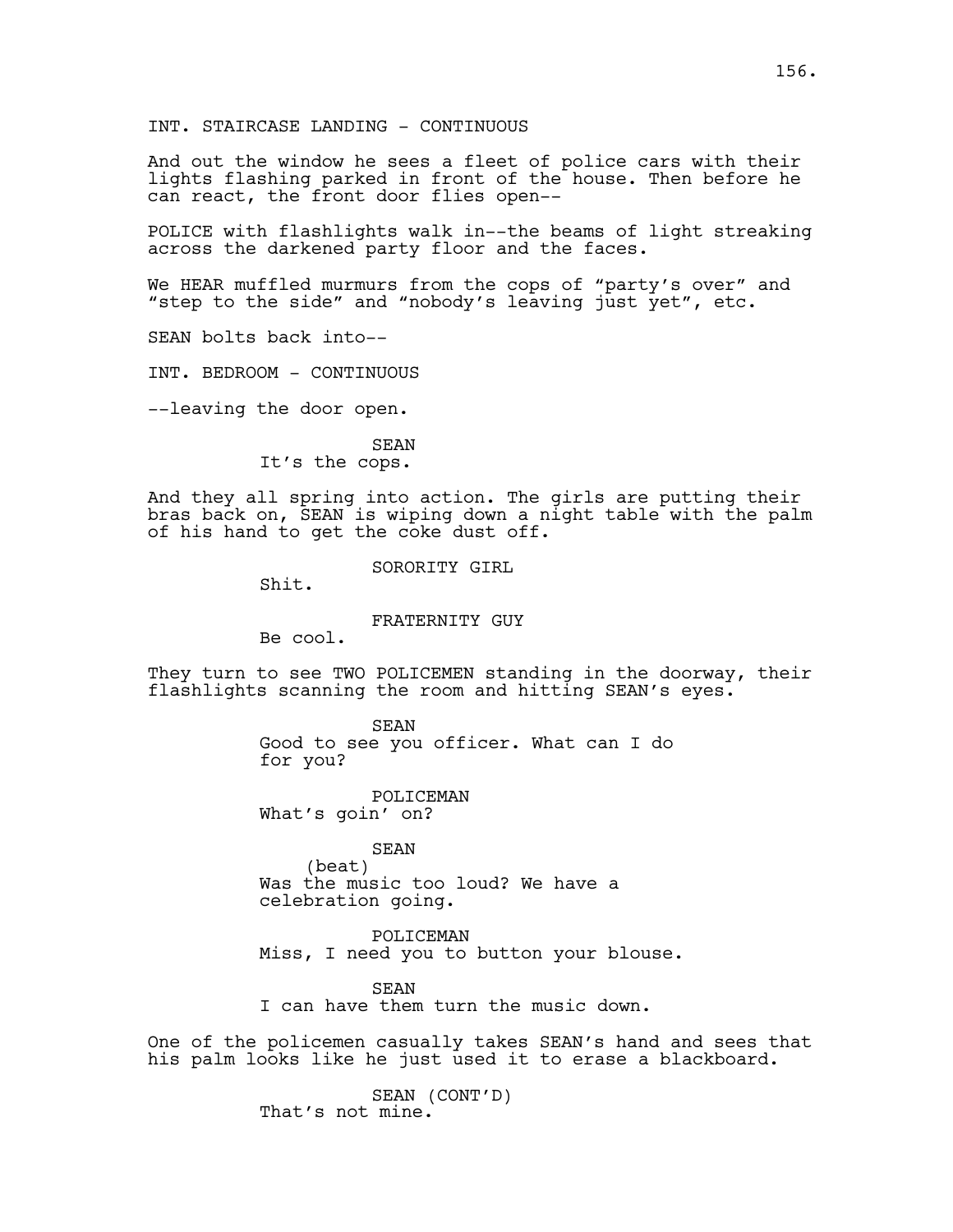And out the window he sees a fleet of police cars with their lights flashing parked in front of the house. Then before he can react, the front door flies open--

POLICE with flashlights walk in--the beams of light streaking across the darkened party floor and the faces.

We HEAR muffled murmurs from the cops of "party's over" and "step to the side" and "nobody's leaving just yet", etc.

SEAN bolts back into--

INT. BEDROOM - CONTINUOUS

--leaving the door open.

SEAN It's the cops.

And they all spring into action. The girls are putting their bras back on, SEAN is wiping down a night table with the palm of his hand to get the coke dust off.

SORORITY GIRL

Shit.

### FRATERNITY GUY

Be cool.

They turn to see TWO POLICEMEN standing in the doorway, their flashlights scanning the room and hitting SEAN's eyes.

> SEAN Good to see you officer. What can I do for you?

POLICEMAN What's goin' on?

SEAN (beat) Was the music too loud? We have a celebration going.

POLICEMAN Miss, I need you to button your blouse.

**SEAN** 

I can have them turn the music down.

One of the policemen casually takes SEAN's hand and sees that his palm looks like he just used it to erase a blackboard.

> SEAN (CONT'D) That's not mine.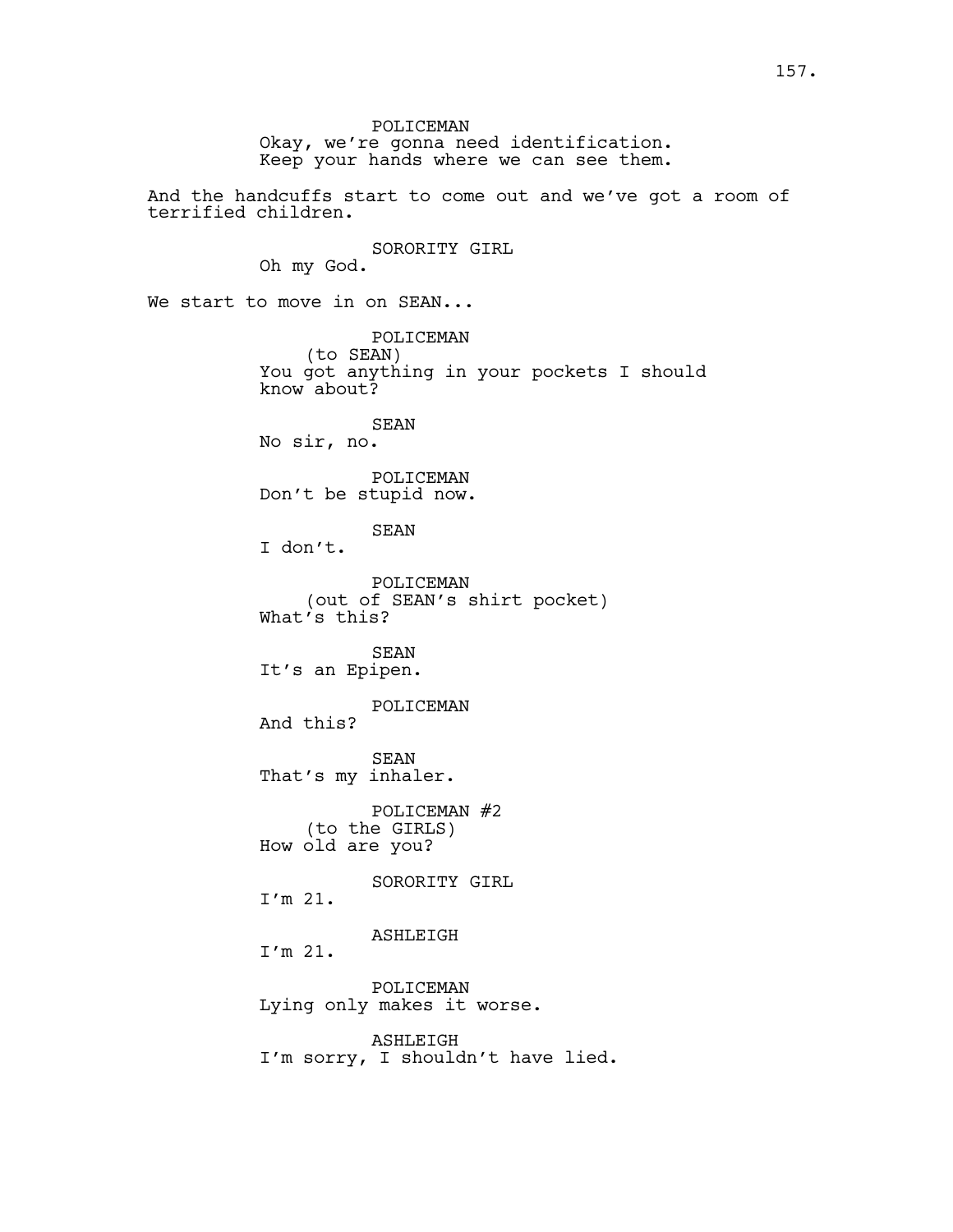POLICEMAN Okay, we're gonna need identification. Keep your hands where we can see them. And the handcuffs start to come out and we've got a room of terrified children. SORORITY GIRL Oh my God. We start to move in on SEAN... POLICEMAN (to SEAN) You got anything in your pockets I should know about? SEAN No sir, no. POLICEMAN Don't be stupid now. SEAN I don't. POLICEMAN (out of SEAN's shirt pocket) What's this? SEAN It's an Epipen. POLICEMAN And this? SEAN That's my inhaler. POLICEMAN #2 (to the GIRLS) How old are you? SORORITY GIRL I'm 21. ASHLEIGH I'm 21. POLICEMAN Lying only makes it worse. ASHLEIGH I'm sorry, I shouldn't have lied.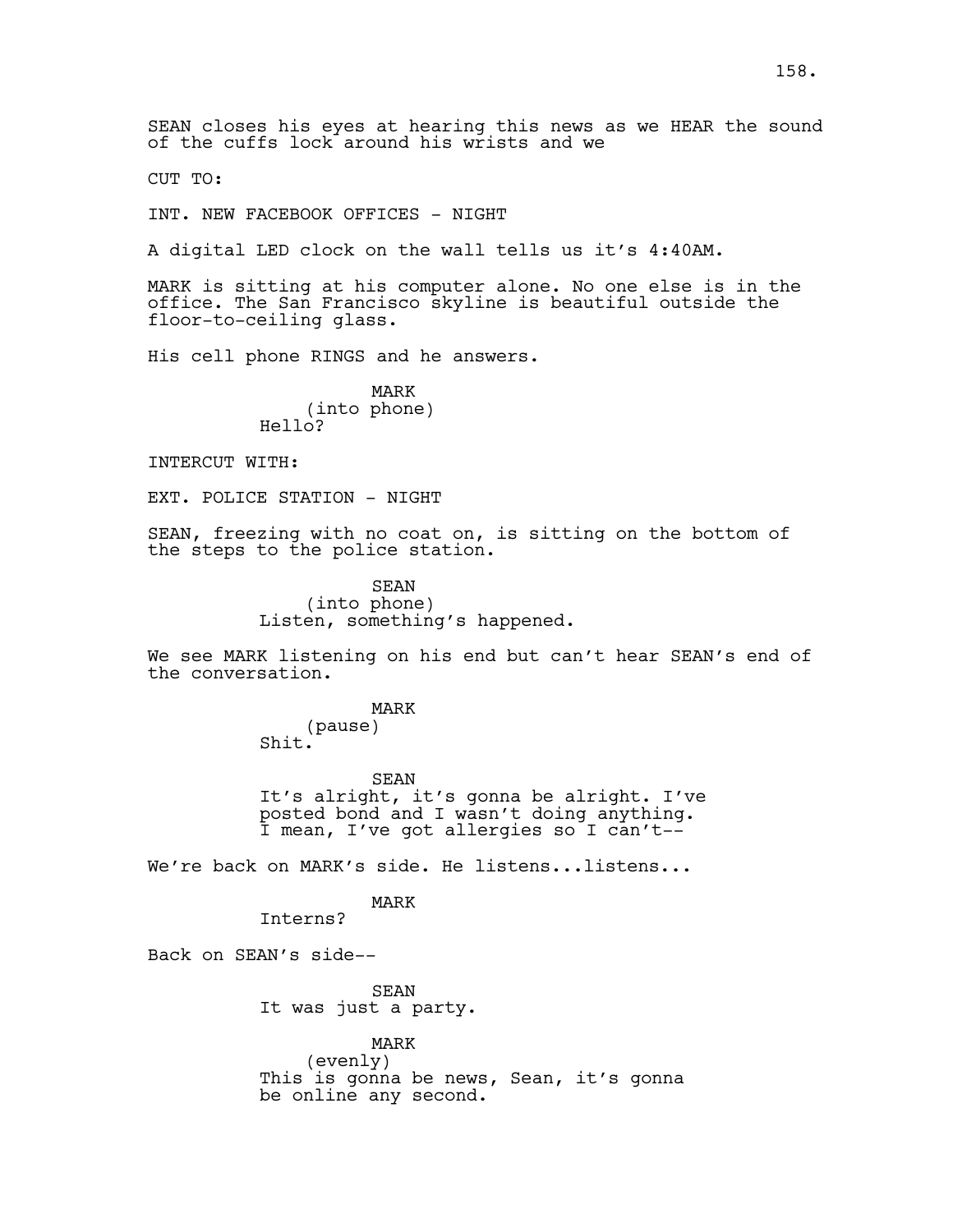SEAN closes his eyes at hearing this news as we HEAR the sound of the cuffs lock around his wrists and we

CUT TO:

INT. NEW FACEBOOK OFFICES - NIGHT

A digital LED clock on the wall tells us it's 4:40AM.

MARK is sitting at his computer alone. No one else is in the office. The San Francisco skyline is beautiful outside the floor-to-ceiling glass.

His cell phone RINGS and he answers.

MARK (into phone) Hello?

INTERCUT WITH:

EXT. POLICE STATION - NIGHT

SEAN, freezing with no coat on, is sitting on the bottom of the steps to the police station.

> SEAN (into phone) Listen, something's happened.

We see MARK listening on his end but can't hear SEAN's end of the conversation.

MARK

(pause) Shit.

SEAN It's alright, it's gonna be alright. I've posted bond and I wasn't doing anything. I mean, I've got allergies so I can't--

We're back on MARK's side. He listens...listens...

MARK

Interns?

Back on SEAN's side--

SEAN It was just a party.

MARK

(evenly) This is gonna be news, Sean, it's gonna be online any second.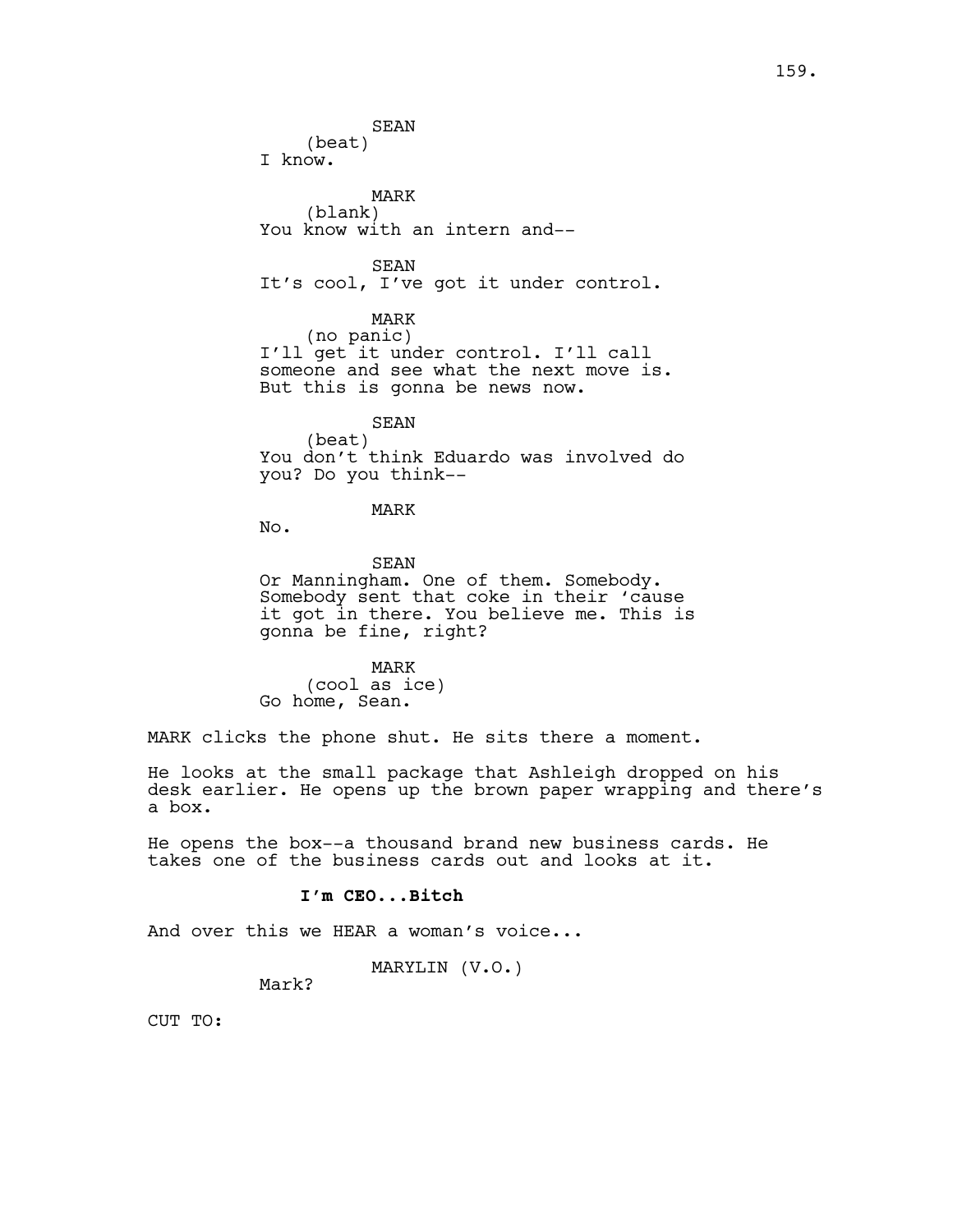SEAN (beat) I know. MARK (blank) You know with an intern and-- SEAN It's cool, I've got it under control. MARK (no panic) I'll get it under control. I'll call someone and see what the next move is. But this is gonna be news now. SEAN (beat) You don't think Eduardo was involved do you? Do you think-- MARK No. SEAN

Or Manningham. One of them. Somebody. Somebody sent that coke in their 'cause it got in there. You believe me. This is gonna be fine, right?

MARK (cool as ice) Go home, Sean.

MARK clicks the phone shut. He sits there a moment.

He looks at the small package that Ashleigh dropped on his desk earlier. He opens up the brown paper wrapping and there's a box.

He opens the box--a thousand brand new business cards. He takes one of the business cards out and looks at it.

### **I'm CEO...Bitch**

And over this we HEAR a woman's voice...

# MARYLIN (V.O.)

Mark?

CUT TO: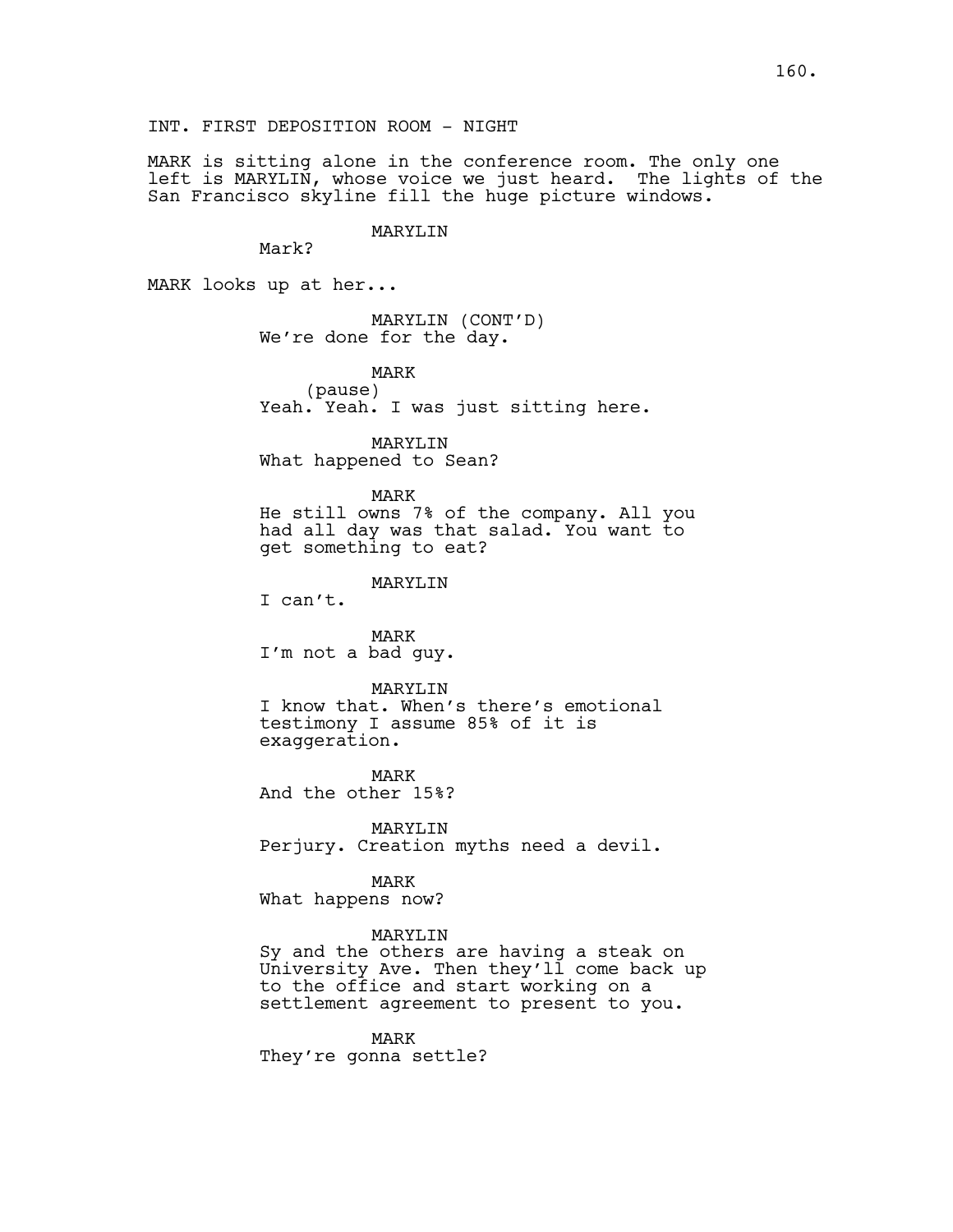INT. FIRST DEPOSITION ROOM - NIGHT

MARK is sitting alone in the conference room. The only one left is MARYLIN, whose voice we just heard. The lights of the San Francisco skyline fill the huge picture windows.

MARYLIN

MARK looks up at her...

Mark?

MARYLIN (CONT'D) We're done for the day.

MARK (pause) Yeah. Yeah. I was just sitting here.

MARYLIN What happened to Sean?

MARK He still owns 7% of the company. All you had all day was that salad. You want to get something to eat?

MARYLIN

I can't.

MARK I'm not a bad guy.

MARYLIN

I know that. When's there's emotional testimony I assume 85% of it is exaggeration.

MARK And the other 15%?

MARYLIN Perjury. Creation myths need a devil.

MARK What happens now?

MARYLIN

Sy and the others are having a steak on University Ave. Then they'll come back up to the office and start working on a settlement agreement to present to you.

MARK They're gonna settle?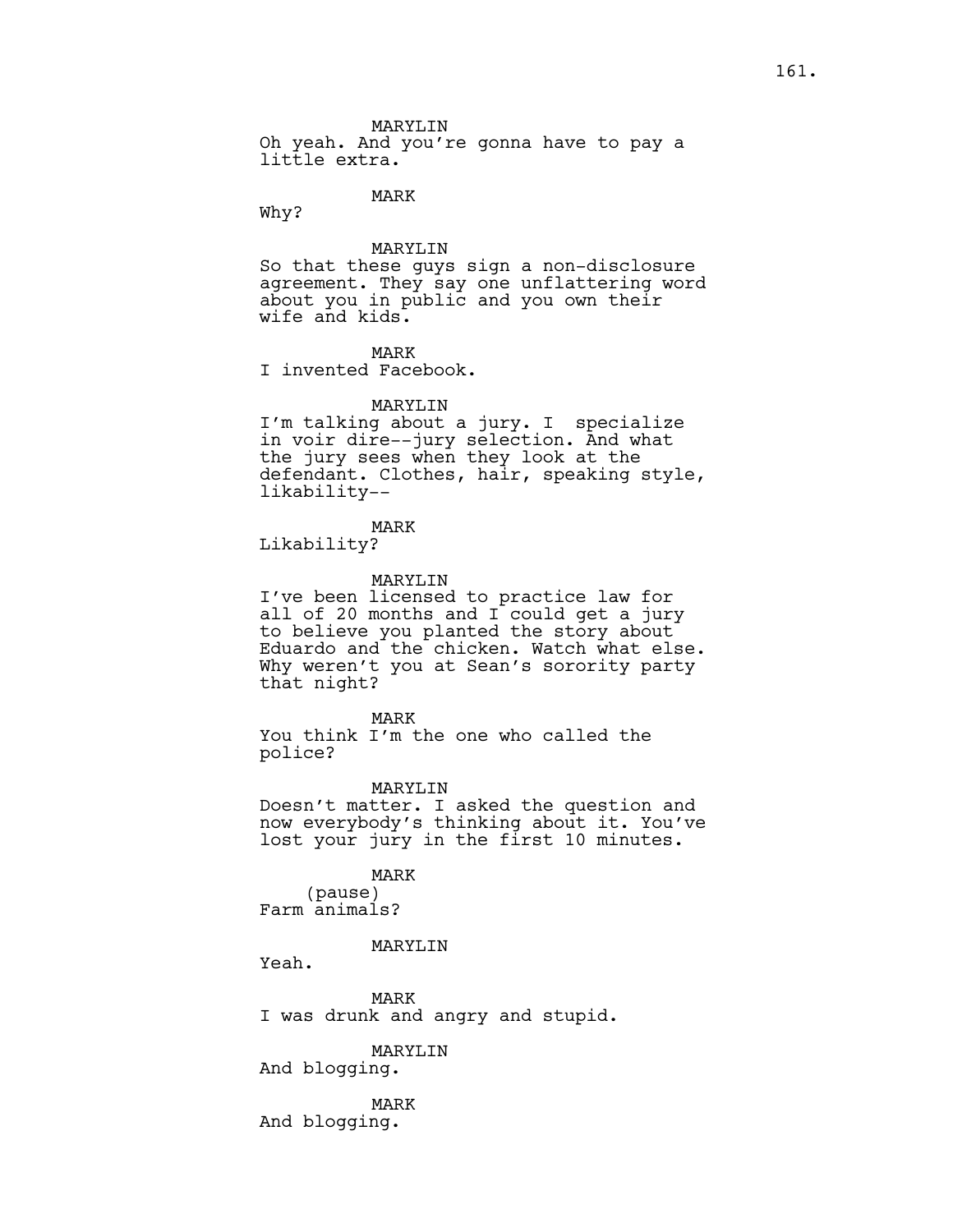MARYLIN

Oh yeah. And you're gonna have to pay a little extra.

MARK

Why?

# MARYLIN

So that these guys sign a non-disclosure agreement. They say one unflattering word about you in public and you own their wife and kids.

# MARK

I invented Facebook.

### MARYLIN

I'm talking about a jury. I specialize in voir dire--jury selection. And what the jury sees when they look at the defendant. Clothes, hair, speaking style, likability--

# MARK

Likability?

### MARYLIN

I've been licensed to practice law for all of 20 months and I could get a jury to believe you planted the story about Eduardo and the chicken. Watch what else. Why weren't you at Sean's sorority party that night?

#### MARK

You think I'm the one who called the police?

### MARYLIN

Doesn't matter. I asked the question and now everybody's thinking about it. You've lost your jury in the first 10 minutes.

### MARK

(pause) Farm animals?

### MARYT.TN

Yeah.

MARK I was drunk and angry and stupid.

MARYLIN And blogging.

MARK And blogging.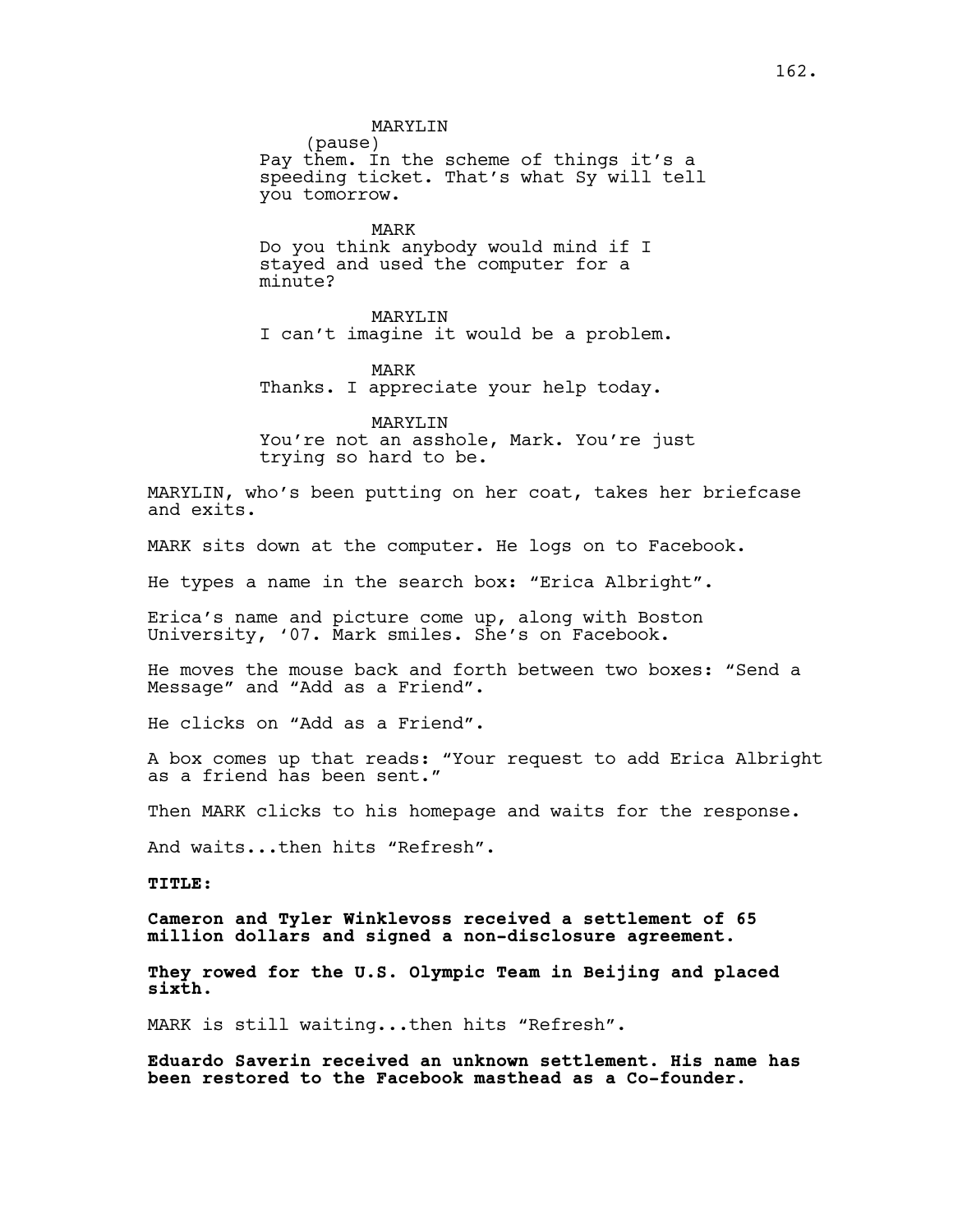MARYLIN (pause) Pay them. In the scheme of things it's a speeding ticket. That's what Sy will tell you tomorrow. MARK Do you think anybody would mind if I stayed and used the computer for a minute? MARYLIN

I can't imagine it would be a problem.

MARK Thanks. I appreciate your help today.

MARYLTN You're not an asshole, Mark. You're just trying so hard to be.

MARYLIN, who's been putting on her coat, takes her briefcase and exits.

MARK sits down at the computer. He logs on to Facebook.

He types a name in the search box: "Erica Albright".

Erica's name and picture come up, along with Boston University, '07. Mark smiles. She's on Facebook.

He moves the mouse back and forth between two boxes: "Send a Message" and "Add as a Friend".

He clicks on "Add as a Friend".

A box comes up that reads: "Your request to add Erica Albright as a friend has been sent."

Then MARK clicks to his homepage and waits for the response.

And waits...then hits "Refresh".

**TITLE:**

**Cameron and Tyler Winklevoss received a settlement of 65 million dollars and signed a non-disclosure agreement.**

**They rowed for the U.S. Olympic Team in Beijing and placed sixth.**

MARK is still waiting...then hits "Refresh".

**Eduardo Saverin received an unknown settlement. His name has been restored to the Facebook masthead as a Co-founder.**